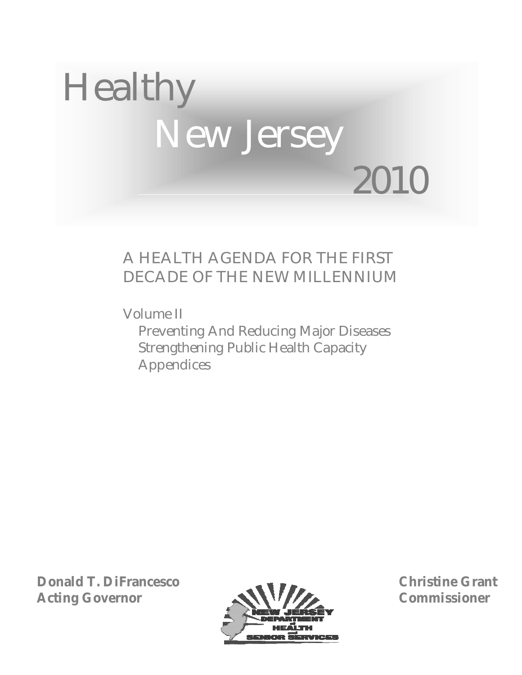

# A HEALTH AGENDA FOR THE FIRST DECADE OF THE NEW MILLENNIUM

Volume II Preventing And Reducing Major Diseases Strengthening Public Health Capacity Appendices

**Donald T. DiFrancesco Acting Governor**



**Christine Grant Commissioner**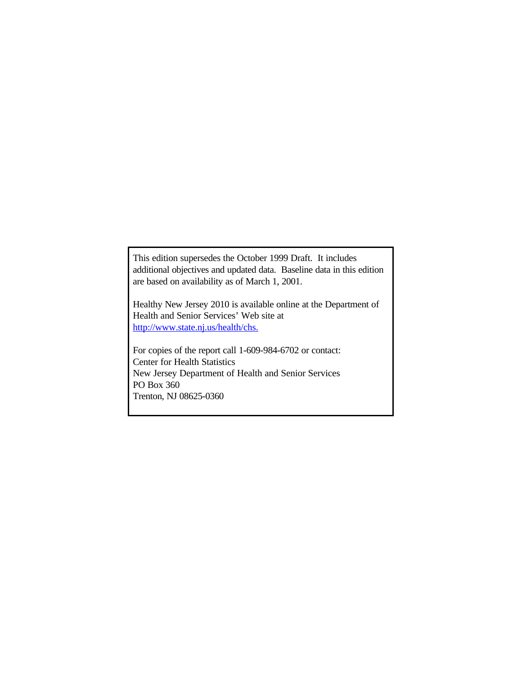This edition supersedes the October 1999 Draft. It includes additional objectives and updated data. Baseline data in this edition are based on availability as of March 1, 2001.

Healthy New Jersey 2010 is available online at the Department of Health and Senior Services' Web site at http://www.state.nj.us/health/chs.

For copies of the report call 1-609-984-6702 or contact: Center for Health Statistics New Jersey Department of Health and Senior Services PO Box 360 Trenton, NJ 08625-0360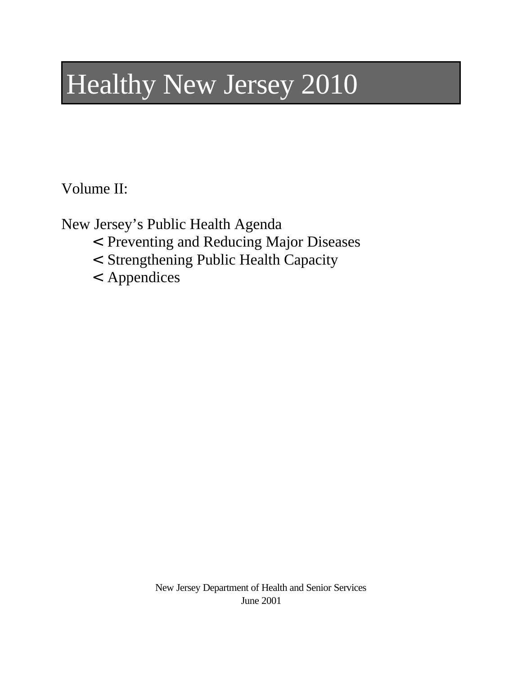# Healthy New Jersey 2010

Volume II:

New Jersey's Public Health Agenda

- < Preventing and Reducing Major Diseases
- < Strengthening Public Health Capacity
- < Appendices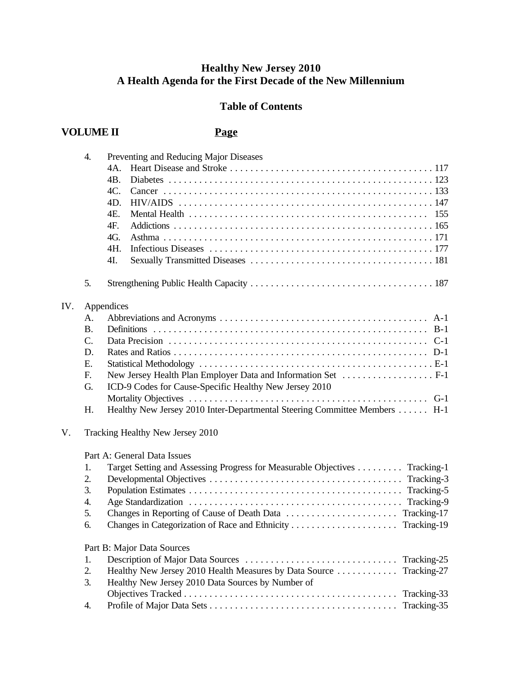#### **Healthy New Jersey 2010 A Health Agenda for the First Decade of the New Millennium**

### **Table of Contents**

## **VOLUME II Page**

|     | 4.        | Preventing and Reducing Major Diseases                                     |
|-----|-----------|----------------------------------------------------------------------------|
|     |           | 4A.                                                                        |
|     |           | 4B.                                                                        |
|     |           | 4C.                                                                        |
|     |           | 4D.                                                                        |
|     |           | 4E.                                                                        |
|     |           | 4F.                                                                        |
|     |           | 4G.                                                                        |
|     |           | 4H.                                                                        |
|     |           | 4I.                                                                        |
|     | 5.        |                                                                            |
| IV. |           | Appendices                                                                 |
|     | А.        |                                                                            |
|     | <b>B.</b> |                                                                            |
|     | C.        | $C-1$                                                                      |
|     | D.        |                                                                            |
|     | Ε.        |                                                                            |
|     | F.        |                                                                            |
|     | G.        | ICD-9 Codes for Cause-Specific Healthy New Jersey 2010                     |
|     |           |                                                                            |
|     | H.        | Healthy New Jersey 2010 Inter-Departmental Steering Committee Members  H-1 |
| V.  |           | Tracking Healthy New Jersey 2010                                           |
|     |           | Part A: General Data Issues                                                |
|     | 1.        | Target Setting and Assessing Progress for Measurable Objectives Tracking-1 |
|     | 2.        |                                                                            |
|     | 3.        | Tracking-5                                                                 |
|     | 4.        | Tracking-9                                                                 |
|     | 5.        |                                                                            |
|     | 6.        |                                                                            |
|     |           | Part B: Major Data Sources                                                 |
|     | 1.        | Tracking-25                                                                |
|     | 2.        | Healthy New Jersey 2010 Health Measures by Data Source<br>Tracking-27      |
|     | 3.        | Healthy New Jersey 2010 Data Sources by Number of                          |
|     |           | Tracking-33                                                                |
|     | 4.        | Tracking-35                                                                |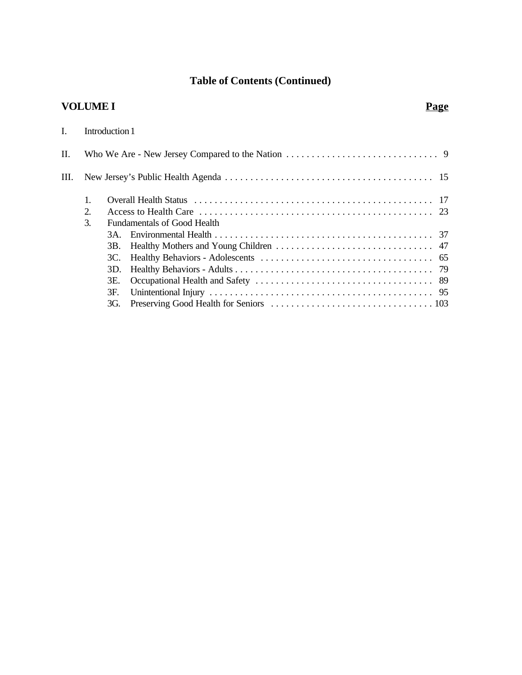# **Table of Contents (Continued)**

# **VOLUME I Page**

| $\mathbf{I}$ . |    | Introduction 1 |                             |  |
|----------------|----|----------------|-----------------------------|--|
| $\Pi$ .        |    |                |                             |  |
| III.           |    |                |                             |  |
|                | 1. |                |                             |  |
|                | 2. |                |                             |  |
|                | 3. |                | Fundamentals of Good Health |  |
|                |    | 3A.            |                             |  |
|                |    | 3B.            |                             |  |
|                |    | 3C.            |                             |  |
|                |    | 3D.            |                             |  |
|                |    | 3E.            |                             |  |
|                |    | 3F.            |                             |  |
|                |    | 3G.            |                             |  |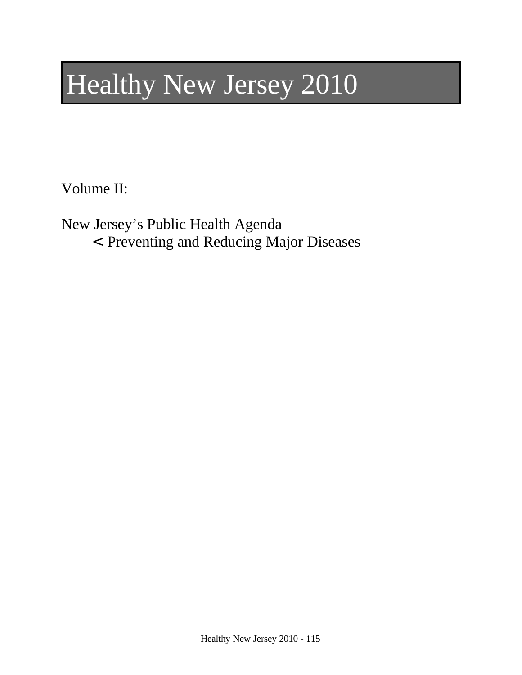# Healthy New Jersey 2010

Volume II:

New Jersey's Public Health Agenda

< Preventing and Reducing Major Diseases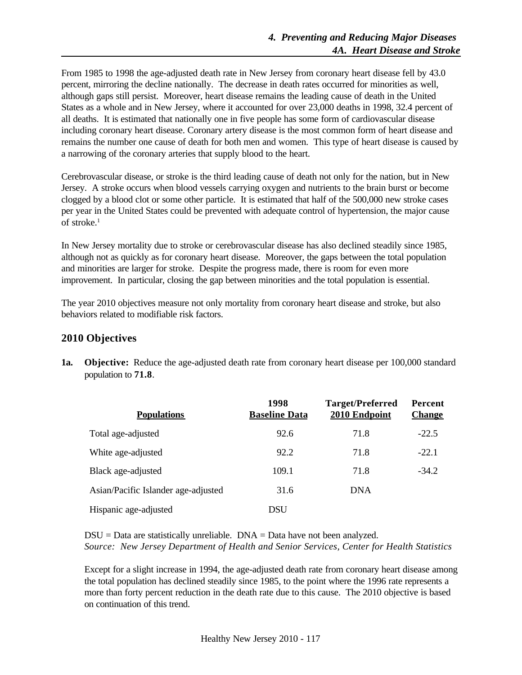From 1985 to 1998 the age-adjusted death rate in New Jersey from coronary heart disease fell by 43.0 percent, mirroring the decline nationally. The decrease in death rates occurred for minorities as well, although gaps still persist. Moreover, heart disease remains the leading cause of death in the United States as a whole and in New Jersey, where it accounted for over 23,000 deaths in 1998, 32.4 percent of all deaths. It is estimated that nationally one in five people has some form of cardiovascular disease including coronary heart disease. Coronary artery disease is the most common form of heart disease and remains the number one cause of death for both men and women. This type of heart disease is caused by a narrowing of the coronary arteries that supply blood to the heart.

Cerebrovascular disease, or stroke is the third leading cause of death not only for the nation, but in New Jersey. A stroke occurs when blood vessels carrying oxygen and nutrients to the brain burst or become clogged by a blood clot or some other particle. It is estimated that half of the 500,000 new stroke cases per year in the United States could be prevented with adequate control of hypertension, the major cause of stroke.<sup>1</sup>

In New Jersey mortality due to stroke or cerebrovascular disease has also declined steadily since 1985, although not as quickly as for coronary heart disease. Moreover, the gaps between the total population and minorities are larger for stroke. Despite the progress made, there is room for even more improvement. In particular, closing the gap between minorities and the total population is essential.

The year 2010 objectives measure not only mortality from coronary heart disease and stroke, but also behaviors related to modifiable risk factors.

#### **2010 Objectives**

**1a. Objective:** Reduce the age-adjusted death rate from coronary heart disease per 100,000 standard population to **71.8**.

| <b>Populations</b>                  | 1998<br><b>Baseline Data</b> | <b>Target/Preferred</b><br>2010 Endpoint | Percent<br><b>Change</b> |
|-------------------------------------|------------------------------|------------------------------------------|--------------------------|
| Total age-adjusted                  | 92.6                         | 71.8                                     | $-22.5$                  |
| White age-adjusted                  | 92.2                         | 71.8                                     | $-22.1$                  |
| Black age-adjusted                  | 109.1                        | 71.8                                     | $-34.2$                  |
| Asian/Pacific Islander age-adjusted | 31.6                         | <b>DNA</b>                               |                          |
| Hispanic age-adjusted               | DSU                          |                                          |                          |

 $DSU = Data$  are statistically unreliable.  $DNA = Data$  have not been analyzed. *Source: New Jersey Department of Health and Senior Services, Center for Health Statistics*

Except for a slight increase in 1994, the age-adjusted death rate from coronary heart disease among the total population has declined steadily since 1985, to the point where the 1996 rate represents a more than forty percent reduction in the death rate due to this cause. The 2010 objective is based on continuation of this trend.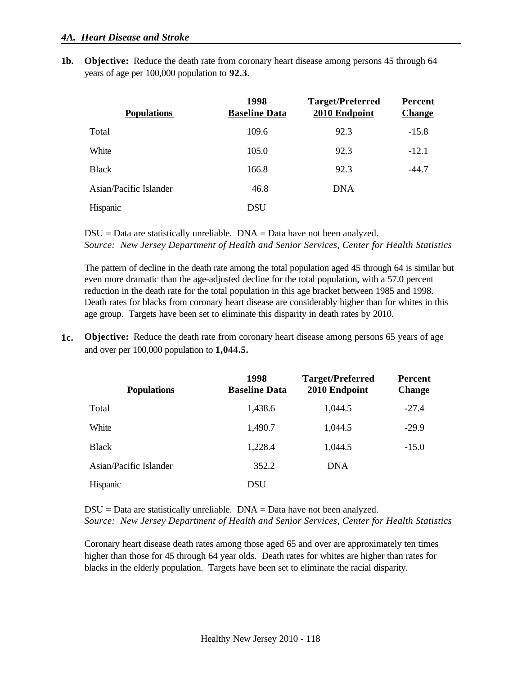**1b. Objective:** Reduce the death rate from coronary heart disease among persons 45 through 64 years of age per 100,000 population to **92.3.**

| <b>Populations</b>     | 1998<br><b>Baseline Data</b> | <b>Target/Preferred</b><br>2010 Endpoint | Percent<br><b>Change</b> |
|------------------------|------------------------------|------------------------------------------|--------------------------|
| Total                  | 109.6                        | 92.3                                     | $-15.8$                  |
| White                  | 105.0                        | 92.3                                     | $-12.1$                  |
| <b>Black</b>           | 166.8                        | 92.3                                     | $-44.7$                  |
| Asian/Pacific Islander | 46.8                         | <b>DNA</b>                               |                          |
| Hispanic               | DSU                          |                                          |                          |

 $DSU = Data$  are statistically unreliable.  $DNA = Data$  have not been analyzed. *Source: New Jersey Department of Health and Senior Services, Center for Health Statistics*

The pattern of decline in the death rate among the total population aged 45 through 64 is similar but even more dramatic than the age-adjusted decline for the total population, with a 57.0 percent reduction in the death rate for the total population in this age bracket between 1985 and 1998. Death rates for blacks from coronary heart disease are considerably higher than for whites in this age group. Targets have been set to eliminate this disparity in death rates by 2010.

**1c. Objective:** Reduce the death rate from coronary heart disease among persons 65 years of age and over per 100,000 population to **1,044.5.**

| <b>Populations</b>     | 1998<br><b>Baseline Data</b> | <b>Target/Preferred</b><br>2010 Endpoint | Percent<br><b>Change</b> |
|------------------------|------------------------------|------------------------------------------|--------------------------|
| Total                  | 1,438.6                      | 1,044.5                                  | $-27.4$                  |
| White                  | 1,490.7                      | 1,044.5                                  | $-29.9$                  |
| <b>Black</b>           | 1,228.4                      | 1,044.5                                  | $-15.0$                  |
| Asian/Pacific Islander | 352.2                        | <b>DNA</b>                               |                          |
| Hispanic               | DSU                          |                                          |                          |

 $DSU = Data$  are statistically unreliable.  $DNA = Data$  have not been analyzed. *Source: New Jersey Department of Health and Senior Services, Center for Health Statistics*

Coronary heart disease death rates among those aged 65 and over are approximately ten times higher than those for 45 through 64 year olds. Death rates for whites are higher than rates for blacks in the elderly population. Targets have been set to eliminate the racial disparity.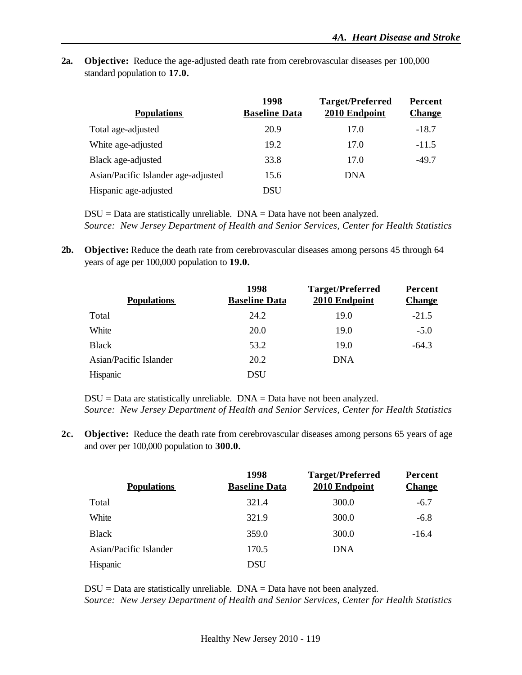**2a. Objective:** Reduce the age-adjusted death rate from cerebrovascular diseases per 100,000 standard population to **17.0.**

| <b>Populations</b>                  | 1998<br><b>Baseline Data</b> | <b>Target/Preferred</b><br>2010 Endpoint | Percent<br><b>Change</b> |
|-------------------------------------|------------------------------|------------------------------------------|--------------------------|
| Total age-adjusted                  | 20.9                         | 17.0                                     | $-18.7$                  |
| White age-adjusted                  | 19.2                         | 17.0                                     | $-11.5$                  |
| Black age-adjusted                  | 33.8                         | 17.0                                     | $-49.7$                  |
| Asian/Pacific Islander age-adjusted | 15.6                         | <b>DNA</b>                               |                          |
| Hispanic age-adjusted               | DSU                          |                                          |                          |

 $DSU = Data$  are statistically unreliable.  $DNA = Data$  have not been analyzed. *Source: New Jersey Department of Health and Senior Services, Center for Health Statistics*

**2b. Objective:** Reduce the death rate from cerebrovascular diseases among persons 45 through 64 years of age per 100,000 population to **19.0.**

| <b>Populations</b>            | 1998<br><b>Baseline Data</b> | <b>Target/Preferred</b><br>2010 Endpoint | Percent<br><b>Change</b> |
|-------------------------------|------------------------------|------------------------------------------|--------------------------|
| Total                         | 24.2                         | 19.0                                     | $-21.5$                  |
| White                         | <b>20.0</b>                  | 19.0                                     | $-5.0$                   |
| <b>Black</b>                  | 53.2                         | 19.0                                     | $-64.3$                  |
| <b>Asian/Pacific Islander</b> | 20.2                         | <b>DNA</b>                               |                          |
| Hispanic                      | DSU                          |                                          |                          |

 $DSU = Data$  are statistically unreliable.  $DNA = Data$  have not been analyzed. *Source: New Jersey Department of Health and Senior Services, Center for Health Statistics*

**2c. Objective:** Reduce the death rate from cerebrovascular diseases among persons 65 years of age and over per 100,000 population to **300.0.**

| <b>Populations</b>     | 1998<br><b>Baseline Data</b> | <b>Target/Preferred</b><br>2010 Endpoint | Percent<br><b>Change</b> |
|------------------------|------------------------------|------------------------------------------|--------------------------|
| Total                  | 321.4                        | 300.0                                    | $-6.7$                   |
| White                  | 321.9                        | 300.0                                    | $-6.8$                   |
| <b>Black</b>           | 359.0                        | 300.0                                    | $-16.4$                  |
| Asian/Pacific Islander | 170.5                        | <b>DNA</b>                               |                          |
| Hispanic               | <b>DSU</b>                   |                                          |                          |

 $DSU = Data$  are statistically unreliable.  $DNA = Data$  have not been analyzed. *Source: New Jersey Department of Health and Senior Services, Center for Health Statistics*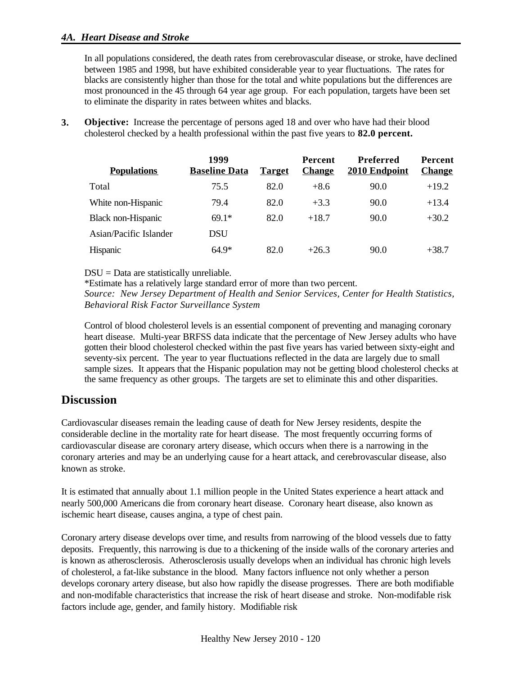#### *4A. Heart Disease and Stroke*

In all populations considered, the death rates from cerebrovascular disease, or stroke, have declined between 1985 and 1998, but have exhibited considerable year to year fluctuations. The rates for blacks are consistently higher than those for the total and white populations but the differences are most pronounced in the 45 through 64 year age group. For each population, targets have been set to eliminate the disparity in rates between whites and blacks.

**3. Objective:** Increase the percentage of persons aged 18 and over who have had their blood cholesterol checked by a health professional within the past five years to **82.0 percent.**

| <b>Populations</b>        | 1999<br><b>Baseline Data</b> | <b>Target</b> | <b>Percent</b><br><b>Change</b> | <b>Preferred</b><br>2010 Endpoint | Percent<br><b>Change</b> |
|---------------------------|------------------------------|---------------|---------------------------------|-----------------------------------|--------------------------|
| Total                     | 75.5                         | 82.0          | $+8.6$                          | 90.0                              | $+19.2$                  |
| White non-Hispanic        | 79.4                         | 82.0          | $+3.3$                          | 90.0                              | $+13.4$                  |
| <b>Black non-Hispanic</b> | $69.1*$                      | 82.0          | $+18.7$                         | 90.0                              | $+30.2$                  |
| Asian/Pacific Islander    | <b>DSU</b>                   |               |                                 |                                   |                          |
| Hispanic                  | $64.9*$                      | 82.0          | $+26.3$                         | 90.0                              | $+38.7$                  |

DSU = Data are statistically unreliable.

\*Estimate has a relatively large standard error of more than two percent. *Source: New Jersey Department of Health and Senior Services, Center for Health Statistics, Behavioral Risk Factor Surveillance System*

Control of blood cholesterol levels is an essential component of preventing and managing coronary heart disease. Multi-year BRFSS data indicate that the percentage of New Jersey adults who have gotten their blood cholesterol checked within the past five years has varied between sixty-eight and seventy-six percent. The year to year fluctuations reflected in the data are largely due to small sample sizes. It appears that the Hispanic population may not be getting blood cholesterol checks at the same frequency as other groups. The targets are set to eliminate this and other disparities.

## **Discussion**

Cardiovascular diseases remain the leading cause of death for New Jersey residents, despite the considerable decline in the mortality rate for heart disease. The most frequently occurring forms of cardiovascular disease are coronary artery disease, which occurs when there is a narrowing in the coronary arteries and may be an underlying cause for a heart attack, and cerebrovascular disease, also known as stroke.

It is estimated that annually about 1.1 million people in the United States experience a heart attack and nearly 500,000 Americans die from coronary heart disease. Coronary heart disease, also known as ischemic heart disease, causes angina, a type of chest pain.

Coronary artery disease develops over time, and results from narrowing of the blood vessels due to fatty deposits. Frequently, this narrowing is due to a thickening of the inside walls of the coronary arteries and is known as atherosclerosis. Atherosclerosis usually develops when an individual has chronic high levels of cholesterol, a fat-like substance in the blood. Many factors influence not only whether a person develops coronary artery disease, but also how rapidly the disease progresses. There are both modifiable and non-modifable characteristics that increase the risk of heart disease and stroke. Non-modifable risk factors include age, gender, and family history. Modifiable risk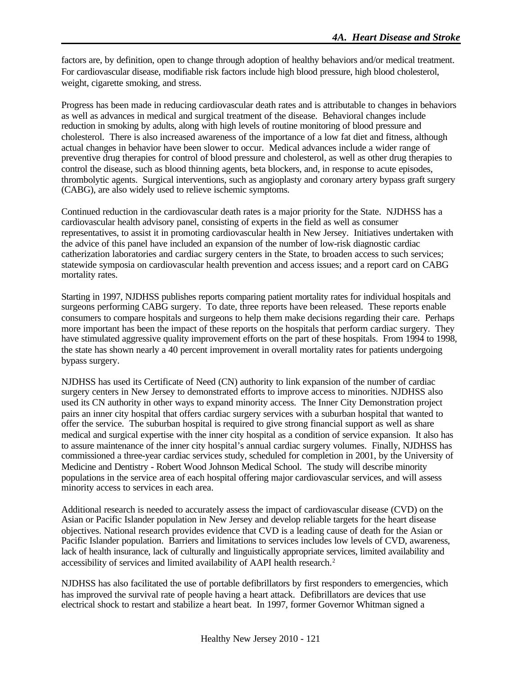factors are, by definition, open to change through adoption of healthy behaviors and/or medical treatment. For cardiovascular disease, modifiable risk factors include high blood pressure, high blood cholesterol, weight, cigarette smoking, and stress.

Progress has been made in reducing cardiovascular death rates and is attributable to changes in behaviors as well as advances in medical and surgical treatment of the disease. Behavioral changes include reduction in smoking by adults, along with high levels of routine monitoring of blood pressure and cholesterol. There is also increased awareness of the importance of a low fat diet and fitness, although actual changes in behavior have been slower to occur. Medical advances include a wider range of preventive drug therapies for control of blood pressure and cholesterol, as well as other drug therapies to control the disease, such as blood thinning agents, beta blockers, and, in response to acute episodes, thrombolytic agents. Surgical interventions, such as angioplasty and coronary artery bypass graft surgery (CABG), are also widely used to relieve ischemic symptoms.

Continued reduction in the cardiovascular death rates is a major priority for the State. NJDHSS has a cardiovascular health advisory panel, consisting of experts in the field as well as consumer representatives, to assist it in promoting cardiovascular health in New Jersey. Initiatives undertaken with the advice of this panel have included an expansion of the number of low-risk diagnostic cardiac catherization laboratories and cardiac surgery centers in the State, to broaden access to such services; statewide symposia on cardiovascular health prevention and access issues; and a report card on CABG mortality rates.

Starting in 1997, NJDHSS publishes reports comparing patient mortality rates for individual hospitals and surgeons performing CABG surgery. To date, three reports have been released. These reports enable consumers to compare hospitals and surgeons to help them make decisions regarding their care. Perhaps more important has been the impact of these reports on the hospitals that perform cardiac surgery. They have stimulated aggressive quality improvement efforts on the part of these hospitals. From 1994 to 1998, the state has shown nearly a 40 percent improvement in overall mortality rates for patients undergoing bypass surgery.

NJDHSS has used its Certificate of Need (CN) authority to link expansion of the number of cardiac surgery centers in New Jersey to demonstrated efforts to improve access to minorities. NJDHSS also used its CN authority in other ways to expand minority access. The Inner City Demonstration project pairs an inner city hospital that offers cardiac surgery services with a suburban hospital that wanted to offer the service. The suburban hospital is required to give strong financial support as well as share medical and surgical expertise with the inner city hospital as a condition of service expansion. It also has to assure maintenance of the inner city hospital's annual cardiac surgery volumes. Finally, NJDHSS has commissioned a three-year cardiac services study, scheduled for completion in 2001, by the University of Medicine and Dentistry - Robert Wood Johnson Medical School. The study will describe minority populations in the service area of each hospital offering major cardiovascular services, and will assess minority access to services in each area.

Additional research is needed to accurately assess the impact of cardiovascular disease (CVD) on the Asian or Pacific Islander population in New Jersey and develop reliable targets for the heart disease objectives. National research provides evidence that CVD is a leading cause of death for the Asian or Pacific Islander population. Barriers and limitations to services includes low levels of CVD, awareness, lack of health insurance, lack of culturally and linguistically appropriate services, limited availability and accessibility of services and limited availability of AAPI health research.<sup>2</sup>

NJDHSS has also facilitated the use of portable defibrillators by first responders to emergencies, which has improved the survival rate of people having a heart attack. Defibrillators are devices that use electrical shock to restart and stabilize a heart beat. In 1997, former Governor Whitman signed a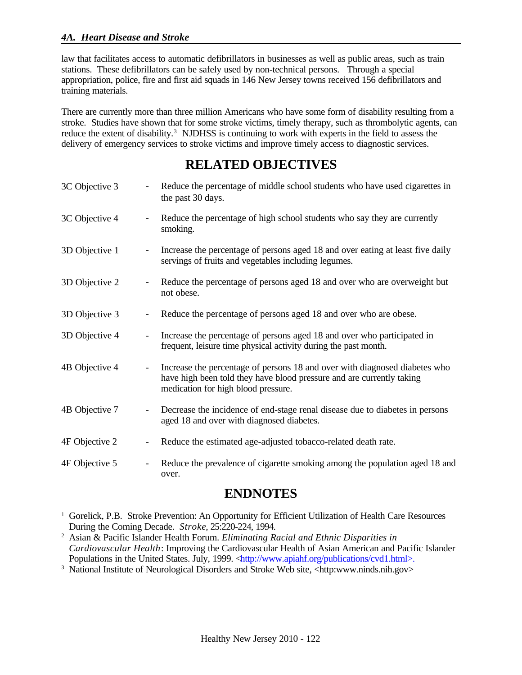#### *4A. Heart Disease and Stroke*

law that facilitates access to automatic defibrillators in businesses as well as public areas, such as train stations. These defibrillators can be safely used by non-technical persons. Through a special appropriation, police, fire and first aid squads in 146 New Jersey towns received 156 defibrillators and training materials.

There are currently more than three million Americans who have some form of disability resulting from a stroke. Studies have shown that for some stroke victims, timely therapy, such as thrombolytic agents, can reduce the extent of disability.<sup>3</sup> NJDHSS is continuing to work with experts in the field to assess the delivery of emergency services to stroke victims and improve timely access to diagnostic services.

# **RELATED OBJECTIVES**

| 3C Objective 3 | Reduce the percentage of middle school students who have used cigarettes in<br>the past 30 days.                                                                                                                       |
|----------------|------------------------------------------------------------------------------------------------------------------------------------------------------------------------------------------------------------------------|
| 3C Objective 4 | Reduce the percentage of high school students who say they are currently<br>smoking.                                                                                                                                   |
| 3D Objective 1 | Increase the percentage of persons aged 18 and over eating at least five daily<br>servings of fruits and vegetables including legumes.                                                                                 |
| 3D Objective 2 | Reduce the percentage of persons aged 18 and over who are overweight but<br>not obese.                                                                                                                                 |
| 3D Objective 3 | Reduce the percentage of persons aged 18 and over who are obese.<br>$\overline{\phantom{a}}$                                                                                                                           |
| 3D Objective 4 | Increase the percentage of persons aged 18 and over who participated in<br>$\overline{\phantom{a}}$<br>frequent, leisure time physical activity during the past month.                                                 |
| 4B Objective 4 | Increase the percentage of persons 18 and over with diagnosed diabetes who<br>$\overline{\phantom{a}}$<br>have high been told they have blood pressure and are currently taking<br>medication for high blood pressure. |
| 4B Objective 7 | Decrease the incidence of end-stage renal disease due to diabetes in persons<br>$\overline{\phantom{a}}$<br>aged 18 and over with diagnosed diabetes.                                                                  |
| 4F Objective 2 | Reduce the estimated age-adjusted tobacco-related death rate.<br>$\overline{\phantom{a}}$                                                                                                                              |
| 4F Objective 5 | Reduce the prevalence of cigarette smoking among the population aged 18 and<br>over.                                                                                                                                   |

# **ENDNOTES**

- <sup>1</sup> Gorelick, P.B. Stroke Prevention: An Opportunity for Efficient Utilization of Health Care Resources During the Coming Decade. *Stroke*, 25:220-224, 1994.
- <sup>2</sup> Asian & Pacific Islander Health Forum. *Eliminating Racial and Ethnic Disparities in Cardiovascular Health*: Improving the Cardiovascular Health of Asian American and Pacific Islander Populations in the United States. July, 1999. <http://www.apiahf.org/publications/cvd1.html>.
- <sup>3</sup> National Institute of Neurological Disorders and Stroke Web site, <http:www.ninds.nih.gov>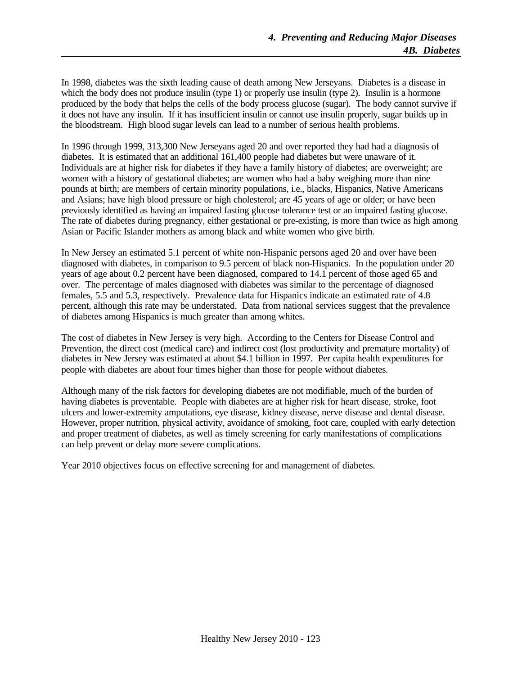In 1998, diabetes was the sixth leading cause of death among New Jerseyans. Diabetes is a disease in which the body does not produce insulin (type 1) or properly use insulin (type 2). Insulin is a hormone produced by the body that helps the cells of the body process glucose (sugar). The body cannot survive if it does not have any insulin. If it has insufficient insulin or cannot use insulin properly, sugar builds up in the bloodstream. High blood sugar levels can lead to a number of serious health problems.

In 1996 through 1999, 313,300 New Jerseyans aged 20 and over reported they had had a diagnosis of diabetes. It is estimated that an additional 161,400 people had diabetes but were unaware of it. Individuals are at higher risk for diabetes if they have a family history of diabetes; are overweight; are women with a history of gestational diabetes; are women who had a baby weighing more than nine pounds at birth; are members of certain minority populations, i.e., blacks, Hispanics, Native Americans and Asians; have high blood pressure or high cholesterol; are 45 years of age or older; or have been previously identified as having an impaired fasting glucose tolerance test or an impaired fasting glucose. The rate of diabetes during pregnancy, either gestational or pre-existing, is more than twice as high among Asian or Pacific Islander mothers as among black and white women who give birth.

In New Jersey an estimated 5.1 percent of white non-Hispanic persons aged 20 and over have been diagnosed with diabetes, in comparison to 9.5 percent of black non-Hispanics. In the population under 20 years of age about 0.2 percent have been diagnosed, compared to 14.1 percent of those aged 65 and over. The percentage of males diagnosed with diabetes was similar to the percentage of diagnosed females, 5.5 and 5.3, respectively. Prevalence data for Hispanics indicate an estimated rate of 4.8 percent, although this rate may be understated. Data from national services suggest that the prevalence of diabetes among Hispanics is much greater than among whites.

The cost of diabetes in New Jersey is very high. According to the Centers for Disease Control and Prevention, the direct cost (medical care) and indirect cost (lost productivity and premature mortality) of diabetes in New Jersey was estimated at about \$4.1 billion in 1997. Per capita health expenditures for people with diabetes are about four times higher than those for people without diabetes.

Although many of the risk factors for developing diabetes are not modifiable, much of the burden of having diabetes is preventable. People with diabetes are at higher risk for heart disease, stroke, foot ulcers and lower-extremity amputations, eye disease, kidney disease, nerve disease and dental disease. However, proper nutrition, physical activity, avoidance of smoking, foot care, coupled with early detection and proper treatment of diabetes, as well as timely screening for early manifestations of complications can help prevent or delay more severe complications.

Year 2010 objectives focus on effective screening for and management of diabetes.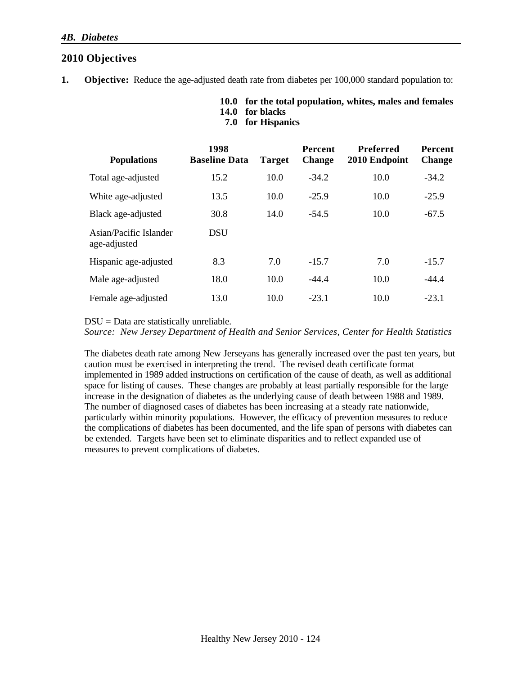| 14.0 for blacks   |
|-------------------|
| 7.0 for Hispanics |

**1. Objective:** Reduce the age-adjusted death rate from diabetes per 100,000 standard population to:

**10.0 for the total population, whites, males and females**

| <b>Populations</b>                     | 1998<br><b>Baseline Data</b> | <b>Target</b> | <b>Percent</b><br><b>Change</b> | <b>Preferred</b><br>2010 Endpoint | Percent<br><b>Change</b> |
|----------------------------------------|------------------------------|---------------|---------------------------------|-----------------------------------|--------------------------|
| Total age-adjusted                     | 15.2                         | 10.0          | $-34.2$                         | 10.0                              | $-34.2$                  |
| White age-adjusted                     | 13.5                         | 10.0          | $-25.9$                         | 10.0                              | $-25.9$                  |
| Black age-adjusted                     | 30.8                         | 14.0          | $-54.5$                         | 10.0                              | $-67.5$                  |
| Asian/Pacific Islander<br>age-adjusted | <b>DSU</b>                   |               |                                 |                                   |                          |
| Hispanic age-adjusted                  | 8.3                          | 7.0           | $-15.7$                         | 7.0                               | $-15.7$                  |
| Male age-adjusted                      | 18.0                         | 10.0          | $-44.4$                         | 10.0                              | $-44.4$                  |
| Female age-adjusted                    | 13.0                         | 10.0          | $-23.1$                         | 10.0                              | $-23.1$                  |

 $DSU = Data$  are statistically unreliable.

*Source: New Jersey Department of Health and Senior Services, Center for Health Statistics*

The diabetes death rate among New Jerseyans has generally increased over the past ten years, but caution must be exercised in interpreting the trend. The revised death certificate format implemented in 1989 added instructions on certification of the cause of death, as well as additional space for listing of causes. These changes are probably at least partially responsible for the large increase in the designation of diabetes as the underlying cause of death between 1988 and 1989. The number of diagnosed cases of diabetes has been increasing at a steady rate nationwide, particularly within minority populations. However, the efficacy of prevention measures to reduce the complications of diabetes has been documented, and the life span of persons with diabetes can be extended. Targets have been set to eliminate disparities and to reflect expanded use of measures to prevent complications of diabetes.

**2010 Objectives**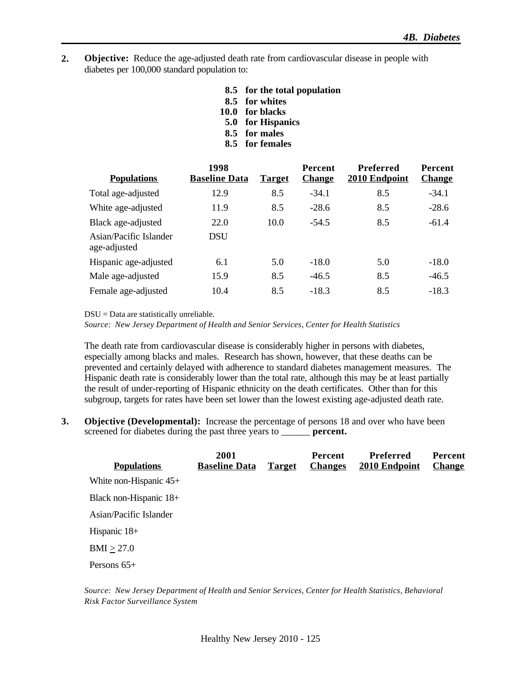- **2. Objective:** Reduce the age-adjusted death rate from cardiovascular disease in people with diabetes per 100,000 standard population to:
	- **8.5 for the total population**
	- **8.5 for whites**
	- **10.0 for blacks**
	- **5.0 for Hispanics**
	- **8.5 for males**
	- **8.5 for females**

| <b>Populations</b>                     | 1998<br><b>Baseline Data</b> | <b>Target</b> | <b>Percent</b><br><b>Change</b> | Preferred<br>2010 Endpoint | Percent<br><b>Change</b> |
|----------------------------------------|------------------------------|---------------|---------------------------------|----------------------------|--------------------------|
| Total age-adjusted                     | 12.9                         | 8.5           | $-34.1$                         | 8.5                        | $-34.1$                  |
| White age-adjusted                     | 11.9                         | 8.5           | $-28.6$                         | 8.5                        | $-28.6$                  |
| Black age-adjusted                     | 22.0                         | 10.0          | $-54.5$                         | 8.5                        | $-61.4$                  |
| Asian/Pacific Islander<br>age-adjusted | <b>DSU</b>                   |               |                                 |                            |                          |
| Hispanic age-adjusted                  | 6.1                          | 5.0           | $-18.0$                         | 5.0                        | $-18.0$                  |
| Male age-adjusted                      | 15.9                         | 8.5           | $-46.5$                         | 8.5                        | $-46.5$                  |
| Female age-adjusted                    | 10.4                         | 8.5           | $-18.3$                         | 8.5                        | $-18.3$                  |

DSU = Data are statistically unreliable.

*Source: New Jersey Department of Health and Senior Services, Center for Health Statistics*

The death rate from cardiovascular disease is considerably higher in persons with diabetes, especially among blacks and males. Research has shown, however, that these deaths can be prevented and certainly delayed with adherence to standard diabetes management measures. The Hispanic death rate is considerably lower than the total rate, although this may be at least partially the result of under-reporting of Hispanic ethnicity on the death certificates. Other than for this subgroup, targets for rates have been set lower than the lowest existing age-adjusted death rate.

**3. Objective (Developmental):** Increase the percentage of persons 18 and over who have been screened for diabetes during the past three years to \_\_\_\_\_\_ **percent.**

|                          | 2001                 |               | Percent        | Preferred     | Percent       |
|--------------------------|----------------------|---------------|----------------|---------------|---------------|
| <b>Populations</b>       | <b>Baseline Data</b> | <b>Target</b> | <b>Changes</b> | 2010 Endpoint | <b>Change</b> |
| White non-Hispanic $45+$ |                      |               |                |               |               |
| Black non-Hispanic 18+   |                      |               |                |               |               |
| Asian/Pacific Islander   |                      |               |                |               |               |
| Hispanic 18+             |                      |               |                |               |               |
| BMI > 27.0               |                      |               |                |               |               |
| Persons $65+$            |                      |               |                |               |               |

*Source: New Jersey Department of Health and Senior Services, Center for Health Statistics, Behavioral Risk Factor Surveillance System*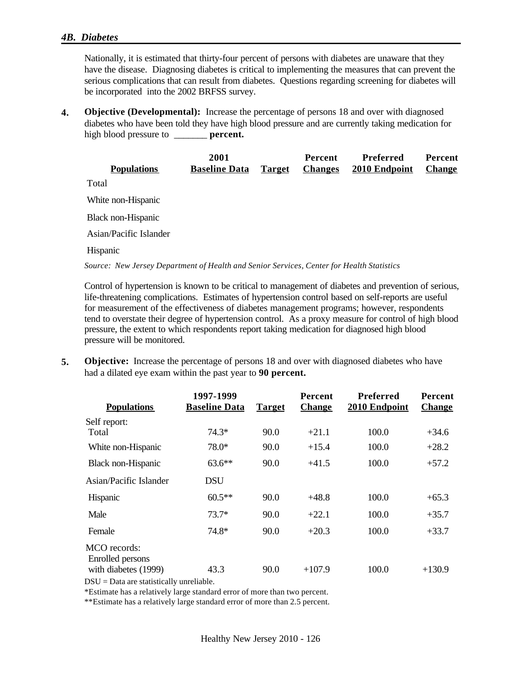#### *4B. Diabetes*

Nationally, it is estimated that thirty-four percent of persons with diabetes are unaware that they have the disease. Diagnosing diabetes is critical to implementing the measures that can prevent the serious complications that can result from diabetes. Questions regarding screening for diabetes will be incorporated into the 2002 BRFSS survey.

**4. Objective (Developmental):** Increase the percentage of persons 18 and over with diagnosed diabetes who have been told they have high blood pressure and are currently taking medication for high blood pressure to \_\_\_\_\_\_\_ **percent.**

|                                                                                           | 2001                 |               | <b>Percent</b> | Preferred     | <b>Percent</b> |
|-------------------------------------------------------------------------------------------|----------------------|---------------|----------------|---------------|----------------|
| <b>Populations</b>                                                                        | <b>Baseline Data</b> | <b>Target</b> | <b>Changes</b> | 2010 Endpoint | <b>Change</b>  |
| Total                                                                                     |                      |               |                |               |                |
| White non-Hispanic                                                                        |                      |               |                |               |                |
| Black non-Hispanic                                                                        |                      |               |                |               |                |
| Asian/Pacific Islander                                                                    |                      |               |                |               |                |
| Hispanic                                                                                  |                      |               |                |               |                |
| Source: New Jersey Department of Health and Senior Services, Center for Health Statistics |                      |               |                |               |                |

Control of hypertension is known to be critical to management of diabetes and prevention of serious, life-threatening complications. Estimates of hypertension control based on self-reports are useful for measurement of the effectiveness of diabetes management programs; however, respondents tend to overstate their degree of hypertension control. As a proxy measure for control of high blood pressure, the extent to which respondents report taking medication for diagnosed high blood pressure will be monitored.

**5. Objective:** Increase the percentage of persons 18 and over with diagnosed diabetes who have had a dilated eye exam within the past year to **90 percent.**

|                                                   | 1997-1999            |               | <b>Percent</b> | <b>Preferred</b> | Percent       |
|---------------------------------------------------|----------------------|---------------|----------------|------------------|---------------|
| <b>Populations</b>                                | <b>Baseline Data</b> | <b>Target</b> | <b>Change</b>  | 2010 Endpoint    | <b>Change</b> |
| Self report:                                      |                      |               |                |                  |               |
| Total                                             | 74.3*                | 90.0          | $+21.1$        | 100.0            | $+34.6$       |
| White non-Hispanic                                | 78.0*                | 90.0          | $+15.4$        | 100.0            | $+28.2$       |
| Black non-Hispanic                                | $63.6**$             | 90.0          | $+41.5$        | 100.0            | $+57.2$       |
| Asian/Pacific Islander                            | <b>DSU</b>           |               |                |                  |               |
| Hispanic                                          | $60.5**$             | 90.0          | $+48.8$        | 100.0            | $+65.3$       |
| Male                                              | $73.7*$              | 90.0          | $+22.1$        | 100.0            | $+35.7$       |
| Female                                            | 74.8*                | 90.0          | $+20.3$        | 100.0            | $+33.7$       |
| MCO records:                                      |                      |               |                |                  |               |
| Enrolled persons<br>with diabetes (1999)<br>P(11) | 43.3<br>$\cdots$     | 90.0          | $+107.9$       | 100.0            | $+130.9$      |

DSU = Data are statistically unreliable.

\*Estimate has a relatively large standard error of more than two percent.

\*\*Estimate has a relatively large standard error of more than 2.5 percent.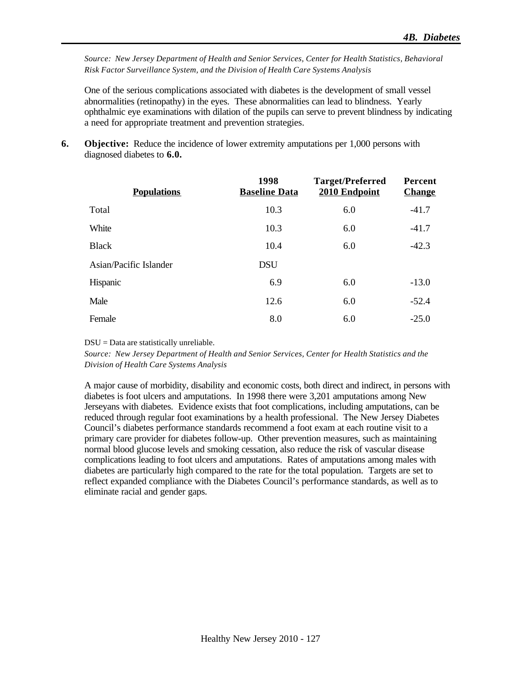*Source: New Jersey Department of Health and Senior Services, Center for Health Statistics, Behavioral Risk Factor Surveillance System, and the Division of Health Care Systems Analysis*

One of the serious complications associated with diabetes is the development of small vessel abnormalities (retinopathy) in the eyes. These abnormalities can lead to blindness. Yearly ophthalmic eye examinations with dilation of the pupils can serve to prevent blindness by indicating a need for appropriate treatment and prevention strategies.

**6. Objective:** Reduce the incidence of lower extremity amputations per 1,000 persons with diagnosed diabetes to **6.0.**

| <b>Populations</b>     | 1998<br><b>Baseline Data</b> | <b>Target/Preferred</b><br>2010 Endpoint | Percent<br><b>Change</b> |
|------------------------|------------------------------|------------------------------------------|--------------------------|
| Total                  | 10.3                         | 6.0                                      | $-41.7$                  |
| White                  | 10.3                         | 6.0                                      | $-41.7$                  |
| <b>Black</b>           | 10.4                         | 6.0                                      | $-42.3$                  |
| Asian/Pacific Islander | <b>DSU</b>                   |                                          |                          |
| Hispanic               | 6.9                          | 6.0                                      | $-13.0$                  |
| Male                   | 12.6                         | 6.0                                      | $-52.4$                  |
| Female                 | 8.0                          | 6.0                                      | $-25.0$                  |

DSU = Data are statistically unreliable.

*Source: New Jersey Department of Health and Senior Services, Center for Health Statistics and the Division of Health Care Systems Analysis*

A major cause of morbidity, disability and economic costs, both direct and indirect, in persons with diabetes is foot ulcers and amputations. In 1998 there were 3,201 amputations among New Jerseyans with diabetes. Evidence exists that foot complications, including amputations, can be reduced through regular foot examinations by a health professional. The New Jersey Diabetes Council's diabetes performance standards recommend a foot exam at each routine visit to a primary care provider for diabetes follow-up. Other prevention measures, such as maintaining normal blood glucose levels and smoking cessation, also reduce the risk of vascular disease complications leading to foot ulcers and amputations. Rates of amputations among males with diabetes are particularly high compared to the rate for the total population. Targets are set to reflect expanded compliance with the Diabetes Council's performance standards, as well as to eliminate racial and gender gaps.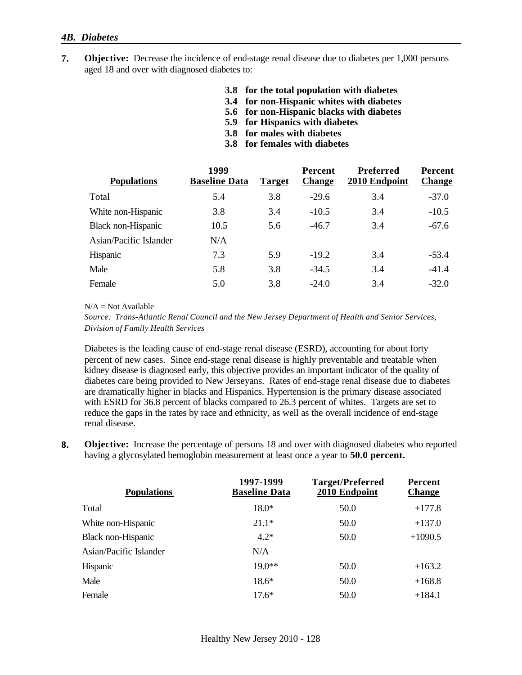#### *4B. Diabetes*

- **7. Objective:** Decrease the incidence of end-stage renal disease due to diabetes per 1,000 persons aged 18 and over with diagnosed diabetes to:
	- **3.8 for the total population with diabetes**
	- **3.4 for non-Hispanic whites with diabetes**
	- **5.6 for non-Hispanic blacks with diabetes**
	- **5.9 for Hispanics with diabetes**
	- **3.8 for males with diabetes**
	- **3.8 for females with diabetes**

| <b>Populations</b>        | 1999<br><b>Baseline Data</b> | <b>Target</b> | <b>Percent</b><br><b>Change</b> | <b>Preferred</b><br>2010 Endpoint | <b>Percent</b><br><b>Change</b> |
|---------------------------|------------------------------|---------------|---------------------------------|-----------------------------------|---------------------------------|
| Total                     | 5.4                          | 3.8           | $-29.6$                         | 3.4                               | $-37.0$                         |
| White non-Hispanic        | 3.8                          | 3.4           | $-10.5$                         | 3.4                               | $-10.5$                         |
| <b>Black non-Hispanic</b> | 10.5                         | 5.6           | $-46.7$                         | 3.4                               | $-67.6$                         |
| Asian/Pacific Islander    | N/A                          |               |                                 |                                   |                                 |
| Hispanic                  | 7.3                          | 5.9           | $-19.2$                         | 3.4                               | $-53.4$                         |
| Male                      | 5.8                          | 3.8           | $-34.5$                         | 3.4                               | $-41.4$                         |
| Female                    | 5.0                          | 3.8           | $-24.0$                         | 3.4                               | $-32.0$                         |

 $N/A = Not Available$ 

*Source: Trans-Atlantic Renal Council and the New Jersey Department of Health and Senior Services, Division of Family Health Services*

Diabetes is the leading cause of end-stage renal disease (ESRD), accounting for about forty percent of new cases. Since end-stage renal disease is highly preventable and treatable when kidney disease is diagnosed early, this objective provides an important indicator of the quality of diabetes care being provided to New Jerseyans. Rates of end-stage renal disease due to diabetes are dramatically higher in blacks and Hispanics. Hypertension is the primary disease associated with ESRD for 36.8 percent of blacks compared to 26.3 percent of whites. Targets are set to reduce the gaps in the rates by race and ethnicity, as well as the overall incidence of end-stage renal disease.

**8. Objective:** Increase the percentage of persons 18 and over with diagnosed diabetes who reported having a glycosylated hemoglobin measurement at least once a year to **50.0 percent.**

| <b>Populations</b>     | 1997-1999<br><b>Baseline Data</b> | <b>Target/Preferred</b><br>2010 Endpoint | Percent<br><b>Change</b> |
|------------------------|-----------------------------------|------------------------------------------|--------------------------|
| Total                  | $18.0*$                           | 50.0                                     | $+177.8$                 |
| White non-Hispanic     | $21.1*$                           | 50.0                                     | $+137.0$                 |
| Black non-Hispanic     | $4.2*$                            | 50.0                                     | $+1090.5$                |
| Asian/Pacific Islander | N/A                               |                                          |                          |
| Hispanic               | $19.0**$                          | 50.0                                     | $+163.2$                 |
| Male                   | $18.6*$                           | 50.0                                     | $+168.8$                 |
| Female                 | $17.6*$                           | 50.0                                     | $+184.1$                 |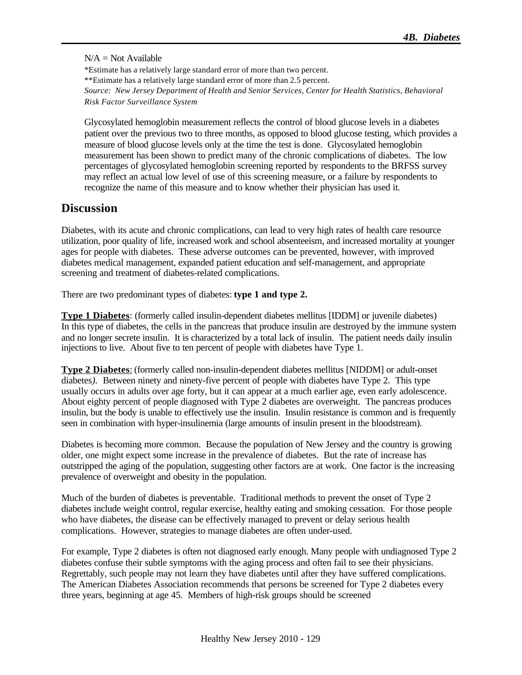#### $N/A = Not$  Available

\*Estimate has a relatively large standard error of more than two percent. \*\*Estimate has a relatively large standard error of more than 2.5 percent. *Source: New Jersey Department of Health and Senior Services, Center for Health Statistics, Behavioral Risk Factor Surveillance System*

Glycosylated hemoglobin measurement reflects the control of blood glucose levels in a diabetes patient over the previous two to three months, as opposed to blood glucose testing, which provides a measure of blood glucose levels only at the time the test is done. Glycosylated hemoglobin measurement has been shown to predict many of the chronic complications of diabetes. The low percentages of glycosylated hemoglobin screening reported by respondents to the BRFSS survey may reflect an actual low level of use of this screening measure, or a failure by respondents to recognize the name of this measure and to know whether their physician has used it.

#### **Discussion**

Diabetes, with its acute and chronic complications, can lead to very high rates of health care resource utilization, poor quality of life, increased work and school absenteeism, and increased mortality at younger ages for people with diabetes. These adverse outcomes can be prevented, however, with improved diabetes medical management, expanded patient education and self-management, and appropriate screening and treatment of diabetes-related complications.

There are two predominant types of diabetes: **type 1 and type 2.**

**Type 1 Diabetes**: (formerly called insulin-dependent diabetes mellitus [IDDM] or juvenile diabetes) In this type of diabetes, the cells in the pancreas that produce insulin are destroyed by the immune system and no longer secrete insulin. It is characterized by a total lack of insulin. The patient needs daily insulin injections to live. About five to ten percent of people with diabetes have Type 1.

**Type 2 Diabetes**: (formerly called non-insulin-dependent diabetes mellitus [NIDDM] or adult-onset diabetes*).* Between ninety and ninety-five percent of people with diabetes have Type 2. This type usually occurs in adults over age forty, but it can appear at a much earlier age, even early adolescence. About eighty percent of people diagnosed with Type 2 diabetes are overweight. The pancreas produces insulin, but the body is unable to effectively use the insulin. Insulin resistance is common and is frequently seen in combination with hyper-insulinemia (large amounts of insulin present in the bloodstream).

Diabetes is becoming more common. Because the population of New Jersey and the country is growing older, one might expect some increase in the prevalence of diabetes. But the rate of increase has outstripped the aging of the population, suggesting other factors are at work. One factor is the increasing prevalence of overweight and obesity in the population.

Much of the burden of diabetes is preventable. Traditional methods to prevent the onset of Type 2 diabetes include weight control, regular exercise, healthy eating and smoking cessation. For those people who have diabetes, the disease can be effectively managed to prevent or delay serious health complications. However, strategies to manage diabetes are often under-used.

For example, Type 2 diabetes is often not diagnosed early enough. Many people with undiagnosed Type 2 diabetes confuse their subtle symptoms with the aging process and often fail to see their physicians. Regrettably, such people may not learn they have diabetes until after they have suffered complications. The American Diabetes Association recommends that persons be screened for Type 2 diabetes every three years, beginning at age 45. Members of high-risk groups should be screened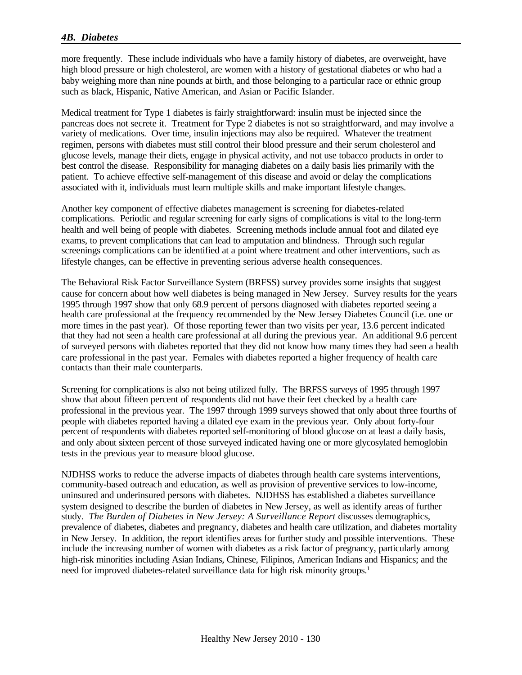#### *4B. Diabetes*

more frequently. These include individuals who have a family history of diabetes, are overweight, have high blood pressure or high cholesterol, are women with a history of gestational diabetes or who had a baby weighing more than nine pounds at birth, and those belonging to a particular race or ethnic group such as black, Hispanic, Native American, and Asian or Pacific Islander.

Medical treatment for Type 1 diabetes is fairly straightforward: insulin must be injected since the pancreas does not secrete it. Treatment for Type 2 diabetes is not so straightforward, and may involve a variety of medications. Over time, insulin injections may also be required. Whatever the treatment regimen, persons with diabetes must still control their blood pressure and their serum cholesterol and glucose levels, manage their diets, engage in physical activity, and not use tobacco products in order to best control the disease. Responsibility for managing diabetes on a daily basis lies primarily with the patient. To achieve effective self-management of this disease and avoid or delay the complications associated with it, individuals must learn multiple skills and make important lifestyle changes.

Another key component of effective diabetes management is screening for diabetes-related complications. Periodic and regular screening for early signs of complications is vital to the long-term health and well being of people with diabetes. Screening methods include annual foot and dilated eye exams, to prevent complications that can lead to amputation and blindness. Through such regular screenings complications can be identified at a point where treatment and other interventions, such as lifestyle changes, can be effective in preventing serious adverse health consequences.

The Behavioral Risk Factor Surveillance System (BRFSS) survey provides some insights that suggest cause for concern about how well diabetes is being managed in New Jersey. Survey results for the years 1995 through 1997 show that only 68.9 percent of persons diagnosed with diabetes reported seeing a health care professional at the frequency recommended by the New Jersey Diabetes Council (i.e. one or more times in the past year). Of those reporting fewer than two visits per year, 13.6 percent indicated that they had not seen a health care professional at all during the previous year. An additional 9.6 percent of surveyed persons with diabetes reported that they did not know how many times they had seen a health care professional in the past year. Females with diabetes reported a higher frequency of health care contacts than their male counterparts.

Screening for complications is also not being utilized fully. The BRFSS surveys of 1995 through 1997 show that about fifteen percent of respondents did not have their feet checked by a health care professional in the previous year. The 1997 through 1999 surveys showed that only about three fourths of people with diabetes reported having a dilated eye exam in the previous year. Only about forty-four percent of respondents with diabetes reported self-monitoring of blood glucose on at least a daily basis, and only about sixteen percent of those surveyed indicated having one or more glycosylated hemoglobin tests in the previous year to measure blood glucose.

NJDHSS works to reduce the adverse impacts of diabetes through health care systems interventions, community-based outreach and education, as well as provision of preventive services to low-income, uninsured and underinsured persons with diabetes. NJDHSS has established a diabetes surveillance system designed to describe the burden of diabetes in New Jersey, as well as identify areas of further study. *The Burden of Diabetes in New Jersey: A Surveillance Report* discusses demographics, prevalence of diabetes, diabetes and pregnancy, diabetes and health care utilization, and diabetes mortality in New Jersey. In addition, the report identifies areas for further study and possible interventions. These include the increasing number of women with diabetes as a risk factor of pregnancy, particularly among high-risk minorities including Asian Indians, Chinese, Filipinos, American Indians and Hispanics; and the need for improved diabetes-related surveillance data for high risk minority groups.<sup>1</sup>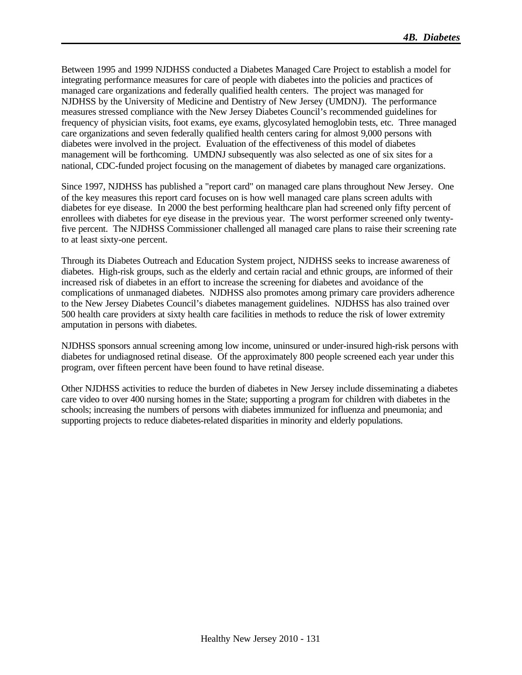Between 1995 and 1999 NJDHSS conducted a Diabetes Managed Care Project to establish a model for integrating performance measures for care of people with diabetes into the policies and practices of managed care organizations and federally qualified health centers. The project was managed for NJDHSS by the University of Medicine and Dentistry of New Jersey (UMDNJ). The performance measures stressed compliance with the New Jersey Diabetes Council's recommended guidelines for frequency of physician visits, foot exams, eye exams, glycosylated hemoglobin tests, etc. Three managed care organizations and seven federally qualified health centers caring for almost 9,000 persons with diabetes were involved in the project. Evaluation of the effectiveness of this model of diabetes management will be forthcoming. UMDNJ subsequently was also selected as one of six sites for a national, CDC-funded project focusing on the management of diabetes by managed care organizations.

Since 1997, NJDHSS has published a "report card" on managed care plans throughout New Jersey. One of the key measures this report card focuses on is how well managed care plans screen adults with diabetes for eye disease. In 2000 the best performing healthcare plan had screened only fifty percent of enrollees with diabetes for eye disease in the previous year. The worst performer screened only twentyfive percent. The NJDHSS Commissioner challenged all managed care plans to raise their screening rate to at least sixty-one percent.

Through its Diabetes Outreach and Education System project, NJDHSS seeks to increase awareness of diabetes. High-risk groups, such as the elderly and certain racial and ethnic groups, are informed of their increased risk of diabetes in an effort to increase the screening for diabetes and avoidance of the complications of unmanaged diabetes. NJDHSS also promotes among primary care providers adherence to the New Jersey Diabetes Council's diabetes management guidelines. NJDHSS has also trained over 500 health care providers at sixty health care facilities in methods to reduce the risk of lower extremity amputation in persons with diabetes.

NJDHSS sponsors annual screening among low income, uninsured or under-insured high-risk persons with diabetes for undiagnosed retinal disease. Of the approximately 800 people screened each year under this program, over fifteen percent have been found to have retinal disease.

Other NJDHSS activities to reduce the burden of diabetes in New Jersey include disseminating a diabetes care video to over 400 nursing homes in the State; supporting a program for children with diabetes in the schools; increasing the numbers of persons with diabetes immunized for influenza and pneumonia; and supporting projects to reduce diabetes-related disparities in minority and elderly populations.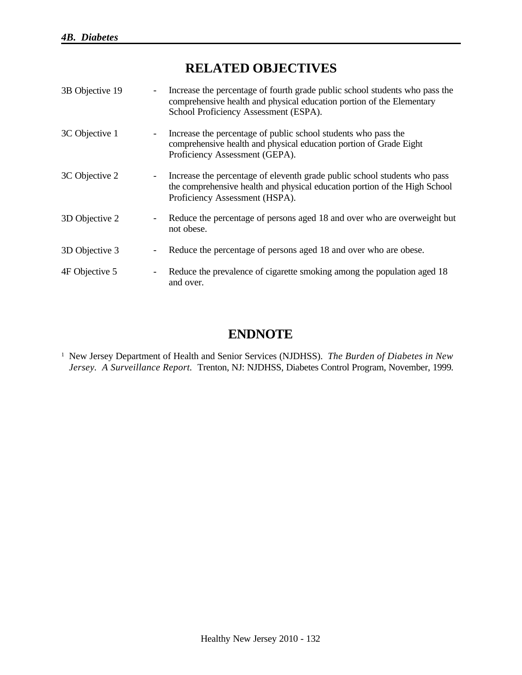# **RELATED OBJECTIVES**

| 3B Objective 19 | $\overline{\phantom{a}}$ | Increase the percentage of fourth grade public school students who pass the<br>comprehensive health and physical education portion of the Elementary<br>School Proficiency Assessment (ESPA). |
|-----------------|--------------------------|-----------------------------------------------------------------------------------------------------------------------------------------------------------------------------------------------|
| 3C Objective 1  |                          | Increase the percentage of public school students who pass the<br>comprehensive health and physical education portion of Grade Eight<br>Proficiency Assessment (GEPA).                        |
| 3C Objective 2  | $\overline{\phantom{a}}$ | Increase the percentage of eleventh grade public school students who pass<br>the comprehensive health and physical education portion of the High School<br>Proficiency Assessment (HSPA).     |
| 3D Objective 2  | $\overline{\phantom{a}}$ | Reduce the percentage of persons aged 18 and over who are overweight but<br>not obese.                                                                                                        |
| 3D Objective 3  | $\overline{\phantom{a}}$ | Reduce the percentage of persons aged 18 and over who are obese.                                                                                                                              |
| 4F Objective 5  | $\overline{\phantom{a}}$ | Reduce the prevalence of cigarette smoking among the population aged 18<br>and over.                                                                                                          |

# **ENDNOTE**

<sup>1</sup> New Jersey Department of Health and Senior Services (NJDHSS). *The Burden of Diabetes in New Jersey. A Surveillance Report.* Trenton, NJ: NJDHSS, Diabetes Control Program, November, 1999*.*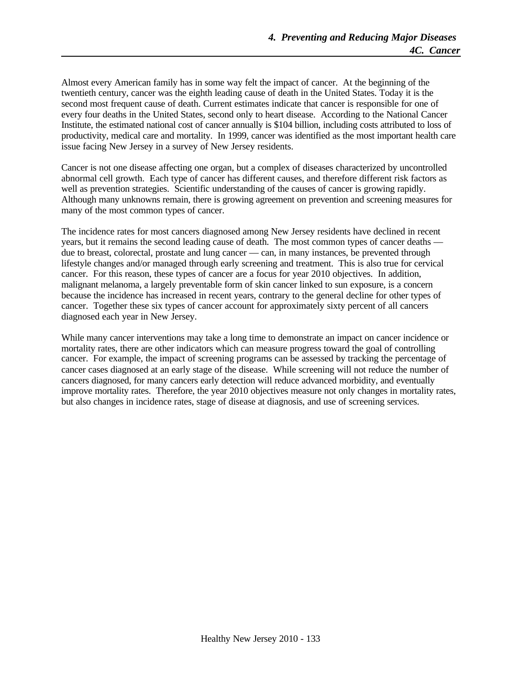Almost every American family has in some way felt the impact of cancer. At the beginning of the twentieth century, cancer was the eighth leading cause of death in the United States. Today it is the second most frequent cause of death. Current estimates indicate that cancer is responsible for one of every four deaths in the United States, second only to heart disease. According to the National Cancer Institute, the estimated national cost of cancer annually is \$104 billion, including costs attributed to loss of productivity, medical care and mortality. In 1999, cancer was identified as the most important health care issue facing New Jersey in a survey of New Jersey residents.

Cancer is not one disease affecting one organ, but a complex of diseases characterized by uncontrolled abnormal cell growth. Each type of cancer has different causes, and therefore different risk factors as well as prevention strategies. Scientific understanding of the causes of cancer is growing rapidly. Although many unknowns remain, there is growing agreement on prevention and screening measures for many of the most common types of cancer.

The incidence rates for most cancers diagnosed among New Jersey residents have declined in recent years, but it remains the second leading cause of death. The most common types of cancer deaths due to breast, colorectal, prostate and lung cancer — can, in many instances, be prevented through lifestyle changes and/or managed through early screening and treatment. This is also true for cervical cancer. For this reason, these types of cancer are a focus for year 2010 objectives. In addition, malignant melanoma, a largely preventable form of skin cancer linked to sun exposure, is a concern because the incidence has increased in recent years, contrary to the general decline for other types of cancer. Together these six types of cancer account for approximately sixty percent of all cancers diagnosed each year in New Jersey.

While many cancer interventions may take a long time to demonstrate an impact on cancer incidence or mortality rates, there are other indicators which can measure progress toward the goal of controlling cancer. For example, the impact of screening programs can be assessed by tracking the percentage of cancer cases diagnosed at an early stage of the disease. While screening will not reduce the number of cancers diagnosed, for many cancers early detection will reduce advanced morbidity, and eventually improve mortality rates. Therefore, the year 2010 objectives measure not only changes in mortality rates, but also changes in incidence rates, stage of disease at diagnosis, and use of screening services.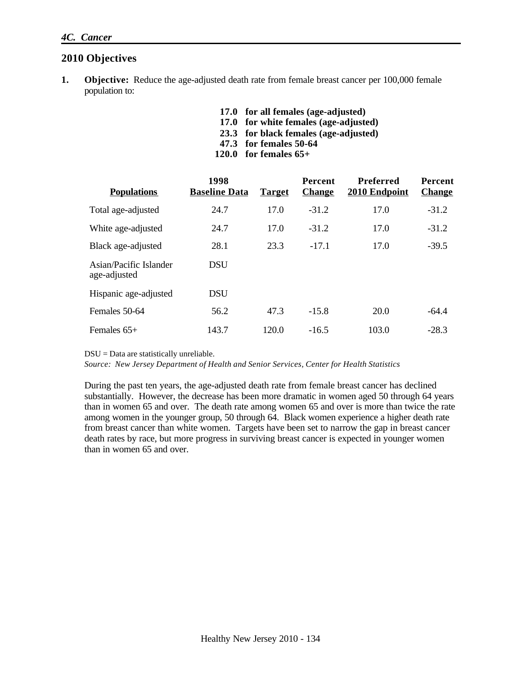#### **2010 Objectives**

- **1. Objective:** Reduce the age-adjusted death rate from female breast cancer per 100,000 female population to:
	- **17.0 for all females (age-adjusted)**
	- **17.0 for white females (age-adjusted)**
	- **23.3 for black females (age-adjusted)**
	- **47.3 for females 50-64**
	- **120.0 for females 65+**

| <b>Populations</b>                     | 1998<br><b>Baseline Data</b> | <b>Target</b> | <b>Percent</b><br><b>Change</b> | <b>Preferred</b><br>2010 Endpoint | Percent<br><b>Change</b> |
|----------------------------------------|------------------------------|---------------|---------------------------------|-----------------------------------|--------------------------|
| Total age-adjusted                     | 24.7                         | 17.0          | $-31.2$                         | 17.0                              | $-31.2$                  |
| White age-adjusted                     | 24.7                         | 17.0          | $-31.2$                         | 17.0                              | $-31.2$                  |
| Black age-adjusted                     | 28.1                         | 23.3          | $-17.1$                         | 17.0                              | $-39.5$                  |
| Asian/Pacific Islander<br>age-adjusted | <b>DSU</b>                   |               |                                 |                                   |                          |
| Hispanic age-adjusted                  | <b>DSU</b>                   |               |                                 |                                   |                          |
| Females 50-64                          | 56.2                         | 47.3          | $-15.8$                         | 20.0                              | $-64.4$                  |
| Females $65+$                          | 143.7                        | 120.0         | $-16.5$                         | 103.0                             | $-28.3$                  |

DSU = Data are statistically unreliable.

*Source: New Jersey Department of Health and Senior Services, Center for Health Statistics*

During the past ten years, the age-adjusted death rate from female breast cancer has declined substantially. However, the decrease has been more dramatic in women aged 50 through 64 years than in women 65 and over. The death rate among women 65 and over is more than twice the rate among women in the younger group, 50 through 64. Black women experience a higher death rate from breast cancer than white women. Targets have been set to narrow the gap in breast cancer death rates by race, but more progress in surviving breast cancer is expected in younger women than in women 65 and over.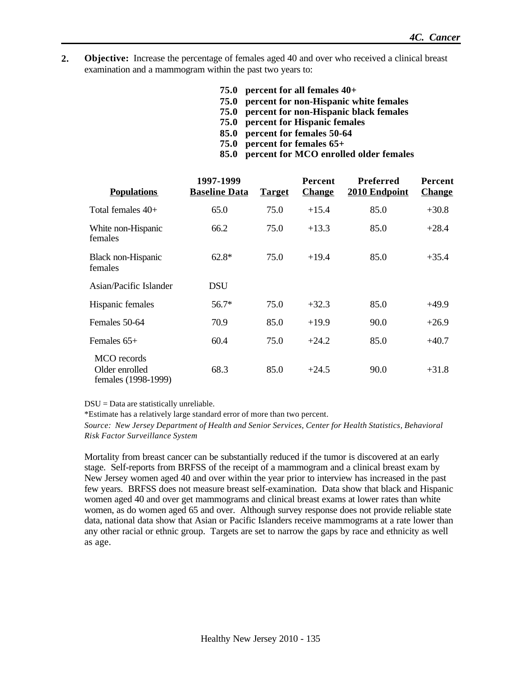- **2. Objective:** Increase the percentage of females aged 40 and over who received a clinical breast examination and a mammogram within the past two years to:
	- **75.0 percent for all females 40+**
	- **75.0 percent for non-Hispanic white females**
	- **75.0 percent for non-Hispanic black females**
	- **75.0 percent for Hispanic females**
	- **85.0 percent for females 50-64**
	- **75.0 percent for females 65+**
	- **85.0 percent for MCO enrolled older females**

| <b>Populations</b>                                   | 1997-1999<br><b>Baseline Data</b> | <b>Target</b> | <b>Percent</b><br><b>Change</b> | <b>Preferred</b><br>2010 Endpoint | Percent<br><b>Change</b> |
|------------------------------------------------------|-----------------------------------|---------------|---------------------------------|-----------------------------------|--------------------------|
| Total females $40+$                                  | 65.0                              | 75.0          | $+15.4$                         | 85.0                              | $+30.8$                  |
| White non-Hispanic<br>females                        | 66.2                              | 75.0          | $+13.3$                         | 85.0                              | $+28.4$                  |
| Black non-Hispanic<br>females                        | $62.8*$                           | 75.0          | $+19.4$                         | 85.0                              | $+35.4$                  |
| Asian/Pacific Islander                               | DSU                               |               |                                 |                                   |                          |
| Hispanic females                                     | 56.7*                             | 75.0          | $+32.3$                         | 85.0                              | $+49.9$                  |
| Females 50-64                                        | 70.9                              | 85.0          | $+19.9$                         | 90.0                              | $+26.9$                  |
| Females $65+$                                        | 60.4                              | 75.0          | $+24.2$                         | 85.0                              | $+40.7$                  |
| MCO records<br>Older enrolled<br>females (1998-1999) | 68.3                              | 85.0          | $+24.5$                         | 90.0                              | $+31.8$                  |

DSU = Data are statistically unreliable.

\*Estimate has a relatively large standard error of more than two percent.

*Source: New Jersey Department of Health and Senior Services, Center for Health Statistics, Behavioral Risk Factor Surveillance System*

Mortality from breast cancer can be substantially reduced if the tumor is discovered at an early stage. Self-reports from BRFSS of the receipt of a mammogram and a clinical breast exam by New Jersey women aged 40 and over within the year prior to interview has increased in the past few years. BRFSS does not measure breast self-examination. Data show that black and Hispanic women aged 40 and over get mammograms and clinical breast exams at lower rates than white women, as do women aged 65 and over. Although survey response does not provide reliable state data, national data show that Asian or Pacific Islanders receive mammograms at a rate lower than any other racial or ethnic group. Targets are set to narrow the gaps by race and ethnicity as well as age.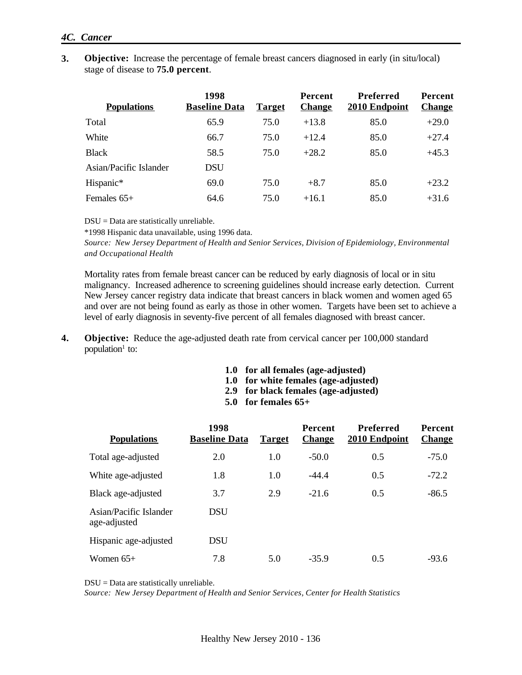#### *4C. Cancer*

**3. Objective:** Increase the percentage of female breast cancers diagnosed in early (in situ/local) stage of disease to **75.0 percent**.

| <b>Populations</b>     | 1998<br><b>Baseline Data</b> | <b>Target</b> | <b>Percent</b><br><b>Change</b> | Preferred<br>2010 Endpoint | <b>Percent</b><br><b>Change</b> |
|------------------------|------------------------------|---------------|---------------------------------|----------------------------|---------------------------------|
| Total                  | 65.9                         | 75.0          | $+13.8$                         | 85.0                       | $+29.0$                         |
| White                  | 66.7                         | 75.0          | $+12.4$                         | 85.0                       | $+27.4$                         |
| <b>Black</b>           | 58.5                         | 75.0          | $+28.2$                         | 85.0                       | $+45.3$                         |
| Asian/Pacific Islander | <b>DSU</b>                   |               |                                 |                            |                                 |
| Hispanic*              | 69.0                         | 75.0          | $+8.7$                          | 85.0                       | $+23.2$                         |
| Females $65+$          | 64.6                         | 75.0          | $+16.1$                         | 85.0                       | $+31.6$                         |

DSU = Data are statistically unreliable.

\*1998 Hispanic data unavailable, using 1996 data.

*Source: New Jersey Department of Health and Senior Services, Division of Epidemiology, Environmental and Occupational Health*

Mortality rates from female breast cancer can be reduced by early diagnosis of local or in situ malignancy. Increased adherence to screening guidelines should increase early detection. Current New Jersey cancer registry data indicate that breast cancers in black women and women aged 65 and over are not being found as early as those in other women. Targets have been set to achieve a level of early diagnosis in seventy-five percent of all females diagnosed with breast cancer.

- **4. Objective:** Reduce the age-adjusted death rate from cervical cancer per 100,000 standard population<sup>1</sup> to:
	- **1.0 for all females (age-adjusted)**
	- **1.0 for white females (age-adjusted)**
	- **2.9 for black females (age-adjusted)**
	- **5.0 for females 65+**

| <b>Populations</b>                     | 1998<br><b>Baseline Data</b> | <b>Target</b> | <b>Percent</b><br><b>Change</b> | Preferred<br>2010 Endpoint | Percent<br><b>Change</b> |
|----------------------------------------|------------------------------|---------------|---------------------------------|----------------------------|--------------------------|
| Total age-adjusted                     | 2.0                          | 1.0           | $-50.0$                         | 0.5                        | $-75.0$                  |
| White age-adjusted                     | 1.8                          | 1.0           | $-44.4$                         | 0.5                        | $-72.2$                  |
| Black age-adjusted                     | 3.7                          | 2.9           | $-21.6$                         | 0.5                        | $-86.5$                  |
| Asian/Pacific Islander<br>age-adjusted | <b>DSU</b>                   |               |                                 |                            |                          |
| Hispanic age-adjusted                  | <b>DSU</b>                   |               |                                 |                            |                          |
| Women $65+$                            | 7.8                          | 5.0           | $-35.9$                         | 0.5                        | $-93.6$                  |

DSU = Data are statistically unreliable.

*Source: New Jersey Department of Health and Senior Services, Center for Health Statistics*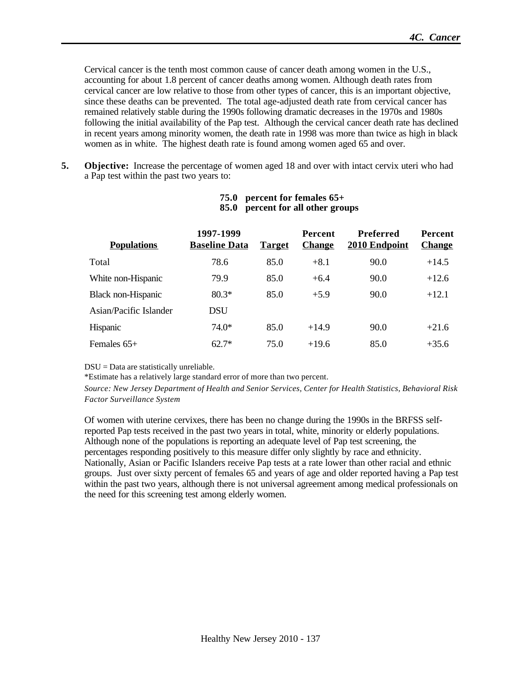Cervical cancer is the tenth most common cause of cancer death among women in the U.S., accounting for about 1.8 percent of cancer deaths among women. Although death rates from cervical cancer are low relative to those from other types of cancer, this is an important objective, since these deaths can be prevented. The total age-adjusted death rate from cervical cancer has remained relatively stable during the 1990s following dramatic decreases in the 1970s and 1980s following the initial availability of the Pap test. Although the cervical cancer death rate has declined in recent years among minority women, the death rate in 1998 was more than twice as high in black women as in white. The highest death rate is found among women aged 65 and over.

**5. Objective:** Increase the percentage of women aged 18 and over with intact cervix uteri who had a Pap test within the past two years to:

| <b>Populations</b>     | 1997-1999<br><b>Baseline Data</b> | <b>Target</b> | <b>Percent</b><br><b>Change</b> | Preferred<br>2010 Endpoint | <b>Percent</b><br><b>Change</b> |
|------------------------|-----------------------------------|---------------|---------------------------------|----------------------------|---------------------------------|
| Total                  | 78.6                              | 85.0          | $+8.1$                          | 90.0                       | $+14.5$                         |
| White non-Hispanic     | 79.9                              | 85.0          | $+6.4$                          | 90.0                       | $+12.6$                         |
| Black non-Hispanic     | $80.3*$                           | 85.0          | $+5.9$                          | 90.0                       | $+12.1$                         |
| Asian/Pacific Islander | <b>DSU</b>                        |               |                                 |                            |                                 |
| <b>Hispanic</b>        | 74.0*                             | 85.0          | $+14.9$                         | 90.0                       | $+21.6$                         |
| Females $65+$          | $62.7*$                           | 75.0          | $+19.6$                         | 85.0                       | $+35.6$                         |

#### **75.0 percent for females 65+ 85.0 percent for all other groups**

DSU = Data are statistically unreliable.

\*Estimate has a relatively large standard error of more than two percent.

*Source: New Jersey Department of Health and Senior Services, Center for Health Statistics, Behavioral Risk Factor Surveillance System*

Of women with uterine cervixes, there has been no change during the 1990s in the BRFSS selfreported Pap tests received in the past two years in total, white, minority or elderly populations. Although none of the populations is reporting an adequate level of Pap test screening, the percentages responding positively to this measure differ only slightly by race and ethnicity. Nationally, Asian or Pacific Islanders receive Pap tests at a rate lower than other racial and ethnic groups. Just over sixty percent of females 65 and years of age and older reported having a Pap test within the past two years, although there is not universal agreement among medical professionals on the need for this screening test among elderly women.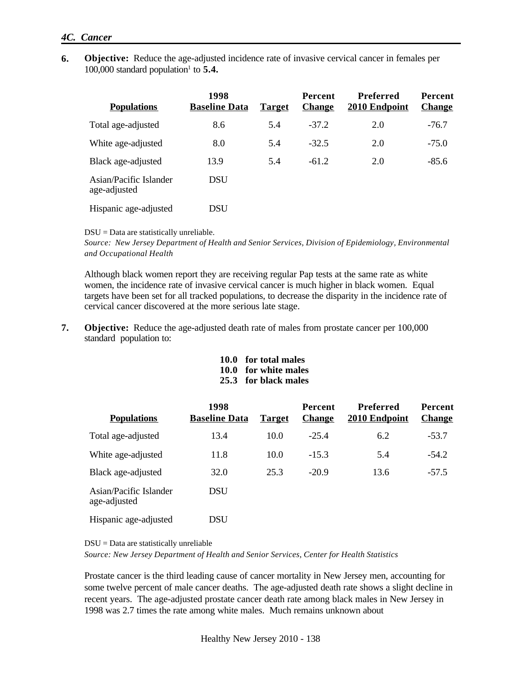#### *4C. Cancer*

**6. Objective:** Reduce the age-adjusted incidence rate of invasive cervical cancer in females per  $100,000$  standard population<sup>1</sup> to  $5.4$ .

| <b>Populations</b>                     | 1998<br><b>Baseline Data</b> | <b>Target</b> | <b>Percent</b><br><b>Change</b> | <b>Preferred</b><br>2010 Endpoint | <b>Percent</b><br><b>Change</b> |
|----------------------------------------|------------------------------|---------------|---------------------------------|-----------------------------------|---------------------------------|
| Total age-adjusted                     | 8.6                          | 5.4           | $-37.2$                         | 2.0                               | $-76.7$                         |
| White age-adjusted                     | 8.0                          | 5.4           | $-32.5$                         | 2.0                               | $-75.0$                         |
| Black age-adjusted                     | 13.9                         | 5.4           | $-61.2$                         | 2.0                               | $-85.6$                         |
| Asian/Pacific Islander<br>age-adjusted | <b>DSU</b>                   |               |                                 |                                   |                                 |
| Hispanic age-adjusted                  | DSU                          |               |                                 |                                   |                                 |

DSU = Data are statistically unreliable.

*Source: New Jersey Department of Health and Senior Services, Division of Epidemiology, Environmental and Occupational Health*

Although black women report they are receiving regular Pap tests at the same rate as white women, the incidence rate of invasive cervical cancer is much higher in black women. Equal targets have been set for all tracked populations, to decrease the disparity in the incidence rate of cervical cancer discovered at the more serious late stage.

- **7. Objective:** Reduce the age-adjusted death rate of males from prostate cancer per 100,000 standard population to:
	- **10.0 for total males**
	- **10.0 for white males**
	- **25.3 for black males**

| <b>Populations</b>                     | 1998<br><b>Baseline Data</b> | <b>Target</b> | <b>Percent</b><br><b>Change</b> | Preferred<br>2010 Endpoint | Percent<br><b>Change</b> |
|----------------------------------------|------------------------------|---------------|---------------------------------|----------------------------|--------------------------|
| Total age-adjusted                     | 13.4                         | 10.0          | $-25.4$                         | 6.2                        | $-53.7$                  |
| White age-adjusted                     | 11.8                         | 10.0          | $-15.3$                         | 5.4                        | $-54.2$                  |
| Black age-adjusted                     | 32.0                         | 25.3          | $-20.9$                         | 13.6                       | $-57.5$                  |
| Asian/Pacific Islander<br>age-adjusted | <b>DSU</b>                   |               |                                 |                            |                          |
| Hispanic age-adjusted                  | DSU                          |               |                                 |                            |                          |

DSU = Data are statistically unreliable

*Source: New Jersey Department of Health and Senior Services, Center for Health Statistics*

Prostate cancer is the third leading cause of cancer mortality in New Jersey men, accounting for some twelve percent of male cancer deaths. The age-adjusted death rate shows a slight decline in recent years. The age-adjusted prostate cancer death rate among black males in New Jersey in 1998 was 2.7 times the rate among white males. Much remains unknown about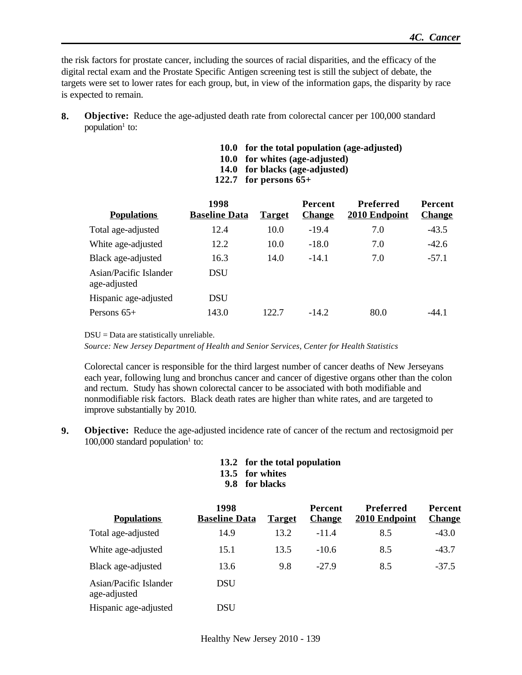the risk factors for prostate cancer, including the sources of racial disparities, and the efficacy of the digital rectal exam and the Prostate Specific Antigen screening test is still the subject of debate, the targets were set to lower rates for each group, but, in view of the information gaps, the disparity by race is expected to remain.

- **8. Objective:** Reduce the age-adjusted death rate from colorectal cancer per 100,000 standard population<sup>1</sup> to:
	- **10.0 for the total population (age-adjusted)**
	- **10.0 for whites (age-adjusted)**
	- **14.0 for blacks (age-adjusted)**
	- **122.7 for persons 65+**

| <b>Populations</b>                     | 1998<br><b>Baseline Data</b> | <b>Target</b> | <b>Percent</b><br><b>Change</b> | Preferred<br>2010 Endpoint | <b>Percent</b><br><b>Change</b> |
|----------------------------------------|------------------------------|---------------|---------------------------------|----------------------------|---------------------------------|
| Total age-adjusted                     | 12.4                         | 10.0          | $-19.4$                         | 7.0                        | $-43.5$                         |
| White age-adjusted                     | 12.2                         | 10.0          | $-18.0$                         | 7.0                        | $-42.6$                         |
| Black age-adjusted                     | 16.3                         | 14.0          | $-14.1$                         | 7.0                        | $-57.1$                         |
| Asian/Pacific Islander<br>age-adjusted | <b>DSU</b>                   |               |                                 |                            |                                 |
| Hispanic age-adjusted                  | <b>DSU</b>                   |               |                                 |                            |                                 |
| Persons $65+$                          | 143.0                        | 122.7         | $-14.2$                         | 80.0                       | $-44.1$                         |

DSU = Data are statistically unreliable.

*Source: New Jersey Department of Health and Senior Services, Center for Health Statistics*

Colorectal cancer is responsible for the third largest number of cancer deaths of New Jerseyans each year, following lung and bronchus cancer and cancer of digestive organs other than the colon and rectum. Study has shown colorectal cancer to be associated with both modifiable and nonmodifiable risk factors. Black death rates are higher than white rates, and are targeted to improve substantially by 2010.

- **9. Objective:** Reduce the age-adjusted incidence rate of cancer of the rectum and rectosigmoid per  $100,000$  standard population<sup>1</sup> to:
	- **13.2 for the total population**
	- **13.5 for whites**
	- **9.8 for blacks**

| <b>Populations</b>                     | 1998<br><b>Baseline Data</b> | <b>Target</b> | Percent<br><b>Change</b> | Preferred<br>2010 Endpoint | <b>Percent</b><br><b>Change</b> |
|----------------------------------------|------------------------------|---------------|--------------------------|----------------------------|---------------------------------|
| Total age-adjusted                     | 14.9                         | 13.2          | $-11.4$                  | 8.5                        | $-43.0$                         |
| White age-adjusted                     | 15.1                         | 13.5          | $-10.6$                  | 8.5                        | $-43.7$                         |
| Black age-adjusted                     | 13.6                         | 9.8           | $-27.9$                  | 8.5                        | $-37.5$                         |
| Asian/Pacific Islander<br>age-adjusted | <b>DSU</b>                   |               |                          |                            |                                 |
| Hispanic age-adjusted                  | DSU                          |               |                          |                            |                                 |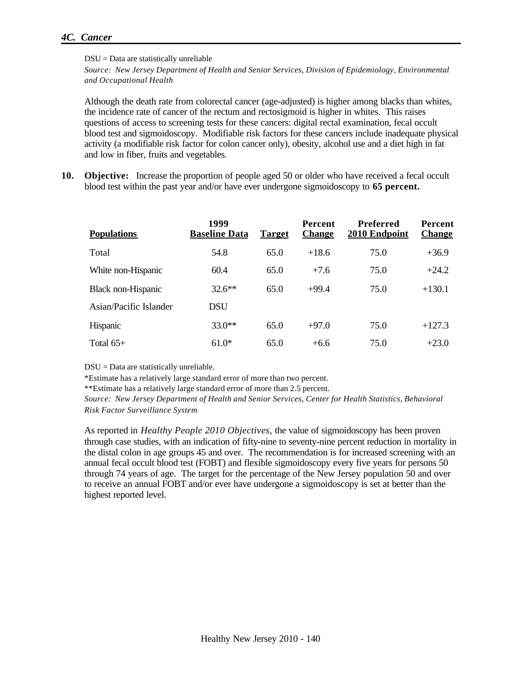#### *4C. Cancer*

DSU = Data are statistically unreliable

*Source: New Jersey Department of Health and Senior Services, Division of Epidemiology, Environmental and Occupational Health*

Although the death rate from colorectal cancer (age-adjusted) is higher among blacks than whites, the incidence rate of cancer of the rectum and rectosigmoid is higher in whites. This raises questions of access to screening tests for these cancers: digital rectal examination, fecal occult blood test and sigmoidoscopy. Modifiable risk factors for these cancers include inadequate physical activity (a modifiable risk factor for colon cancer only), obesity, alcohol use and a diet high in fat and low in fiber, fruits and vegetables.

**10. Objective:** Increase the proportion of people aged 50 or older who have received a fecal occult blood test within the past year and/or have ever undergone sigmoidoscopy to **65 percent.**

| <b>Populations</b>     | 1999<br><b>Baseline Data</b> | <b>Target</b> | <b>Percent</b><br><b>Change</b> | <b>Preferred</b><br>2010 Endpoint | Percent<br><b>Change</b> |
|------------------------|------------------------------|---------------|---------------------------------|-----------------------------------|--------------------------|
| Total                  | 54.8                         | 65.0          | $+18.6$                         | 75.0                              | $+36.9$                  |
| White non-Hispanic     | 60.4                         | 65.0          | $+7.6$                          | 75.0                              | $+24.2$                  |
| Black non-Hispanic     | $32.6***$                    | 65.0          | $+99.4$                         | 75.0                              | $+130.1$                 |
| Asian/Pacific Islander | <b>DSU</b>                   |               |                                 |                                   |                          |
| Hispanic               | $33.0**$                     | 65.0          | $+97.0$                         | 75.0                              | $+127.3$                 |
| Total $65+$            | $61.0*$                      | 65.0          | $+6.6$                          | 75.0                              | $+23.0$                  |

DSU = Data are statistically unreliable.

\*Estimate has a relatively large standard error of more than two percent.

\*\*Estimate has a relatively large standard error of more than 2.5 percent.

*Source: New Jersey Department of Health and Senior Services, Center for Health Statistics, Behavioral Risk Factor Surveillance System*

As reported in *Healthy People 2010 Objectives,* the value of sigmoidoscopy has been proven through case studies, with an indication of fifty-nine to seventy-nine percent reduction in mortality in the distal colon in age groups 45 and over. The recommendation is for increased screening with an annual fecal occult blood test (FOBT) and flexible sigmoidoscopy every five years for persons 50 through 74 years of age. The target for the percentage of the New Jersey population 50 and over to receive an annual FOBT and/or ever have undergone a sigmoidoscopy is set at better than the highest reported level.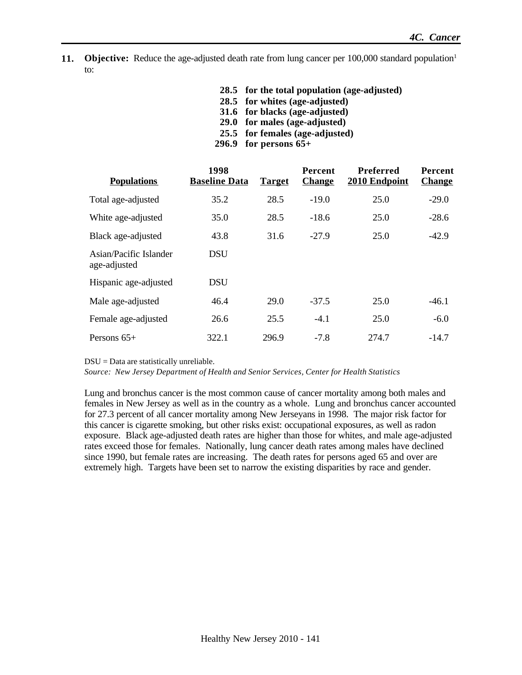- **11. Objective:** Reduce the age-adjusted death rate from lung cancer per 100,000 standard population<sup>1</sup> to:
	- **28.5 for the total population (age-adjusted)**
	- **28.5 for whites (age-adjusted)**
	- **31.6 for blacks (age-adjusted)**
	- **29.0 for males (age-adjusted)**
	- **25.5 for females (age-adjusted)**
	- **296.9 for persons 65+**

| <b>Populations</b>                     | 1998<br><b>Baseline Data</b> | <b>Target</b> | <b>Percent</b><br><b>Change</b> | <b>Preferred</b><br>2010 Endpoint | Percent<br><b>Change</b> |
|----------------------------------------|------------------------------|---------------|---------------------------------|-----------------------------------|--------------------------|
| Total age-adjusted                     | 35.2                         | 28.5          | $-19.0$                         | 25.0                              | $-29.0$                  |
| White age-adjusted                     | 35.0                         | 28.5          | $-18.6$                         | 25.0                              | $-28.6$                  |
| Black age-adjusted                     | 43.8                         | 31.6          | $-27.9$                         | 25.0                              | $-42.9$                  |
| Asian/Pacific Islander<br>age-adjusted | <b>DSU</b>                   |               |                                 |                                   |                          |
| Hispanic age-adjusted                  | <b>DSU</b>                   |               |                                 |                                   |                          |
| Male age-adjusted                      | 46.4                         | 29.0          | $-37.5$                         | 25.0                              | $-46.1$                  |
| Female age-adjusted                    | 26.6                         | 25.5          | $-4.1$                          | 25.0                              | $-6.0$                   |
| Persons $65+$                          | 322.1                        | 296.9         | $-7.8$                          | 274.7                             | $-14.7$                  |

DSU = Data are statistically unreliable.

*Source: New Jersey Department of Health and Senior Services, Center for Health Statistics*

Lung and bronchus cancer is the most common cause of cancer mortality among both males and females in New Jersey as well as in the country as a whole. Lung and bronchus cancer accounted for 27.3 percent of all cancer mortality among New Jerseyans in 1998. The major risk factor for this cancer is cigarette smoking, but other risks exist: occupational exposures, as well as radon exposure. Black age-adjusted death rates are higher than those for whites, and male age-adjusted rates exceed those for females. Nationally, lung cancer death rates among males have declined since 1990, but female rates are increasing. The death rates for persons aged 65 and over are extremely high. Targets have been set to narrow the existing disparities by race and gender.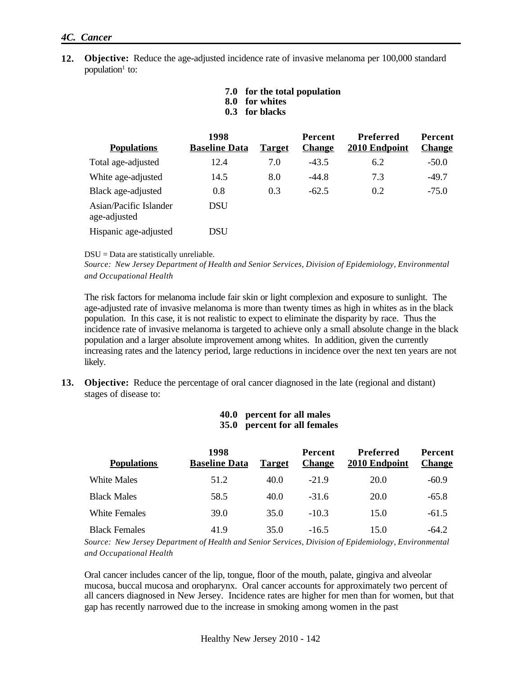#### *4C. Cancer*

- **12. Objective:** Reduce the age-adjusted incidence rate of invasive melanoma per 100,000 standard population<sup>1</sup> to:
	- **7.0 for the total population**
	- **8.0 for whites**
	- **0.3 for blacks**

| <b>Populations</b>                     | 1998<br><b>Baseline Data</b> | <b>Target</b> | <b>Percent</b><br><b>Change</b> | Preferred<br>2010 Endpoint | Percent<br><b>Change</b> |
|----------------------------------------|------------------------------|---------------|---------------------------------|----------------------------|--------------------------|
| Total age-adjusted                     | 12.4                         | 7.0           | $-43.5$                         | 6.2                        | $-50.0$                  |
| White age-adjusted                     | 14.5                         | 8.0           | $-44.8$                         | 7.3                        | $-49.7$                  |
| Black age-adjusted                     | 0.8                          | 0.3           | $-62.5$                         | 0.2                        | $-75.0$                  |
| Asian/Pacific Islander<br>age-adjusted | <b>DSU</b>                   |               |                                 |                            |                          |
| Hispanic age-adjusted                  | DSU                          |               |                                 |                            |                          |

#### DSU = Data are statistically unreliable.

*Source: New Jersey Department of Health and Senior Services, Division of Epidemiology, Environmental and Occupational Health*

The risk factors for melanoma include fair skin or light complexion and exposure to sunlight. The age-adjusted rate of invasive melanoma is more than twenty times as high in whites as in the black population. In this case, it is not realistic to expect to eliminate the disparity by race. Thus the incidence rate of invasive melanoma is targeted to achieve only a small absolute change in the black population and a larger absolute improvement among whites. In addition, given the currently increasing rates and the latency period, large reductions in incidence over the next ten years are not likely.

**13. Objective:** Reduce the percentage of oral cancer diagnosed in the late (regional and distant) stages of disease to:

| 40.0 percent for all males   |
|------------------------------|
| 35.0 percent for all females |

| <b>Populations</b>   | 1998<br><b>Baseline Data</b> | <b>Target</b> | <b>Percent</b><br><b>Change</b> | <b>Preferred</b><br>2010 Endpoint | Percent<br><b>Change</b> |
|----------------------|------------------------------|---------------|---------------------------------|-----------------------------------|--------------------------|
| White Males          | 51.2                         | 40.0          | $-21.9$                         | 20.0                              | $-60.9$                  |
| <b>Black Males</b>   | 58.5                         | 40.0          | $-31.6$                         | 20.0                              | $-65.8$                  |
| White Females        | 39.0                         | 35.0          | $-103$                          | 15.0                              | $-61.5$                  |
| <b>Black Females</b> | 41.9                         | 35.0          | $-16.5$                         | 15.0                              | -64.2                    |

*Source: New Jersey Department of Health and Senior Services, Division of Epidemiology, Environmental and Occupational Health*

Oral cancer includes cancer of the lip, tongue, floor of the mouth, palate, gingiva and alveolar mucosa, buccal mucosa and oropharynx. Oral cancer accounts for approximately two percent of all cancers diagnosed in New Jersey. Incidence rates are higher for men than for women, but that gap has recently narrowed due to the increase in smoking among women in the past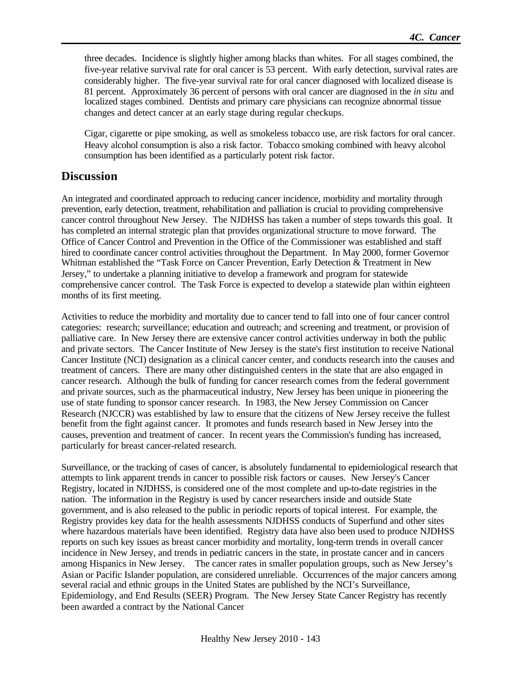three decades. Incidence is slightly higher among blacks than whites. For all stages combined, the five-year relative survival rate for oral cancer is 53 percent. With early detection, survival rates are considerably higher. The five-year survival rate for oral cancer diagnosed with localized disease is 81 percent. Approximately 36 percent of persons with oral cancer are diagnosed in the *in situ* and localized stages combined. Dentists and primary care physicians can recognize abnormal tissue changes and detect cancer at an early stage during regular checkups.

Cigar, cigarette or pipe smoking, as well as smokeless tobacco use, are risk factors for oral cancer. Heavy alcohol consumption is also a risk factor. Tobacco smoking combined with heavy alcohol consumption has been identified as a particularly potent risk factor.

### **Discussion**

An integrated and coordinated approach to reducing cancer incidence, morbidity and mortality through prevention, early detection, treatment, rehabilitation and palliation is crucial to providing comprehensive cancer control throughout New Jersey. The NJDHSS has taken a number of steps towards this goal. It has completed an internal strategic plan that provides organizational structure to move forward. The Office of Cancer Control and Prevention in the Office of the Commissioner was established and staff hired to coordinate cancer control activities throughout the Department. In May 2000, former Governor Whitman established the "Task Force on Cancer Prevention, Early Detection & Treatment in New Jersey," to undertake a planning initiative to develop a framework and program for statewide comprehensive cancer control. The Task Force is expected to develop a statewide plan within eighteen months of its first meeting.

Activities to reduce the morbidity and mortality due to cancer tend to fall into one of four cancer control categories: research; surveillance; education and outreach; and screening and treatment, or provision of palliative care. In New Jersey there are extensive cancer control activities underway in both the public and private sectors. The Cancer Institute of New Jersey is the state's first institution to receive National Cancer Institute (NCI) designation as a clinical cancer center, and conducts research into the causes and treatment of cancers. There are many other distinguished centers in the state that are also engaged in cancer research. Although the bulk of funding for cancer research comes from the federal government and private sources, such as the pharmaceutical industry, New Jersey has been unique in pioneering the use of state funding to sponsor cancer research. In 1983, the New Jersey Commission on Cancer Research (NJCCR) was established by law to ensure that the citizens of New Jersey receive the fullest benefit from the fight against cancer. It promotes and funds research based in New Jersey into the causes, prevention and treatment of cancer. In recent years the Commission's funding has increased, particularly for breast cancer-related research.

Surveillance, or the tracking of cases of cancer, is absolutely fundamental to epidemiological research that attempts to link apparent trends in cancer to possible risk factors or causes. New Jersey's Cancer Registry, located in NJDHSS, is considered one of the most complete and up-to-date registries in the nation. The information in the Registry is used by cancer researchers inside and outside State government, and is also released to the public in periodic reports of topical interest. For example, the Registry provides key data for the health assessments NJDHSS conducts of Superfund and other sites where hazardous materials have been identified. Registry data have also been used to produce NJDHSS reports on such key issues as breast cancer morbidity and mortality, long-term trends in overall cancer incidence in New Jersey, and trends in pediatric cancers in the state, in prostate cancer and in cancers among Hispanics in New Jersey. The cancer rates in smaller population groups, such as New Jersey's Asian or Pacific Islander population, are considered unreliable. Occurrences of the major cancers among several racial and ethnic groups in the United States are published by the NCI's Surveillance, Epidemiology, and End Results (SEER) Program. The New Jersey State Cancer Registry has recently been awarded a contract by the National Cancer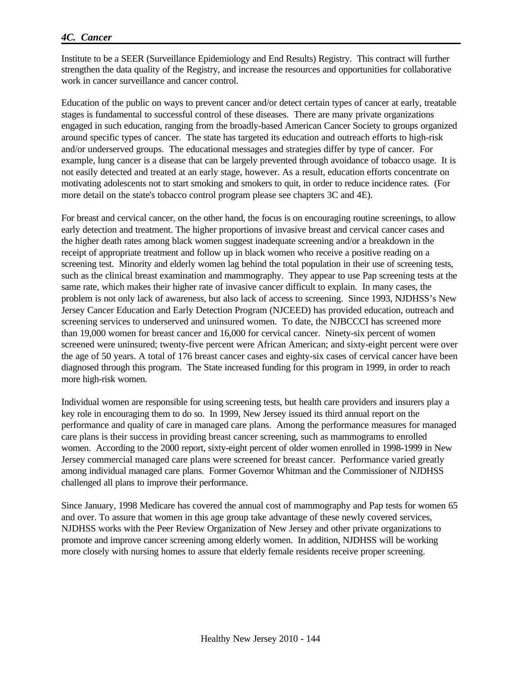#### *4C. Cancer*

Institute to be a SEER (Surveillance Epidemiology and End Results) Registry. This contract will further strengthen the data quality of the Registry, and increase the resources and opportunities for collaborative work in cancer surveillance and cancer control.

Education of the public on ways to prevent cancer and/or detect certain types of cancer at early, treatable stages is fundamental to successful control of these diseases. There are many private organizations engaged in such education, ranging from the broadly-based American Cancer Society to groups organized around specific types of cancer. The state has targeted its education and outreach efforts to high-risk and/or underserved groups. The educational messages and strategies differ by type of cancer. For example, lung cancer is a disease that can be largely prevented through avoidance of tobacco usage. It is not easily detected and treated at an early stage, however. As a result, education efforts concentrate on motivating adolescents not to start smoking and smokers to quit, in order to reduce incidence rates. (For more detail on the state's tobacco control program please see chapters 3C and 4E).

For breast and cervical cancer, on the other hand, the focus is on encouraging routine screenings, to allow early detection and treatment. The higher proportions of invasive breast and cervical cancer cases and the higher death rates among black women suggest inadequate screening and/or a breakdown in the receipt of appropriate treatment and follow up in black women who receive a positive reading on a screening test. Minority and elderly women lag behind the total population in their use of screening tests, such as the clinical breast examination and mammography. They appear to use Pap screening tests at the same rate, which makes their higher rate of invasive cancer difficult to explain. In many cases, the problem is not only lack of awareness, but also lack of access to screening. Since 1993, NJDHSS's New Jersey Cancer Education and Early Detection Program (NJCEED) has provided education, outreach and screening services to underserved and uninsured women. To date, the NJBCCCI has screened more than 19,000 women for breast cancer and 16,000 for cervical cancer. Ninety-six percent of women screened were uninsured; twenty-five percent were African American; and sixty-eight percent were over the age of 50 years. A total of 176 breast cancer cases and eighty-six cases of cervical cancer have been diagnosed through this program. The State increased funding for this program in 1999, in order to reach more high-risk women.

Individual women are responsible for using screening tests, but health care providers and insurers play a key role in encouraging them to do so. In 1999, New Jersey issued its third annual report on the performance and quality of care in managed care plans. Among the performance measures for managed care plans is their success in providing breast cancer screening, such as mammograms to enrolled women. According to the 2000 report, sixty-eight percent of older women enrolled in 1998-1999 in New Jersey commercial managed care plans were screened for breast cancer. Performance varied greatly among individual managed care plans. Former Governor Whitman and the Commissioner of NJDHSS challenged all plans to improve their performance.

Since January, 1998 Medicare has covered the annual cost of mammography and Pap tests for women 65 and over. To assure that women in this age group take advantage of these newly covered services, NJDHSS works with the Peer Review Organization of New Jersey and other private organizations to promote and improve cancer screening among elderly women. In addition, NJDHSS will be working more closely with nursing homes to assure that elderly female residents receive proper screening.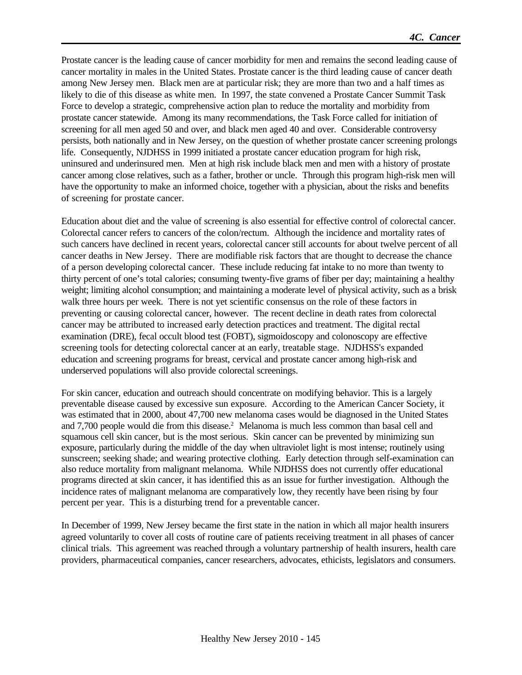Prostate cancer is the leading cause of cancer morbidity for men and remains the second leading cause of cancer mortality in males in the United States. Prostate cancer is the third leading cause of cancer death among New Jersey men. Black men are at particular risk; they are more than two and a half times as likely to die of this disease as white men. In 1997, the state convened a Prostate Cancer Summit Task Force to develop a strategic, comprehensive action plan to reduce the mortality and morbidity from prostate cancer statewide. Among its many recommendations, the Task Force called for initiation of screening for all men aged 50 and over, and black men aged 40 and over. Considerable controversy persists, both nationally and in New Jersey, on the question of whether prostate cancer screening prolongs life. Consequently, NJDHSS in 1999 initiated a prostate cancer education program for high risk, uninsured and underinsured men. Men at high risk include black men and men with a history of prostate cancer among close relatives, such as a father, brother or uncle. Through this program high-risk men will have the opportunity to make an informed choice, together with a physician, about the risks and benefits of screening for prostate cancer.

Education about diet and the value of screening is also essential for effective control of colorectal cancer. Colorectal cancer refers to cancers of the colon/rectum. Although the incidence and mortality rates of such cancers have declined in recent years, colorectal cancer still accounts for about twelve percent of all cancer deaths in New Jersey. There are modifiable risk factors that are thought to decrease the chance of a person developing colorectal cancer. These include reducing fat intake to no more than twenty to thirty percent of one's total calories; consuming twenty-five grams of fiber per day; maintaining a healthy weight; limiting alcohol consumption; and maintaining a moderate level of physical activity, such as a brisk walk three hours per week. There is not yet scientific consensus on the role of these factors in preventing or causing colorectal cancer, however. The recent decline in death rates from colorectal cancer may be attributed to increased early detection practices and treatment. The digital rectal examination (DRE), fecal occult blood test (FOBT), sigmoidoscopy and colonoscopy are effective screening tools for detecting colorectal cancer at an early, treatable stage. NJDHSS's expanded education and screening programs for breast, cervical and prostate cancer among high-risk and underserved populations will also provide colorectal screenings.

For skin cancer, education and outreach should concentrate on modifying behavior. This is a largely preventable disease caused by excessive sun exposure. According to the American Cancer Society, it was estimated that in 2000, about 47,700 new melanoma cases would be diagnosed in the United States and 7,700 people would die from this disease.<sup>2</sup> Melanoma is much less common than basal cell and squamous cell skin cancer, but is the most serious. Skin cancer can be prevented by minimizing sun exposure, particularly during the middle of the day when ultraviolet light is most intense; routinely using sunscreen; seeking shade; and wearing protective clothing. Early detection through self-examination can also reduce mortality from malignant melanoma. While NJDHSS does not currently offer educational programs directed at skin cancer, it has identified this as an issue for further investigation. Although the incidence rates of malignant melanoma are comparatively low, they recently have been rising by four percent per year. This is a disturbing trend for a preventable cancer.

In December of 1999, New Jersey became the first state in the nation in which all major health insurers agreed voluntarily to cover all costs of routine care of patients receiving treatment in all phases of cancer clinical trials. This agreement was reached through a voluntary partnership of health insurers, health care providers, pharmaceutical companies, cancer researchers, advocates, ethicists, legislators and consumers.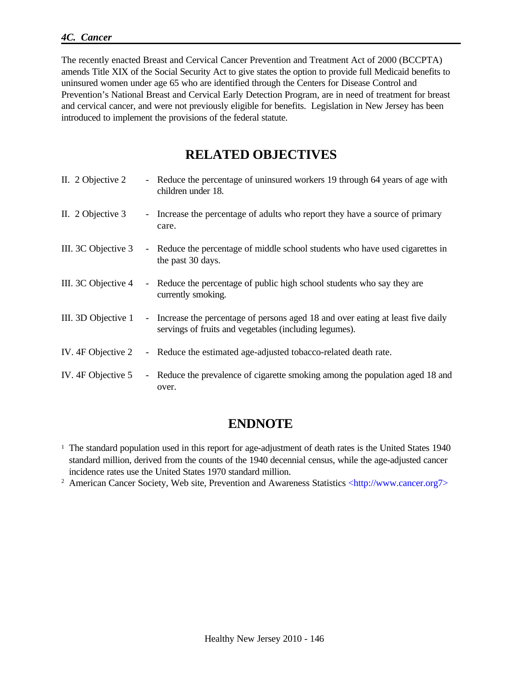The recently enacted Breast and Cervical Cancer Prevention and Treatment Act of 2000 (BCCPTA) amends Title XIX of the Social Security Act to give states the option to provide full Medicaid benefits to uninsured women under age 65 who are identified through the Centers for Disease Control and Prevention's National Breast and Cervical Early Detection Program, are in need of treatment for breast and cervical cancer, and were not previously eligible for benefits. Legislation in New Jersey has been introduced to implement the provisions of the federal statute.

## **RELATED OBJECTIVES**

| II. 2 Objective 2   | - Reduce the percentage of uninsured workers 19 through 64 years of age with<br>children under 18.                                         |
|---------------------|--------------------------------------------------------------------------------------------------------------------------------------------|
| II. 2 Objective 3   | - Increase the percentage of adults who report they have a source of primary<br>care.                                                      |
| III. 3C Objective 3 | - Reduce the percentage of middle school students who have used cigarettes in<br>the past 30 days.                                         |
| III. 3C Objective 4 | - Reduce the percentage of public high school students who say they are<br>currently smoking.                                              |
| III. 3D Objective 1 | - Increase the percentage of persons aged 18 and over eating at least five daily<br>servings of fruits and vegetables (including legumes). |
| IV. 4F Objective 2  | - Reduce the estimated age-adjusted tobacco-related death rate.                                                                            |
| IV. 4F Objective 5  | - Reduce the prevalence of cigarette smoking among the population aged 18 and<br>over.                                                     |

## **ENDNOTE**

<sup>1</sup> The standard population used in this report for age-adjustment of death rates is the United States 1940 standard million, derived from the counts of the 1940 decennial census, while the age-adjusted cancer incidence rates use the United States 1970 standard million.

<sup>2</sup> American Cancer Society, Web site, Prevention and Awareness Statistics <http://www.cancer.org7>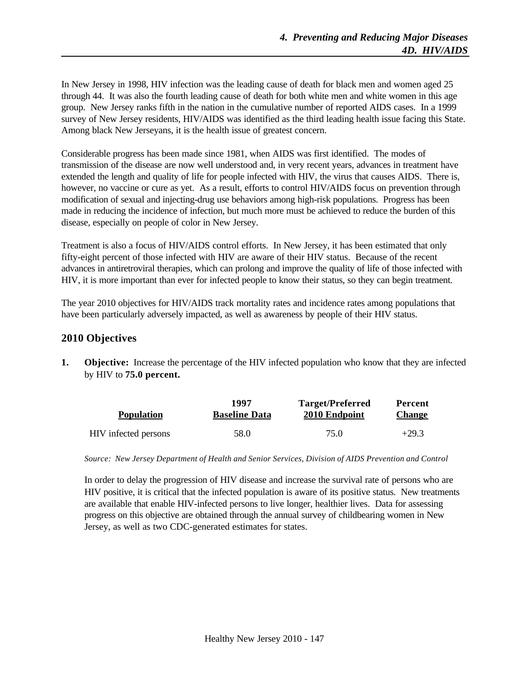In New Jersey in 1998, HIV infection was the leading cause of death for black men and women aged 25 through 44. It was also the fourth leading cause of death for both white men and white women in this age group. New Jersey ranks fifth in the nation in the cumulative number of reported AIDS cases. In a 1999 survey of New Jersey residents, HIV/AIDS was identified as the third leading health issue facing this State. Among black New Jerseyans, it is the health issue of greatest concern.

Considerable progress has been made since 1981, when AIDS was first identified. The modes of transmission of the disease are now well understood and, in very recent years, advances in treatment have extended the length and quality of life for people infected with HIV, the virus that causes AIDS. There is, however, no vaccine or cure as yet. As a result, efforts to control HIV/AIDS focus on prevention through modification of sexual and injecting-drug use behaviors among high-risk populations. Progress has been made in reducing the incidence of infection, but much more must be achieved to reduce the burden of this disease, especially on people of color in New Jersey.

Treatment is also a focus of HIV/AIDS control efforts. In New Jersey, it has been estimated that only fifty-eight percent of those infected with HIV are aware of their HIV status. Because of the recent advances in antiretroviral therapies, which can prolong and improve the quality of life of those infected with HIV, it is more important than ever for infected people to know their status, so they can begin treatment.

The year 2010 objectives for HIV/AIDS track mortality rates and incidence rates among populations that have been particularly adversely impacted, as well as awareness by people of their HIV status.

## **2010 Objectives**

**1. Objective:** Increase the percentage of the HIV infected population who know that they are infected by HIV to **75.0 percent.**

| <b>Population</b>    | 1997                 | <b>Target/Preferred</b> | Percent       |
|----------------------|----------------------|-------------------------|---------------|
|                      | <b>Baseline Data</b> | 2010 Endpoint           | <b>Change</b> |
| HIV infected persons | 58.0                 | 75.0                    | $+29.3$       |

*Source: New Jersey Department of Health and Senior Services, Division of AIDS Prevention and Control*

In order to delay the progression of HIV disease and increase the survival rate of persons who are HIV positive, it is critical that the infected population is aware of its positive status. New treatments are available that enable HIV-infected persons to live longer, healthier lives. Data for assessing progress on this objective are obtained through the annual survey of childbearing women in New Jersey, as well as two CDC-generated estimates for states.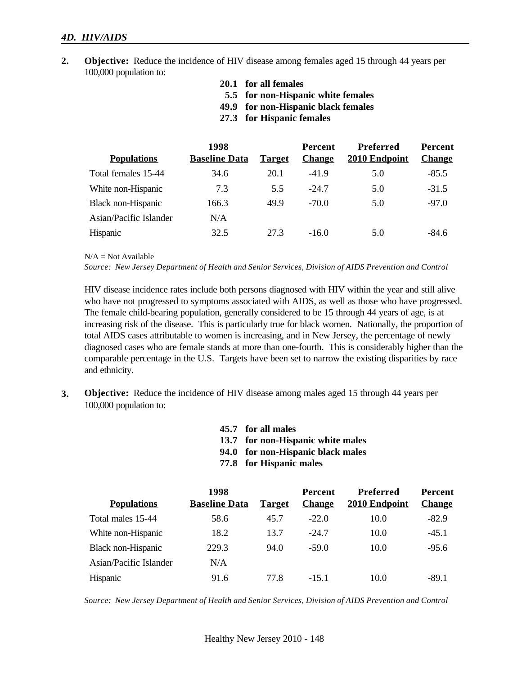#### *4D. HIV/AIDS*

- **2. Objective:** Reduce the incidence of HIV disease among females aged 15 through 44 years per 100,000 population to:
	- **20.1 for all females**
	- **5.5 for non-Hispanic white females**
	- **49.9 for non-Hispanic black females**
	- **27.3 for Hispanic females**

|                        | 1998                 |               | <b>Percent</b> | <b>Preferred</b> | <b>Percent</b> |
|------------------------|----------------------|---------------|----------------|------------------|----------------|
| <b>Populations</b>     | <b>Baseline Data</b> | <b>Target</b> | <b>Change</b>  | 2010 Endpoint    | <b>Change</b>  |
| Total females 15-44    | 34.6                 | 20.1          | $-41.9$        | 5.0              | $-85.5$        |
| White non-Hispanic     | 7.3                  | 5.5           | $-24.7$        | 5.0              | $-31.5$        |
| Black non-Hispanic     | 166.3                | 49.9          | $-70.0$        | 5.0              | $-97.0$        |
| Asian/Pacific Islander | N/A                  |               |                |                  |                |
| Hispanic               | 32.5                 | 27.3          | $-16.0$        | 5.0              | $-84.6$        |

 $N/A = Not$  Available

*Source: New Jersey Department of Health and Senior Services, Division of AIDS Prevention and Control*

HIV disease incidence rates include both persons diagnosed with HIV within the year and still alive who have not progressed to symptoms associated with AIDS, as well as those who have progressed. The female child-bearing population, generally considered to be 15 through 44 years of age, is at increasing risk of the disease. This is particularly true for black women. Nationally, the proportion of total AIDS cases attributable to women is increasing, and in New Jersey, the percentage of newly diagnosed cases who are female stands at more than one-fourth. This is considerably higher than the comparable percentage in the U.S. Targets have been set to narrow the existing disparities by race and ethnicity.

- **3. Objective:** Reduce the incidence of HIV disease among males aged 15 through 44 years per 100,000 population to:
	- **45.7 for all males**
	- **13.7 for non-Hispanic white males**
	- **94.0 for non-Hispanic black males**
	- **77.8 for Hispanic males**

|                        | 1998                 |               | <b>Percent</b> | Preferred     | <b>Percent</b> |
|------------------------|----------------------|---------------|----------------|---------------|----------------|
| <b>Populations</b>     | <b>Baseline Data</b> | <b>Target</b> | <b>Change</b>  | 2010 Endpoint | <b>Change</b>  |
| Total males 15-44      | 58.6                 | 45.7          | $-22.0$        | 10.0          | $-82.9$        |
| White non-Hispanic     | 18.2                 | 13.7          | $-24.7$        | 10.0          | $-45.1$        |
| Black non-Hispanic     | 229.3                | 94.0          | $-59.0$        | 10.0          | $-95.6$        |
| Asian/Pacific Islander | N/A                  |               |                |               |                |
| Hispanic               | 91.6                 | 77.8          | $-15.1$        | 10.0          | $-89.1$        |

*Source: New Jersey Department of Health and Senior Services, Division of AIDS Prevention and Control*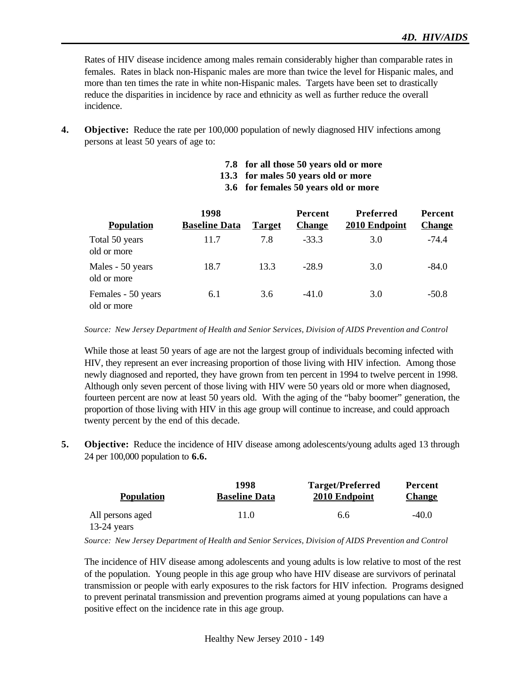Rates of HIV disease incidence among males remain considerably higher than comparable rates in females. Rates in black non-Hispanic males are more than twice the level for Hispanic males, and more than ten times the rate in white non-Hispanic males. Targets have been set to drastically reduce the disparities in incidence by race and ethnicity as well as further reduce the overall incidence.

- **4. Objective:** Reduce the rate per 100,000 population of newly diagnosed HIV infections among persons at least 50 years of age to:
	- **7.8 for all those 50 years old or more**
	- **13.3 for males 50 years old or more**
	- **3.6 for females 50 years old or more**

|                                   | 1998                 |               | <b>Percent</b> | <b>Preferred</b> | <b>Percent</b> |
|-----------------------------------|----------------------|---------------|----------------|------------------|----------------|
| <b>Population</b>                 | <b>Baseline Data</b> | <b>Target</b> | <b>Change</b>  | 2010 Endpoint    | <b>Change</b>  |
| Total 50 years<br>old or more     | 11.7                 | 7.8           | $-33.3$        | 3.0              | $-74.4$        |
| Males - 50 years<br>old or more   | 18.7                 | 13.3          | $-28.9$        | 3.0              | $-84.0$        |
| Females - 50 years<br>old or more | 6.1                  | 3.6           | $-41.0$        | 3.0              | $-50.8$        |

*Source: New Jersey Department of Health and Senior Services, Division of AIDS Prevention and Control*

While those at least 50 years of age are not the largest group of individuals becoming infected with HIV, they represent an ever increasing proportion of those living with HIV infection. Among those newly diagnosed and reported, they have grown from ten percent in 1994 to twelve percent in 1998. Although only seven percent of those living with HIV were 50 years old or more when diagnosed, fourteen percent are now at least 50 years old. With the aging of the "baby boomer" generation, the proportion of those living with HIV in this age group will continue to increase, and could approach twenty percent by the end of this decade.

**5. Objective:** Reduce the incidence of HIV disease among adolescents/young adults aged 13 through 24 per 100,000 population to **6.6.**

| <b>Population</b> | 1998<br><b>Baseline Data</b> | <b>Target/Preferred</b><br>2010 Endpoint | Percent<br><b>Change</b> |
|-------------------|------------------------------|------------------------------------------|--------------------------|
| All persons aged  | 11.0                         | 6.6                                      | $-40.0$                  |
| $13-24$ years     |                              |                                          |                          |

*Source: New Jersey Department of Health and Senior Services, Division of AIDS Prevention and Control*

The incidence of HIV disease among adolescents and young adults is low relative to most of the rest of the population. Young people in this age group who have HIV disease are survivors of perinatal transmission or people with early exposures to the risk factors for HIV infection. Programs designed to prevent perinatal transmission and prevention programs aimed at young populations can have a positive effect on the incidence rate in this age group.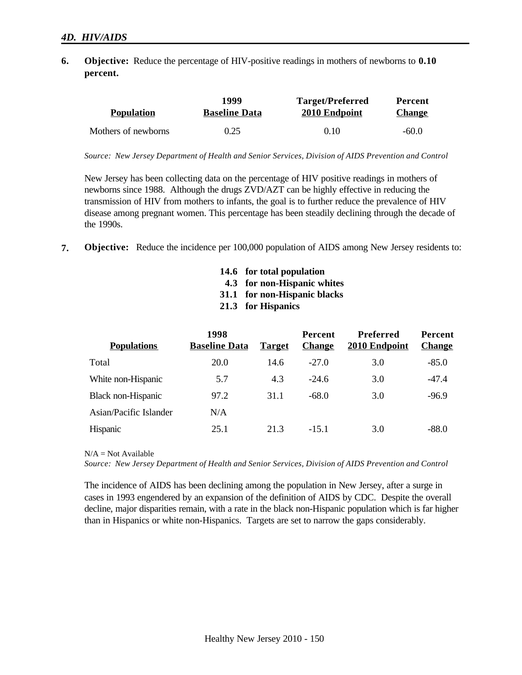**6. Objective:** Reduce the percentage of HIV-positive readings in mothers of newborns to **0.10 percent.**

| <b>Population</b>   | 1999                 | <b>Target/Preferred</b> | Percent       |
|---------------------|----------------------|-------------------------|---------------|
|                     | <b>Baseline Data</b> | 2010 Endpoint           | <b>Change</b> |
| Mothers of newborns | 0.25                 | 0.10                    | $-60.0$       |

*Source: New Jersey Department of Health and Senior Services, Division of AIDS Prevention and Control*

New Jersey has been collecting data on the percentage of HIV positive readings in mothers of newborns since 1988. Although the drugs ZVD/AZT can be highly effective in reducing the transmission of HIV from mothers to infants, the goal is to further reduce the prevalence of HIV disease among pregnant women. This percentage has been steadily declining through the decade of the 1990s.

- **7. Objective:** Reduce the incidence per 100,000 population of AIDS among New Jersey residents to:
	- **14.6 for total population**
	- **4.3 for non-Hispanic whites**
	- **31.1 for non-Hispanic blacks**
	- **21.3 for Hispanics**

| <b>Populations</b>     | 1998<br><b>Baseline Data</b> | <b>Target</b> | <b>Percent</b><br><b>Change</b> | <b>Preferred</b><br>2010 Endpoint | <b>Percent</b><br><b>Change</b> |
|------------------------|------------------------------|---------------|---------------------------------|-----------------------------------|---------------------------------|
| Total                  | 20.0                         | 14.6          | $-27.0$                         | 3.0                               | $-85.0$                         |
| White non-Hispanic     | 5.7                          | 4.3           | $-24.6$                         | 3.0                               | $-47.4$                         |
| Black non-Hispanic     | 97.2                         | 31.1          | $-68.0$                         | 3.0                               | $-96.9$                         |
| Asian/Pacific Islander | N/A                          |               |                                 |                                   |                                 |
| Hispanic               | 25.1                         | 21.3          | $-151$                          | 3.0                               | $-88.0$                         |

 $N/A = Not$  Available

*Source: New Jersey Department of Health and Senior Services, Division of AIDS Prevention and Control*

The incidence of AIDS has been declining among the population in New Jersey, after a surge in cases in 1993 engendered by an expansion of the definition of AIDS by CDC. Despite the overall decline, major disparities remain, with a rate in the black non-Hispanic population which is far higher than in Hispanics or white non-Hispanics. Targets are set to narrow the gaps considerably.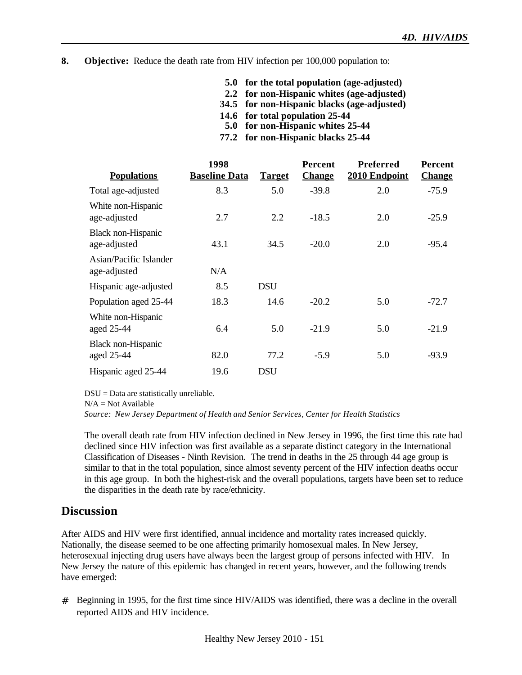- **8. Objective:** Reduce the death rate from HIV infection per 100,000 population to:
	- **5.0 for the total population (age-adjusted)**
	- **2.2 for non-Hispanic whites (age-adjusted)**
	- **34.5 for non-Hispanic blacks (age-adjusted)**
	- **14.6 for total population 25-44**
	- **5.0 for non-Hispanic whites 25-44**
	- **77.2 for non-Hispanic blacks 25-44**

| <b>Populations</b>                      | 1998<br><b>Baseline Data</b> | <b>Target</b> | <b>Percent</b><br><b>Change</b> | <b>Preferred</b><br>2010 Endpoint | <b>Percent</b><br><b>Change</b> |
|-----------------------------------------|------------------------------|---------------|---------------------------------|-----------------------------------|---------------------------------|
| Total age-adjusted                      | 8.3                          | 5.0           | $-39.8$                         | 2.0                               | $-75.9$                         |
| White non-Hispanic<br>age-adjusted      | 2.7                          | 2.2           | $-18.5$                         | 2.0                               | $-25.9$                         |
| Black non-Hispanic<br>age-adjusted      | 43.1                         | 34.5          | $-20.0$                         | 2.0                               | $-95.4$                         |
| Asian/Pacific Islander<br>age-adjusted  | N/A                          |               |                                 |                                   |                                 |
| Hispanic age-adjusted                   | 8.5                          | <b>DSU</b>    |                                 |                                   |                                 |
| Population aged 25-44                   | 18.3                         | 14.6          | $-20.2$                         | 5.0                               | $-72.7$                         |
| White non-Hispanic<br>aged 25-44        | 6.4                          | 5.0           | $-21.9$                         | 5.0                               | $-21.9$                         |
| <b>Black non-Hispanic</b><br>aged 25-44 | 82.0                         | 77.2          | $-5.9$                          | 5.0                               | $-93.9$                         |
| Hispanic aged 25-44                     | 19.6                         | <b>DSU</b>    |                                 |                                   |                                 |

DSU = Data are statistically unreliable.

 $N/A = Not Available$ 

*Source: New Jersey Department of Health and Senior Services, Center for Health Statistics*

The overall death rate from HIV infection declined in New Jersey in 1996, the first time this rate had declined since HIV infection was first available as a separate distinct category in the International Classification of Diseases - Ninth Revision. The trend in deaths in the 25 through 44 age group is similar to that in the total population, since almost seventy percent of the HIV infection deaths occur in this age group. In both the highest-risk and the overall populations, targets have been set to reduce the disparities in the death rate by race/ethnicity.

## **Discussion**

After AIDS and HIV were first identified, annual incidence and mortality rates increased quickly. Nationally, the disease seemed to be one affecting primarily homosexual males. In New Jersey, heterosexual injecting drug users have always been the largest group of persons infected with HIV. In New Jersey the nature of this epidemic has changed in recent years, however, and the following trends have emerged:

# Beginning in 1995, for the first time since HIV/AIDS was identified, there was a decline in the overall reported AIDS and HIV incidence.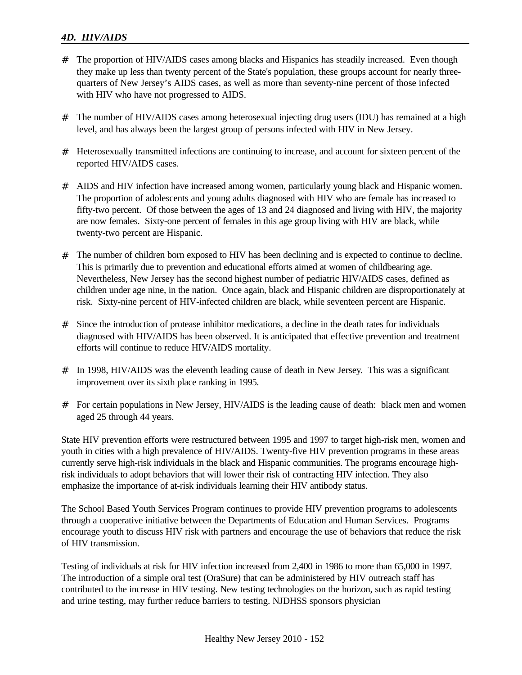## *4D. HIV/AIDS*

- # The proportion of HIV/AIDS cases among blacks and Hispanics has steadily increased. Even though they make up less than twenty percent of the State's population, these groups account for nearly threequarters of New Jersey's AIDS cases, as well as more than seventy-nine percent of those infected with HIV who have not progressed to AIDS.
- # The number of HIV/AIDS cases among heterosexual injecting drug users (IDU) has remained at a high level, and has always been the largest group of persons infected with HIV in New Jersey.
- # Heterosexually transmitted infections are continuing to increase, and account for sixteen percent of the reported HIV/AIDS cases.
- # AIDS and HIV infection have increased among women, particularly young black and Hispanic women. The proportion of adolescents and young adults diagnosed with HIV who are female has increased to fifty-two percent. Of those between the ages of 13 and 24 diagnosed and living with HIV, the majority are now females. Sixty-one percent of females in this age group living with HIV are black, while twenty-two percent are Hispanic.
- # The number of children born exposed to HIV has been declining and is expected to continue to decline. This is primarily due to prevention and educational efforts aimed at women of childbearing age. Nevertheless, New Jersey has the second highest number of pediatric HIV/AIDS cases, defined as children under age nine, in the nation. Once again, black and Hispanic children are disproportionately at risk. Sixty-nine percent of HIV-infected children are black, while seventeen percent are Hispanic.
- # Since the introduction of protease inhibitor medications, a decline in the death rates for individuals diagnosed with HIV/AIDS has been observed. It is anticipated that effective prevention and treatment efforts will continue to reduce HIV/AIDS mortality.
- # In 1998, HIV/AIDS was the eleventh leading cause of death in New Jersey. This was a significant improvement over its sixth place ranking in 1995.
- # For certain populations in New Jersey, HIV/AIDS is the leading cause of death: black men and women aged 25 through 44 years.

State HIV prevention efforts were restructured between 1995 and 1997 to target high-risk men, women and youth in cities with a high prevalence of HIV/AIDS. Twenty-five HIV prevention programs in these areas currently serve high-risk individuals in the black and Hispanic communities. The programs encourage highrisk individuals to adopt behaviors that will lower their risk of contracting HIV infection. They also emphasize the importance of at-risk individuals learning their HIV antibody status.

The School Based Youth Services Program continues to provide HIV prevention programs to adolescents through a cooperative initiative between the Departments of Education and Human Services. Programs encourage youth to discuss HIV risk with partners and encourage the use of behaviors that reduce the risk of HIV transmission.

Testing of individuals at risk for HIV infection increased from 2,400 in 1986 to more than 65,000 in 1997. The introduction of a simple oral test (OraSure) that can be administered by HIV outreach staff has contributed to the increase in HIV testing. New testing technologies on the horizon, such as rapid testing and urine testing, may further reduce barriers to testing. NJDHSS sponsors physician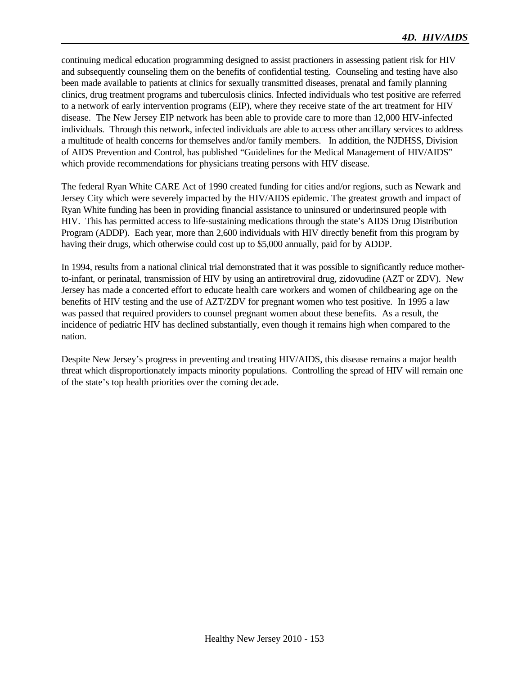continuing medical education programming designed to assist practioners in assessing patient risk for HIV and subsequently counseling them on the benefits of confidential testing. Counseling and testing have also been made available to patients at clinics for sexually transmitted diseases, prenatal and family planning clinics, drug treatment programs and tuberculosis clinics. Infected individuals who test positive are referred to a network of early intervention programs (EIP), where they receive state of the art treatment for HIV disease. The New Jersey EIP network has been able to provide care to more than 12,000 HIV-infected individuals. Through this network, infected individuals are able to access other ancillary services to address a multitude of health concerns for themselves and/or family members. In addition, the NJDHSS, Division of AIDS Prevention and Control, has published "Guidelines for the Medical Management of HIV/AIDS" which provide recommendations for physicians treating persons with HIV disease.

The federal Ryan White CARE Act of 1990 created funding for cities and/or regions, such as Newark and Jersey City which were severely impacted by the HIV/AIDS epidemic. The greatest growth and impact of Ryan White funding has been in providing financial assistance to uninsured or underinsured people with HIV. This has permitted access to life-sustaining medications through the state's AIDS Drug Distribution Program (ADDP). Each year, more than 2,600 individuals with HIV directly benefit from this program by having their drugs, which otherwise could cost up to \$5,000 annually, paid for by ADDP.

In 1994, results from a national clinical trial demonstrated that it was possible to significantly reduce motherto-infant, or perinatal, transmission of HIV by using an antiretroviral drug, zidovudine (AZT or ZDV). New Jersey has made a concerted effort to educate health care workers and women of childbearing age on the benefits of HIV testing and the use of AZT/ZDV for pregnant women who test positive. In 1995 a law was passed that required providers to counsel pregnant women about these benefits. As a result, the incidence of pediatric HIV has declined substantially, even though it remains high when compared to the nation.

Despite New Jersey's progress in preventing and treating HIV/AIDS, this disease remains a major health threat which disproportionately impacts minority populations. Controlling the spread of HIV will remain one of the state's top health priorities over the coming decade.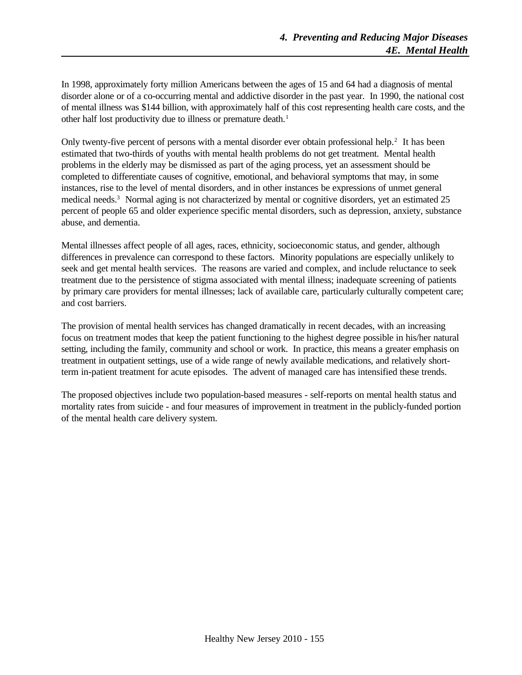In 1998, approximately forty million Americans between the ages of 15 and 64 had a diagnosis of mental disorder alone or of a co-occurring mental and addictive disorder in the past year. In 1990, the national cost of mental illness was \$144 billion, with approximately half of this cost representing health care costs, and the other half lost productivity due to illness or premature death.<sup>1</sup>

Only twenty-five percent of persons with a mental disorder ever obtain professional help.<sup>2</sup> It has been estimated that two-thirds of youths with mental health problems do not get treatment. Mental health problems in the elderly may be dismissed as part of the aging process, yet an assessment should be completed to differentiate causes of cognitive, emotional, and behavioral symptoms that may, in some instances, rise to the level of mental disorders, and in other instances be expressions of unmet general medical needs.<sup>3</sup> Normal aging is not characterized by mental or cognitive disorders, yet an estimated 25 percent of people 65 and older experience specific mental disorders, such as depression, anxiety, substance abuse, and dementia.

Mental illnesses affect people of all ages, races, ethnicity, socioeconomic status, and gender, although differences in prevalence can correspond to these factors. Minority populations are especially unlikely to seek and get mental health services. The reasons are varied and complex, and include reluctance to seek treatment due to the persistence of stigma associated with mental illness; inadequate screening of patients by primary care providers for mental illnesses; lack of available care, particularly culturally competent care; and cost barriers.

The provision of mental health services has changed dramatically in recent decades, with an increasing focus on treatment modes that keep the patient functioning to the highest degree possible in his/her natural setting, including the family, community and school or work. In practice, this means a greater emphasis on treatment in outpatient settings, use of a wide range of newly available medications, and relatively shortterm in-patient treatment for acute episodes. The advent of managed care has intensified these trends.

The proposed objectives include two population-based measures - self-reports on mental health status and mortality rates from suicide - and four measures of improvement in treatment in the publicly-funded portion of the mental health care delivery system.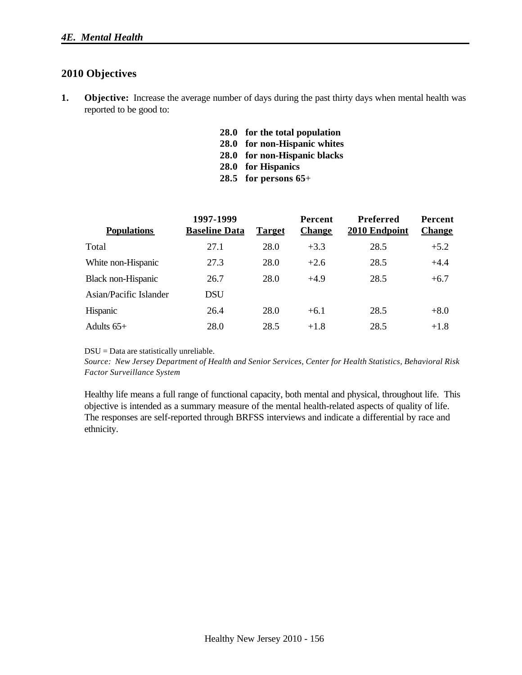## **2010 Objectives**

- **1. Objective:** Increase the average number of days during the past thirty days when mental health was reported to be good to:
	- **28.0 for the total population**
	- **28.0 for non-Hispanic whites**
	- **28.0 for non-Hispanic blacks**
	- **28.0 for Hispanics**
	- **28.5 for persons 65**+

| <b>Populations</b>     | 1997-1999<br><b>Baseline Data</b> | <b>Target</b> | <b>Percent</b><br><b>Change</b> | Preferred<br>2010 Endpoint | <b>Percent</b><br><b>Change</b> |
|------------------------|-----------------------------------|---------------|---------------------------------|----------------------------|---------------------------------|
| Total                  | 27.1                              | 28.0          | $+3.3$                          | 28.5                       | $+5.2$                          |
| White non-Hispanic     | 27.3                              | 28.0          | $+2.6$                          | 28.5                       | $+4.4$                          |
| Black non-Hispanic     | 26.7                              | 28.0          | $+4.9$                          | 28.5                       | $+6.7$                          |
| Asian/Pacific Islander | <b>DSU</b>                        |               |                                 |                            |                                 |
| Hispanic               | 26.4                              | 28.0          | $+6.1$                          | 28.5                       | $+8.0$                          |
| Adults $65+$           | 28.0                              | 28.5          | $+1.8$                          | 28.5                       | $+1.8$                          |

DSU = Data are statistically unreliable.

*Source: New Jersey Department of Health and Senior Services, Center for Health Statistics, Behavioral Risk Factor Surveillance System*

Healthy life means a full range of functional capacity, both mental and physical, throughout life. This objective is intended as a summary measure of the mental health-related aspects of quality of life. The responses are self-reported through BRFSS interviews and indicate a differential by race and ethnicity.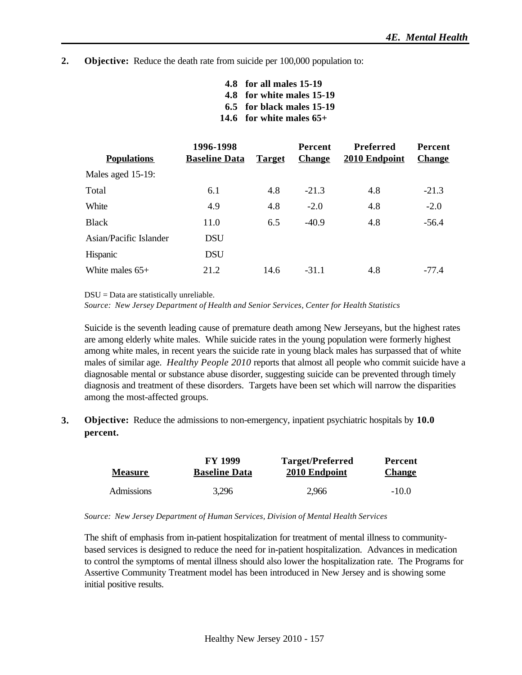#### **2. Objective:** Reduce the death rate from suicide per 100,000 population to:

| 4.8 for all males 15-19    |
|----------------------------|
| 4.8 for white males 15-19  |
| 6.5 for black males 15-19  |
| 14.6 for white males $65+$ |

|                        | 1996-1998            |               | <b>Percent</b> | Preferred     | <b>Percent</b> |
|------------------------|----------------------|---------------|----------------|---------------|----------------|
| <b>Populations</b>     | <b>Baseline Data</b> | <b>Target</b> | <b>Change</b>  | 2010 Endpoint | <b>Change</b>  |
| Males aged 15-19:      |                      |               |                |               |                |
| Total                  | 6.1                  | 4.8           | $-21.3$        | 4.8           | $-21.3$        |
| White                  | 4.9                  | 4.8           | $-2.0$         | 4.8           | $-2.0$         |
| <b>Black</b>           | 11.0                 | 6.5           | $-40.9$        | 4.8           | $-56.4$        |
| Asian/Pacific Islander | <b>DSU</b>           |               |                |               |                |
| <b>Hispanic</b>        | DSU                  |               |                |               |                |
| White males $65+$      | 21.2                 | 14.6          | $-31.1$        | 4.8           | -77.4          |

DSU = Data are statistically unreliable.

*Source: New Jersey Department of Health and Senior Services, Center for Health Statistics*

Suicide is the seventh leading cause of premature death among New Jerseyans, but the highest rates are among elderly white males. While suicide rates in the young population were formerly highest among white males, in recent years the suicide rate in young black males has surpassed that of white males of similar age. *Healthy People 2010* reports that almost all people who commit suicide have a diagnosable mental or substance abuse disorder, suggesting suicide can be prevented through timely diagnosis and treatment of these disorders. Targets have been set which will narrow the disparities among the most-affected groups.

**3. Objective:** Reduce the admissions to non-emergency, inpatient psychiatric hospitals by **10.0 percent.**

|                | <b>FY 1999</b>       | <b>Target/Preferred</b> | Percent       |  |
|----------------|----------------------|-------------------------|---------------|--|
| <b>Measure</b> | <b>Baseline Data</b> | 2010 Endpoint           | <b>Change</b> |  |
| Admissions     | 3.296                | 2.966                   | $-10.0$       |  |

*Source: New Jersey Department of Human Services, Division of Mental Health Services*

The shift of emphasis from in-patient hospitalization for treatment of mental illness to communitybased services is designed to reduce the need for in-patient hospitalization. Advances in medication to control the symptoms of mental illness should also lower the hospitalization rate. The Programs for Assertive Community Treatment model has been introduced in New Jersey and is showing some initial positive results.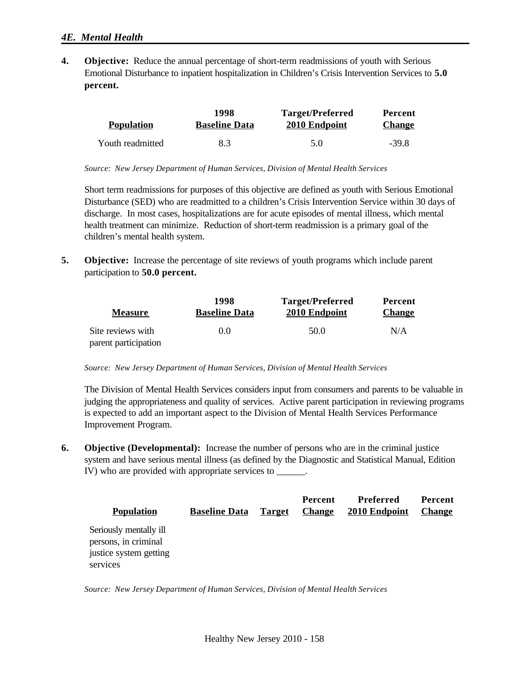### *4E. Mental Health*

**4. Objective:** Reduce the annual percentage of short-term readmissions of youth with Serious Emotional Disturbance to inpatient hospitalization in Children's Crisis Intervention Services to **5.0 percent.**

|                   | 1998                 | <b>Target/Preferred</b> | <b>Percent</b> |
|-------------------|----------------------|-------------------------|----------------|
| <b>Population</b> | <b>Baseline Data</b> | 2010 Endpoint           | <b>Change</b>  |
| Youth readmitted  | 8.3                  | 5.0                     | $-39.8$        |

*Source: New Jersey Department of Human Services, Division of Mental Health Services*

Short term readmissions for purposes of this objective are defined as youth with Serious Emotional Disturbance (SED) who are readmitted to a children's Crisis Intervention Service within 30 days of discharge. In most cases, hospitalizations are for acute episodes of mental illness, which mental health treatment can minimize. Reduction of short-term readmission is a primary goal of the children's mental health system.

**5. Objective:** Increase the percentage of site reviews of youth programs which include parent participation to **50.0 percent.**

| <b>Measure</b>       | 1998<br><b>Baseline Data</b> | <b>Target/Preferred</b><br>2010 Endpoint | Percent<br><b>Change</b> |
|----------------------|------------------------------|------------------------------------------|--------------------------|
| Site reviews with    | 0.0                          | 50.0                                     | N/A                      |
| parent participation |                              |                                          |                          |

#### *Source: New Jersey Department of Human Services, Division of Mental Health Services*

The Division of Mental Health Services considers input from consumers and parents to be valuable in judging the appropriateness and quality of services. Active parent participation in reviewing programs is expected to add an important aspect to the Division of Mental Health Services Performance Improvement Program.

**6. Objective (Developmental):** Increase the number of persons who are in the criminal justice system and have serious mental illness (as defined by the Diagnostic and Statistical Manual, Edition IV) who are provided with appropriate services to \_\_\_\_\_\_.

| <b>Population</b>                              | <b>Baseline Data</b> | <b>Target</b> | Percent<br><b>Change</b> | Preferred<br>2010 Endpoint | <b>Percent</b><br><b>Change</b> |
|------------------------------------------------|----------------------|---------------|--------------------------|----------------------------|---------------------------------|
| Seriously mentally ill<br>persons, in criminal |                      |               |                          |                            |                                 |
| justice system getting                         |                      |               |                          |                            |                                 |
| services                                       |                      |               |                          |                            |                                 |

*Source: New Jersey Department of Human Services, Division of Mental Health Services*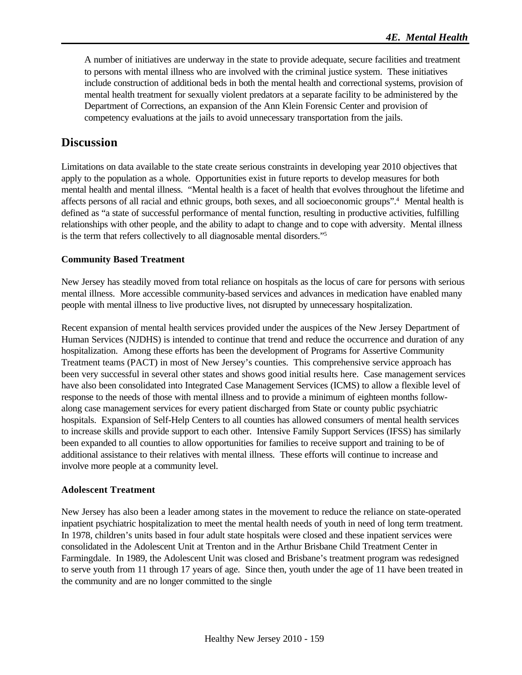A number of initiatives are underway in the state to provide adequate, secure facilities and treatment to persons with mental illness who are involved with the criminal justice system. These initiatives include construction of additional beds in both the mental health and correctional systems, provision of mental health treatment for sexually violent predators at a separate facility to be administered by the Department of Corrections, an expansion of the Ann Klein Forensic Center and provision of competency evaluations at the jails to avoid unnecessary transportation from the jails.

## **Discussion**

Limitations on data available to the state create serious constraints in developing year 2010 objectives that apply to the population as a whole. Opportunities exist in future reports to develop measures for both mental health and mental illness. "Mental health is a facet of health that evolves throughout the lifetime and affects persons of all racial and ethnic groups, both sexes, and all socioeconomic groups".<sup>4</sup> Mental health is defined as "a state of successful performance of mental function, resulting in productive activities, fulfilling relationships with other people, and the ability to adapt to change and to cope with adversity. Mental illness is the term that refers collectively to all diagnosable mental disorders."<sup>5</sup>

### **Community Based Treatment**

New Jersey has steadily moved from total reliance on hospitals as the locus of care for persons with serious mental illness. More accessible community-based services and advances in medication have enabled many people with mental illness to live productive lives, not disrupted by unnecessary hospitalization.

Recent expansion of mental health services provided under the auspices of the New Jersey Department of Human Services (NJDHS) is intended to continue that trend and reduce the occurrence and duration of any hospitalization. Among these efforts has been the development of Programs for Assertive Community Treatment teams (PACT) in most of New Jersey's counties. This comprehensive service approach has been very successful in several other states and shows good initial results here. Case management services have also been consolidated into Integrated Case Management Services (ICMS) to allow a flexible level of response to the needs of those with mental illness and to provide a minimum of eighteen months followalong case management services for every patient discharged from State or county public psychiatric hospitals. Expansion of Self-Help Centers to all counties has allowed consumers of mental health services to increase skills and provide support to each other. Intensive Family Support Services (IFSS) has similarly been expanded to all counties to allow opportunities for families to receive support and training to be of additional assistance to their relatives with mental illness. These efforts will continue to increase and involve more people at a community level.

### **Adolescent Treatment**

New Jersey has also been a leader among states in the movement to reduce the reliance on state-operated inpatient psychiatric hospitalization to meet the mental health needs of youth in need of long term treatment. In 1978, children's units based in four adult state hospitals were closed and these inpatient services were consolidated in the Adolescent Unit at Trenton and in the Arthur Brisbane Child Treatment Center in Farmingdale. In 1989, the Adolescent Unit was closed and Brisbane's treatment program was redesigned to serve youth from 11 through 17 years of age. Since then, youth under the age of 11 have been treated in the community and are no longer committed to the single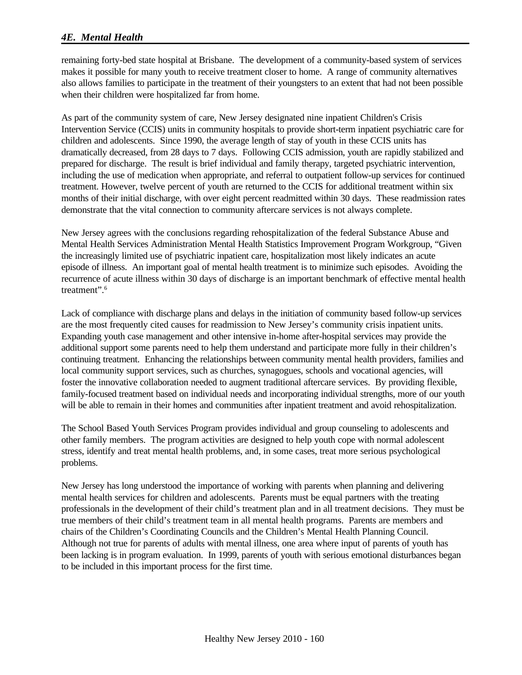### *4E. Mental Health*

remaining forty-bed state hospital at Brisbane. The development of a community-based system of services makes it possible for many youth to receive treatment closer to home. A range of community alternatives also allows families to participate in the treatment of their youngsters to an extent that had not been possible when their children were hospitalized far from home.

As part of the community system of care, New Jersey designated nine inpatient Children's Crisis Intervention Service (CCIS) units in community hospitals to provide short-term inpatient psychiatric care for children and adolescents. Since 1990, the average length of stay of youth in these CCIS units has dramatically decreased, from 28 days to 7 days. Following CCIS admission, youth are rapidly stabilized and prepared for discharge. The result is brief individual and family therapy, targeted psychiatric intervention, including the use of medication when appropriate, and referral to outpatient follow-up services for continued treatment. However, twelve percent of youth are returned to the CCIS for additional treatment within six months of their initial discharge, with over eight percent readmitted within 30 days. These readmission rates demonstrate that the vital connection to community aftercare services is not always complete.

New Jersey agrees with the conclusions regarding rehospitalization of the federal Substance Abuse and Mental Health Services Administration Mental Health Statistics Improvement Program Workgroup, "Given the increasingly limited use of psychiatric inpatient care, hospitalization most likely indicates an acute episode of illness. An important goal of mental health treatment is to minimize such episodes. Avoiding the recurrence of acute illness within 30 days of discharge is an important benchmark of effective mental health treatment".<sup>6</sup>

Lack of compliance with discharge plans and delays in the initiation of community based follow-up services are the most frequently cited causes for readmission to New Jersey's community crisis inpatient units. Expanding youth case management and other intensive in-home after-hospital services may provide the additional support some parents need to help them understand and participate more fully in their children's continuing treatment. Enhancing the relationships between community mental health providers, families and local community support services, such as churches, synagogues, schools and vocational agencies, will foster the innovative collaboration needed to augment traditional aftercare services. By providing flexible, family-focused treatment based on individual needs and incorporating individual strengths, more of our youth will be able to remain in their homes and communities after inpatient treatment and avoid rehospitalization.

The School Based Youth Services Program provides individual and group counseling to adolescents and other family members. The program activities are designed to help youth cope with normal adolescent stress, identify and treat mental health problems, and, in some cases, treat more serious psychological problems.

New Jersey has long understood the importance of working with parents when planning and delivering mental health services for children and adolescents. Parents must be equal partners with the treating professionals in the development of their child's treatment plan and in all treatment decisions. They must be true members of their child's treatment team in all mental health programs. Parents are members and chairs of the Children's Coordinating Councils and the Children's Mental Health Planning Council. Although not true for parents of adults with mental illness, one area where input of parents of youth has been lacking is in program evaluation. In 1999, parents of youth with serious emotional disturbances began to be included in this important process for the first time.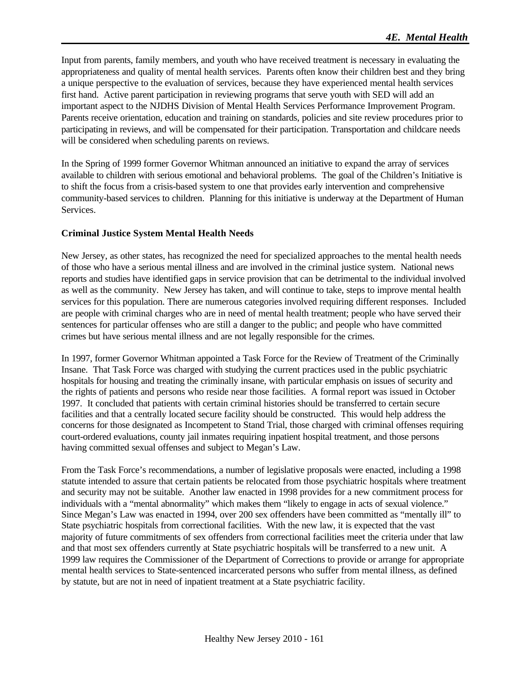Input from parents, family members, and youth who have received treatment is necessary in evaluating the appropriateness and quality of mental health services. Parents often know their children best and they bring a unique perspective to the evaluation of services, because they have experienced mental health services first hand. Active parent participation in reviewing programs that serve youth with SED will add an important aspect to the NJDHS Division of Mental Health Services Performance Improvement Program. Parents receive orientation, education and training on standards, policies and site review procedures prior to participating in reviews, and will be compensated for their participation. Transportation and childcare needs will be considered when scheduling parents on reviews.

In the Spring of 1999 former Governor Whitman announced an initiative to expand the array of services available to children with serious emotional and behavioral problems. The goal of the Children's Initiative is to shift the focus from a crisis-based system to one that provides early intervention and comprehensive community-based services to children. Planning for this initiative is underway at the Department of Human Services.

#### **Criminal Justice System Mental Health Needs**

New Jersey, as other states, has recognized the need for specialized approaches to the mental health needs of those who have a serious mental illness and are involved in the criminal justice system. National news reports and studies have identified gaps in service provision that can be detrimental to the individual involved as well as the community. New Jersey has taken, and will continue to take, steps to improve mental health services for this population. There are numerous categories involved requiring different responses. Included are people with criminal charges who are in need of mental health treatment; people who have served their sentences for particular offenses who are still a danger to the public; and people who have committed crimes but have serious mental illness and are not legally responsible for the crimes.

In 1997, former Governor Whitman appointed a Task Force for the Review of Treatment of the Criminally Insane. That Task Force was charged with studying the current practices used in the public psychiatric hospitals for housing and treating the criminally insane, with particular emphasis on issues of security and the rights of patients and persons who reside near those facilities. A formal report was issued in October 1997. It concluded that patients with certain criminal histories should be transferred to certain secure facilities and that a centrally located secure facility should be constructed. This would help address the concerns for those designated as Incompetent to Stand Trial, those charged with criminal offenses requiring court-ordered evaluations, county jail inmates requiring inpatient hospital treatment, and those persons having committed sexual offenses and subject to Megan's Law.

From the Task Force's recommendations, a number of legislative proposals were enacted, including a 1998 statute intended to assure that certain patients be relocated from those psychiatric hospitals where treatment and security may not be suitable. Another law enacted in 1998 provides for a new commitment process for individuals with a "mental abnormality" which makes them "likely to engage in acts of sexual violence." Since Megan's Law was enacted in 1994, over 200 sex offenders have been committed as "mentally ill" to State psychiatric hospitals from correctional facilities. With the new law, it is expected that the vast majority of future commitments of sex offenders from correctional facilities meet the criteria under that law and that most sex offenders currently at State psychiatric hospitals will be transferred to a new unit. A 1999 law requires the Commissioner of the Department of Corrections to provide or arrange for appropriate mental health services to State-sentenced incarcerated persons who suffer from mental illness, as defined by statute, but are not in need of inpatient treatment at a State psychiatric facility.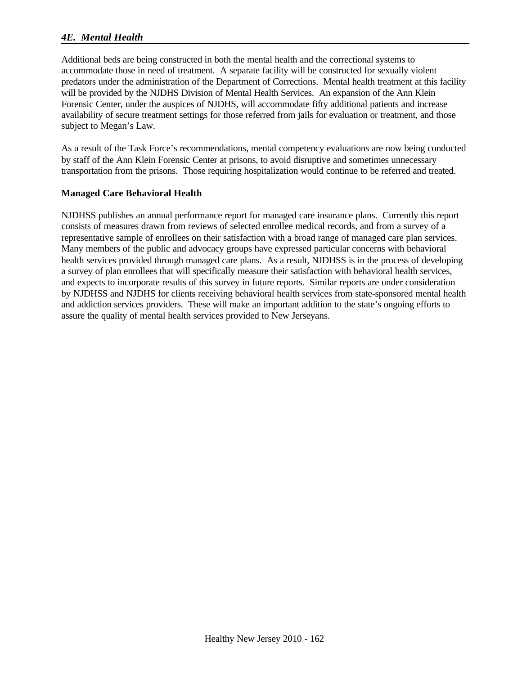## *4E. Mental Health*

Additional beds are being constructed in both the mental health and the correctional systems to accommodate those in need of treatment. A separate facility will be constructed for sexually violent predators under the administration of the Department of Corrections. Mental health treatment at this facility will be provided by the NJDHS Division of Mental Health Services. An expansion of the Ann Klein Forensic Center, under the auspices of NJDHS, will accommodate fifty additional patients and increase availability of secure treatment settings for those referred from jails for evaluation or treatment, and those subject to Megan's Law.

As a result of the Task Force's recommendations, mental competency evaluations are now being conducted by staff of the Ann Klein Forensic Center at prisons, to avoid disruptive and sometimes unnecessary transportation from the prisons. Those requiring hospitalization would continue to be referred and treated.

#### **Managed Care Behavioral Health**

NJDHSS publishes an annual performance report for managed care insurance plans. Currently this report consists of measures drawn from reviews of selected enrollee medical records, and from a survey of a representative sample of enrollees on their satisfaction with a broad range of managed care plan services. Many members of the public and advocacy groups have expressed particular concerns with behavioral health services provided through managed care plans. As a result, NJDHSS is in the process of developing a survey of plan enrollees that will specifically measure their satisfaction with behavioral health services, and expects to incorporate results of this survey in future reports. Similar reports are under consideration by NJDHSS and NJDHS for clients receiving behavioral health services from state-sponsored mental health and addiction services providers. These will make an important addition to the state's ongoing efforts to assure the quality of mental health services provided to New Jerseyans.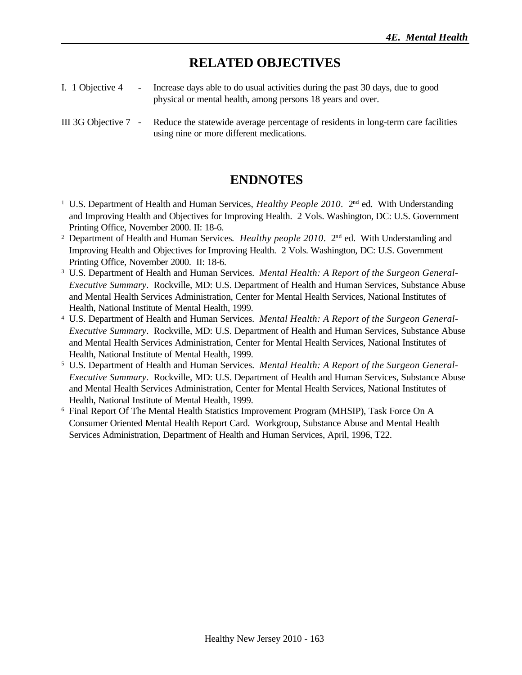# **RELATED OBJECTIVES**

- I. 1 Objective 4 Increase days able to do usual activities during the past 30 days, due to good physical or mental health, among persons 18 years and over.
- III 3G Objective 7 Reduce the statewide average percentage of residents in long-term care facilities using nine or more different medications.

## **ENDNOTES**

- <sup>1</sup> U.S. Department of Health and Human Services, *Healthy People 2010*. 2<sup>nd</sup> ed. With Understanding and Improving Health and Objectives for Improving Health. 2 Vols. Washington, DC: U.S. Government Printing Office, November 2000. II: 18-6.
- <sup>2</sup> Department of Health and Human Services. *Healthy people 2010*. 2<sup>nd</sup> ed. With Understanding and Improving Health and Objectives for Improving Health. 2 Vols. Washington, DC: U.S. Government Printing Office, November 2000. II: 18-6.
- <sup>3</sup> U.S. Department of Health and Human Services. *Mental Health: A Report of the Surgeon General-Executive Summary*. Rockville, MD: U.S. Department of Health and Human Services, Substance Abuse and Mental Health Services Administration, Center for Mental Health Services, National Institutes of Health, National Institute of Mental Health, 1999.
- <sup>4</sup> U.S. Department of Health and Human Services. *Mental Health: A Report of the Surgeon General-Executive Summary*. Rockville, MD: U.S. Department of Health and Human Services, Substance Abuse and Mental Health Services Administration, Center for Mental Health Services, National Institutes of Health, National Institute of Mental Health, 1999.
- <sup>5</sup> U.S. Department of Health and Human Services. *Mental Health: A Report of the Surgeon General-Executive Summary*. Rockville, MD: U.S. Department of Health and Human Services, Substance Abuse and Mental Health Services Administration, Center for Mental Health Services, National Institutes of Health, National Institute of Mental Health, 1999.
- <sup>6</sup> Final Report Of The Mental Health Statistics Improvement Program (MHSIP), Task Force On A Consumer Oriented Mental Health Report Card. Workgroup, Substance Abuse and Mental Health Services Administration, Department of Health and Human Services, April, 1996, T22.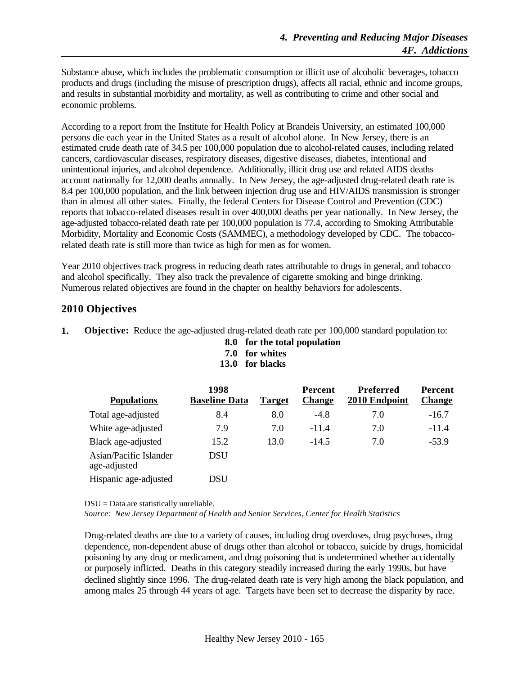Substance abuse, which includes the problematic consumption or illicit use of alcoholic beverages, tobacco products and drugs (including the misuse of prescription drugs), affects all racial, ethnic and income groups, and results in substantial morbidity and mortality, as well as contributing to crime and other social and economic problems.

According to a report from the Institute for Health Policy at Brandeis University, an estimated 100,000 persons die each year in the United States as a result of alcohol alone. In New Jersey, there is an estimated crude death rate of 34.5 per 100,000 population due to alcohol-related causes, including related cancers, cardiovascular diseases, respiratory diseases, digestive diseases, diabetes, intentional and unintentional injuries, and alcohol dependence. Additionally, illicit drug use and related AIDS deaths account nationally for 12,000 deaths annually. In New Jersey, the age-adjusted drug-related death rate is 8.4 per 100,000 population, and the link between injection drug use and HIV/AIDS transmission is stronger than in almost all other states. Finally, the federal Centers for Disease Control and Prevention (CDC) reports that tobacco-related diseases result in over 400,000 deaths per year nationally. In New Jersey, the age-adjusted tobacco-related death rate per 100,000 population is 77.4, according to Smoking Attributable Morbidity, Mortality and Economic Costs (SAMMEC), a methodology developed by CDC. The tobaccorelated death rate is still more than twice as high for men as for women.

Year 2010 objectives track progress in reducing death rates attributable to drugs in general, and tobacco and alcohol specifically. They also track the prevalence of cigarette smoking and binge drinking. Numerous related objectives are found in the chapter on healthy behaviors for adolescents.

## **2010 Objectives**

- **1. Objective:** Reduce the age-adjusted drug-related death rate per 100,000 standard population to:
	- **8.0 for the total population**
	- **7.0 for whites**
	- **13.0 for blacks**

| <b>Populations</b>                     | 1998<br><b>Baseline Data</b> | <b>Target</b> | Percent<br><b>Change</b> | Preferred<br>2010 Endpoint | <b>Percent</b><br><b>Change</b> |
|----------------------------------------|------------------------------|---------------|--------------------------|----------------------------|---------------------------------|
| Total age-adjusted                     | 8.4                          | 8.0           | $-4.8$                   | 7.0                        | $-16.7$                         |
| White age-adjusted                     | 7.9                          | 7.0           | $-11.4$                  | 7.0                        | $-11.4$                         |
| Black age-adjusted                     | 15.2                         | 13.0          | $-14.5$                  | 7.0                        | $-53.9$                         |
| Asian/Pacific Islander<br>age-adjusted | DSU                          |               |                          |                            |                                 |
| Hispanic age-adjusted                  | DSU                          |               |                          |                            |                                 |

DSU = Data are statistically unreliable.

*Source: New Jersey Department of Health and Senior Services, Center for Health Statistics*

Drug-related deaths are due to a variety of causes, including drug overdoses, drug psychoses, drug dependence, non-dependent abuse of drugs other than alcohol or tobacco, suicide by drugs, homicidal poisoning by any drug or medicament, and drug poisoning that is undetermined whether accidentally or purposely inflicted. Deaths in this category steadily increased during the early 1990s, but have declined slightly since 1996. The drug-related death rate is very high among the black population, and among males 25 through 44 years of age. Targets have been set to decrease the disparity by race.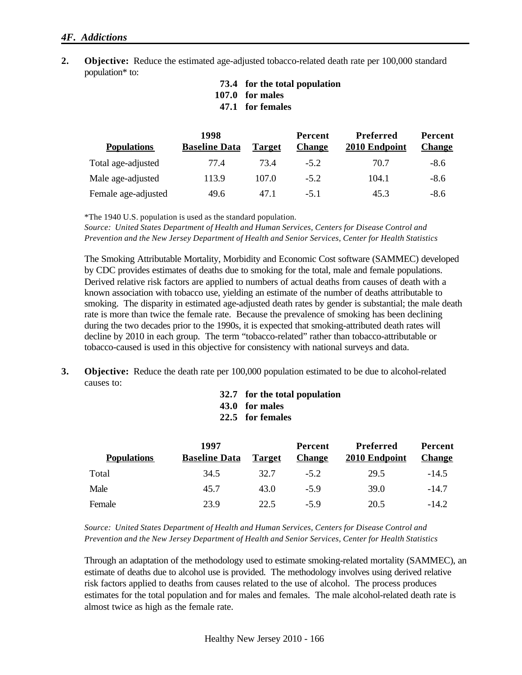- **2. Objective:** Reduce the estimated age-adjusted tobacco-related death rate per 100,000 standard population\* to:
	- **73.4 for the total population**
	- **107.0 for males**
	- **47.1 for females**

|                     | 1998                 |               | <b>Percent</b> | <b>Preferred</b> | <b>Percent</b> |
|---------------------|----------------------|---------------|----------------|------------------|----------------|
| <b>Populations</b>  | <b>Baseline Data</b> | <b>Target</b> | <b>Change</b>  | 2010 Endpoint    | <b>Change</b>  |
| Total age-adjusted  | 77.4                 | 73.4          | $-5.2$         | 70.7             | $-8.6$         |
| Male age-adjusted   | 113.9                | 107.0         | $-5.2$         | 104.1            | $-8.6$         |
| Female age-adjusted | 49.6                 | 47.1          | $-5.1$         | 45.3             | $-8.6$         |

\*The 1940 U.S. population is used as the standard population.

*Source: United States Department of Health and Human Services, Centers for Disease Control and Prevention and the New Jersey Department of Health and Senior Services, Center for Health Statistics*

The Smoking Attributable Mortality, Morbidity and Economic Cost software (SAMMEC) developed by CDC provides estimates of deaths due to smoking for the total, male and female populations. Derived relative risk factors are applied to numbers of actual deaths from causes of death with a known association with tobacco use, yielding an estimate of the number of deaths attributable to smoking. The disparity in estimated age-adjusted death rates by gender is substantial; the male death rate is more than twice the female rate. Because the prevalence of smoking has been declining during the two decades prior to the 1990s, it is expected that smoking-attributed death rates will decline by 2010 in each group. The term "tobacco-related" rather than tobacco-attributable or tobacco-caused is used in this objective for consistency with national surveys and data.

**3. Objective:** Reduce the death rate per 100,000 population estimated to be due to alcohol-related causes to:

**32.7 for the total population**

**43.0 for males**

**22.5 for females**

|                    | 1997                 |               | Percent       | <b>Preferred</b> | Percent       |
|--------------------|----------------------|---------------|---------------|------------------|---------------|
| <b>Populations</b> | <b>Baseline Data</b> | <b>Target</b> | <b>Change</b> | 2010 Endpoint    | <b>Change</b> |
| Total              | 34.5                 | 32.7          | $-5.2$        | 29.5             | $-14.5$       |
| Male               | 45.7                 | 43.0          | $-59$         | 39.0             | $-14.7$       |
| Female             | 23.9                 | 22.5          | $-59$         | 20.5             | $-14.2$       |

*Source: United States Department of Health and Human Services, Centers for Disease Control and Prevention and the New Jersey Department of Health and Senior Services, Center for Health Statistics*

Through an adaptation of the methodology used to estimate smoking-related mortality (SAMMEC), an estimate of deaths due to alcohol use is provided. The methodology involves using derived relative risk factors applied to deaths from causes related to the use of alcohol. The process produces estimates for the total population and for males and females. The male alcohol-related death rate is almost twice as high as the female rate.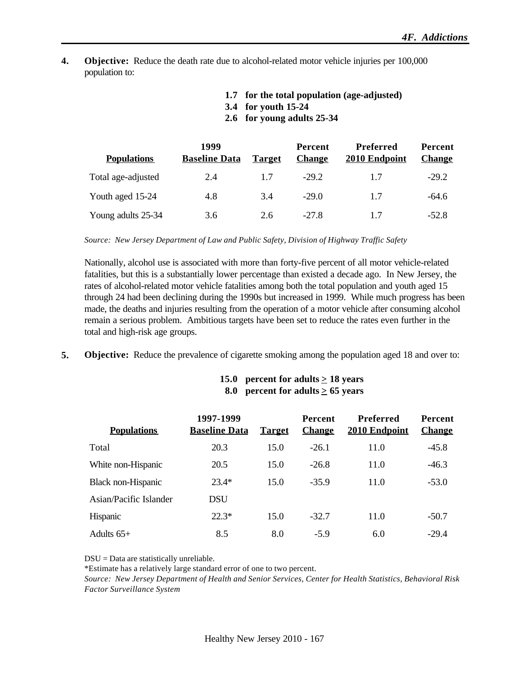**4. Objective:** Reduce the death rate due to alcohol-related motor vehicle injuries per 100,000 population to:

| 1.7 for the total population (age-adjusted) |
|---------------------------------------------|
| 3.4 for youth 15-24                         |

**2.6 for young adults 25-34**

| <b>Populations</b> | 1999<br><b>Baseline Data</b> | <b>Target</b> | Percent<br><b>Change</b> | <b>Preferred</b><br>2010 Endpoint | <b>Percent</b><br><b>Change</b> |
|--------------------|------------------------------|---------------|--------------------------|-----------------------------------|---------------------------------|
| Total age-adjusted | 2.4                          | 1.7           | $-29.2$                  | 17                                | $-29.2$                         |
| Youth aged 15-24   | 4.8                          | 3.4           | $-29.0$                  | 1.7                               | $-64.6$                         |
| Young adults 25-34 | 3.6                          | 2.6           | $-27.8$                  | 1.7                               | $-52.8$                         |

*Source: New Jersey Department of Law and Public Safety, Division of Highway Traffic Safety*

Nationally, alcohol use is associated with more than forty-five percent of all motor vehicle-related fatalities, but this is a substantially lower percentage than existed a decade ago. In New Jersey, the rates of alcohol-related motor vehicle fatalities among both the total population and youth aged 15 through 24 had been declining during the 1990s but increased in 1999. While much progress has been made, the deaths and injuries resulting from the operation of a motor vehicle after consuming alcohol remain a serious problem. Ambitious targets have been set to reduce the rates even further in the total and high-risk age groups.

**5. Objective:** Reduce the prevalence of cigarette smoking among the population aged 18 and over to:

| 15.0 percent for adults $\geq$ 18 years |
|-----------------------------------------|
| 8.0 percent for adults $\geq$ 65 years  |

| <b>Populations</b>     | 1997-1999<br><b>Baseline Data</b> | <b>Target</b> | <b>Percent</b><br><b>Change</b> | <b>Preferred</b><br>2010 Endpoint | Percent<br><b>Change</b> |
|------------------------|-----------------------------------|---------------|---------------------------------|-----------------------------------|--------------------------|
| Total                  | 20.3                              | 15.0          | $-26.1$                         | 11.0                              | $-45.8$                  |
| White non-Hispanic     | 20.5                              | 15.0          | $-26.8$                         | 11.0                              | $-46.3$                  |
| Black non-Hispanic     | $23.4*$                           | 15.0          | $-35.9$                         | 11.0                              | $-53.0$                  |
| Asian/Pacific Islander | <b>DSU</b>                        |               |                                 |                                   |                          |
| <b>Hispanic</b>        | $22.3*$                           | 15.0          | $-32.7$                         | 11.0                              | $-50.7$                  |
| Adults $65+$           | 8.5                               | 8.0           | $-5.9$                          | 6.0                               | $-29.4$                  |

DSU = Data are statistically unreliable.

\*Estimate has a relatively large standard error of one to two percent.

*Source: New Jersey Department of Health and Senior Services, Center for Health Statistics, Behavioral Risk Factor Surveillance System*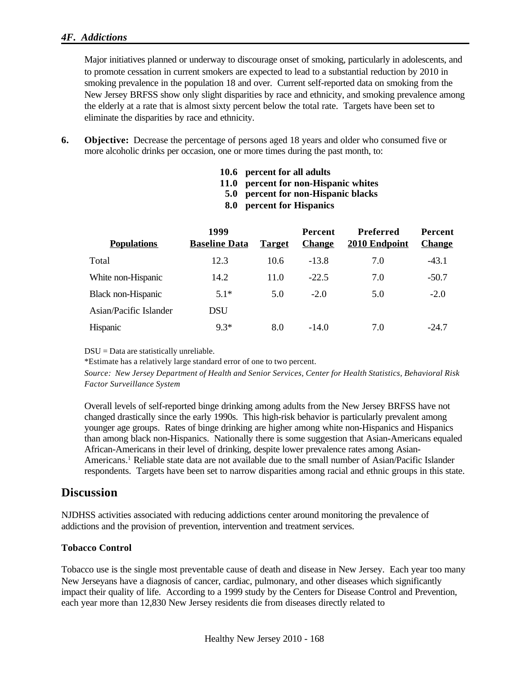### *4F. Addictions*

Major initiatives planned or underway to discourage onset of smoking, particularly in adolescents, and to promote cessation in current smokers are expected to lead to a substantial reduction by 2010 in smoking prevalence in the population 18 and over. Current self-reported data on smoking from the New Jersey BRFSS show only slight disparities by race and ethnicity, and smoking prevalence among the elderly at a rate that is almost sixty percent below the total rate. Targets have been set to eliminate the disparities by race and ethnicity.

**6. Objective:** Decrease the percentage of persons aged 18 years and older who consumed five or more alcoholic drinks per occasion, one or more times during the past month, to:

- **11.0 percent for non-Hispanic whites**
- **5.0 percent for non-Hispanic blacks**

|  |  |  | 8.0 percent for Hispanics |
|--|--|--|---------------------------|
|--|--|--|---------------------------|

| 1999<br><b>Baseline Data</b> | <b>Target</b> | <b>Percent</b><br><b>Change</b> | <b>Preferred</b><br>2010 Endpoint | <b>Percent</b><br><b>Change</b> |
|------------------------------|---------------|---------------------------------|-----------------------------------|---------------------------------|
| 12.3                         | 10.6          | $-13.8$                         | 7.0                               | $-43.1$                         |
| 14.2                         | 11.0          | $-22.5$                         | 7.0                               | $-50.7$                         |
| $5.1*$                       | 5.0           | $-2.0$                          | 5.0                               | $-2.0$                          |
| <b>DSU</b>                   |               |                                 |                                   |                                 |
| $9.3*$                       | 8.0           | $-14.0$                         | 7.0                               | $-24.7$                         |
|                              |               |                                 |                                   |                                 |

DSU = Data are statistically unreliable.

\*Estimate has a relatively large standard error of one to two percent.

*Source: New Jersey Department of Health and Senior Services, Center for Health Statistics, Behavioral Risk Factor Surveillance System*

Overall levels of self-reported binge drinking among adults from the New Jersey BRFSS have not changed drastically since the early 1990s. This high-risk behavior is particularly prevalent among younger age groups. Rates of binge drinking are higher among white non-Hispanics and Hispanics than among black non-Hispanics. Nationally there is some suggestion that Asian-Americans equaled African-Americans in their level of drinking, despite lower prevalence rates among Asian-Americans.<sup>1</sup> Reliable state data are not available due to the small number of Asian/Pacific Islander respondents. Targets have been set to narrow disparities among racial and ethnic groups in this state.

## **Discussion**

NJDHSS activities associated with reducing addictions center around monitoring the prevalence of addictions and the provision of prevention, intervention and treatment services.

#### **Tobacco Control**

Tobacco use is the single most preventable cause of death and disease in New Jersey. Each year too many New Jerseyans have a diagnosis of cancer, cardiac, pulmonary, and other diseases which significantly impact their quality of life. According to a 1999 study by the Centers for Disease Control and Prevention, each year more than 12,830 New Jersey residents die from diseases directly related to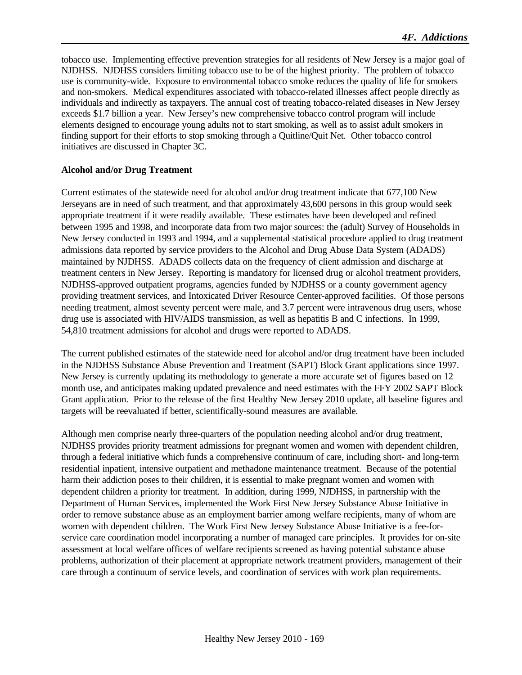tobacco use. Implementing effective prevention strategies for all residents of New Jersey is a major goal of NJDHSS. NJDHSS considers limiting tobacco use to be of the highest priority. The problem of tobacco use is community-wide. Exposure to environmental tobacco smoke reduces the quality of life for smokers and non-smokers. Medical expenditures associated with tobacco-related illnesses affect people directly as individuals and indirectly as taxpayers. The annual cost of treating tobacco-related diseases in New Jersey exceeds \$1.7 billion a year. New Jersey's new comprehensive tobacco control program will include elements designed to encourage young adults not to start smoking, as well as to assist adult smokers in finding support for their efforts to stop smoking through a Quitline/Quit Net. Other tobacco control initiatives are discussed in Chapter 3C.

#### **Alcohol and/or Drug Treatment**

Current estimates of the statewide need for alcohol and/or drug treatment indicate that 677,100 New Jerseyans are in need of such treatment, and that approximately 43,600 persons in this group would seek appropriate treatment if it were readily available. These estimates have been developed and refined between 1995 and 1998, and incorporate data from two major sources: the (adult) Survey of Households in New Jersey conducted in 1993 and 1994, and a supplemental statistical procedure applied to drug treatment admissions data reported by service providers to the Alcohol and Drug Abuse Data System (ADADS) maintained by NJDHSS. ADADS collects data on the frequency of client admission and discharge at treatment centers in New Jersey. Reporting is mandatory for licensed drug or alcohol treatment providers, NJDHSS-approved outpatient programs, agencies funded by NJDHSS or a county government agency providing treatment services, and Intoxicated Driver Resource Center-approved facilities. Of those persons needing treatment, almost seventy percent were male, and 3.7 percent were intravenous drug users, whose drug use is associated with HIV/AIDS transmission, as well as hepatitis B and C infections. In 1999, 54,810 treatment admissions for alcohol and drugs were reported to ADADS.

The current published estimates of the statewide need for alcohol and/or drug treatment have been included in the NJDHSS Substance Abuse Prevention and Treatment (SAPT) Block Grant applications since 1997. New Jersey is currently updating its methodology to generate a more accurate set of figures based on 12 month use, and anticipates making updated prevalence and need estimates with the FFY 2002 SAPT Block Grant application. Prior to the release of the first Healthy New Jersey 2010 update, all baseline figures and targets will be reevaluated if better, scientifically-sound measures are available.

Although men comprise nearly three-quarters of the population needing alcohol and/or drug treatment, NJDHSS provides priority treatment admissions for pregnant women and women with dependent children, through a federal initiative which funds a comprehensive continuum of care, including short- and long-term residential inpatient, intensive outpatient and methadone maintenance treatment. Because of the potential harm their addiction poses to their children, it is essential to make pregnant women and women with dependent children a priority for treatment. In addition, during 1999, NJDHSS, in partnership with the Department of Human Services, implemented the Work First New Jersey Substance Abuse Initiative in order to remove substance abuse as an employment barrier among welfare recipients, many of whom are women with dependent children. The Work First New Jersey Substance Abuse Initiative is a fee-forservice care coordination model incorporating a number of managed care principles. It provides for on-site assessment at local welfare offices of welfare recipients screened as having potential substance abuse problems, authorization of their placement at appropriate network treatment providers, management of their care through a continuum of service levels, and coordination of services with work plan requirements.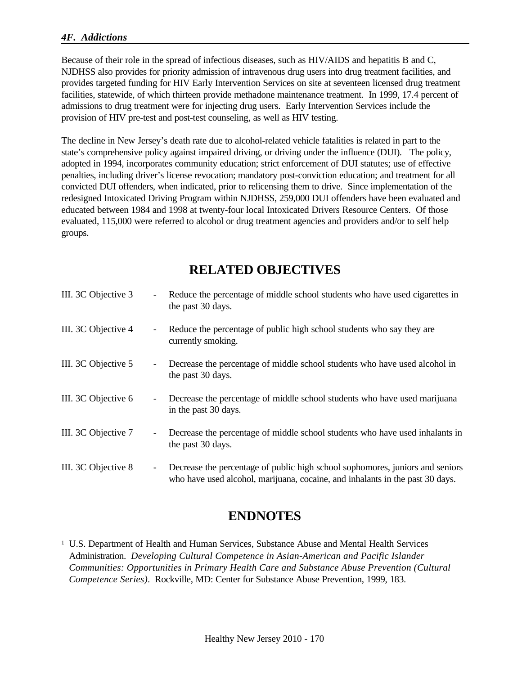### *4F. Addictions*

Because of their role in the spread of infectious diseases, such as HIV/AIDS and hepatitis B and C, NJDHSS also provides for priority admission of intravenous drug users into drug treatment facilities, and provides targeted funding for HIV Early Intervention Services on site at seventeen licensed drug treatment facilities, statewide, of which thirteen provide methadone maintenance treatment. In 1999, 17.4 percent of admissions to drug treatment were for injecting drug users. Early Intervention Services include the provision of HIV pre-test and post-test counseling, as well as HIV testing.

The decline in New Jersey's death rate due to alcohol-related vehicle fatalities is related in part to the state's comprehensive policy against impaired driving, or driving under the influence (DUI). The policy, adopted in 1994, incorporates community education; strict enforcement of DUI statutes; use of effective penalties, including driver's license revocation; mandatory post-conviction education; and treatment for all convicted DUI offenders, when indicated, prior to relicensing them to drive. Since implementation of the redesigned Intoxicated Driving Program within NJDHSS, 259,000 DUI offenders have been evaluated and educated between 1984 and 1998 at twenty-four local Intoxicated Drivers Resource Centers. Of those evaluated, 115,000 were referred to alcohol or drug treatment agencies and providers and/or to self help groups.

## **RELATED OBJECTIVES**

| III. 3C Objective 3 | $\overline{\phantom{a}}$ | Reduce the percentage of middle school students who have used cigarettes in<br>the past 30 days.                                                               |
|---------------------|--------------------------|----------------------------------------------------------------------------------------------------------------------------------------------------------------|
| III. 3C Objective 4 | $\overline{\phantom{a}}$ | Reduce the percentage of public high school students who say they are<br>currently smoking.                                                                    |
| III. 3C Objective 5 | $\overline{\phantom{a}}$ | Decrease the percentage of middle school students who have used alcohol in<br>the past 30 days.                                                                |
| III. 3C Objective 6 | $\overline{\phantom{a}}$ | Decrease the percentage of middle school students who have used marijuana<br>in the past 30 days.                                                              |
| III. 3C Objective 7 | $\overline{\phantom{a}}$ | Decrease the percentage of middle school students who have used inhalants in<br>the past 30 days.                                                              |
| III. 3C Objective 8 | $\overline{\phantom{a}}$ | Decrease the percentage of public high school sophomores, juniors and seniors<br>who have used alcohol, marijuana, cocaine, and inhalants in the past 30 days. |

## **ENDNOTES**

<sup>1</sup> U.S. Department of Health and Human Services, Substance Abuse and Mental Health Services Administration. *Developing Cultural Competence in Asian-American and Pacific Islander Communities: Opportunities in Primary Health Care and Substance Abuse Prevention (Cultural Competence Series)*. Rockville, MD: Center for Substance Abuse Prevention, 1999, 183.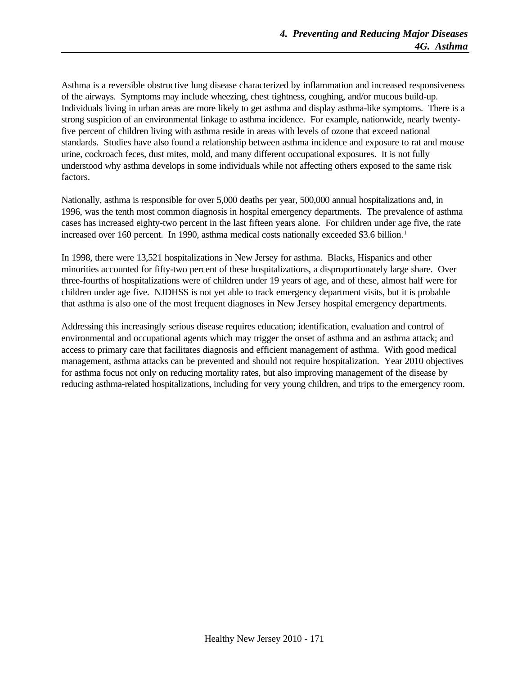Asthma is a reversible obstructive lung disease characterized by inflammation and increased responsiveness of the airways. Symptoms may include wheezing, chest tightness, coughing, and/or mucous build-up. Individuals living in urban areas are more likely to get asthma and display asthma-like symptoms. There is a strong suspicion of an environmental linkage to asthma incidence. For example, nationwide, nearly twentyfive percent of children living with asthma reside in areas with levels of ozone that exceed national standards. Studies have also found a relationship between asthma incidence and exposure to rat and mouse urine, cockroach feces, dust mites, mold, and many different occupational exposures. It is not fully understood why asthma develops in some individuals while not affecting others exposed to the same risk factors.

Nationally, asthma is responsible for over 5,000 deaths per year, 500,000 annual hospitalizations and, in 1996, was the tenth most common diagnosis in hospital emergency departments. The prevalence of asthma cases has increased eighty-two percent in the last fifteen years alone. For children under age five, the rate increased over 160 percent. In 1990, asthma medical costs nationally exceeded \$3.6 billion.<sup>1</sup>

In 1998, there were 13,521 hospitalizations in New Jersey for asthma. Blacks, Hispanics and other minorities accounted for fifty-two percent of these hospitalizations, a disproportionately large share. Over three-fourths of hospitalizations were of children under 19 years of age, and of these, almost half were for children under age five. NJDHSS is not yet able to track emergency department visits, but it is probable that asthma is also one of the most frequent diagnoses in New Jersey hospital emergency departments.

Addressing this increasingly serious disease requires education; identification, evaluation and control of environmental and occupational agents which may trigger the onset of asthma and an asthma attack; and access to primary care that facilitates diagnosis and efficient management of asthma. With good medical management, asthma attacks can be prevented and should not require hospitalization. Year 2010 objectives for asthma focus not only on reducing mortality rates, but also improving management of the disease by reducing asthma-related hospitalizations, including for very young children, and trips to the emergency room.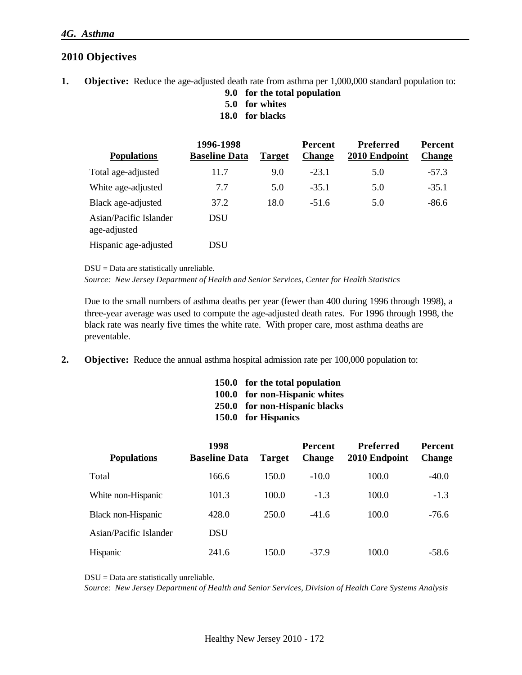## **2010 Objectives**

- **1. Objective:** Reduce the age-adjusted death rate from asthma per 1,000,000 standard population to:
	- **9.0 for the total population**
	- **5.0 for whites**
	- **18.0 for blacks**

| <b>Populations</b>                     | 1996-1998<br><b>Baseline Data</b> | <b>Target</b> | <b>Percent</b><br><b>Change</b> | Preferred<br>2010 Endpoint | Percent<br><b>Change</b> |
|----------------------------------------|-----------------------------------|---------------|---------------------------------|----------------------------|--------------------------|
| Total age-adjusted                     | 11.7                              | 9.0           | $-23.1$                         | 5.0                        | $-57.3$                  |
| White age-adjusted                     | 7.7                               | 5.0           | $-35.1$                         | 5.0                        | $-35.1$                  |
| Black age-adjusted                     | 37.2                              | 18.0          | $-51.6$                         | 5.0                        | $-86.6$                  |
| Asian/Pacific Islander<br>age-adjusted | <b>DSU</b>                        |               |                                 |                            |                          |
| Hispanic age-adjusted                  | DSU                               |               |                                 |                            |                          |

DSU = Data are statistically unreliable.

*Source: New Jersey Department of Health and Senior Services, Center for Health Statistics*

Due to the small numbers of asthma deaths per year (fewer than 400 during 1996 through 1998), a three-year average was used to compute the age-adjusted death rates. For 1996 through 1998, the black rate was nearly five times the white rate. With proper care, most asthma deaths are preventable.

**2. Objective:** Reduce the annual asthma hospital admission rate per 100,000 population to:

| 150.0 for the total population |
|--------------------------------|
| 100.0 for non-Hispanic whites  |
| 250.0 for non-Hispanic blacks  |
| 150.0 for Hispanics            |

| <b>Populations</b>     | 1998<br><b>Baseline Data</b> | <b>Target</b> | <b>Percent</b><br><b>Change</b> | Preferred<br>2010 Endpoint | <b>Percent</b><br><b>Change</b> |
|------------------------|------------------------------|---------------|---------------------------------|----------------------------|---------------------------------|
| Total                  | 166.6                        | 150.0         | $-10.0$                         | 100.0                      | $-40.0$                         |
| White non-Hispanic     | 101.3                        | 100.0         | $-1.3$                          | 100.0                      | $-1.3$                          |
| Black non-Hispanic     | 428.0                        | 250.0         | $-41.6$                         | 100.0                      | $-76.6$                         |
| Asian/Pacific Islander | <b>DSU</b>                   |               |                                 |                            |                                 |
| <b>Hispanic</b>        | 241.6                        | 150.0         | $-37.9$                         | 100.0                      | $-58.6$                         |

DSU = Data are statistically unreliable.

*Source: New Jersey Department of Health and Senior Services, Division of Health Care Systems Analysis*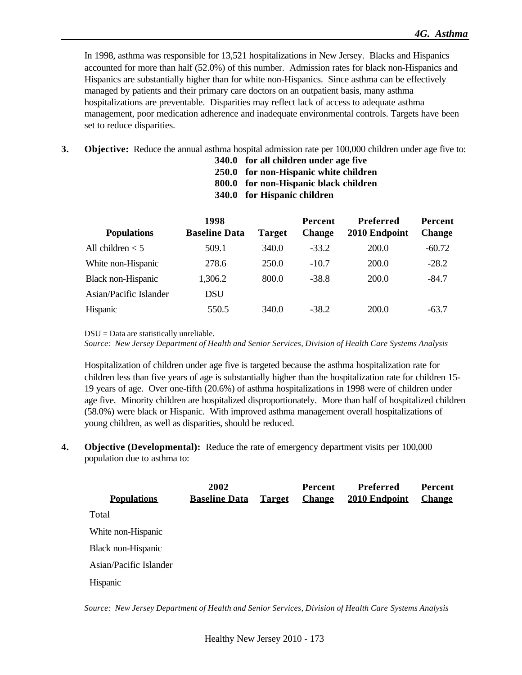In 1998, asthma was responsible for 13,521 hospitalizations in New Jersey. Blacks and Hispanics accounted for more than half (52.0%) of this number. Admission rates for black non-Hispanics and Hispanics are substantially higher than for white non-Hispanics. Since asthma can be effectively managed by patients and their primary care doctors on an outpatient basis, many asthma hospitalizations are preventable. Disparities may reflect lack of access to adequate asthma management, poor medication adherence and inadequate environmental controls. Targets have been set to reduce disparities.

- **3. Objective:** Reduce the annual asthma hospital admission rate per 100,000 children under age five to:
	- **340.0 for all children under age five**
	- **250.0 for non-Hispanic white children**
	- **800.0 for non-Hispanic black children**
	- **340.0 for Hispanic children**

| 1998                 |               | <b>Percent</b> | <b>Preferred</b> | Percent       |
|----------------------|---------------|----------------|------------------|---------------|
| <b>Baseline Data</b> | <b>Target</b> | <b>Change</b>  | 2010 Endpoint    | <b>Change</b> |
| 509.1                | 340.0         | $-33.2$        | 200.0            | $-60.72$      |
| 278.6                | 250.0         | $-10.7$        | 200.0            | $-28.2$       |
| 1,306.2              | 800.0         | $-38.8$        | 200.0            | $-84.7$       |
| <b>DSU</b>           |               |                |                  |               |
| 550.5                | 340.0         | $-38.2$        | 200.0            | $-63.7$       |
|                      |               |                |                  |               |

DSU = Data are statistically unreliable.

*Source: New Jersey Department of Health and Senior Services, Division of Health Care Systems Analysis*

Hospitalization of children under age five is targeted because the asthma hospitalization rate for children less than five years of age is substantially higher than the hospitalization rate for children 15- 19 years of age. Over one-fifth (20.6%) of asthma hospitalizations in 1998 were of children under age five. Minority children are hospitalized disproportionately. More than half of hospitalized children (58.0%) were black or Hispanic. With improved asthma management overall hospitalizations of young children, as well as disparities, should be reduced.

**4. Objective (Developmental):** Reduce the rate of emergency department visits per 100,000 population due to asthma to:

|                        | 2002                 |               | <b>Percent</b> | Preferred     | <b>Percent</b> |
|------------------------|----------------------|---------------|----------------|---------------|----------------|
| <b>Populations</b>     | <b>Baseline Data</b> | <b>Target</b> | <b>Change</b>  | 2010 Endpoint | <b>Change</b>  |
| Total                  |                      |               |                |               |                |
| White non-Hispanic     |                      |               |                |               |                |
| Black non-Hispanic     |                      |               |                |               |                |
| Asian/Pacific Islander |                      |               |                |               |                |
| Hispanic               |                      |               |                |               |                |

*Source: New Jersey Department of Health and Senior Services, Division of Health Care Systems Analysis*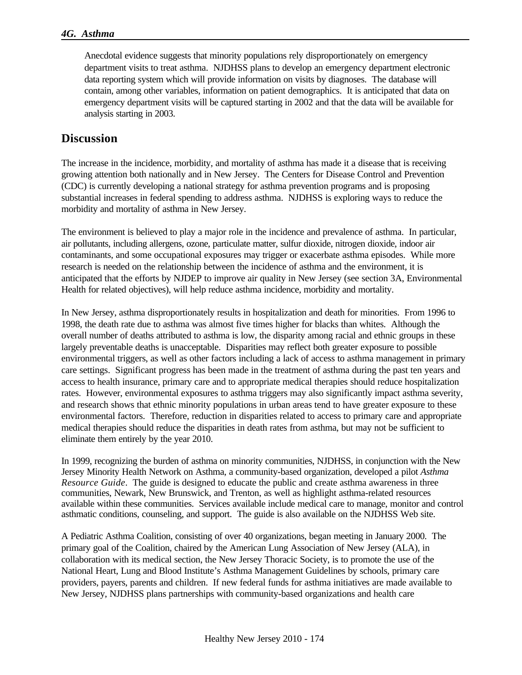Anecdotal evidence suggests that minority populations rely disproportionately on emergency department visits to treat asthma. NJDHSS plans to develop an emergency department electronic data reporting system which will provide information on visits by diagnoses. The database will contain, among other variables, information on patient demographics. It is anticipated that data on emergency department visits will be captured starting in 2002 and that the data will be available for analysis starting in 2003.

## **Discussion**

The increase in the incidence, morbidity, and mortality of asthma has made it a disease that is receiving growing attention both nationally and in New Jersey. The Centers for Disease Control and Prevention (CDC) is currently developing a national strategy for asthma prevention programs and is proposing substantial increases in federal spending to address asthma. NJDHSS is exploring ways to reduce the morbidity and mortality of asthma in New Jersey.

The environment is believed to play a major role in the incidence and prevalence of asthma. In particular, air pollutants, including allergens, ozone, particulate matter, sulfur dioxide, nitrogen dioxide, indoor air contaminants, and some occupational exposures may trigger or exacerbate asthma episodes. While more research is needed on the relationship between the incidence of asthma and the environment, it is anticipated that the efforts by NJDEP to improve air quality in New Jersey (see section 3A, Environmental Health for related objectives), will help reduce asthma incidence, morbidity and mortality.

In New Jersey, asthma disproportionately results in hospitalization and death for minorities. From 1996 to 1998, the death rate due to asthma was almost five times higher for blacks than whites. Although the overall number of deaths attributed to asthma is low, the disparity among racial and ethnic groups in these largely preventable deaths is unacceptable. Disparities may reflect both greater exposure to possible environmental triggers, as well as other factors including a lack of access to asthma management in primary care settings. Significant progress has been made in the treatment of asthma during the past ten years and access to health insurance, primary care and to appropriate medical therapies should reduce hospitalization rates. However, environmental exposures to asthma triggers may also significantly impact asthma severity, and research shows that ethnic minority populations in urban areas tend to have greater exposure to these environmental factors. Therefore, reduction in disparities related to access to primary care and appropriate medical therapies should reduce the disparities in death rates from asthma, but may not be sufficient to eliminate them entirely by the year 2010.

In 1999, recognizing the burden of asthma on minority communities, NJDHSS, in conjunction with the New Jersey Minority Health Network on Asthma, a community-based organization, developed a pilot *Asthma Resource Guide*. The guide is designed to educate the public and create asthma awareness in three communities, Newark, New Brunswick, and Trenton, as well as highlight asthma-related resources available within these communities. Services available include medical care to manage, monitor and control asthmatic conditions, counseling, and support. The guide is also available on the NJDHSS Web site.

A Pediatric Asthma Coalition, consisting of over 40 organizations, began meeting in January 2000. The primary goal of the Coalition, chaired by the American Lung Association of New Jersey (ALA), in collaboration with its medical section, the New Jersey Thoracic Society, is to promote the use of the National Heart, Lung and Blood Institute's Asthma Management Guidelines by schools, primary care providers, payers, parents and children. If new federal funds for asthma initiatives are made available to New Jersey, NJDHSS plans partnerships with community-based organizations and health care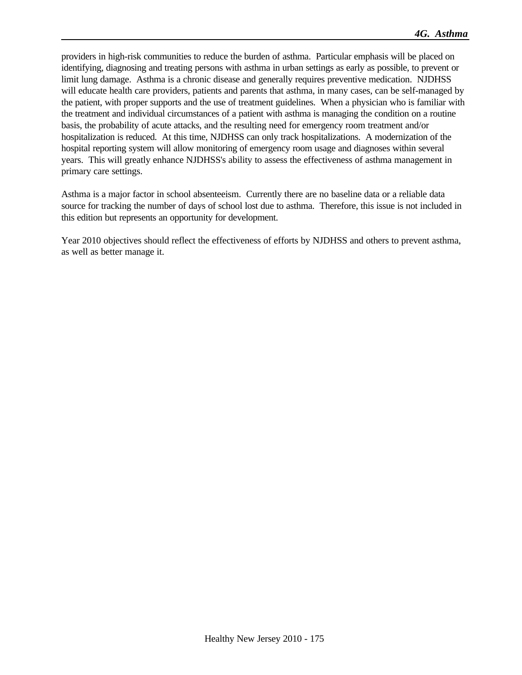providers in high-risk communities to reduce the burden of asthma. Particular emphasis will be placed on identifying, diagnosing and treating persons with asthma in urban settings as early as possible, to prevent or limit lung damage. Asthma is a chronic disease and generally requires preventive medication. NJDHSS will educate health care providers, patients and parents that asthma, in many cases, can be self-managed by the patient, with proper supports and the use of treatment guidelines. When a physician who is familiar with the treatment and individual circumstances of a patient with asthma is managing the condition on a routine basis, the probability of acute attacks, and the resulting need for emergency room treatment and/or hospitalization is reduced. At this time, NJDHSS can only track hospitalizations. A modernization of the hospital reporting system will allow monitoring of emergency room usage and diagnoses within several years. This will greatly enhance NJDHSS's ability to assess the effectiveness of asthma management in primary care settings.

Asthma is a major factor in school absenteeism. Currently there are no baseline data or a reliable data source for tracking the number of days of school lost due to asthma. Therefore, this issue is not included in this edition but represents an opportunity for development.

Year 2010 objectives should reflect the effectiveness of efforts by NJDHSS and others to prevent asthma, as well as better manage it.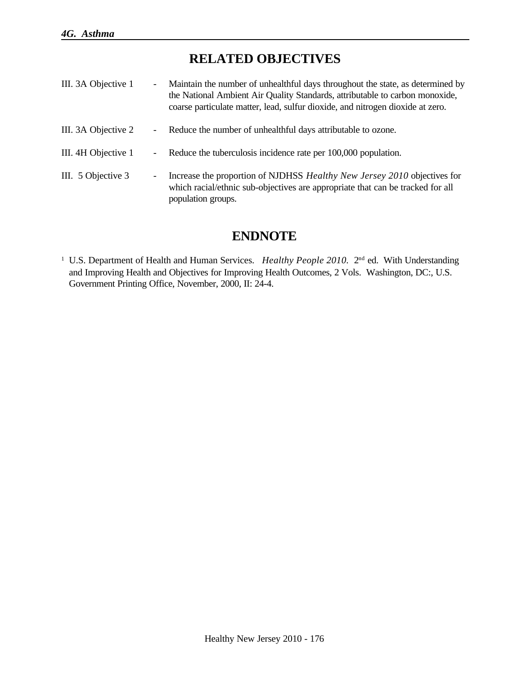# **RELATED OBJECTIVES**

| III. 3A Objective 1 | $\overline{\phantom{0}}$ | Maintain the number of unhealthful days throughout the state, as determined by<br>the National Ambient Air Quality Standards, attributable to carbon monoxide,<br>coarse particulate matter, lead, sulfur dioxide, and nitrogen dioxide at zero. |
|---------------------|--------------------------|--------------------------------------------------------------------------------------------------------------------------------------------------------------------------------------------------------------------------------------------------|
| III. 3A Objective 2 | $\overline{\phantom{0}}$ | Reduce the number of unhealthful days attributable to ozone.                                                                                                                                                                                     |
| III. 4H Objective 1 | $\overline{\phantom{0}}$ | Reduce the tuberculosis incidence rate per 100,000 population.                                                                                                                                                                                   |
| III. 5 Objective 3  | -                        | Increase the proportion of NJDHSS <i>Healthy New Jersey 2010</i> objectives for<br>which racial/ethnic sub-objectives are appropriate that can be tracked for all<br>population groups.                                                          |

# **ENDNOTE**

<sup>1</sup> U.S. Department of Health and Human Services. *Healthy People 2010*. 2<sup>nd</sup> ed. With Understanding and Improving Health and Objectives for Improving Health Outcomes, 2 Vols. Washington, DC:, U.S. Government Printing Office, November, 2000, II: 24-4.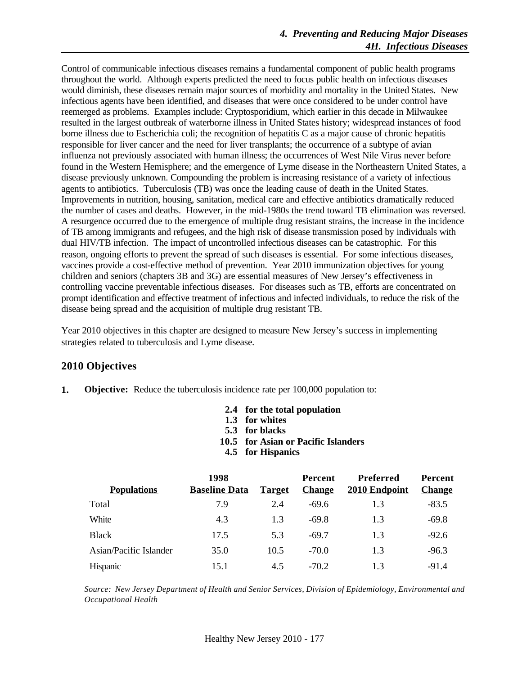Control of communicable infectious diseases remains a fundamental component of public health programs throughout the world. Although experts predicted the need to focus public health on infectious diseases would diminish, these diseases remain major sources of morbidity and mortality in the United States. New infectious agents have been identified, and diseases that were once considered to be under control have reemerged as problems. Examples include: Cryptosporidium, which earlier in this decade in Milwaukee resulted in the largest outbreak of waterborne illness in United States history; widespread instances of food borne illness due to Escherichia coli; the recognition of hepatitis C as a major cause of chronic hepatitis responsible for liver cancer and the need for liver transplants; the occurrence of a subtype of avian influenza not previously associated with human illness; the occurrences of West Nile Virus never before found in the Western Hemisphere; and the emergence of Lyme disease in the Northeastern United States, a disease previously unknown. Compounding the problem is increasing resistance of a variety of infectious agents to antibiotics. Tuberculosis (TB) was once the leading cause of death in the United States. Improvements in nutrition, housing, sanitation, medical care and effective antibiotics dramatically reduced the number of cases and deaths. However, in the mid-1980s the trend toward TB elimination was reversed. A resurgence occurred due to the emergence of multiple drug resistant strains, the increase in the incidence of TB among immigrants and refugees, and the high risk of disease transmission posed by individuals with dual HIV/TB infection. The impact of uncontrolled infectious diseases can be catastrophic. For this reason, ongoing efforts to prevent the spread of such diseases is essential. For some infectious diseases, vaccines provide a cost-effective method of prevention. Year 2010 immunization objectives for young children and seniors (chapters 3B and 3G) are essential measures of New Jersey's effectiveness in controlling vaccine preventable infectious diseases. For diseases such as TB, efforts are concentrated on prompt identification and effective treatment of infectious and infected individuals, to reduce the risk of the disease being spread and the acquisition of multiple drug resistant TB.

Year 2010 objectives in this chapter are designed to measure New Jersey's success in implementing strategies related to tuberculosis and Lyme disease.

## **2010 Objectives**

- **1. Objective:** Reduce the tuberculosis incidence rate per 100,000 population to:
	- **2.4 for the total population**
	- **1.3 for whites**
	- **5.3 for blacks**
	- **10.5 for Asian or Pacific Islanders**
	- **4.5 for Hispanics**

|                        | 1998                 |               | Percent       | <b>Preferred</b> | <b>Percent</b> |
|------------------------|----------------------|---------------|---------------|------------------|----------------|
| <b>Populations</b>     | <b>Baseline Data</b> | <b>Target</b> | <b>Change</b> | 2010 Endpoint    | <b>Change</b>  |
| Total                  | 7.9                  | 2.4           | $-69.6$       | 1.3              | $-83.5$        |
| White                  | 4.3                  | 1.3           | $-69.8$       | 1.3              | $-69.8$        |
| <b>Black</b>           | 17.5                 | 5.3           | $-69.7$       | 1.3              | $-92.6$        |
| Asian/Pacific Islander | 35.0                 | 10.5          | $-70.0$       | 1.3              | $-96.3$        |
| Hispanic               | 15.1                 | 4.5           | $-70.2$       | 13               | $-91.4$        |

*Source: New Jersey Department of Health and Senior Services, Division of Epidemiology, Environmental and Occupational Health*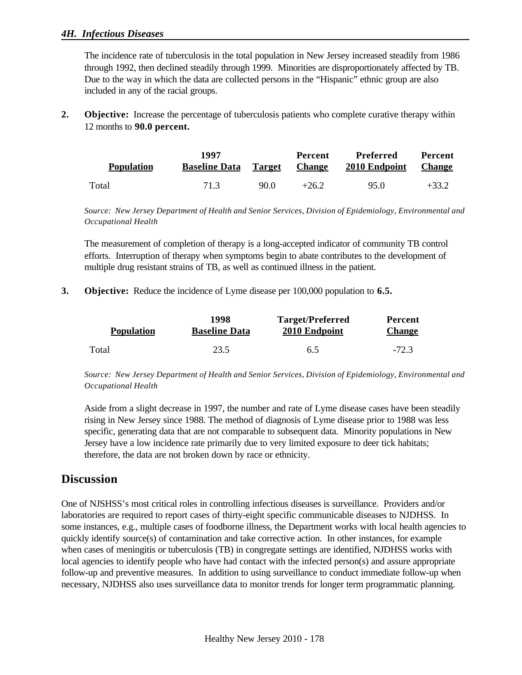#### *4H. Infectious Diseases*

The incidence rate of tuberculosis in the total population in New Jersey increased steadily from 1986 through 1992, then declined steadily through 1999. Minorities are disproportionately affected by TB. Due to the way in which the data are collected persons in the "Hispanic" ethnic group are also included in any of the racial groups.

**2. Objective:** Increase the percentage of tuberculosis patients who complete curative therapy within 12 months to **90.0 percent.**

| <b>Population</b> | 1997<br><b>Baseline Data</b> Target Change |      | Percent | Preferred<br>2010 Endpoint | <b>Percent</b><br><b>Change</b> |
|-------------------|--------------------------------------------|------|---------|----------------------------|---------------------------------|
| Total             | 71.3                                       | 90.0 | $+26.2$ | 95.0                       | $+33.2$                         |

*Source: New Jersey Department of Health and Senior Services, Division of Epidemiology, Environmental and Occupational Health*

The measurement of completion of therapy is a long-accepted indicator of community TB control efforts. Interruption of therapy when symptoms begin to abate contributes to the development of multiple drug resistant strains of TB, as well as continued illness in the patient.

**3. Objective:** Reduce the incidence of Lyme disease per 100,000 population to **6.5.**

| <b>Population</b> | 1998                 | Target/Preferred | Percent       |
|-------------------|----------------------|------------------|---------------|
|                   | <b>Baseline Data</b> | 2010 Endpoint    | <b>Change</b> |
| Total             | 23.5                 | 6.5              | $-72.3$       |

*Source: New Jersey Department of Health and Senior Services, Division of Epidemiology, Environmental and Occupational Health* 

Aside from a slight decrease in 1997, the number and rate of Lyme disease cases have been steadily rising in New Jersey since 1988. The method of diagnosis of Lyme disease prior to 1988 was less specific, generating data that are not comparable to subsequent data. Minority populations in New Jersey have a low incidence rate primarily due to very limited exposure to deer tick habitats; therefore, the data are not broken down by race or ethnicity.

## **Discussion**

One of NJSHSS's most critical roles in controlling infectious diseases is surveillance. Providers and/or laboratories are required to report cases of thirty-eight specific communicable diseases to NJDHSS. In some instances, e.g., multiple cases of foodborne illness, the Department works with local health agencies to quickly identify source(s) of contamination and take corrective action. In other instances, for example when cases of meningitis or tuberculosis (TB) in congregate settings are identified, NJDHSS works with local agencies to identify people who have had contact with the infected person(s) and assure appropriate follow-up and preventive measures. In addition to using surveillance to conduct immediate follow-up when necessary, NJDHSS also uses surveillance data to monitor trends for longer term programmatic planning.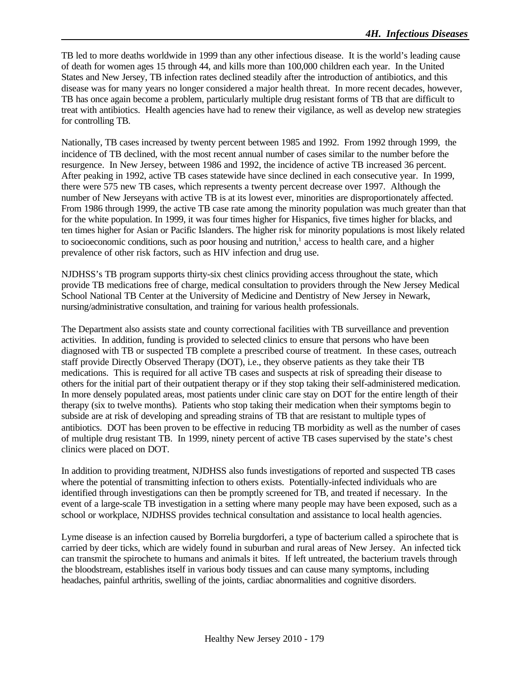TB led to more deaths worldwide in 1999 than any other infectious disease. It is the world's leading cause of death for women ages 15 through 44, and kills more than 100,000 children each year. In the United States and New Jersey, TB infection rates declined steadily after the introduction of antibiotics, and this disease was for many years no longer considered a major health threat. In more recent decades, however, TB has once again become a problem, particularly multiple drug resistant forms of TB that are difficult to treat with antibiotics. Health agencies have had to renew their vigilance, as well as develop new strategies for controlling TB.

Nationally, TB cases increased by twenty percent between 1985 and 1992. From 1992 through 1999, the incidence of TB declined, with the most recent annual number of cases similar to the number before the resurgence. In New Jersey, between 1986 and 1992, the incidence of active TB increased 36 percent. After peaking in 1992, active TB cases statewide have since declined in each consecutive year. In 1999, there were 575 new TB cases, which represents a twenty percent decrease over 1997. Although the number of New Jerseyans with active TB is at its lowest ever, minorities are disproportionately affected. From 1986 through 1999, the active TB case rate among the minority population was much greater than that for the white population. In 1999, it was four times higher for Hispanics, five times higher for blacks, and ten times higher for Asian or Pacific Islanders. The higher risk for minority populations is most likely related to socioeconomic conditions, such as poor housing and nutrition,<sup>1</sup> access to health care, and a higher prevalence of other risk factors, such as HIV infection and drug use.

NJDHSS's TB program supports thirty-six chest clinics providing access throughout the state, which provide TB medications free of charge, medical consultation to providers through the New Jersey Medical School National TB Center at the University of Medicine and Dentistry of New Jersey in Newark, nursing/administrative consultation, and training for various health professionals.

The Department also assists state and county correctional facilities with TB surveillance and prevention activities. In addition, funding is provided to selected clinics to ensure that persons who have been diagnosed with TB or suspected TB complete a prescribed course of treatment. In these cases, outreach staff provide Directly Observed Therapy (DOT), i.e., they observe patients as they take their TB medications. This is required for all active TB cases and suspects at risk of spreading their disease to others for the initial part of their outpatient therapy or if they stop taking their self-administered medication. In more densely populated areas, most patients under clinic care stay on DOT for the entire length of their therapy (six to twelve months). Patients who stop taking their medication when their symptoms begin to subside are at risk of developing and spreading strains of TB that are resistant to multiple types of antibiotics. DOT has been proven to be effective in reducing TB morbidity as well as the number of cases of multiple drug resistant TB. In 1999, ninety percent of active TB cases supervised by the state's chest clinics were placed on DOT.

In addition to providing treatment, NJDHSS also funds investigations of reported and suspected TB cases where the potential of transmitting infection to others exists. Potentially-infected individuals who are identified through investigations can then be promptly screened for TB, and treated if necessary. In the event of a large-scale TB investigation in a setting where many people may have been exposed, such as a school or workplace, NJDHSS provides technical consultation and assistance to local health agencies.

Lyme disease is an infection caused by Borrelia burgdorferi, a type of bacterium called a spirochete that is carried by deer ticks, which are widely found in suburban and rural areas of New Jersey. An infected tick can transmit the spirochete to humans and animals it bites. If left untreated, the bacterium travels through the bloodstream, establishes itself in various body tissues and can cause many symptoms, including headaches, painful arthritis, swelling of the joints, cardiac abnormalities and cognitive disorders.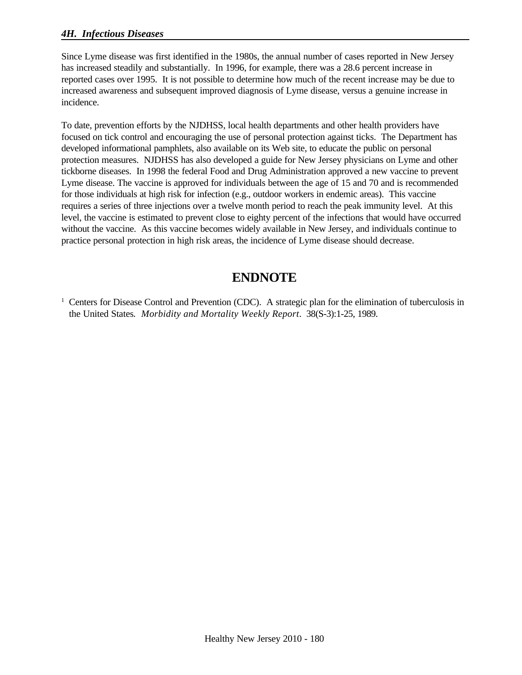### *4H. Infectious Diseases*

Since Lyme disease was first identified in the 1980s, the annual number of cases reported in New Jersey has increased steadily and substantially. In 1996, for example, there was a 28.6 percent increase in reported cases over 1995. It is not possible to determine how much of the recent increase may be due to increased awareness and subsequent improved diagnosis of Lyme disease, versus a genuine increase in incidence.

To date, prevention efforts by the NJDHSS, local health departments and other health providers have focused on tick control and encouraging the use of personal protection against ticks. The Department has developed informational pamphlets, also available on its Web site, to educate the public on personal protection measures. NJDHSS has also developed a guide for New Jersey physicians on Lyme and other tickborne diseases. In 1998 the federal Food and Drug Administration approved a new vaccine to prevent Lyme disease. The vaccine is approved for individuals between the age of 15 and 70 and is recommended for those individuals at high risk for infection (e.g., outdoor workers in endemic areas). This vaccine requires a series of three injections over a twelve month period to reach the peak immunity level. At this level, the vaccine is estimated to prevent close to eighty percent of the infections that would have occurred without the vaccine. As this vaccine becomes widely available in New Jersey, and individuals continue to practice personal protection in high risk areas, the incidence of Lyme disease should decrease.

# **ENDNOTE**

<sup>1</sup> Centers for Disease Control and Prevention (CDC). A strategic plan for the elimination of tuberculosis in the United States*. Morbidity and Mortality Weekly Report*. 38(S-3):1-25, 1989.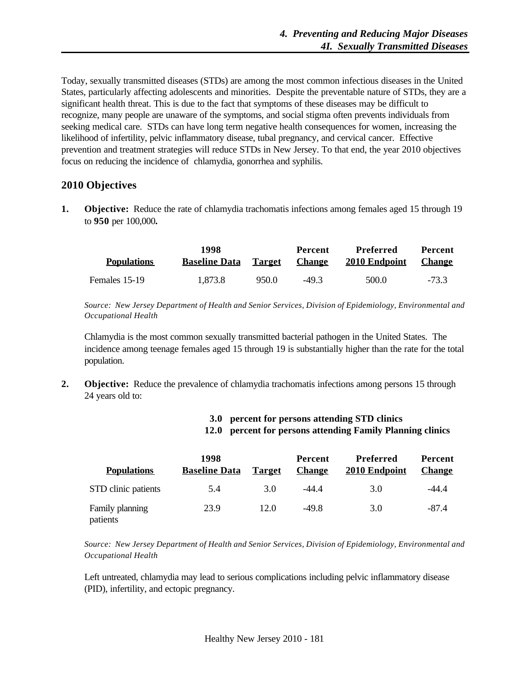Today, sexually transmitted diseases (STDs) are among the most common infectious diseases in the United States, particularly affecting adolescents and minorities. Despite the preventable nature of STDs, they are a significant health threat. This is due to the fact that symptoms of these diseases may be difficult to recognize, many people are unaware of the symptoms, and social stigma often prevents individuals from seeking medical care. STDs can have long term negative health consequences for women, increasing the likelihood of infertility, pelvic inflammatory disease, tubal pregnancy, and cervical cancer. Effective prevention and treatment strategies will reduce STDs in New Jersey. To that end, the year 2010 objectives focus on reducing the incidence of chlamydia, gonorrhea and syphilis.

#### **2010 Objectives**

**1. Objective:** Reduce the rate of chlamydia trachomatis infections among females aged 15 through 19 to **950** per 100,000**.**

| <b>Populations</b> | 1998<br><b>Baseline Data</b> | Ta <u>rget</u> | Percent<br><b>Change</b> | Preferred<br>2010 Endpoint | <b>Percent</b><br><b>Change</b> |
|--------------------|------------------------------|----------------|--------------------------|----------------------------|---------------------------------|
| Females 15-19      | 1,873.8                      | 950.0          | $-49.3$                  | 500.0                      | $-73.3$                         |

*Source: New Jersey Department of Health and Senior Services, Division of Epidemiology, Environmental and Occupational Health*

Chlamydia is the most common sexually transmitted bacterial pathogen in the United States. The incidence among teenage females aged 15 through 19 is substantially higher than the rate for the total population.

**2. Objective:** Reduce the prevalence of chlamydia trachomatis infections among persons 15 through 24 years old to:

#### **3.0 percent for persons attending STD clinics 12.0 percent for persons attending Family Planning clinics**

|                             | 1998                 |               | <b>Percent</b> | Preferred     | <b>Percent</b> |  |
|-----------------------------|----------------------|---------------|----------------|---------------|----------------|--|
| <b>Populations</b>          | <b>Baseline Data</b> | <b>Target</b> | <b>Change</b>  | 2010 Endpoint | <b>Change</b>  |  |
| STD clinic patients         | 5.4                  | 3.0           | -44.4          | 3.0           | -44.4          |  |
| Family planning<br>patients | 23.9                 | 12.0          | $-49.8$        | 3.0           | $-87.4$        |  |

*Source: New Jersey Department of Health and Senior Services, Division of Epidemiology, Environmental and Occupational Health*

Left untreated, chlamydia may lead to serious complications including pelvic inflammatory disease (PID), infertility, and ectopic pregnancy.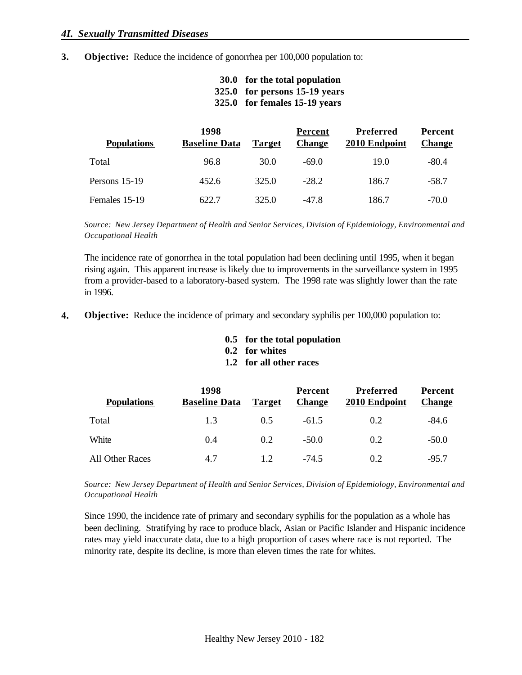**3. Objective:** Reduce the incidence of gonorrhea per 100,000 population to:

| 30.0 for the total population |
|-------------------------------|
| 325.0 for persons 15-19 years |
| 325.0 for females 15-19 years |

| <b>Populations</b> | 1998<br><b>Baseline Data</b> | <b>Target</b> | Percent<br><b>Change</b> | Preferred<br>2010 Endpoint | <b>Percent</b><br><b>Change</b> |
|--------------------|------------------------------|---------------|--------------------------|----------------------------|---------------------------------|
| Total              | 96.8                         | 30.0          | $-69.0$                  | 19.0                       | $-80.4$                         |
| Persons 15-19      | 452.6                        | 325.0         | $-28.2$                  | 186.7                      | $-58.7$                         |
| Females 15-19      | 622.7                        | 325.0         | $-47.8$                  | 186.7                      | $-70.0$                         |

*Source: New Jersey Department of Health and Senior Services, Division of Epidemiology, Environmental and Occupational Health*

The incidence rate of gonorrhea in the total population had been declining until 1995, when it began rising again. This apparent increase is likely due to improvements in the surveillance system in 1995 from a provider-based to a laboratory-based system. The 1998 rate was slightly lower than the rate in 1996.

- **4. Objective:** Reduce the incidence of primary and secondary syphilis per 100,000 population to:
	- **0.5 for the total population**
	- **0.2 for whites**
	- **1.2 for all other races**

| <b>Populations</b> | 1998<br><b>Baseline Data</b> | <b>Target</b> | Percent<br><b>Change</b> | <b>Preferred</b><br>2010 Endpoint | <b>Percent</b><br><b>Change</b> |
|--------------------|------------------------------|---------------|--------------------------|-----------------------------------|---------------------------------|
| Total              | 1.3                          | 0.5           | $-61.5$                  | 0.2                               | $-84.6$                         |
| White              | 0.4                          | 0.2           | $-50.0$                  | 0.2                               | $-50.0$                         |
| All Other Races    | 4.7                          | 12            | $-74.5$                  | 0.2                               | $-95.7$                         |

*Source: New Jersey Department of Health and Senior Services, Division of Epidemiology, Environmental and Occupational Health*

Since 1990, the incidence rate of primary and secondary syphilis for the population as a whole has been declining. Stratifying by race to produce black, Asian or Pacific Islander and Hispanic incidence rates may yield inaccurate data, due to a high proportion of cases where race is not reported. The minority rate, despite its decline, is more than eleven times the rate for whites.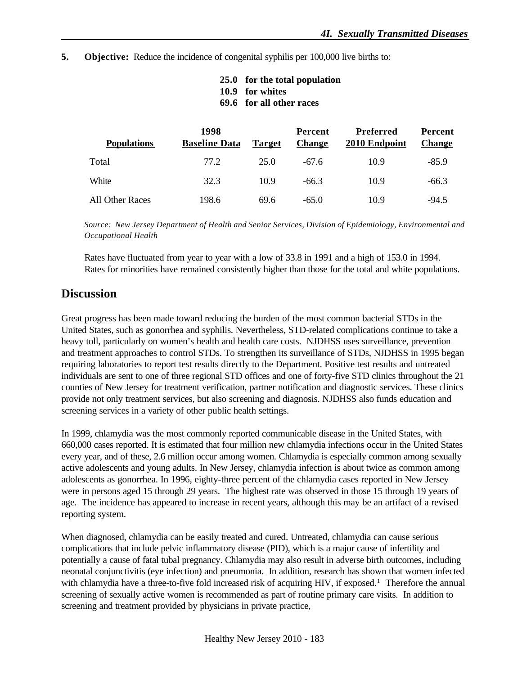**5. Objective:** Reduce the incidence of congenital syphilis per 100,000 live births to:

| 25.0 for the total population |
|-------------------------------|
| 10.9 for whites               |

**69.6 for all other races**

| <b>Populations</b> | 1998<br><b>Baseline Data</b> | <b>Target</b> | Percent<br><b>Change</b> | Preferred<br>2010 Endpoint | Percent<br><b>Change</b> |
|--------------------|------------------------------|---------------|--------------------------|----------------------------|--------------------------|
| Total              | 77.2                         | 25.0          | $-67.6$                  | 10.9                       | $-85.9$                  |
| White              | 32.3                         | 10.9          | $-66.3$                  | 10.9                       | $-66.3$                  |
| All Other Races    | 198.6                        | 69.6          | $-65.0$                  | 10.9                       | $-94.5$                  |

*Source: New Jersey Department of Health and Senior Services, Division of Epidemiology, Environmental and Occupational Health*

Rates have fluctuated from year to year with a low of 33.8 in 1991 and a high of 153.0 in 1994. Rates for minorities have remained consistently higher than those for the total and white populations.

#### **Discussion**

Great progress has been made toward reducing the burden of the most common bacterial STDs in the United States, such as gonorrhea and syphilis. Nevertheless, STD-related complications continue to take a heavy toll, particularly on women's health and health care costs. NJDHSS uses surveillance, prevention and treatment approaches to control STDs. To strengthen its surveillance of STDs, NJDHSS in 1995 began requiring laboratories to report test results directly to the Department. Positive test results and untreated individuals are sent to one of three regional STD offices and one of forty-five STD clinics throughout the 21 counties of New Jersey for treatment verification, partner notification and diagnostic services. These clinics provide not only treatment services, but also screening and diagnosis. NJDHSS also funds education and screening services in a variety of other public health settings.

In 1999, chlamydia was the most commonly reported communicable disease in the United States, with 660,000 cases reported. It is estimated that four million new chlamydia infections occur in the United States every year, and of these, 2.6 million occur among women. Chlamydia is especially common among sexually active adolescents and young adults. In New Jersey, chlamydia infection is about twice as common among adolescents as gonorrhea. In 1996, eighty-three percent of the chlamydia cases reported in New Jersey were in persons aged 15 through 29 years. The highest rate was observed in those 15 through 19 years of age. The incidence has appeared to increase in recent years, although this may be an artifact of a revised reporting system.

When diagnosed, chlamydia can be easily treated and cured. Untreated, chlamydia can cause serious complications that include pelvic inflammatory disease (PID), which is a major cause of infertility and potentially a cause of fatal tubal pregnancy. Chlamydia may also result in adverse birth outcomes, including neonatal conjunctivitis (eye infection) and pneumonia. In addition, research has shown that women infected with chlamydia have a three-to-five fold increased risk of acquiring HIV, if exposed.<sup>1</sup> Therefore the annual screening of sexually active women is recommended as part of routine primary care visits. In addition to screening and treatment provided by physicians in private practice,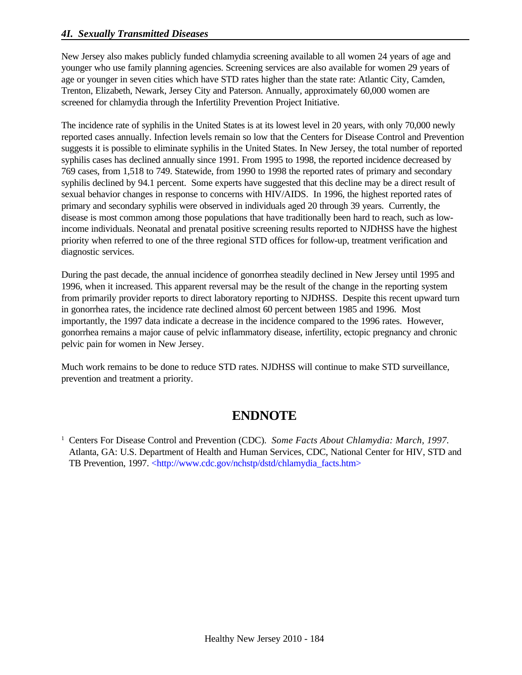New Jersey also makes publicly funded chlamydia screening available to all women 24 years of age and younger who use family planning agencies. Screening services are also available for women 29 years of age or younger in seven cities which have STD rates higher than the state rate: Atlantic City, Camden, Trenton, Elizabeth, Newark, Jersey City and Paterson. Annually, approximately 60,000 women are screened for chlamydia through the Infertility Prevention Project Initiative.

The incidence rate of syphilis in the United States is at its lowest level in 20 years, with only 70,000 newly reported cases annually. Infection levels remain so low that the Centers for Disease Control and Prevention suggests it is possible to eliminate syphilis in the United States. In New Jersey, the total number of reported syphilis cases has declined annually since 1991. From 1995 to 1998, the reported incidence decreased by 769 cases, from 1,518 to 749. Statewide, from 1990 to 1998 the reported rates of primary and secondary syphilis declined by 94.1 percent. Some experts have suggested that this decline may be a direct result of sexual behavior changes in response to concerns with HIV/AIDS. In 1996, the highest reported rates of primary and secondary syphilis were observed in individuals aged 20 through 39 years. Currently, the disease is most common among those populations that have traditionally been hard to reach, such as lowincome individuals. Neonatal and prenatal positive screening results reported to NJDHSS have the highest priority when referred to one of the three regional STD offices for follow-up, treatment verification and diagnostic services.

During the past decade, the annual incidence of gonorrhea steadily declined in New Jersey until 1995 and 1996, when it increased. This apparent reversal may be the result of the change in the reporting system from primarily provider reports to direct laboratory reporting to NJDHSS. Despite this recent upward turn in gonorrhea rates, the incidence rate declined almost 60 percent between 1985 and 1996. Most importantly, the 1997 data indicate a decrease in the incidence compared to the 1996 rates. However, gonorrhea remains a major cause of pelvic inflammatory disease, infertility, ectopic pregnancy and chronic pelvic pain for women in New Jersey.

Much work remains to be done to reduce STD rates. NJDHSS will continue to make STD surveillance, prevention and treatment a priority.

## **ENDNOTE**

<sup>&</sup>lt;sup>1</sup> Centers For Disease Control and Prevention (CDC). *Some Facts About Chlamydia: March, 1997*. Atlanta, GA: U.S. Department of Health and Human Services, CDC, National Center for HIV, STD and TB Prevention, 1997. <http://www.cdc.gov/nchstp/dstd/chlamydia\_facts.htm>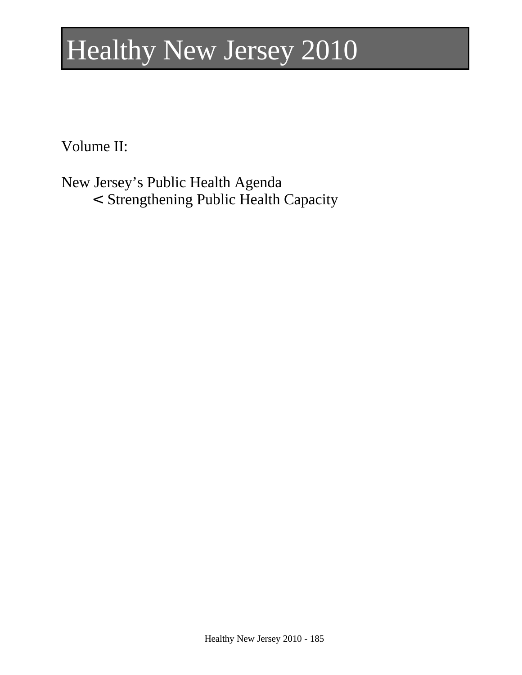# Healthy New Jersey 2010

Volume II:

New Jersey's Public Health Agenda

< Strengthening Public Health Capacity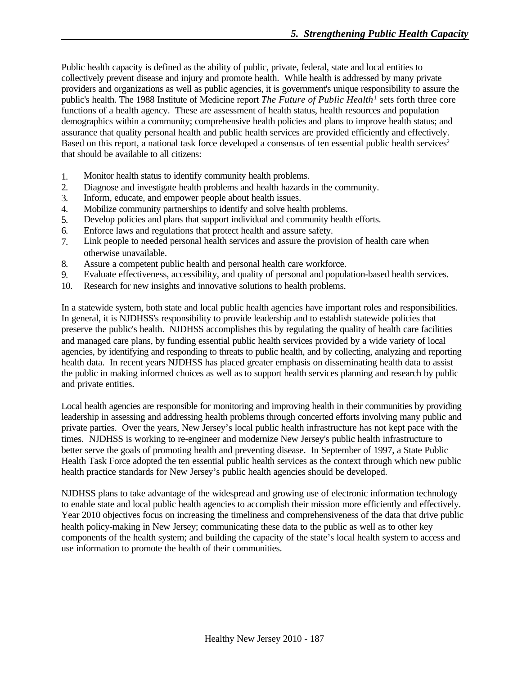Public health capacity is defined as the ability of public, private, federal, state and local entities to collectively prevent disease and injury and promote health. While health is addressed by many private providers and organizations as well as public agencies, it is government's unique responsibility to assure the public's health. The 1988 Institute of Medicine report *The Future of Public Health*<sup>1</sup> sets forth three core functions of a health agency. These are assessment of health status, health resources and population demographics within a community; comprehensive health policies and plans to improve health status; and assurance that quality personal health and public health services are provided efficiently and effectively. Based on this report, a national task force developed a consensus of ten essential public health services<sup>2</sup> that should be available to all citizens:

- 1. Monitor health status to identify community health problems.
- 2. Diagnose and investigate health problems and health hazards in the community.
- 3. Inform, educate, and empower people about health issues.
- 4. Mobilize community partnerships to identify and solve health problems.
- 5. Develop policies and plans that support individual and community health efforts.
- 6. Enforce laws and regulations that protect health and assure safety.
- 7. Link people to needed personal health services and assure the provision of health care when otherwise unavailable.
- 8. Assure a competent public health and personal health care workforce.
- 9. Evaluate effectiveness, accessibility, and quality of personal and population-based health services.
- 10. Research for new insights and innovative solutions to health problems.

In a statewide system, both state and local public health agencies have important roles and responsibilities. In general, it is NJDHSS's responsibility to provide leadership and to establish statewide policies that preserve the public's health. NJDHSS accomplishes this by regulating the quality of health care facilities and managed care plans, by funding essential public health services provided by a wide variety of local agencies, by identifying and responding to threats to public health, and by collecting, analyzing and reporting health data. In recent years NJDHSS has placed greater emphasis on disseminating health data to assist the public in making informed choices as well as to support health services planning and research by public and private entities.

Local health agencies are responsible for monitoring and improving health in their communities by providing leadership in assessing and addressing health problems through concerted efforts involving many public and private parties. Over the years, New Jersey's local public health infrastructure has not kept pace with the times. NJDHSS is working to re-engineer and modernize New Jersey's public health infrastructure to better serve the goals of promoting health and preventing disease. In September of 1997, a State Public Health Task Force adopted the ten essential public health services as the context through which new public health practice standards for New Jersey's public health agencies should be developed.

NJDHSS plans to take advantage of the widespread and growing use of electronic information technology to enable state and local public health agencies to accomplish their mission more efficiently and effectively. Year 2010 objectives focus on increasing the timeliness and comprehensiveness of the data that drive public health policy-making in New Jersey; communicating these data to the public as well as to other key components of the health system; and building the capacity of the state's local health system to access and use information to promote the health of their communities.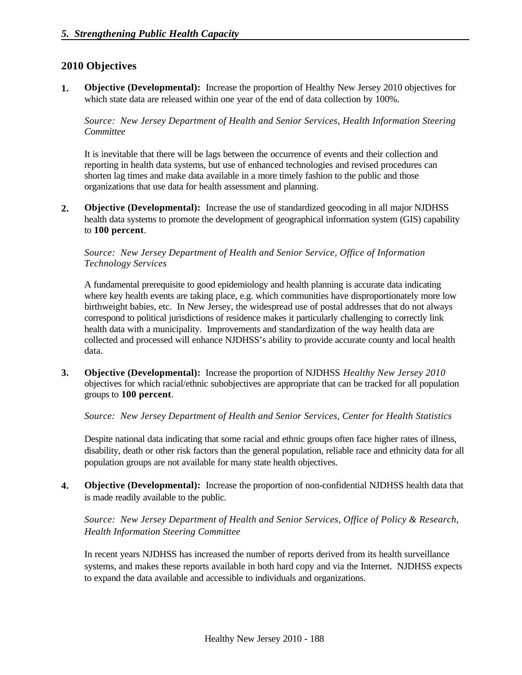#### **2010 Objectives**

**1. Objective (Developmental):** Increase the proportion of Healthy New Jersey 2010 objectives for which state data are released within one year of the end of data collection by 100%.

*Source: New Jersey Department of Health and Senior Services, Health Information Steering Committee*

It is inevitable that there will be lags between the occurrence of events and their collection and reporting in health data systems, but use of enhanced technologies and revised procedures can shorten lag times and make data available in a more timely fashion to the public and those organizations that use data for health assessment and planning.

**2. Objective (Developmental):** Increase the use of standardized geocoding in all major NJDHSS health data systems to promote the development of geographical information system (GIS) capability to **100 percent**.

*Source: New Jersey Department of Health and Senior Service, Office of Information Technology Services*

A fundamental prerequisite to good epidemiology and health planning is accurate data indicating where key health events are taking place, e.g. which communities have disproportionately more low birthweight babies, etc. In New Jersey, the widespread use of postal addresses that do not always correspond to political jurisdictions of residence makes it particularly challenging to correctly link health data with a municipality. Improvements and standardization of the way health data are collected and processed will enhance NJDHSS's ability to provide accurate county and local health data.

**3. Objective (Developmental):** Increase the proportion of NJDHSS *Healthy New Jersey 2010* objectives for which racial/ethnic subobjectives are appropriate that can be tracked for all population groups to **100 percent**.

*Source: New Jersey Department of Health and Senior Services, Center for Health Statistics*

Despite national data indicating that some racial and ethnic groups often face higher rates of illness, disability, death or other risk factors than the general population, reliable race and ethnicity data for all population groups are not available for many state health objectives.

**4. Objective (Developmental):** Increase the proportion of non-confidential NJDHSS health data that is made readily available to the public.

*Source: New Jersey Department of Health and Senior Services, Office of Policy & Research, Health Information Steering Committee*

In recent years NJDHSS has increased the number of reports derived from its health surveillance systems, and makes these reports available in both hard copy and via the Internet. NJDHSS expects to expand the data available and accessible to individuals and organizations.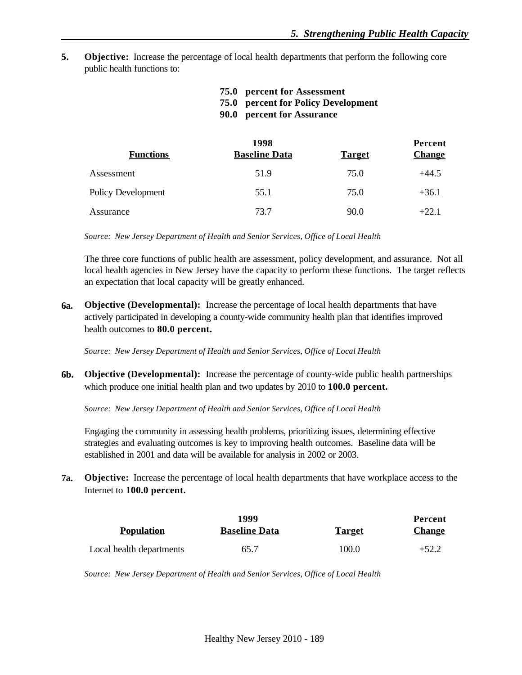**5. Objective:** Increase the percentage of local health departments that perform the following core public health functions to:

| 75.0 percent for Assessment                |
|--------------------------------------------|
| <b>75.0 percent for Policy Development</b> |
| 90.0 percent for Assurance                 |

|                           | 1998                 |               | Percent       |
|---------------------------|----------------------|---------------|---------------|
| <b>Functions</b>          | <b>Baseline Data</b> | <b>Target</b> | <b>Change</b> |
| Assessment                | 51.9                 | 75.0          | $+44.5$       |
| <b>Policy Development</b> | 55.1                 | 75.0          | $+36.1$       |
| Assurance                 | 73.7                 | 90.0          | $+22.1$       |

*Source: New Jersey Department of Health and Senior Services, Office of Local Health*

The three core functions of public health are assessment, policy development, and assurance. Not all local health agencies in New Jersey have the capacity to perform these functions. The target reflects an expectation that local capacity will be greatly enhanced.

**6a. Objective (Developmental):** Increase the percentage of local health departments that have actively participated in developing a county-wide community health plan that identifies improved health outcomes to **80.0 percent.**

*Source: New Jersey Department of Health and Senior Services, Office of Local Health*

**6b. Objective (Developmental):** Increase the percentage of county-wide public health partnerships which produce one initial health plan and two updates by 2010 to **100.0 percent.**

*Source: New Jersey Department of Health and Senior Services, Office of Local Health*

Engaging the community in assessing health problems, prioritizing issues, determining effective strategies and evaluating outcomes is key to improving health outcomes. Baseline data will be established in 2001 and data will be available for analysis in 2002 or 2003.

**7a. Objective:** Increase the percentage of local health departments that have workplace access to the Internet to **100.0 percent.**

|                          | 1999                 |               | Percent       |
|--------------------------|----------------------|---------------|---------------|
| <b>Population</b>        | <b>Baseline Data</b> | <b>Target</b> | <b>Change</b> |
| Local health departments | 65.7                 | 100.0         | $+52.2$       |

*Source: New Jersey Department of Health and Senior Services, Office of Local Health*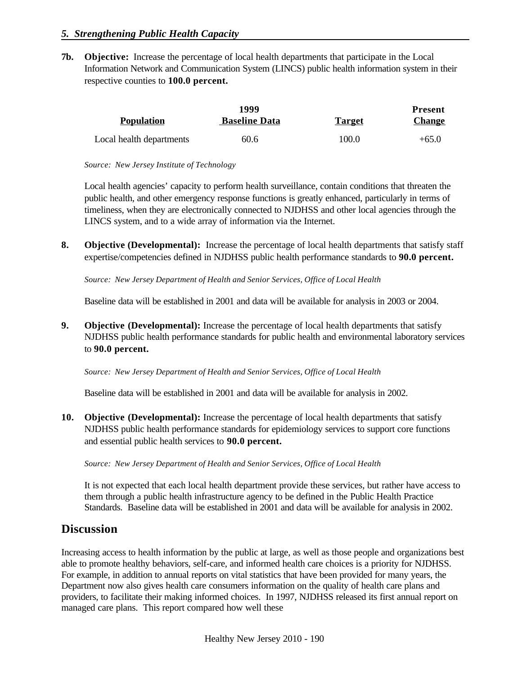**7b. Objective:** Increase the percentage of local health departments that participate in the Local Information Network and Communication System (LINCS) public health information system in their respective counties to **100.0 percent.**

|                          | 1999                 |               | <b>Present</b> |
|--------------------------|----------------------|---------------|----------------|
| <b>Population</b>        | <b>Baseline Data</b> | <b>Target</b> | <b>Change</b>  |
| Local health departments | 60.6                 | 100.0         | $+65.0$        |

*Source: New Jersey Institute of Technology*

Local health agencies' capacity to perform health surveillance, contain conditions that threaten the public health, and other emergency response functions is greatly enhanced, particularly in terms of timeliness, when they are electronically connected to NJDHSS and other local agencies through the LINCS system, and to a wide array of information via the Internet.

**8. Objective (Developmental):** Increase the percentage of local health departments that satisfy staff expertise/competencies defined in NJDHSS public health performance standards to **90.0 percent.**

*Source: New Jersey Department of Health and Senior Services, Office of Local Health*

Baseline data will be established in 2001 and data will be available for analysis in 2003 or 2004.

**9. Objective (Developmental):** Increase the percentage of local health departments that satisfy NJDHSS public health performance standards for public health and environmental laboratory services to **90.0 percent.**

*Source: New Jersey Department of Health and Senior Services, Office of Local Health*

Baseline data will be established in 2001 and data will be available for analysis in 2002.

**10. Objective (Developmental):** Increase the percentage of local health departments that satisfy NJDHSS public health performance standards for epidemiology services to support core functions and essential public health services to **90.0 percent.**

*Source: New Jersey Department of Health and Senior Services, Office of Local Health*

It is not expected that each local health department provide these services, but rather have access to them through a public health infrastructure agency to be defined in the Public Health Practice Standards. Baseline data will be established in 2001 and data will be available for analysis in 2002.

### **Discussion**

Increasing access to health information by the public at large, as well as those people and organizations best able to promote healthy behaviors, self-care, and informed health care choices is a priority for NJDHSS. For example, in addition to annual reports on vital statistics that have been provided for many years, the Department now also gives health care consumers information on the quality of health care plans and providers, to facilitate their making informed choices. In 1997, NJDHSS released its first annual report on managed care plans. This report compared how well these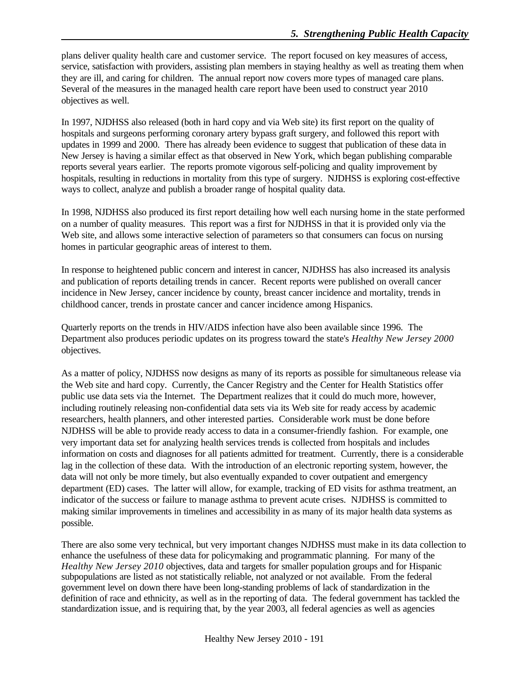plans deliver quality health care and customer service. The report focused on key measures of access, service, satisfaction with providers, assisting plan members in staying healthy as well as treating them when they are ill, and caring for children. The annual report now covers more types of managed care plans. Several of the measures in the managed health care report have been used to construct year 2010 objectives as well.

In 1997, NJDHSS also released (both in hard copy and via Web site) its first report on the quality of hospitals and surgeons performing coronary artery bypass graft surgery, and followed this report with updates in 1999 and 2000. There has already been evidence to suggest that publication of these data in New Jersey is having a similar effect as that observed in New York, which began publishing comparable reports several years earlier. The reports promote vigorous self-policing and quality improvement by hospitals, resulting in reductions in mortality from this type of surgery. NJDHSS is exploring cost-effective ways to collect, analyze and publish a broader range of hospital quality data.

In 1998, NJDHSS also produced its first report detailing how well each nursing home in the state performed on a number of quality measures. This report was a first for NJDHSS in that it is provided only via the Web site, and allows some interactive selection of parameters so that consumers can focus on nursing homes in particular geographic areas of interest to them.

In response to heightened public concern and interest in cancer, NJDHSS has also increased its analysis and publication of reports detailing trends in cancer. Recent reports were published on overall cancer incidence in New Jersey, cancer incidence by county, breast cancer incidence and mortality, trends in childhood cancer, trends in prostate cancer and cancer incidence among Hispanics.

Quarterly reports on the trends in HIV/AIDS infection have also been available since 1996. The Department also produces periodic updates on its progress toward the state's *Healthy New Jersey 2000* objectives.

As a matter of policy, NJDHSS now designs as many of its reports as possible for simultaneous release via the Web site and hard copy. Currently, the Cancer Registry and the Center for Health Statistics offer public use data sets via the Internet. The Department realizes that it could do much more, however, including routinely releasing non-confidential data sets via its Web site for ready access by academic researchers, health planners, and other interested parties. Considerable work must be done before NJDHSS will be able to provide ready access to data in a consumer-friendly fashion. For example, one very important data set for analyzing health services trends is collected from hospitals and includes information on costs and diagnoses for all patients admitted for treatment. Currently, there is a considerable lag in the collection of these data. With the introduction of an electronic reporting system, however, the data will not only be more timely, but also eventually expanded to cover outpatient and emergency department (ED) cases. The latter will allow, for example, tracking of ED visits for asthma treatment, an indicator of the success or failure to manage asthma to prevent acute crises. NJDHSS is committed to making similar improvements in timelines and accessibility in as many of its major health data systems as possible.

There are also some very technical, but very important changes NJDHSS must make in its data collection to enhance the usefulness of these data for policymaking and programmatic planning. For many of the *Healthy New Jersey 2010* objectives, data and targets for smaller population groups and for Hispanic subpopulations are listed as not statistically reliable, not analyzed or not available. From the federal government level on down there have been long-standing problems of lack of standardization in the definition of race and ethnicity, as well as in the reporting of data. The federal government has tackled the standardization issue, and is requiring that, by the year 2003, all federal agencies as well as agencies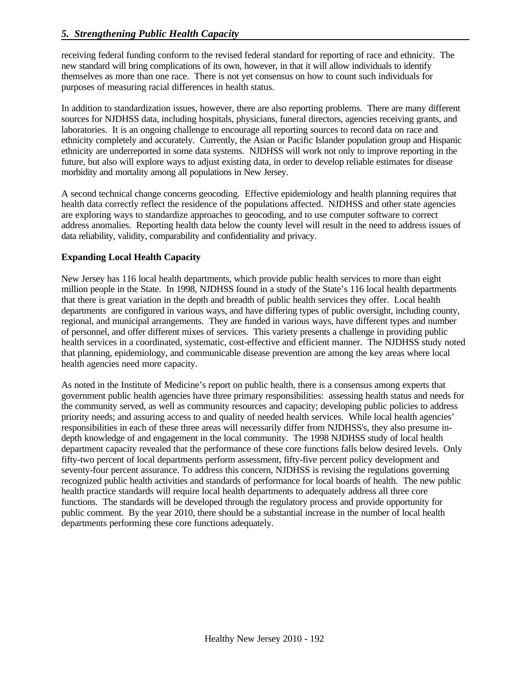receiving federal funding conform to the revised federal standard for reporting of race and ethnicity. The new standard will bring complications of its own, however, in that it will allow individuals to identify themselves as more than one race. There is not yet consensus on how to count such individuals for purposes of measuring racial differences in health status.

In addition to standardization issues, however, there are also reporting problems. There are many different sources for NJDHSS data, including hospitals, physicians, funeral directors, agencies receiving grants, and laboratories. It is an ongoing challenge to encourage all reporting sources to record data on race and ethnicity completely and accurately. Currently, the Asian or Pacific Islander population group and Hispanic ethnicity are underreported in some data systems. NJDHSS will work not only to improve reporting in the future, but also will explore ways to adjust existing data, in order to develop reliable estimates for disease morbidity and mortality among all populations in New Jersey.

A second technical change concerns geocoding. Effective epidemiology and health planning requires that health data correctly reflect the residence of the populations affected. NJDHSS and other state agencies are exploring ways to standardize approaches to geocoding, and to use computer software to correct address anomalies. Reporting health data below the county level will result in the need to address issues of data reliability, validity, comparability and confidentiality and privacy.

#### **Expanding Local Health Capacity**

New Jersey has 116 local health departments, which provide public health services to more than eight million people in the State. In 1998, NJDHSS found in a study of the State's 116 local health departments that there is great variation in the depth and breadth of public health services they offer. Local health departments are configured in various ways, and have differing types of public oversight, including county, regional, and municipal arrangements. They are funded in various ways, have different types and number of personnel, and offer different mixes of services. This variety presents a challenge in providing public health services in a coordinated, systematic, cost-effective and efficient manner. The NJDHSS study noted that planning, epidemiology, and communicable disease prevention are among the key areas where local health agencies need more capacity.

As noted in the Institute of Medicine's report on public health, there is a consensus among experts that government public health agencies have three primary responsibilities: assessing health status and needs for the community served, as well as community resources and capacity; developing public policies to address priority needs; and assuring access to and quality of needed health services. While local health agencies' responsibilities in each of these three areas will necessarily differ from NJDHSS's, they also presume indepth knowledge of and engagement in the local community. The 1998 NJDHSS study of local health department capacity revealed that the performance of these core functions falls below desired levels. Only fifty-two percent of local departments perform assessment, fifty-five percent policy development and seventy-four percent assurance. To address this concern, NJDHSS is revising the regulations governing recognized public health activities and standards of performance for local boards of health. The new public health practice standards will require local health departments to adequately address all three core functions. The standards will be developed through the regulatory process and provide opportunity for public comment. By the year 2010, there should be a substantial increase in the number of local health departments performing these core functions adequately.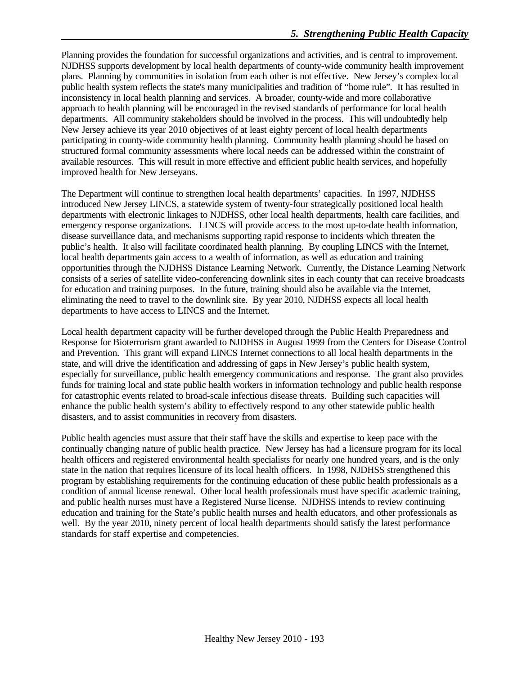Planning provides the foundation for successful organizations and activities, and is central to improvement. NJDHSS supports development by local health departments of county-wide community health improvement plans. Planning by communities in isolation from each other is not effective. New Jersey's complex local public health system reflects the state's many municipalities and tradition of "home rule". It has resulted in inconsistency in local health planning and services. A broader, county-wide and more collaborative approach to health planning will be encouraged in the revised standards of performance for local health departments. All community stakeholders should be involved in the process. This will undoubtedly help New Jersey achieve its year 2010 objectives of at least eighty percent of local health departments participating in county-wide community health planning. Community health planning should be based on structured formal community assessments where local needs can be addressed within the constraint of available resources. This will result in more effective and efficient public health services, and hopefully improved health for New Jerseyans.

The Department will continue to strengthen local health departments' capacities. In 1997, NJDHSS introduced New Jersey LINCS, a statewide system of twenty-four strategically positioned local health departments with electronic linkages to NJDHSS, other local health departments, health care facilities, and emergency response organizations. LINCS will provide access to the most up-to-date health information, disease surveillance data, and mechanisms supporting rapid response to incidents which threaten the public's health. It also will facilitate coordinated health planning. By coupling LINCS with the Internet, local health departments gain access to a wealth of information, as well as education and training opportunities through the NJDHSS Distance Learning Network. Currently, the Distance Learning Network consists of a series of satellite video-conferencing downlink sites in each county that can receive broadcasts for education and training purposes. In the future, training should also be available via the Internet, eliminating the need to travel to the downlink site. By year 2010, NJDHSS expects all local health departments to have access to LINCS and the Internet.

Local health department capacity will be further developed through the Public Health Preparedness and Response for Bioterrorism grant awarded to NJDHSS in August 1999 from the Centers for Disease Control and Prevention. This grant will expand LINCS Internet connections to all local health departments in the state, and will drive the identification and addressing of gaps in New Jersey's public health system, especially for surveillance, public health emergency communications and response. The grant also provides funds for training local and state public health workers in information technology and public health response for catastrophic events related to broad-scale infectious disease threats. Building such capacities will enhance the public health system's ability to effectively respond to any other statewide public health disasters, and to assist communities in recovery from disasters.

Public health agencies must assure that their staff have the skills and expertise to keep pace with the continually changing nature of public health practice. New Jersey has had a licensure program for its local health officers and registered environmental health specialists for nearly one hundred years, and is the only state in the nation that requires licensure of its local health officers. In 1998, NJDHSS strengthened this program by establishing requirements for the continuing education of these public health professionals as a condition of annual license renewal. Other local health professionals must have specific academic training, and public health nurses must have a Registered Nurse license. NJDHSS intends to review continuing education and training for the State's public health nurses and health educators, and other professionals as well. By the year 2010, ninety percent of local health departments should satisfy the latest performance standards for staff expertise and competencies.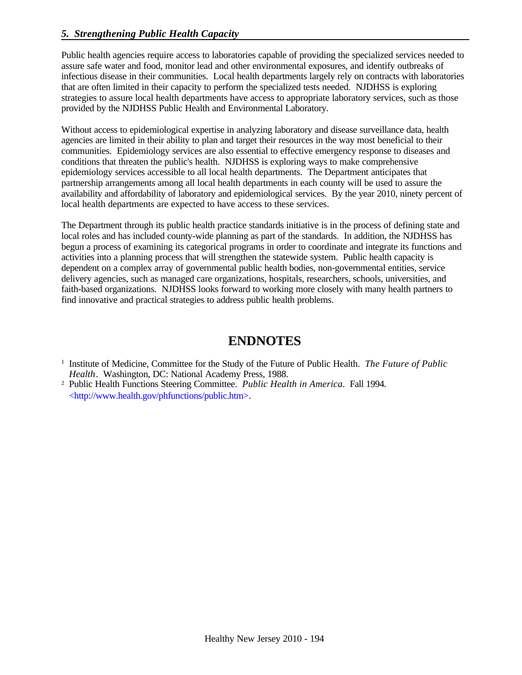Public health agencies require access to laboratories capable of providing the specialized services needed to assure safe water and food, monitor lead and other environmental exposures, and identify outbreaks of infectious disease in their communities. Local health departments largely rely on contracts with laboratories that are often limited in their capacity to perform the specialized tests needed. NJDHSS is exploring strategies to assure local health departments have access to appropriate laboratory services, such as those provided by the NJDHSS Public Health and Environmental Laboratory.

Without access to epidemiological expertise in analyzing laboratory and disease surveillance data, health agencies are limited in their ability to plan and target their resources in the way most beneficial to their communities. Epidemiology services are also essential to effective emergency response to diseases and conditions that threaten the public's health. NJDHSS is exploring ways to make comprehensive epidemiology services accessible to all local health departments. The Department anticipates that partnership arrangements among all local health departments in each county will be used to assure the availability and affordability of laboratory and epidemiological services. By the year 2010, ninety percent of local health departments are expected to have access to these services.

The Department through its public health practice standards initiative is in the process of defining state and local roles and has included county-wide planning as part of the standards. In addition, the NJDHSS has begun a process of examining its categorical programs in order to coordinate and integrate its functions and activities into a planning process that will strengthen the statewide system. Public health capacity is dependent on a complex array of governmental public health bodies, non-governmental entities, service delivery agencies, such as managed care organizations, hospitals, researchers, schools, universities, and faith-based organizations. NJDHSS looks forward to working more closely with many health partners to find innovative and practical strategies to address public health problems.

# **ENDNOTES**

<sup>2</sup> Public Health Functions Steering Committee. *Public Health in America*. Fall 1994. <http://www.health.gov/phfunctions/public.htm>.

<sup>&</sup>lt;sup>1</sup> Institute of Medicine, Committee for the Study of the Future of Public Health. *The Future of Public Health*. Washington, DC: National Academy Press, 1988.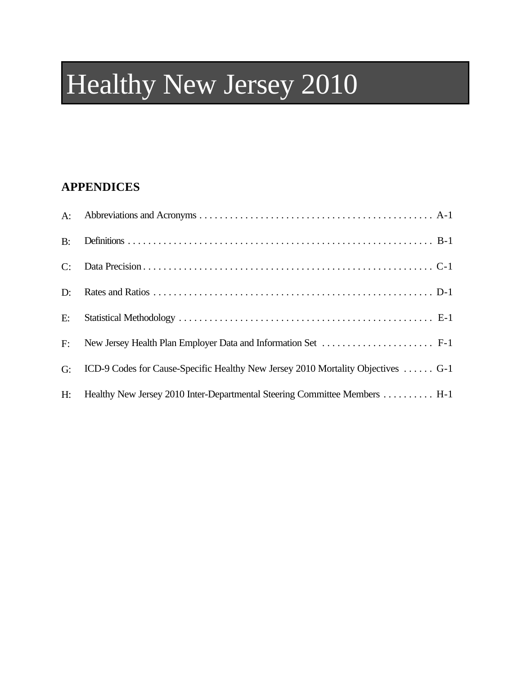# Healthy New Jersey 2010

## **APPENDICES**

| $B$ : |                                                                                  |
|-------|----------------------------------------------------------------------------------|
| C:    |                                                                                  |
| $D$ : |                                                                                  |
| E:    |                                                                                  |
| F:    |                                                                                  |
| G:    | ICD-9 Codes for Cause-Specific Healthy New Jersey 2010 Mortality Objectives  G-1 |
| H:    | Healthy New Jersey 2010 Inter-Departmental Steering Committee Members  H-1       |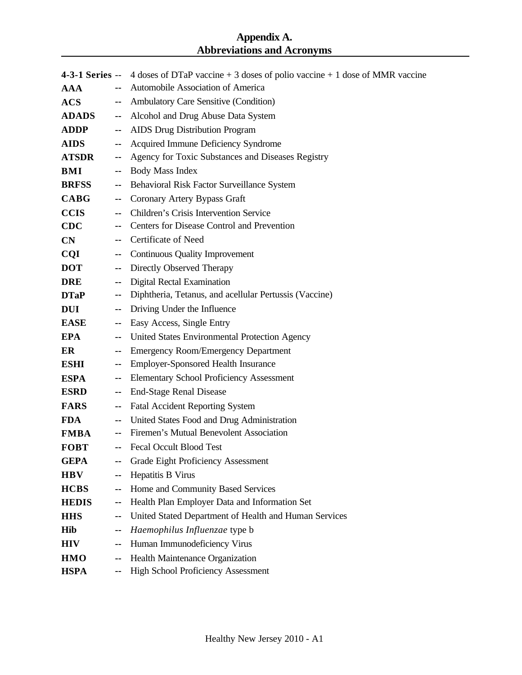#### **Appendix A. Abbreviations and Acronyms**

|               |                          | 4-3-1 Series -- 4 doses of DTaP vaccine + 3 doses of polio vaccine + 1 dose of MMR vaccine |
|---------------|--------------------------|--------------------------------------------------------------------------------------------|
| <b>AAA</b>    | н.                       | Automobile Association of America                                                          |
| ACS           | н.                       | Ambulatory Care Sensitive (Condition)                                                      |
| <b>ADADS</b>  | $\sim$                   | Alcohol and Drug Abuse Data System                                                         |
| <b>ADDP</b>   | ۰.                       | <b>AIDS</b> Drug Distribution Program                                                      |
| <b>AIDS</b>   | $\sim$                   | Acquired Immune Deficiency Syndrome                                                        |
| <b>ATSDR</b>  | ۰.                       | Agency for Toxic Substances and Diseases Registry                                          |
| <b>BMI</b>    | ۰.                       | <b>Body Mass Index</b>                                                                     |
| <b>BRFSS</b>  | $\sim$                   | Behavioral Risk Factor Surveillance System                                                 |
| <b>CABG</b>   | $\sim$                   | Coronary Artery Bypass Graft                                                               |
| <b>CCIS</b>   | ۰.                       | Children's Crisis Intervention Service                                                     |
| <b>CDC</b>    | н.                       | Centers for Disease Control and Prevention                                                 |
| $\mathbf{CN}$ |                          | Certificate of Need                                                                        |
| CQI           | --                       | <b>Continuous Quality Improvement</b>                                                      |
| <b>DOT</b>    | ۰.                       | Directly Observed Therapy                                                                  |
| <b>DRE</b>    | $\sim$                   | <b>Digital Rectal Examination</b>                                                          |
| <b>DTaP</b>   | $\overline{\phantom{a}}$ | Diphtheria, Tetanus, and acellular Pertussis (Vaccine)                                     |
| <b>DUI</b>    | $\sim$                   | Driving Under the Influence                                                                |
| <b>EASE</b>   | $\sim$                   | Easy Access, Single Entry                                                                  |
| <b>EPA</b>    | $\sim$                   | United States Environmental Protection Agency                                              |
| ER            | $\sim$                   | <b>Emergency Room/Emergency Department</b>                                                 |
| <b>ESHI</b>   | $\overline{\phantom{a}}$ | <b>Employer-Sponsored Health Insurance</b>                                                 |
| <b>ESPA</b>   | --                       | <b>Elementary School Proficiency Assessment</b>                                            |
| <b>ESRD</b>   | $\sim$                   | <b>End-Stage Renal Disease</b>                                                             |
| <b>FARS</b>   | ۰.                       | <b>Fatal Accident Reporting System</b>                                                     |
| <b>FDA</b>    | $\sim$                   | United States Food and Drug Administration                                                 |
| <b>FMBA</b>   |                          | Firemen's Mutual Benevolent Association                                                    |
| <b>FOBT</b>   | н.                       | <b>Fecal Occult Blood Test</b>                                                             |
| <b>GEPA</b>   | --                       | <b>Grade Eight Proficiency Assessment</b>                                                  |
| <b>HBV</b>    | --                       | Hepatitis B Virus                                                                          |
| <b>HCBS</b>   | ۰.                       | Home and Community Based Services                                                          |
| <b>HEDIS</b>  | --                       | Health Plan Employer Data and Information Set                                              |
| <b>HHS</b>    | --                       | United Stated Department of Health and Human Services                                      |
| <b>Hib</b>    | ۰.                       | Haemophilus Influenzae type b                                                              |
| <b>HIV</b>    | ۰.                       | Human Immunodeficiency Virus                                                               |
| <b>HMO</b>    | --                       | Health Maintenance Organization                                                            |
| <b>HSPA</b>   |                          | <b>High School Proficiency Assessment</b>                                                  |
|               |                          |                                                                                            |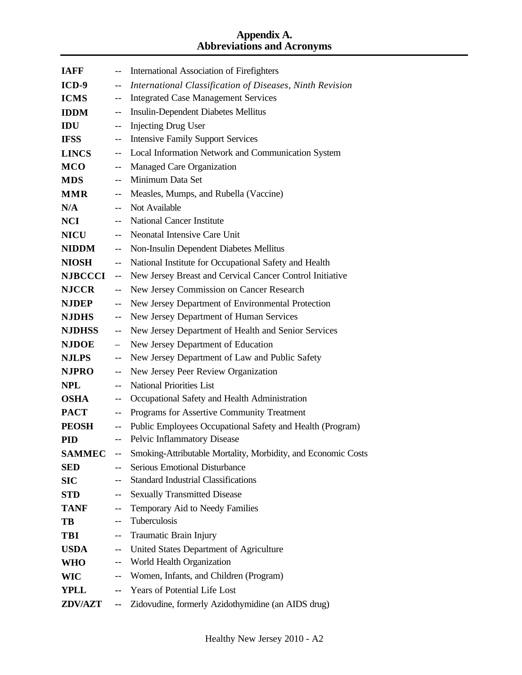#### **Appendix A. Abbreviations and Acronyms**

| <b>IAFF</b>    |                          | International Association of Firefighters                     |
|----------------|--------------------------|---------------------------------------------------------------|
| ICD-9          | $-$                      | International Classification of Diseases, Ninth Revision      |
| <b>ICMS</b>    | $- -$                    | <b>Integrated Case Management Services</b>                    |
| <b>IDDM</b>    | $-$                      | <b>Insulin-Dependent Diabetes Mellitus</b>                    |
| IDU            | $-$                      | <b>Injecting Drug User</b>                                    |
| <b>IFSS</b>    | $- -$                    | <b>Intensive Family Support Services</b>                      |
| <b>LINCS</b>   | $-$                      | Local Information Network and Communication System            |
| <b>MCO</b>     | $-$                      | Managed Care Organization                                     |
| <b>MDS</b>     | $\overline{\phantom{a}}$ | Minimum Data Set                                              |
| <b>MMR</b>     | $\overline{\phantom{m}}$ | Measles, Mumps, and Rubella (Vaccine)                         |
| N/A            | $-$                      | Not Available                                                 |
| <b>NCI</b>     | $\overline{\phantom{a}}$ | <b>National Cancer Institute</b>                              |
| <b>NICU</b>    | $\overline{a}$           | Neonatal Intensive Care Unit                                  |
| NIDDM          | $-$                      | Non-Insulin Dependent Diabetes Mellitus                       |
| <b>NIOSH</b>   | $\overline{a}$           | National Institute for Occupational Safety and Health         |
| <b>NJBCCCI</b> | $\overline{\phantom{a}}$ | New Jersey Breast and Cervical Cancer Control Initiative      |
| <b>NJCCR</b>   | $-$                      | New Jersey Commission on Cancer Research                      |
| <b>NJDEP</b>   | $\overline{a}$           | New Jersey Department of Environmental Protection             |
| <b>NJDHS</b>   | $-$                      | New Jersey Department of Human Services                       |
| <b>NJDHSS</b>  | $-$                      | New Jersey Department of Health and Senior Services           |
| <b>NJDOE</b>   | $\overline{a}$           | New Jersey Department of Education                            |
| <b>NJLPS</b>   | $-$                      | New Jersey Department of Law and Public Safety                |
| <b>NJPRO</b>   | $-$                      | New Jersey Peer Review Organization                           |
| <b>NPL</b>     | $-$                      | <b>National Priorities List</b>                               |
| <b>OSHA</b>    | $-$                      | Occupational Safety and Health Administration                 |
| <b>PACT</b>    | $\overline{\phantom{m}}$ | Programs for Assertive Community Treatment                    |
| <b>PEOSH</b>   | $\overline{\phantom{m}}$ | Public Employees Occupational Safety and Health (Program)     |
| <b>PID</b>     | $-$                      | Pelvic Inflammatory Disease                                   |
| <b>SAMMEC</b>  | $-\,-$                   | Smoking-Attributable Mortality, Morbidity, and Economic Costs |
| <b>SED</b>     | --                       | <b>Serious Emotional Disturbance</b>                          |
| SIC            | --                       | <b>Standard Industrial Classifications</b>                    |
| <b>STD</b>     | $-$                      | <b>Sexually Transmitted Disease</b>                           |
| <b>TANF</b>    | $\overline{\phantom{a}}$ | Temporary Aid to Needy Families                               |
| TB             | --                       | Tuberculosis                                                  |
| <b>TBI</b>     | $-$                      | Traumatic Brain Injury                                        |
| <b>USDA</b>    | $\overline{\phantom{a}}$ | United States Department of Agriculture                       |
| <b>WHO</b>     | $\overline{\phantom{a}}$ | World Health Organization                                     |
| <b>WIC</b>     | $-$                      | Women, Infants, and Children (Program)                        |
| YPLL           | ۰.                       | Years of Potential Life Lost                                  |
| <b>ZDV/AZT</b> | ۰.                       | Zidovudine, formerly Azidothymidine (an AIDS drug)            |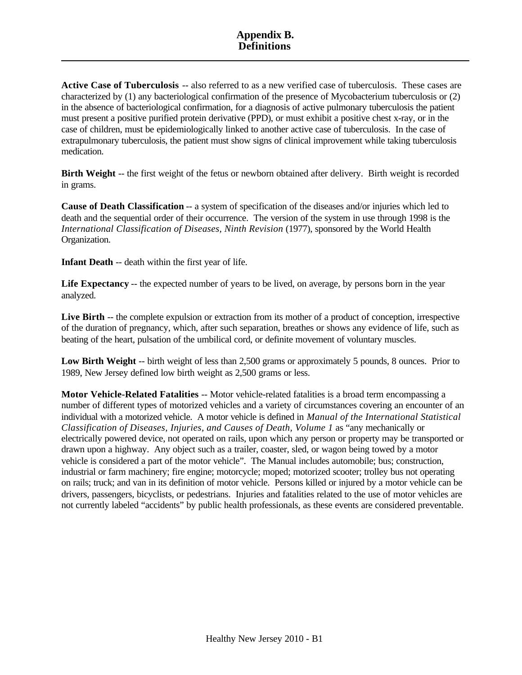#### **Appendix B. Definitions**

**Active Case of Tuberculosis** -- also referred to as a new verified case of tuberculosis. These cases are characterized by (1) any bacteriological confirmation of the presence of Mycobacterium tuberculosis or (2) in the absence of bacteriological confirmation, for a diagnosis of active pulmonary tuberculosis the patient must present a positive purified protein derivative (PPD), or must exhibit a positive chest x-ray, or in the case of children, must be epidemiologically linked to another active case of tuberculosis. In the case of extrapulmonary tuberculosis, the patient must show signs of clinical improvement while taking tuberculosis medication.

**Birth Weight** -- the first weight of the fetus or newborn obtained after delivery. Birth weight is recorded in grams.

**Cause of Death Classification** -- a system of specification of the diseases and/or injuries which led to death and the sequential order of their occurrence. The version of the system in use through 1998 is the *International Classification of Diseases, Ninth Revision* (1977), sponsored by the World Health Organization.

**Infant Death** -- death within the first year of life.

**Life Expectancy** -- the expected number of years to be lived, on average, by persons born in the year analyzed.

Live Birth -- the complete expulsion or extraction from its mother of a product of conception, irrespective of the duration of pregnancy, which, after such separation, breathes or shows any evidence of life, such as beating of the heart, pulsation of the umbilical cord, or definite movement of voluntary muscles.

Low Birth Weight -- birth weight of less than 2,500 grams or approximately 5 pounds, 8 ounces. Prior to 1989, New Jersey defined low birth weight as 2,500 grams or less.

**Motor Vehicle-Related Fatalities** -- Motor vehicle-related fatalities is a broad term encompassing a number of different types of motorized vehicles and a variety of circumstances covering an encounter of an individual with a motorized vehicle. A motor vehicle is defined in *Manual of the International Statistical Classification of Diseases, Injuries, and Causes of Death, Volume 1* as "any mechanically or electrically powered device, not operated on rails, upon which any person or property may be transported or drawn upon a highway. Any object such as a trailer, coaster, sled, or wagon being towed by a motor vehicle is considered a part of the motor vehicle". The Manual includes automobile; bus; construction, industrial or farm machinery; fire engine; motorcycle; moped; motorized scooter; trolley bus not operating on rails; truck; and van in its definition of motor vehicle. Persons killed or injured by a motor vehicle can be drivers, passengers, bicyclists, or pedestrians. Injuries and fatalities related to the use of motor vehicles are not currently labeled "accidents" by public health professionals, as these events are considered preventable.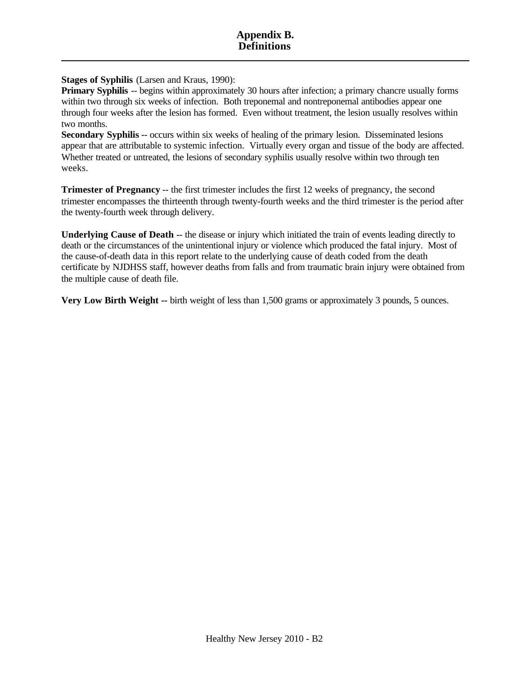**Stages of Syphilis** (Larsen and Kraus, 1990):

**Primary Syphilis** -- begins within approximately 30 hours after infection; a primary chancre usually forms within two through six weeks of infection. Both treponemal and nontreponemal antibodies appear one through four weeks after the lesion has formed. Even without treatment, the lesion usually resolves within two months.

**Secondary Syphilis** -- occurs within six weeks of healing of the primary lesion. Disseminated lesions appear that are attributable to systemic infection. Virtually every organ and tissue of the body are affected. Whether treated or untreated, the lesions of secondary syphilis usually resolve within two through ten weeks.

**Trimester of Pregnancy** -- the first trimester includes the first 12 weeks of pregnancy, the second trimester encompasses the thirteenth through twenty-fourth weeks and the third trimester is the period after the twenty-fourth week through delivery.

**Underlying Cause of Death** -- the disease or injury which initiated the train of events leading directly to death or the circumstances of the unintentional injury or violence which produced the fatal injury. Most of the cause-of-death data in this report relate to the underlying cause of death coded from the death certificate by NJDHSS staff, however deaths from falls and from traumatic brain injury were obtained from the multiple cause of death file.

**Very Low Birth Weight --** birth weight of less than 1,500 grams or approximately 3 pounds, 5 ounces.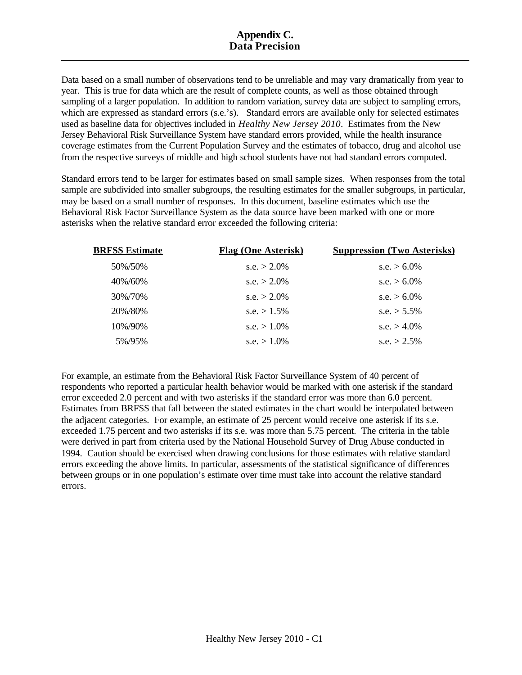#### **Appendix C. Data Precision**

Data based on a small number of observations tend to be unreliable and may vary dramatically from year to year. This is true for data which are the result of complete counts, as well as those obtained through sampling of a larger population. In addition to random variation, survey data are subject to sampling errors, which are expressed as standard errors (s.e.'s). Standard errors are available only for selected estimates used as baseline data for objectives included in *Healthy New Jersey 2010*. Estimates from the New Jersey Behavioral Risk Surveillance System have standard errors provided, while the health insurance coverage estimates from the Current Population Survey and the estimates of tobacco, drug and alcohol use from the respective surveys of middle and high school students have not had standard errors computed.

Standard errors tend to be larger for estimates based on small sample sizes. When responses from the total sample are subdivided into smaller subgroups, the resulting estimates for the smaller subgroups, in particular, may be based on a small number of responses. In this document, baseline estimates which use the Behavioral Risk Factor Surveillance System as the data source have been marked with one or more asterisks when the relative standard error exceeded the following criteria:

| <b>BRFSS Estimate</b> | <b>Flag (One Asterisk)</b> | <b>Suppression (Two Asterisks)</b> |
|-----------------------|----------------------------|------------------------------------|
| 50%/50%               | s.e. $> 2.0\%$             | s.e. $> 6.0\%$                     |
| 40%/60%               | s.e. $> 2.0\%$             | s.e. $> 6.0\%$                     |
| 30%/70%               | s.e. $> 2.0\%$             | s.e. $> 6.0\%$                     |
| 20%/80%               | s.e. $> 1.5\%$             | s.e. $> 5.5\%$                     |
| 10%/90%               | s.e. $> 1.0\%$             | s.e. $> 4.0\%$                     |
| 5%/95%                | s.e. $> 1.0\%$             | s.e. $> 2.5\%$                     |

For example, an estimate from the Behavioral Risk Factor Surveillance System of 40 percent of respondents who reported a particular health behavior would be marked with one asterisk if the standard error exceeded 2.0 percent and with two asterisks if the standard error was more than 6.0 percent. Estimates from BRFSS that fall between the stated estimates in the chart would be interpolated between the adjacent categories. For example, an estimate of 25 percent would receive one asterisk if its s.e. exceeded 1.75 percent and two asterisks if its s.e. was more than 5.75 percent. The criteria in the table were derived in part from criteria used by the National Household Survey of Drug Abuse conducted in 1994. Caution should be exercised when drawing conclusions for those estimates with relative standard errors exceeding the above limits. In particular, assessments of the statistical significance of differences between groups or in one population's estimate over time must take into account the relative standard errors.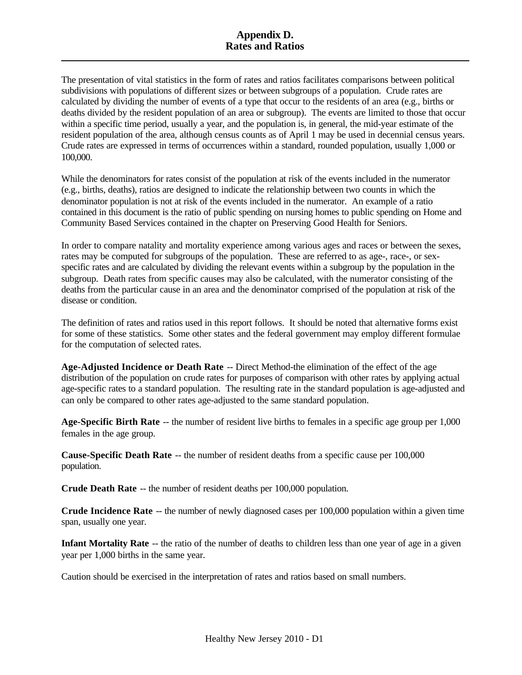#### **Appendix D. Rates and Ratios**

The presentation of vital statistics in the form of rates and ratios facilitates comparisons between political subdivisions with populations of different sizes or between subgroups of a population. Crude rates are calculated by dividing the number of events of a type that occur to the residents of an area (e.g., births or deaths divided by the resident population of an area or subgroup). The events are limited to those that occur within a specific time period, usually a year, and the population is, in general, the mid-year estimate of the resident population of the area, although census counts as of April 1 may be used in decennial census years. Crude rates are expressed in terms of occurrences within a standard, rounded population, usually 1,000 or 100,000.

While the denominators for rates consist of the population at risk of the events included in the numerator (e.g., births, deaths), ratios are designed to indicate the relationship between two counts in which the denominator population is not at risk of the events included in the numerator. An example of a ratio contained in this document is the ratio of public spending on nursing homes to public spending on Home and Community Based Services contained in the chapter on Preserving Good Health for Seniors.

In order to compare natality and mortality experience among various ages and races or between the sexes, rates may be computed for subgroups of the population. These are referred to as age-, race-, or sexspecific rates and are calculated by dividing the relevant events within a subgroup by the population in the subgroup. Death rates from specific causes may also be calculated, with the numerator consisting of the deaths from the particular cause in an area and the denominator comprised of the population at risk of the disease or condition.

The definition of rates and ratios used in this report follows. It should be noted that alternative forms exist for some of these statistics. Some other states and the federal government may employ different formulae for the computation of selected rates.

**Age-Adjusted Incidence or Death Rate** -- Direct Method-the elimination of the effect of the age distribution of the population on crude rates for purposes of comparison with other rates by applying actual age-specific rates to a standard population. The resulting rate in the standard population is age-adjusted and can only be compared to other rates age-adjusted to the same standard population.

**Age-Specific Birth Rate** -- the number of resident live births to females in a specific age group per 1,000 females in the age group.

**Cause-Specific Death Rate** -- the number of resident deaths from a specific cause per 100,000 population.

**Crude Death Rate** -- the number of resident deaths per 100,000 population.

**Crude Incidence Rate** -- the number of newly diagnosed cases per 100,000 population within a given time span, usually one year.

**Infant Mortality Rate** -- the ratio of the number of deaths to children less than one year of age in a given year per 1,000 births in the same year.

Caution should be exercised in the interpretation of rates and ratios based on small numbers.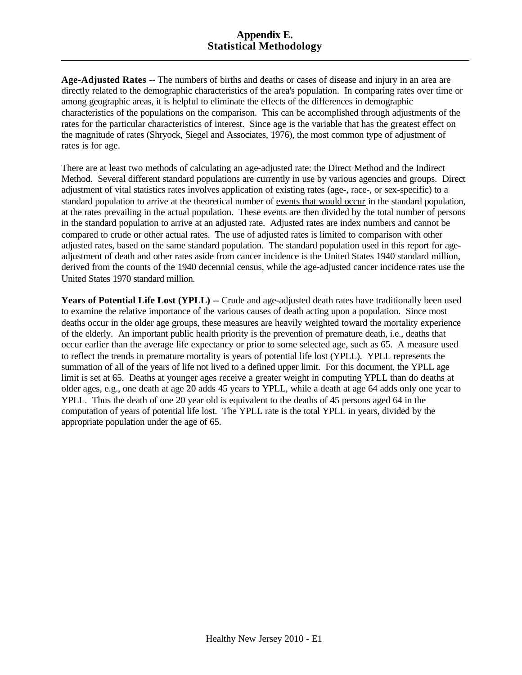#### **Appendix E. Statistical Methodology**

**Age-Adjusted Rates** -- The numbers of births and deaths or cases of disease and injury in an area are directly related to the demographic characteristics of the area's population. In comparing rates over time or among geographic areas, it is helpful to eliminate the effects of the differences in demographic characteristics of the populations on the comparison. This can be accomplished through adjustments of the rates for the particular characteristics of interest. Since age is the variable that has the greatest effect on the magnitude of rates (Shryock, Siegel and Associates, 1976), the most common type of adjustment of rates is for age.

There are at least two methods of calculating an age-adjusted rate: the Direct Method and the Indirect Method. Several different standard populations are currently in use by various agencies and groups. Direct adjustment of vital statistics rates involves application of existing rates (age-, race-, or sex-specific) to a standard population to arrive at the theoretical number of events that would occur in the standard population, at the rates prevailing in the actual population. These events are then divided by the total number of persons in the standard population to arrive at an adjusted rate. Adjusted rates are index numbers and cannot be compared to crude or other actual rates. The use of adjusted rates is limited to comparison with other adjusted rates, based on the same standard population. The standard population used in this report for ageadjustment of death and other rates aside from cancer incidence is the United States 1940 standard million, derived from the counts of the 1940 decennial census, while the age-adjusted cancer incidence rates use the United States 1970 standard million.

**Years of Potential Life Lost (YPLL)** -- Crude and age-adjusted death rates have traditionally been used to examine the relative importance of the various causes of death acting upon a population. Since most deaths occur in the older age groups, these measures are heavily weighted toward the mortality experience of the elderly. An important public health priority is the prevention of premature death, i.e., deaths that occur earlier than the average life expectancy or prior to some selected age, such as 65. A measure used to reflect the trends in premature mortality is years of potential life lost (YPLL). YPLL represents the summation of all of the years of life not lived to a defined upper limit. For this document, the YPLL age limit is set at 65. Deaths at younger ages receive a greater weight in computing YPLL than do deaths at older ages, e.g., one death at age 20 adds 45 years to YPLL, while a death at age 64 adds only one year to YPLL. Thus the death of one 20 year old is equivalent to the deaths of 45 persons aged 64 in the computation of years of potential life lost. The YPLL rate is the total YPLL in years, divided by the appropriate population under the age of 65.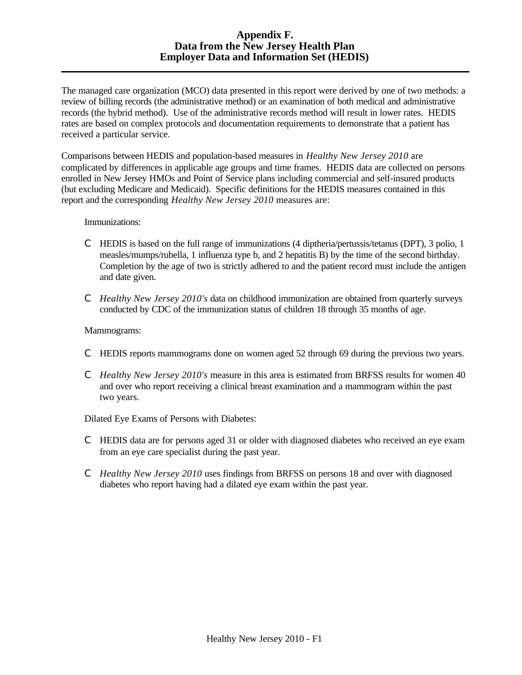#### **Appendix F. Data from the New Jersey Health Plan Employer Data and Information Set (HEDIS)**

The managed care organization (MCO) data presented in this report were derived by one of two methods: a review of billing records (the administrative method) or an examination of both medical and administrative records (the hybrid method). Use of the administrative records method will result in lower rates. HEDIS rates are based on complex protocols and documentation requirements to demonstrate that a patient has received a particular service.

Comparisons between HEDIS and population-based measures in *Healthy New Jersey 2010* are complicated by differences in applicable age groups and time frames. HEDIS data are collected on persons enrolled in New Jersey HMOs and Point of Service plans including commercial and self-insured products (but excluding Medicare and Medicaid). Specific definitions for the HEDIS measures contained in this report and the corresponding *Healthy New Jersey 2010* measures are:

#### Immunizations:

- C HEDIS is based on the full range of immunizations (4 diptheria/pertussis/tetanus (DPT), 3 polio, 1 measles/mumps/rubella, 1 influenza type b, and 2 hepatitis B) by the time of the second birthday. Completion by the age of two is strictly adhered to and the patient record must include the antigen and date given.
- C *Healthy New Jersey 2010's* data on childhood immunization are obtained from quarterly surveys conducted by CDC of the immunization status of children 18 through 35 months of age.

#### Mammograms:

- C HEDIS reports mammograms done on women aged 52 through 69 during the previous two years.
- C *Healthy New Jersey 2010's* measure in this area is estimated from BRFSS results for women 40 and over who report receiving a clinical breast examination and a mammogram within the past two years.

Dilated Eye Exams of Persons with Diabetes:

- C HEDIS data are for persons aged 31 or older with diagnosed diabetes who received an eye exam from an eye care specialist during the past year.
- C *Healthy New Jersey 2010* uses findings from BRFSS on persons 18 and over with diagnosed diabetes who report having had a dilated eye exam within the past year.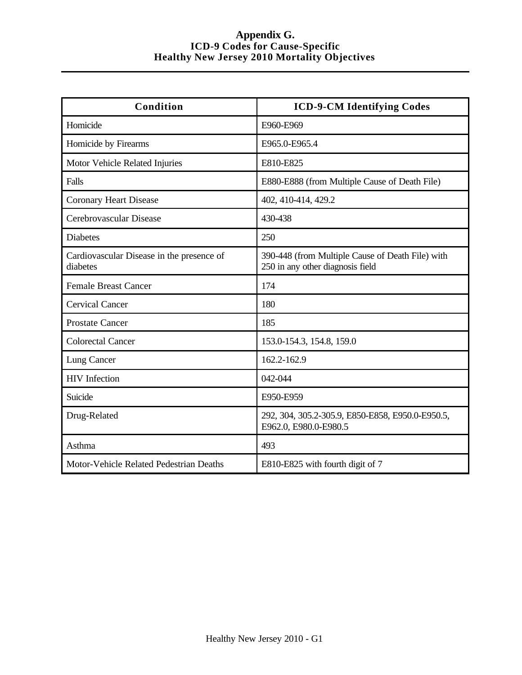#### **Appendix G. ICD-9 Codes for Cause-Specific Healthy New Jersey 2010 Mortality Objectives**

| Condition                                             | <b>ICD-9-CM Identifying Codes</b>                                                    |
|-------------------------------------------------------|--------------------------------------------------------------------------------------|
| Homicide                                              | E960-E969                                                                            |
| Homicide by Firearms                                  | E965.0-E965.4                                                                        |
| Motor Vehicle Related Injuries                        | E810-E825                                                                            |
| Falls                                                 | E880-E888 (from Multiple Cause of Death File)                                        |
| <b>Coronary Heart Disease</b>                         | 402, 410-414, 429.2                                                                  |
| Cerebrovascular Disease                               | 430-438                                                                              |
| <b>Diabetes</b>                                       | 250                                                                                  |
| Cardiovascular Disease in the presence of<br>diabetes | 390-448 (from Multiple Cause of Death File) with<br>250 in any other diagnosis field |
| <b>Female Breast Cancer</b>                           | 174                                                                                  |
| <b>Cervical Cancer</b>                                | 180                                                                                  |
| <b>Prostate Cancer</b>                                | 185                                                                                  |
| <b>Colorectal Cancer</b>                              | 153.0-154.3, 154.8, 159.0                                                            |
| Lung Cancer                                           | 162.2-162.9                                                                          |
| <b>HIV</b> Infection                                  | 042-044                                                                              |
| Suicide                                               | E950-E959                                                                            |
| Drug-Related                                          | 292, 304, 305.2-305.9, E850-E858, E950.0-E950.5,<br>E962.0, E980.0-E980.5            |
| Asthma                                                | 493                                                                                  |
| Motor-Vehicle Related Pedestrian Deaths               | E810-E825 with fourth digit of 7                                                     |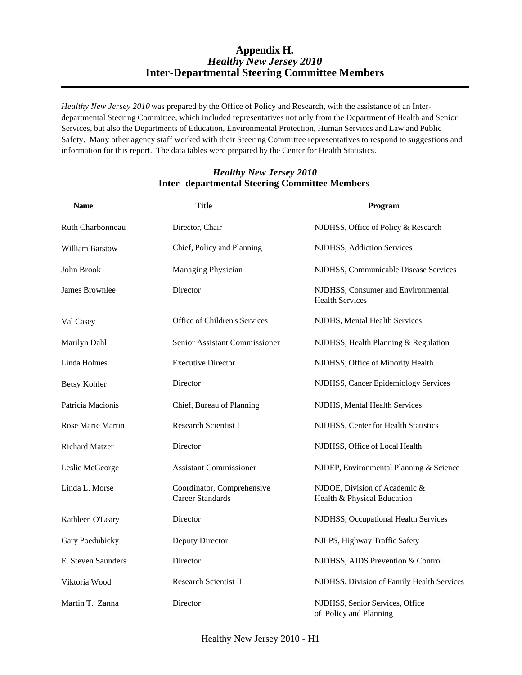#### **Appendix H.** *Healthy New Jersey 2010* **Inter-Departmental Steering Committee Members**

*Healthy New Jersey 2010* was prepared by the Office of Policy and Research, with the assistance of an Interdepartmental Steering Committee, which included representatives not only from the Department of Health and Senior Services, but also the Departments of Education, Environmental Protection, Human Services and Law and Public Safety. Many other agency staff worked with their Steering Committee representatives to respond to suggestions and information for this report. The data tables were prepared by the Center for Health Statistics.

#### *Healthy New Jersey 2010* **Inter- departmental Steering Committee Members**

| <b>Name</b>            | <b>Title</b>                                          | Program                                                      |
|------------------------|-------------------------------------------------------|--------------------------------------------------------------|
| Ruth Charbonneau       | Director, Chair                                       | NJDHSS, Office of Policy & Research                          |
| <b>William Barstow</b> | Chief, Policy and Planning                            | NJDHSS, Addiction Services                                   |
| John Brook             | <b>Managing Physician</b>                             | NJDHSS, Communicable Disease Services                        |
| James Brownlee         | Director                                              | NJDHSS, Consumer and Environmental<br><b>Health Services</b> |
| Val Casey              | Office of Children's Services                         | NJDHS, Mental Health Services                                |
| Marilyn Dahl           | Senior Assistant Commissioner                         | NJDHSS, Health Planning & Regulation                         |
| Linda Holmes           | <b>Executive Director</b>                             | NJDHSS, Office of Minority Health                            |
| <b>Betsy Kohler</b>    | Director                                              | NJDHSS, Cancer Epidemiology Services                         |
| Patricia Macionis      | Chief, Bureau of Planning                             | NJDHS, Mental Health Services                                |
| Rose Marie Martin      | Research Scientist I                                  | NJDHSS, Center for Health Statistics                         |
| <b>Richard Matzer</b>  | Director                                              | NJDHSS, Office of Local Health                               |
| Leslie McGeorge        | <b>Assistant Commissioner</b>                         | NJDEP, Environmental Planning & Science                      |
| Linda L. Morse         | Coordinator, Comprehensive<br><b>Career Standards</b> | NJDOE, Division of Academic &<br>Health & Physical Education |
| Kathleen O'Leary       | Director                                              | NJDHSS, Occupational Health Services                         |
| Gary Poedubicky        | Deputy Director                                       | NJLPS, Highway Traffic Safety                                |
| E. Steven Saunders     | Director                                              | NJDHSS, AIDS Prevention & Control                            |
| Viktoria Wood          | <b>Research Scientist II</b>                          | NJDHSS, Division of Family Health Services                   |
| Martin T. Zanna        | Director                                              | NJDHSS, Senior Services, Office<br>of Policy and Planning    |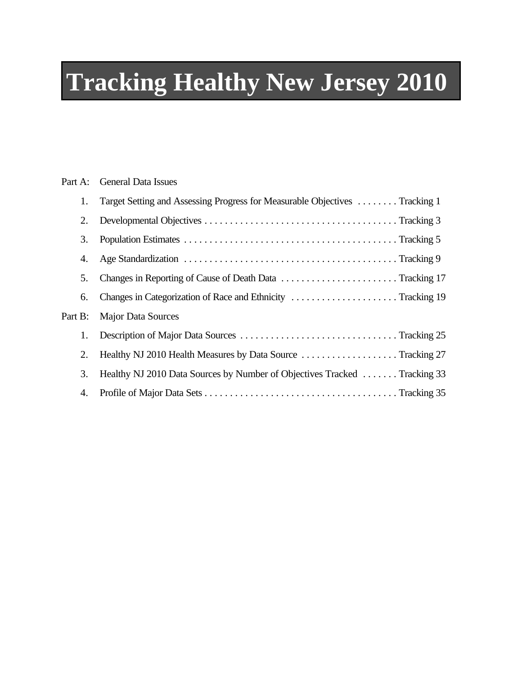# **Tracking Healthy New Jersey 2010**

| Part A: | <b>General Data Issues</b>                                                  |
|---------|-----------------------------------------------------------------------------|
| 1.      | Target Setting and Assessing Progress for Measurable Objectives  Tracking 1 |
| 2.      |                                                                             |
| 3.      |                                                                             |
| 4.      |                                                                             |
| 5.      | Changes in Reporting of Cause of Death Data Tracking 17                     |
| 6.      | Changes in Categorization of Race and Ethnicity Tracking 19                 |
| Part B: | <b>Major Data Sources</b>                                                   |
| 1.      |                                                                             |
| 2.      | Healthy NJ 2010 Health Measures by Data Source Tracking 27                  |
| 3.      | Healthy NJ 2010 Data Sources by Number of Objectives Tracked  Tracking 33   |
| 4.      |                                                                             |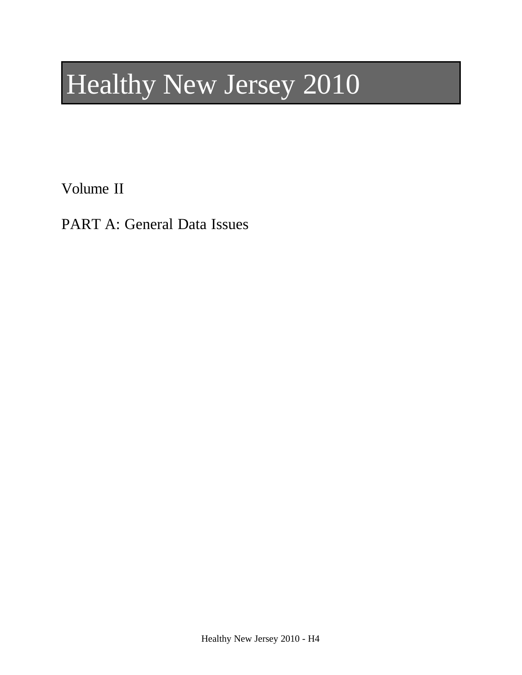# Healthy New Jersey 2010

Volume II

PART A: General Data Issues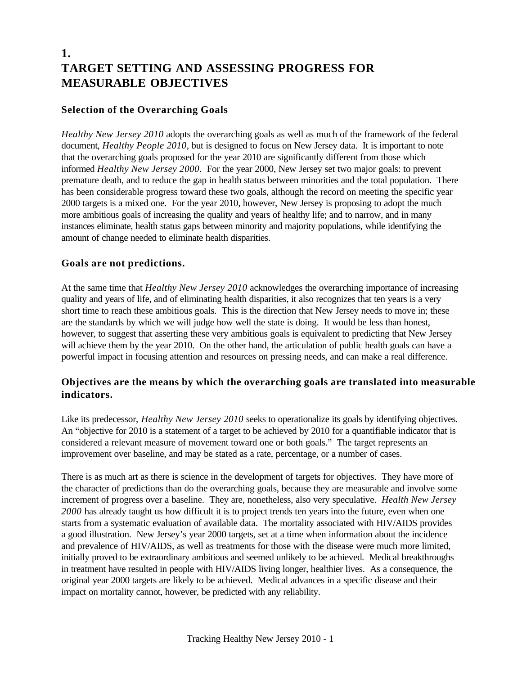## **1. TARGET SETTING AND ASSESSING PROGRESS FOR MEASURABLE OBJECTIVES**

#### **Selection of the Overarching Goals**

*Healthy New Jersey 2010* adopts the overarching goals as well as much of the framework of the federal document, *Healthy People 2010*, but is designed to focus on New Jersey data. It is important to note that the overarching goals proposed for the year 2010 are significantly different from those which informed *Healthy New Jersey 2000*. For the year 2000, New Jersey set two major goals: to prevent premature death, and to reduce the gap in health status between minorities and the total population. There has been considerable progress toward these two goals, although the record on meeting the specific year 2000 targets is a mixed one. For the year 2010, however, New Jersey is proposing to adopt the much more ambitious goals of increasing the quality and years of healthy life; and to narrow, and in many instances eliminate, health status gaps between minority and majority populations, while identifying the amount of change needed to eliminate health disparities.

#### **Goals are not predictions.**

At the same time that *Healthy New Jersey 2010* acknowledges the overarching importance of increasing quality and years of life, and of eliminating health disparities, it also recognizes that ten years is a very short time to reach these ambitious goals. This is the direction that New Jersey needs to move in; these are the standards by which we will judge how well the state is doing. It would be less than honest, however, to suggest that asserting these very ambitious goals is equivalent to predicting that New Jersey will achieve them by the year 2010. On the other hand, the articulation of public health goals can have a powerful impact in focusing attention and resources on pressing needs, and can make a real difference.

#### **Objectives are the means by which the overarching goals are translated into measurable indicators.**

Like its predecessor, *Healthy New Jersey 2010* seeks to operationalize its goals by identifying objectives. An "objective for 2010 is a statement of a target to be achieved by 2010 for a quantifiable indicator that is considered a relevant measure of movement toward one or both goals." The target represents an improvement over baseline, and may be stated as a rate, percentage, or a number of cases.

There is as much art as there is science in the development of targets for objectives. They have more of the character of predictions than do the overarching goals, because they are measurable and involve some increment of progress over a baseline. They are, nonetheless, also very speculative. *Health New Jersey 2000* has already taught us how difficult it is to project trends ten years into the future, even when one starts from a systematic evaluation of available data. The mortality associated with HIV/AIDS provides a good illustration. New Jersey's year 2000 targets, set at a time when information about the incidence and prevalence of HIV/AIDS, as well as treatments for those with the disease were much more limited, initially proved to be extraordinary ambitious and seemed unlikely to be achieved. Medical breakthroughs in treatment have resulted in people with HIV/AIDS living longer, healthier lives. As a consequence, the original year 2000 targets are likely to be achieved. Medical advances in a specific disease and their impact on mortality cannot, however, be predicted with any reliability.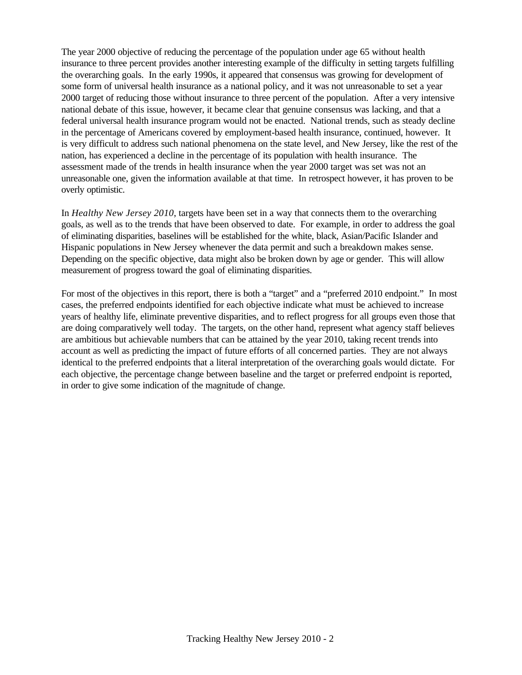The year 2000 objective of reducing the percentage of the population under age 65 without health insurance to three percent provides another interesting example of the difficulty in setting targets fulfilling the overarching goals. In the early 1990s, it appeared that consensus was growing for development of some form of universal health insurance as a national policy, and it was not unreasonable to set a year 2000 target of reducing those without insurance to three percent of the population. After a very intensive national debate of this issue, however, it became clear that genuine consensus was lacking, and that a federal universal health insurance program would not be enacted. National trends, such as steady decline in the percentage of Americans covered by employment-based health insurance, continued, however. It is very difficult to address such national phenomena on the state level, and New Jersey, like the rest of the nation, has experienced a decline in the percentage of its population with health insurance. The assessment made of the trends in health insurance when the year 2000 target was set was not an unreasonable one, given the information available at that time. In retrospect however, it has proven to be overly optimistic.

In *Healthy New Jersey 2010*, targets have been set in a way that connects them to the overarching goals, as well as to the trends that have been observed to date. For example, in order to address the goal of eliminating disparities, baselines will be established for the white, black, Asian/Pacific Islander and Hispanic populations in New Jersey whenever the data permit and such a breakdown makes sense. Depending on the specific objective, data might also be broken down by age or gender. This will allow measurement of progress toward the goal of eliminating disparities.

For most of the objectives in this report, there is both a "target" and a "preferred 2010 endpoint." In most cases, the preferred endpoints identified for each objective indicate what must be achieved to increase years of healthy life, eliminate preventive disparities, and to reflect progress for all groups even those that are doing comparatively well today. The targets, on the other hand, represent what agency staff believes are ambitious but achievable numbers that can be attained by the year 2010, taking recent trends into account as well as predicting the impact of future efforts of all concerned parties. They are not always identical to the preferred endpoints that a literal interpretation of the overarching goals would dictate. For each objective, the percentage change between baseline and the target or preferred endpoint is reported, in order to give some indication of the magnitude of change.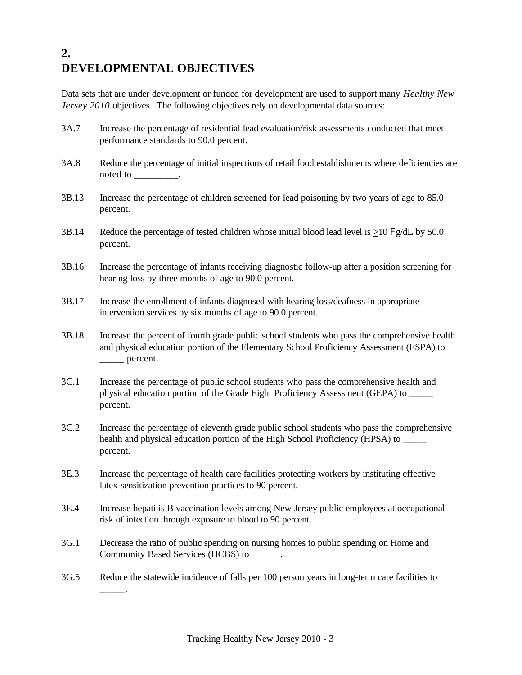# **2. DEVELOPMENTAL OBJECTIVES**

Data sets that are under development or funded for development are used to support many *Healthy New Jersey 2010* objectives. The following objectives rely on developmental data sources:

- 3A.7 Increase the percentage of residential lead evaluation/risk assessments conducted that meet performance standards to 90.0 percent. 3A.8 Reduce the percentage of initial inspections of retail food establishments where deficiencies are noted to  $\qquad \qquad$ . 3B.13 Increase the percentage of children screened for lead poisoning by two years of age to 85.0 percent. 3B.14 Reduce the percentage of tested children whose initial blood lead level is  $>10 \frac{Fg}{dL}$  by 50.0 percent. 3B.16 Increase the percentage of infants receiving diagnostic follow-up after a position screening for hearing loss by three months of age to 90.0 percent. 3B.17 Increase the enrollment of infants diagnosed with hearing loss/deafness in appropriate intervention services by six months of age to 90.0 percent.
- 3B.18 Increase the percent of fourth grade public school students who pass the comprehensive health and physical education portion of the Elementary School Proficiency Assessment (ESPA) to \_\_\_\_\_ percent.
- 3C.1 Increase the percentage of public school students who pass the comprehensive health and physical education portion of the Grade Eight Proficiency Assessment (GEPA) to \_\_\_\_\_ percent.
- 3C.2 Increase the percentage of eleventh grade public school students who pass the comprehensive health and physical education portion of the High School Proficiency (HPSA) to \_\_\_\_\_ percent.
- 3E.3 Increase the percentage of health care facilities protecting workers by instituting effective latex-sensitization prevention practices to 90 percent.
- 3E.4 Increase hepatitis B vaccination levels among New Jersey public employees at occupational risk of infection through exposure to blood to 90 percent.
- 3G.1 Decrease the ratio of public spending on nursing homes to public spending on Home and Community Based Services (HCBS) to  $\qquad \qquad$ .
- 3G.5 Reduce the statewide incidence of falls per 100 person years in long-term care facilities to

\_\_\_\_\_.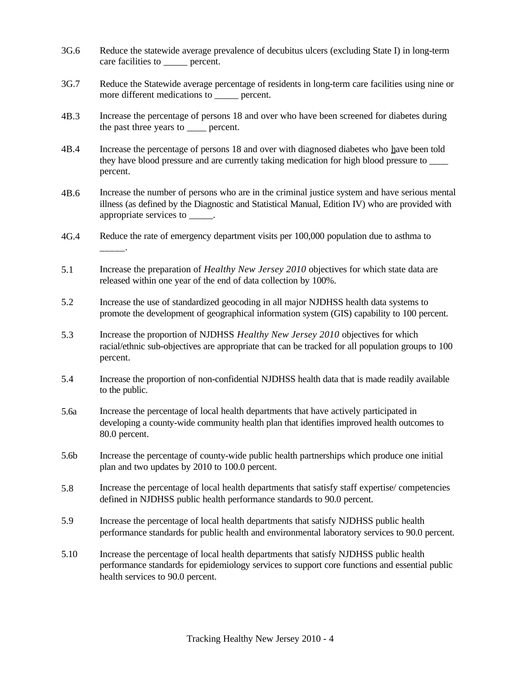- 3G.6 Reduce the statewide average prevalence of decubitus ulcers (excluding State I) in long-term care facilities to percent.
- 3G.7 Reduce the Statewide average percentage of residents in long-term care facilities using nine or more different medications to percent.
- 4B.3 Increase the percentage of persons 18 and over who have been screened for diabetes during the past three years to percent.
- 4B.4 Increase the percentage of persons 18 and over with diagnosed diabetes who have been told they have blood pressure and are currently taking medication for high blood pressure to \_\_\_\_ percent.
- 4B.6 Increase the number of persons who are in the criminal justice system and have serious mental illness (as defined by the Diagnostic and Statistical Manual, Edition IV) who are provided with appropriate services to \_\_\_\_\_.
- 4G.4 Reduce the rate of emergency department visits per 100,000 population due to asthma to \_\_\_\_\_.
- 5.1 Increase the preparation of *Healthy New Jersey 2010* objectives for which state data are released within one year of the end of data collection by 100%.
- 5.2 Increase the use of standardized geocoding in all major NJDHSS health data systems to promote the development of geographical information system (GIS) capability to 100 percent.
- 5.3 Increase the proportion of NJDHSS *Healthy New Jersey 2010* objectives for which racial/ethnic sub-objectives are appropriate that can be tracked for all population groups to 100 percent.
- 5.4 Increase the proportion of non-confidential NJDHSS health data that is made readily available to the public.
- 5.6a Increase the percentage of local health departments that have actively participated in developing a county-wide community health plan that identifies improved health outcomes to 80.0 percent.
- 5.6b Increase the percentage of county-wide public health partnerships which produce one initial plan and two updates by 2010 to 100.0 percent.
- 5.8 Increase the percentage of local health departments that satisfy staff expertise/ competencies defined in NJDHSS public health performance standards to 90.0 percent.
- 5.9 Increase the percentage of local health departments that satisfy NJDHSS public health performance standards for public health and environmental laboratory services to 90.0 percent.
- 5.10 Increase the percentage of local health departments that satisfy NJDHSS public health performance standards for epidemiology services to support core functions and essential public health services to 90.0 percent.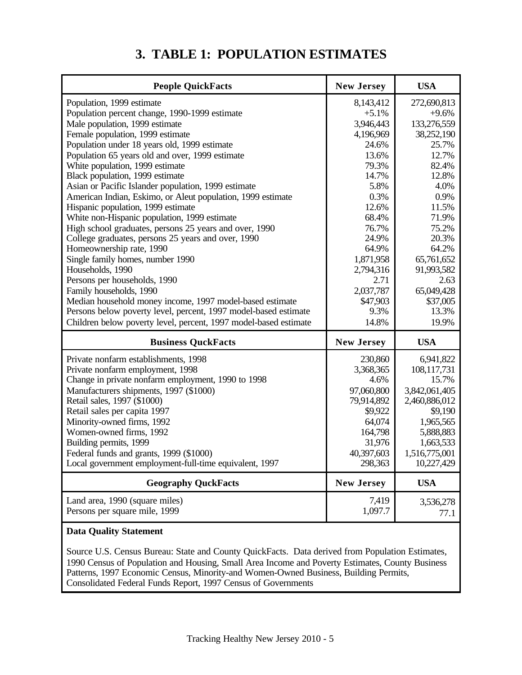# **3. TABLE 1: POPULATION ESTIMATES**

| <b>People QuickFacts</b>                                                         | <b>New Jersey</b>      | <b>USA</b>          |
|----------------------------------------------------------------------------------|------------------------|---------------------|
| Population, 1999 estimate                                                        | 8,143,412              | 272,690,813         |
| Population percent change, 1990-1999 estimate                                    | $+5.1%$                | $+9.6%$             |
| Male population, 1999 estimate                                                   | 3,946,443<br>4,196,969 | 133,276,559         |
| Female population, 1999 estimate<br>Population under 18 years old, 1999 estimate | 24.6%                  | 38,252,190<br>25.7% |
| Population 65 years old and over, 1999 estimate                                  | 13.6%                  | 12.7%               |
| White population, 1999 estimate                                                  | 79.3%                  | 82.4%               |
| Black population, 1999 estimate                                                  | 14.7%                  | 12.8%               |
| Asian or Pacific Islander population, 1999 estimate                              | 5.8%                   | 4.0%                |
| American Indian, Eskimo, or Aleut population, 1999 estimate                      | 0.3%                   | 0.9%                |
| Hispanic population, 1999 estimate                                               | 12.6%                  | 11.5%               |
| White non-Hispanic population, 1999 estimate                                     | 68.4%                  | 71.9%               |
| High school graduates, persons 25 years and over, 1990                           | 76.7%                  | 75.2%               |
| College graduates, persons 25 years and over, 1990                               | 24.9%                  | 20.3%               |
| Homeownership rate, 1990                                                         | 64.9%                  | 64.2%               |
| Single family homes, number 1990                                                 | 1,871,958              | 65,761,652          |
| Households, 1990                                                                 | 2,794,316              | 91,993,582          |
| Persons per households, 1990                                                     | 2.71                   | 2.63                |
| Family households, 1990                                                          | 2,037,787              | 65,049,428          |
| Median household money income, 1997 model-based estimate                         | \$47,903               | \$37,005            |
| Persons below poverty level, percent, 1997 model-based estimate                  | 9.3%                   | 13.3%               |
| Children below poverty level, percent, 1997 model-based estimate                 | 14.8%                  | 19.9%               |
| <b>Business QuckFacts</b>                                                        | <b>New Jersey</b>      | <b>USA</b>          |
| Private nonfarm establishments, 1998                                             | 230,860                | 6,941,822           |
| Private nonfarm employment, 1998                                                 | 3,368,365              | 108,117,731         |
| Change in private nonfarm employment, 1990 to 1998                               | 4.6%                   | 15.7%               |
| Manufacturers shipments, 1997 (\$1000)                                           | 97,060,800             | 3,842,061,405       |
| Retail sales, 1997 (\$1000)                                                      | 79,914,892             | 2,460,886,012       |
| Retail sales per capita 1997                                                     | \$9,922                | \$9,190             |
| Minority-owned firms, 1992                                                       | 64,074                 | 1,965,565           |
| Women-owned firms, 1992                                                          | 164,798                | 5,888,883           |
| Building permits, 1999                                                           | 31,976                 | 1,663,533           |
| Federal funds and grants, 1999 (\$1000)                                          | 40,397,603             | 1,516,775,001       |
| Local government employment-full-time equivalent, 1997                           | 298,363                | 10,227,429          |
| <b>Geography QuckFacts</b>                                                       | <b>New Jersey</b>      | <b>USA</b>          |
| Land area, 1990 (square miles)                                                   | 7,419                  | 3,536,278           |
| Persons per square mile, 1999                                                    | 1,097.7                | 77.1                |
|                                                                                  |                        |                     |

#### **Data Quality Statement**

Source U.S. Census Bureau: State and County QuickFacts. Data derived from Population Estimates, 1990 Census of Population and Housing, Small Area Income and Poverty Estimates, County Business Patterns, 1997 Economic Census, Minority-and Women-Owned Business, Building Permits, Consolidated Federal Funds Report, 1997 Census of Governments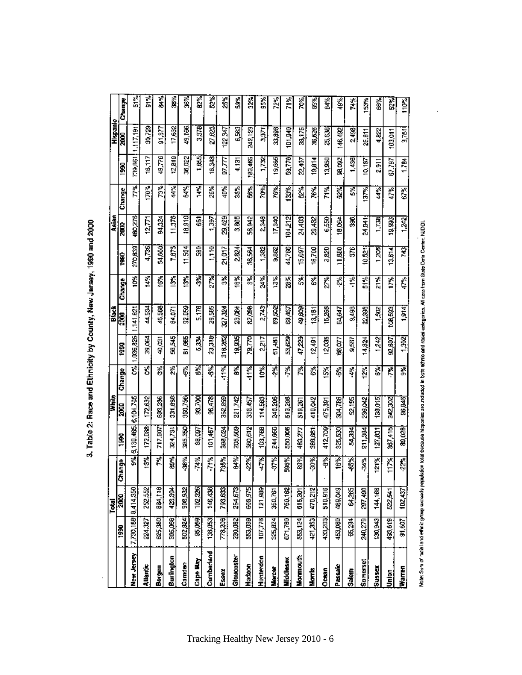|                   |                      | Total          |               |                     | White    |               |              | Black       |         |            | Asian          |            |         | Hispanic    |        |
|-------------------|----------------------|----------------|---------------|---------------------|----------|---------------|--------------|-------------|---------|------------|----------------|------------|---------|-------------|--------|
|                   | <b>SSC</b>           | 3000           | hange         | 1990                | 2000     | <b>Change</b> | iği          | <b>ROOT</b> | Change  | 1990       | 2000           | Change     | Š       | <b>SORS</b> | Change |
| New Jersey        | 17,730,18818,414,350 |                | 폃             | 5,130,465,6,104,705 |          |               | 0% 1.036,825 | 1,141,821   | 10%     | 270,859    | 180,276        | Ĕ          | 739,861 | 1.117,191   | ř,     |
| <b>Allentic</b>   | 224,327              | 252,552        | 13%           | 172,088             | 172,632  | ð%)           | 39.86        | 44,534      | š       | 4,786      | 12,771         | I70%       | 16,117  | 30,729      | ٩ř     |
| Bergen            | 825,380              | <b>BB4,TBB</b> | 蔑             | 717.907             | 383,256  | ř,            | 40,031       | 46.568      | f6%     | 54,660     | 94,324         | ది         | 49.776  | 91,877      | 酱      |
| Burlington        | 385,066              | 423,354        | 酱器            | 324,751             | 331,899  | ň             | 545,545      | 64,071      | Ś       | 7.875      | 11.378         | ्र<br>च    | 12.819  | 17,632      | ž.     |
| Camden            | 502,824              | 508,932        | 36%           | 385,350             | 360,756  | Š             | B1.865       | 92.D59      | Š       | इड<br>Ë    | 18.910         | ś          | 36,022  | 49,166      | Š,     |
| Cape May          | 85,089               | 102,326        | 74%           | 88,097              | 33,700   | Š             | 莴苣           | 5.178       | Š       | g          | 661            | <b>AR</b>  | i 85    | 3,378       | ř.     |
| Cumbariand        | 138,053              | 146,438        | $\frac{3}{2}$ | 101,457             | 96,478   | ś,            | 23,318;      | 29,595      | हैँ     | i<br>Litel | à              | 26%        | 18,348  | 27,823      | ន្លឹ   |
| Essex             | 778,209              | 793,633        | 735%          | <b>398,024</b>      | 352,859  | 11%           | 316,252      | 327.324     | डू      | 21,017     | 29,429         | 中心         | 医双刀     | 122.347     | 25%    |
| <b>Gloucester</b> | 230.082              | 254,673        | š.            | 2005,500            | 221,742  | š.            | 19,935       | 23.084      | 16%     | 2,824      | 3,805          | ź,         | 4.331   | 6,583       | ś      |
| Hudson            | 553,099              | 548,975        | Į             | 380,612             | 388.457  | 11%           | 79,770       | 82,098      | हैं     | 陽陽         | 56,942         | Š          | 183,465 | 242,123     | å,     |
| Hunterdon         | 107,778              | 121,989        | ř,            | 103,768             | 114,563  | Š             | 2217         | 2,743       | डू<br>इ | 82         | 2348           | ē          | 1732)   | 3,371       | Š.     |
| Mercer            | 325,824              | 350,761        | \$            | 244,855             | 240,206  | हैं           | 51,481       | 69,502      | š       | 9,862      | 17,340         | <b>76%</b> | 19,665  | 33,898      | 72%    |
| Middlesex         | 671,780              | 750,162        | 596%          | 550,006             | 513,298  | ř             | 83.623       | 88,467      | 28%     | 44,788     | <b>104.212</b> | 劉          | 食"的     | defior      | Ě      |
| Monmouth          | 553,124              | 615,301        | 89%           | 483.277             | 519,267  | ř             | 47,229       | 49,609      | š       | 15,097     | 24,403         | ž.         | 22,407  | 38,175      | É      |
| Morris            | 421,353              | 470,212        | 30%           | 386,681             | 410,042  | 8             | 12,491       | 13,181      | š       | 16,700     | 29,432         | 76%        | 19,814  | 36,626      | \$     |
| Ocean             | 433,203              | 510,916        | €             | 412,709             | 475,391  | Š,            | 12,035       | 15,268      | Ž,      | 3,820      | 6,550          | दू<br>द    | 13,950  | 25,638      | 84%    |
| Passak            | 453,060              | <b>GM2188</b>  | iê%           | 325,530             | 304,786  | Š             | 68,077       | 64.647      | Ŗ,      | 11,880     | 18.064         | Š          | 38,092  | 46,492      | \$     |
| Salem             | 65,294               | 64.285         | 弱             | 54,394              | 52,195   | ř             | 9,557        | 9.498       | ÷       | S          | S.             | Š,         | 1,435   | 2,498       | Ã      |
| Somerset          | 240,279              | 297,490        | 募萃            | 211,384             | 236,042  | Š             | 14,824       | 22,398      | ड<br>5  | 10,52      | i<br>Ri<br>Ri  | 137%       | 10,187  | 25.B11      | 153%   |
| <b>Exans</b>      | 130,943              | 144,168        | 121%          | 127,831             | 130,015  | š,            | 1,242        | 1,502       | PK<br>石 | 1,208      | 1,738          | डू<br>चु   | 2.911   | 4.622       | Š      |
| <u>injor</u>      | 433,819              | 522,541        | 117%          | 367,416             | 342,302  | Ķ             | 92,BO7       | 100,583     | Ĕ       | 13,514     | 19,993         | 警          | 67.797  | 103.011     | s.     |
| <u>Waren</u>      | 91,607               | 102,437        | $\frac{1}{2}$ | 89,028              | 1948,845 | डु            | 1,302        | 1.914       | Ę,      | इ          | $\frac{1}{2}$  | Š          | 1.784   | 3,751       | tios,  |

3. Table 2: Race and Ethnicity by County, New Jarsey, 1990 and 2000

Note: 3-th of anti-evenic group access pequision total tecques hispaniss are adulted in both at the state call state contents and the State Center, NDOL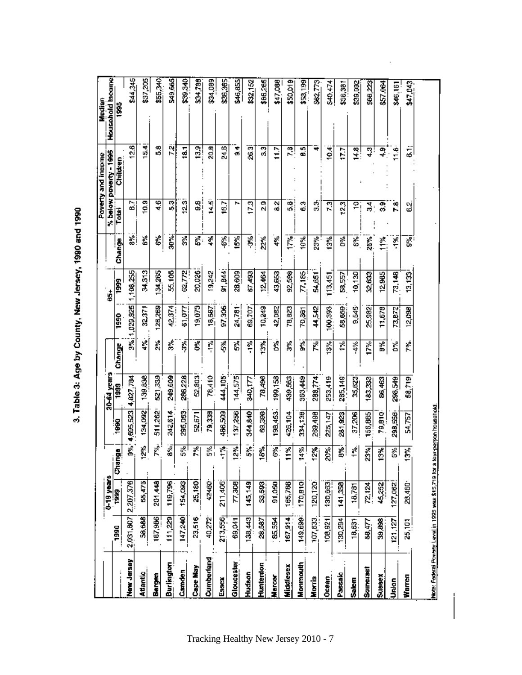|                                                         |           |                     |               |                |             |        |               |               |          |                   | Poverty and income     | Median           |
|---------------------------------------------------------|-----------|---------------------|---------------|----------------|-------------|--------|---------------|---------------|----------|-------------------|------------------------|------------------|
|                                                         |           | 0-19 years          |               |                | 20-64 years |        |               | ś             |          |                   | % below poverty - 1995 | Household Income |
|                                                         | 1990      | 1999                | ě<br>ā        | 1990           | 1999        | Change | 1990          | 1999          | Change   | Total             | Children               | 381              |
| New Jersey                                              |           | 2,031,807 2.207,376 | Š,            | 4,695,523      | 4,827,784   |        | 3%; 1,029,825 | 108,255       | اچ       | $\overline{B}$ .7 | 2.6                    | \$44,345         |
| <b>Atlantic</b>                                         | $-38,688$ | 65,475              | 12%           | 134,092        | 139,838     | ¢,     | 32,371        | 34,313        | Č        | 10.9              | 15.4                   | \$37,205         |
| Bergen                                                  | 187,986   | 201,448             | È             | 511,262        | 521,339     | å      | 125,259       | 34,265        | ě        | 46                | 3                      | \$55,340         |
| <b>Burlington</b>                                       | 111,229   | 119,796             | š             | 242,614        | 249,609     | Š      | 42,374        | 55,105        | is<br>S  | 53                | 7.                     | 549,665          |
| Camden                                                  | 147,240   | 154,093             | š.            | 295,063        | 286,228     | 昴      | 81,077        | 62,772        | ğ        | 12.3              | 31                     | SP.523           |
| Cape May                                                | 23,516    | 25,180              | Ř             | 52,671         | 52,803      | g      | 19,073        | 20,026        | ដូ       | 88                | 13.9                   | \$34,788         |
| Cumberland                                              | 40,272    | 42460               | 烈             | 79,338         | 78,410      | ្មី    | 18.597        | 19,242        | ኇ፟       | $\frac{5}{4}$     | 20.8                   | \$34,089         |
| Essex                                                   | 213,556   | 211,406             | $+$ %         | 466,509        | 444,105     | థి     | 97,306        | 91,844        | 鄙        | 16.7              | 24.B                   | \$36,365         |
| Gloucester                                              | 69,041    | 77,308              | हैं           | 137,256        | 144,575     | ř      | 24,781        | 28,609        | 15%      | r                 | ۹<br>ø                 | \$46,855         |
| Hudson                                                  | 138,443   | 145,149             | នី            | <b>S44,940</b> | 340,177     | ុំ     | 69,707        | 67.483        | Ş        | $\overline{17.3}$ | 26.3                   | 892,152          |
| Hunterdon                                               | 28,587    | 33,593              | ¦e‰           | 69,398         | 78,496      | Š      | 10,249        | 12.464        | 22%      | α<br>N            | 33                     | \$66,265         |
| Marce                                                   | $-85,554$ | <b>91,050</b>       | 鄙             | 198,453        | 199,158     | Ď%     | 42.DB2        | 43,653        | is.<br>4 | 82                | Ë                      | \$47,088         |
| Middlesex                                               | 167.914   | 165,788             | 11%           | 426,104        | 439,563     | ř,     | 78,823        | 92,598        | Ĕ.       | 31                | 7.8                    | \$50,019         |
| Monmouth                                                | 149,699   | 170,810             | 14%           | 334,138        | 363,449     | š.     | 70,361        | $\n  7,185\n$ | 10%      | 3                 | 8.5                    | 853,189          |
| Morris                                                  | 107,633.  | 120,120             | $\frac{3}{2}$ | 269,498        | 288,774     | ř,     | 计算            | 54,651        | 23%      | ్లే               | ₹                      | 882,773          |
| Ocean                                                   | 108,921   | 130,663             | 20%           | 225,147        | 253,419     | S.     | 100,001       | 113,451       | 13%      | 2                 | ě                      | <b>S40,474</b>   |
| Passak                                                  | 130,294   | 141.359             | 8%            | 281,923        | 285,149     | ř      | 58,659        | 58,557        | రిక      | $\overline{23}$   | ä                      | \$38,381         |
| Salem                                                   | 18,631    | 18,781              | ř             | 37,206         | 35,623      | ईं     | 9.545         | 10,130        | క        | 횐                 | $\frac{14.8}{ }$       | \$39,092         |
| Somerset                                                | 58.477    | 72.124              | 23%           | 156,885        | 183,333     | 17%    | 25,982        | 32,633        | č        | $\frac{4}{5}$     | 4.3                    | \$66,223         |
| Sussex                                                  | 39,888    | 45,252              | జ్లీ          | 79,810         | 86,463      | P.     | 11,678        | 12,985        | ₹.       | 33                | ្នុ                    | \$57.064         |
| Urdon                                                   | 121,127   | 127,062             | 5%            | 298,558        | 298,549     | ă      | 73,872        | 73,148        | 훈        | 78                | 11.6                   | \$46,161         |
| Warren                                                  | 25,101    | 28,460              | 3%            | 54,757         | 58,719      | É      | 12,098        | 13,133        | š,       | 33                | tii<br>Bi              | \$47,043         |
| Mote: Federal Povemy Laval in 1995 was \$15,718 hara to |           |                     |               |                |             |        |               |               |          |                   |                        |                  |

3. Table 3: Age by County, New Jersey, 1990 and 1990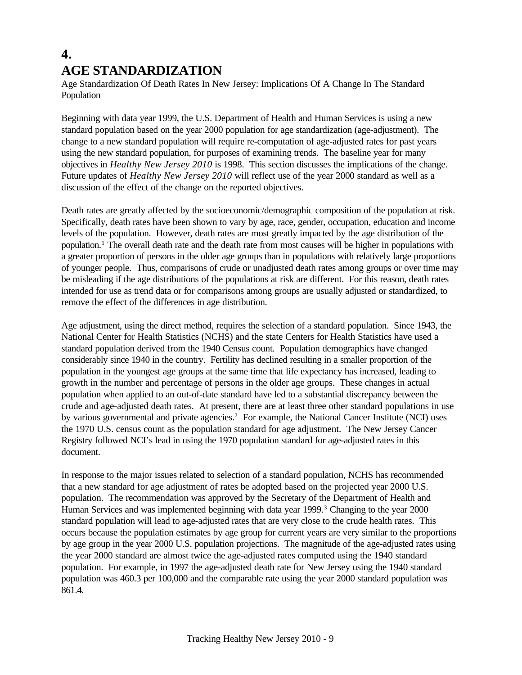# **4. AGE STANDARDIZATION**

Age Standardization Of Death Rates In New Jersey: Implications Of A Change In The Standard Population

Beginning with data year 1999, the U.S. Department of Health and Human Services is using a new standard population based on the year 2000 population for age standardization (age-adjustment). The change to a new standard population will require re-computation of age-adjusted rates for past years using the new standard population, for purposes of examining trends. The baseline year for many objectives in *Healthy New Jersey 2010* is 1998. This section discusses the implications of the change. Future updates of *Healthy New Jersey 2010* will reflect use of the year 2000 standard as well as a discussion of the effect of the change on the reported objectives.

Death rates are greatly affected by the socioeconomic/demographic composition of the population at risk. Specifically, death rates have been shown to vary by age, race, gender, occupation, education and income levels of the population. However, death rates are most greatly impacted by the age distribution of the population.<sup>1</sup> The overall death rate and the death rate from most causes will be higher in populations with a greater proportion of persons in the older age groups than in populations with relatively large proportions of younger people. Thus, comparisons of crude or unadjusted death rates among groups or over time may be misleading if the age distributions of the populations at risk are different. For this reason, death rates intended for use as trend data or for comparisons among groups are usually adjusted or standardized, to remove the effect of the differences in age distribution.

Age adjustment, using the direct method, requires the selection of a standard population. Since 1943, the National Center for Health Statistics (NCHS) and the state Centers for Health Statistics have used a standard population derived from the 1940 Census count. Population demographics have changed considerably since 1940 in the country. Fertility has declined resulting in a smaller proportion of the population in the youngest age groups at the same time that life expectancy has increased, leading to growth in the number and percentage of persons in the older age groups. These changes in actual population when applied to an out-of-date standard have led to a substantial discrepancy between the crude and age-adjusted death rates. At present, there are at least three other standard populations in use by various governmental and private agencies.<sup>2</sup> For example, the National Cancer Institute (NCI) uses the 1970 U.S. census count as the population standard for age adjustment. The New Jersey Cancer Registry followed NCI's lead in using the 1970 population standard for age-adjusted rates in this document.

In response to the major issues related to selection of a standard population, NCHS has recommended that a new standard for age adjustment of rates be adopted based on the projected year 2000 U.S. population. The recommendation was approved by the Secretary of the Department of Health and Human Services and was implemented beginning with data year 1999.<sup>3</sup> Changing to the year 2000 standard population will lead to age-adjusted rates that are very close to the crude health rates. This occurs because the population estimates by age group for current years are very similar to the proportions by age group in the year 2000 U.S. population projections. The magnitude of the age-adjusted rates using the year 2000 standard are almost twice the age-adjusted rates computed using the 1940 standard population. For example, in 1997 the age-adjusted death rate for New Jersey using the 1940 standard population was 460.3 per 100,000 and the comparable rate using the year 2000 standard population was 861.4.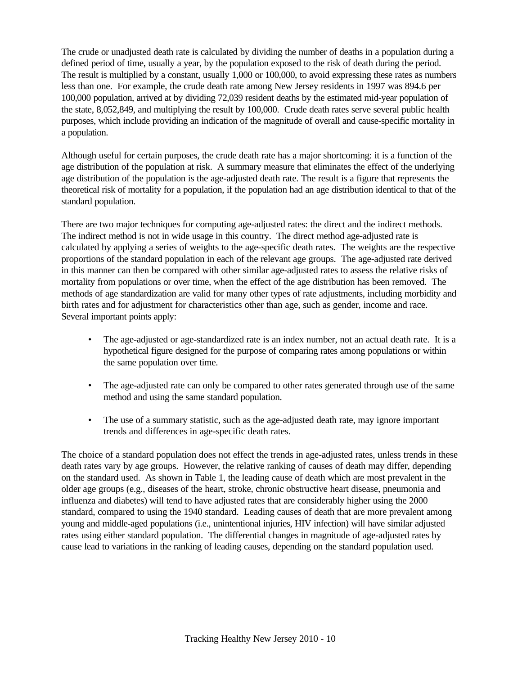The crude or unadjusted death rate is calculated by dividing the number of deaths in a population during a defined period of time, usually a year, by the population exposed to the risk of death during the period. The result is multiplied by a constant, usually 1,000 or 100,000, to avoid expressing these rates as numbers less than one. For example, the crude death rate among New Jersey residents in 1997 was 894.6 per 100,000 population, arrived at by dividing 72,039 resident deaths by the estimated mid-year population of the state, 8,052,849, and multiplying the result by 100,000. Crude death rates serve several public health purposes, which include providing an indication of the magnitude of overall and cause-specific mortality in a population.

Although useful for certain purposes, the crude death rate has a major shortcoming: it is a function of the age distribution of the population at risk. A summary measure that eliminates the effect of the underlying age distribution of the population is the age-adjusted death rate. The result is a figure that represents the theoretical risk of mortality for a population, if the population had an age distribution identical to that of the standard population.

There are two major techniques for computing age-adjusted rates: the direct and the indirect methods. The indirect method is not in wide usage in this country. The direct method age-adjusted rate is calculated by applying a series of weights to the age-specific death rates. The weights are the respective proportions of the standard population in each of the relevant age groups. The age-adjusted rate derived in this manner can then be compared with other similar age-adjusted rates to assess the relative risks of mortality from populations or over time, when the effect of the age distribution has been removed. The methods of age standardization are valid for many other types of rate adjustments, including morbidity and birth rates and for adjustment for characteristics other than age, such as gender, income and race. Several important points apply:

- The age-adjusted or age-standardized rate is an index number, not an actual death rate. It is a hypothetical figure designed for the purpose of comparing rates among populations or within the same population over time.
- The age-adjusted rate can only be compared to other rates generated through use of the same method and using the same standard population.
- The use of a summary statistic, such as the age-adjusted death rate, may ignore important trends and differences in age-specific death rates.

The choice of a standard population does not effect the trends in age-adjusted rates, unless trends in these death rates vary by age groups. However, the relative ranking of causes of death may differ, depending on the standard used. As shown in Table 1, the leading cause of death which are most prevalent in the older age groups (e.g., diseases of the heart, stroke, chronic obstructive heart disease, pneumonia and influenza and diabetes) will tend to have adjusted rates that are considerably higher using the 2000 standard, compared to using the 1940 standard. Leading causes of death that are more prevalent among young and middle-aged populations (i.e., unintentional injuries, HIV infection) will have similar adjusted rates using either standard population. The differential changes in magnitude of age-adjusted rates by cause lead to variations in the ranking of leading causes, depending on the standard population used.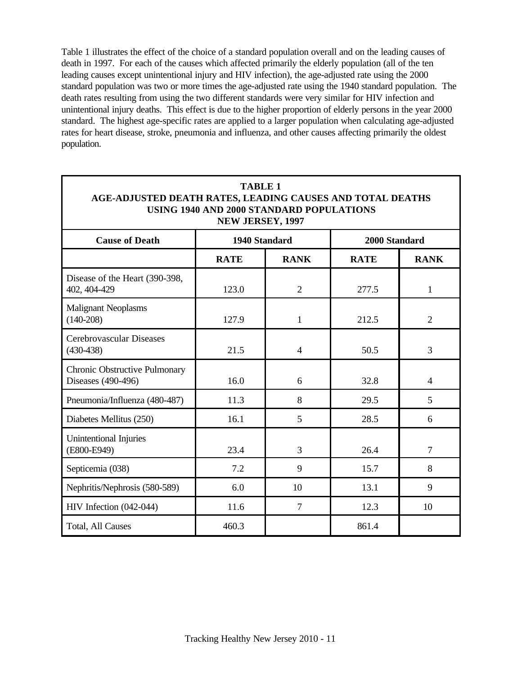Table 1 illustrates the effect of the choice of a standard population overall and on the leading causes of death in 1997. For each of the causes which affected primarily the elderly population (all of the ten leading causes except unintentional injury and HIV infection), the age-adjusted rate using the 2000 standard population was two or more times the age-adjusted rate using the 1940 standard population. The death rates resulting from using the two different standards were very similar for HIV infection and unintentional injury deaths. This effect is due to the higher proportion of elderly persons in the year 2000 standard. The highest age-specific rates are applied to a larger population when calculating age-adjusted rates for heart disease, stroke, pneumonia and influenza, and other causes affecting primarily the oldest population.

| <b>TABLE 1</b><br>AGE-ADJUSTED DEATH RATES, LEADING CAUSES AND TOTAL DEATHS<br>USING 1940 AND 2000 STANDARD POPULATIONS<br>NEW JERSEY, 1997 |               |                |               |                |
|---------------------------------------------------------------------------------------------------------------------------------------------|---------------|----------------|---------------|----------------|
| <b>Cause of Death</b>                                                                                                                       | 1940 Standard |                | 2000 Standard |                |
|                                                                                                                                             | <b>RATE</b>   | <b>RANK</b>    | <b>RATE</b>   | <b>RANK</b>    |
| Disease of the Heart (390-398,<br>402, 404-429                                                                                              | 123.0         | $\overline{2}$ | 277.5         | $\mathbf{1}$   |
| <b>Malignant Neoplasms</b><br>$(140-208)$                                                                                                   | 127.9         | 1              | 212.5         | $\overline{2}$ |
| Cerebrovascular Diseases<br>$(430-438)$                                                                                                     | 21.5          | $\overline{4}$ | 50.5          | 3              |
| Chronic Obstructive Pulmonary<br>Diseases (490-496)                                                                                         | 16.0          | 6              | 32.8          | $\overline{4}$ |
| Pneumonia/Influenza (480-487)                                                                                                               | 11.3          | 8              | 29.5          | 5              |
| Diabetes Mellitus (250)                                                                                                                     | 16.1          | 5              | 28.5          | 6              |
| Unintentional Injuries<br>(E800-E949)                                                                                                       | 23.4          | 3              | 26.4          | $\overline{7}$ |
| Septicemia (038)                                                                                                                            | 7.2           | 9              | 15.7          | 8              |
| Nephritis/Nephrosis (580-589)                                                                                                               | 6.0           | 10             | 13.1          | 9              |
| HIV Infection (042-044)                                                                                                                     | 11.6          | $\overline{7}$ | 12.3          | 10             |
| Total, All Causes                                                                                                                           | 460.3         |                | 861.4         |                |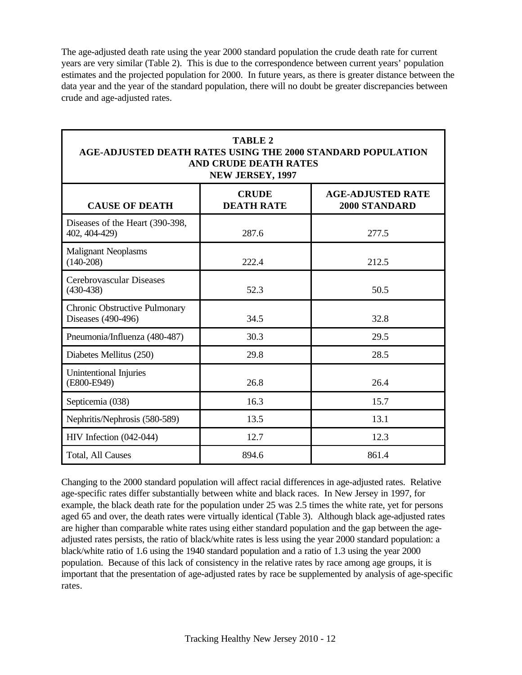The age-adjusted death rate using the year 2000 standard population the crude death rate for current years are very similar (Table 2). This is due to the correspondence between current years' population estimates and the projected population for 2000. In future years, as there is greater distance between the data year and the year of the standard population, there will no doubt be greater discrepancies between crude and age-adjusted rates.

| <b>TABLE 2</b><br>AGE-ADJUSTED DEATH RATES USING THE 2000 STANDARD POPULATION<br><b>AND CRUDE DEATH RATES</b><br>NEW JERSEY, 1997 |                                   |                                           |  |
|-----------------------------------------------------------------------------------------------------------------------------------|-----------------------------------|-------------------------------------------|--|
| <b>CAUSE OF DEATH</b>                                                                                                             | <b>CRUDE</b><br><b>DEATH RATE</b> | <b>AGE-ADJUSTED RATE</b><br>2000 STANDARD |  |
| Diseases of the Heart (390-398,<br>402, 404-429)                                                                                  | 287.6                             | 277.5                                     |  |
| <b>Malignant Neoplasms</b><br>$(140-208)$                                                                                         | 222.4                             | 212.5                                     |  |
| Cerebrovascular Diseases<br>$(430-438)$                                                                                           | 52.3                              | 50.5                                      |  |
| Chronic Obstructive Pulmonary<br>Diseases (490-496)                                                                               | 34.5                              | 32.8                                      |  |
| Pneumonia/Influenza (480-487)                                                                                                     | 30.3                              | 29.5                                      |  |
| Diabetes Mellitus (250)                                                                                                           | 29.8                              | 28.5                                      |  |
| Unintentional Injuries<br>(E800-E949)                                                                                             | 26.8                              | 26.4                                      |  |
| Septicemia (038)                                                                                                                  | 16.3                              | 15.7                                      |  |
| Nephritis/Nephrosis (580-589)                                                                                                     | 13.5                              | 13.1                                      |  |
| HIV Infection (042-044)                                                                                                           | 12.7                              | 12.3                                      |  |
| <b>Total, All Causes</b>                                                                                                          | 894.6                             | 861.4                                     |  |

Changing to the 2000 standard population will affect racial differences in age-adjusted rates. Relative age-specific rates differ substantially between white and black races. In New Jersey in 1997, for example, the black death rate for the population under 25 was 2.5 times the white rate, yet for persons aged 65 and over, the death rates were virtually identical (Table 3). Although black age-adjusted rates are higher than comparable white rates using either standard population and the gap between the ageadjusted rates persists, the ratio of black/white rates is less using the year 2000 standard population: a black/white ratio of 1.6 using the 1940 standard population and a ratio of 1.3 using the year 2000 population. Because of this lack of consistency in the relative rates by race among age groups, it is important that the presentation of age-adjusted rates by race be supplemented by analysis of age-specific rates.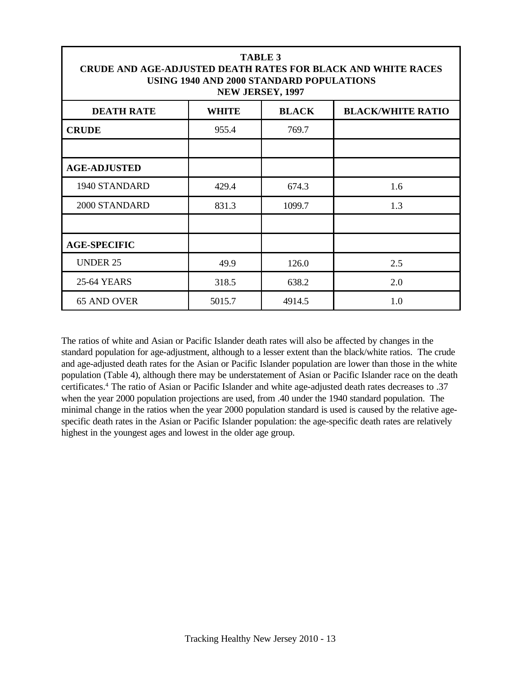| <b>TABLE 3</b><br><b>CRUDE AND AGE-ADJUSTED DEATH RATES FOR BLACK AND WHITE RACES</b><br>USING 1940 AND 2000 STANDARD POPULATIONS<br>NEW JERSEY, 1997 |              |              |                          |
|-------------------------------------------------------------------------------------------------------------------------------------------------------|--------------|--------------|--------------------------|
| <b>DEATH RATE</b>                                                                                                                                     | <b>WHITE</b> | <b>BLACK</b> | <b>BLACK/WHITE RATIO</b> |
| <b>CRUDE</b>                                                                                                                                          | 955.4        | 769.7        |                          |
|                                                                                                                                                       |              |              |                          |
| <b>AGE-ADJUSTED</b>                                                                                                                                   |              |              |                          |
| 1940 STANDARD                                                                                                                                         | 429.4        | 674.3        | 1.6                      |
| 2000 STANDARD                                                                                                                                         | 831.3        | 1099.7       | 1.3                      |
|                                                                                                                                                       |              |              |                          |
| <b>AGE-SPECIFIC</b>                                                                                                                                   |              |              |                          |
| <b>UNDER 25</b>                                                                                                                                       | 49.9         | 126.0        | 2.5                      |
| <b>25-64 YEARS</b>                                                                                                                                    | 318.5        | 638.2        | 2.0                      |
| 65 AND OVER                                                                                                                                           | 5015.7       | 4914.5       | 1.0                      |

The ratios of white and Asian or Pacific Islander death rates will also be affected by changes in the standard population for age-adjustment, although to a lesser extent than the black/white ratios. The crude and age-adjusted death rates for the Asian or Pacific Islander population are lower than those in the white population (Table 4), although there may be understatement of Asian or Pacific Islander race on the death certificates.<sup>4</sup> The ratio of Asian or Pacific Islander and white age-adjusted death rates decreases to .37 when the year 2000 population projections are used, from .40 under the 1940 standard population. The minimal change in the ratios when the year 2000 population standard is used is caused by the relative agespecific death rates in the Asian or Pacific Islander population: the age-specific death rates are relatively highest in the youngest ages and lowest in the older age group.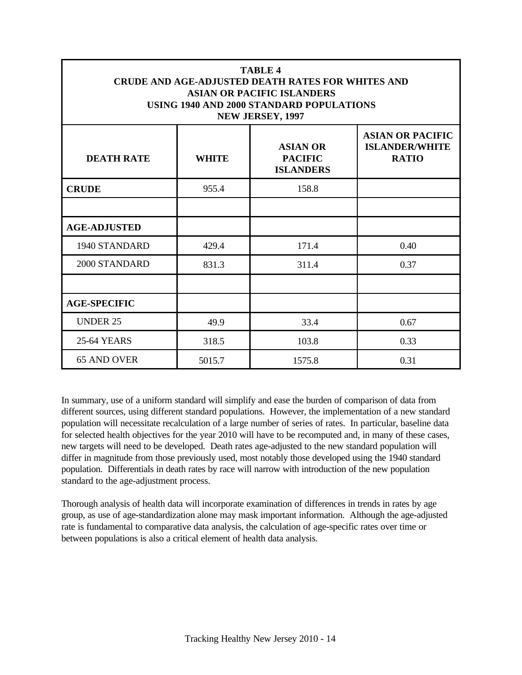| <b>TABLE 4</b><br><b>CRUDE AND AGE-ADJUSTED DEATH RATES FOR WHITES AND</b><br><b>ASIAN OR PACIFIC ISLANDERS</b><br>USING 1940 AND 2000 STANDARD POPULATIONS<br>NEW JERSEY, 1997 |              |                                                       |                                                                  |
|---------------------------------------------------------------------------------------------------------------------------------------------------------------------------------|--------------|-------------------------------------------------------|------------------------------------------------------------------|
| <b>DEATH RATE</b>                                                                                                                                                               | <b>WHITE</b> | <b>ASIAN OR</b><br><b>PACIFIC</b><br><b>ISLANDERS</b> | <b>ASIAN OR PACIFIC</b><br><b>ISLANDER/WHITE</b><br><b>RATIO</b> |
| <b>CRUDE</b>                                                                                                                                                                    | 955.4        | 158.8                                                 |                                                                  |
|                                                                                                                                                                                 |              |                                                       |                                                                  |
| <b>AGE-ADJUSTED</b>                                                                                                                                                             |              |                                                       |                                                                  |
| 1940 STANDARD                                                                                                                                                                   | 429.4        | 171.4                                                 | 0.40                                                             |
| 2000 STANDARD                                                                                                                                                                   | 831.3        | 311.4                                                 | 0.37                                                             |
|                                                                                                                                                                                 |              |                                                       |                                                                  |
| <b>AGE-SPECIFIC</b>                                                                                                                                                             |              |                                                       |                                                                  |
| <b>UNDER 25</b>                                                                                                                                                                 | 49.9         | 33.4                                                  | 0.67                                                             |
| <b>25-64 YEARS</b>                                                                                                                                                              | 318.5        | 103.8                                                 | 0.33                                                             |
| <b>65 AND OVER</b>                                                                                                                                                              | 5015.7       | 1575.8                                                | 0.31                                                             |

In summary, use of a uniform standard will simplify and ease the burden of comparison of data from different sources, using different standard populations. However, the implementation of a new standard population will necessitate recalculation of a large number of series of rates. In particular, baseline data for selected health objectives for the year 2010 will have to be recomputed and, in many of these cases, new targets will need to be developed. Death rates age-adjusted to the new standard population will differ in magnitude from those previously used, most notably those developed using the 1940 standard population. Differentials in death rates by race will narrow with introduction of the new population standard to the age-adjustment process.

Thorough analysis of health data will incorporate examination of differences in trends in rates by age group, as use of age-standardization alone may mask important information. Although the age-adjusted rate is fundamental to comparative data analysis, the calculation of age-specific rates over time or between populations is also a critical element of health data analysis.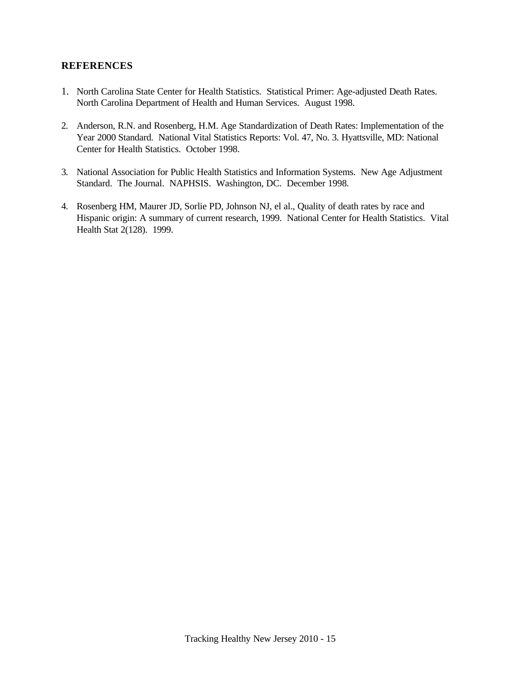#### **REFERENCES**

- 1. North Carolina State Center for Health Statistics. Statistical Primer: Age-adjusted Death Rates. North Carolina Department of Health and Human Services. August 1998.
- 2. Anderson, R.N. and Rosenberg, H.M. Age Standardization of Death Rates: Implementation of the Year 2000 Standard. National Vital Statistics Reports: Vol. 47, No. 3. Hyattsville, MD: National Center for Health Statistics. October 1998.
- 3. National Association for Public Health Statistics and Information Systems. New Age Adjustment Standard. The Journal. NAPHSIS. Washington, DC. December 1998.
- 4. Rosenberg HM, Maurer JD, Sorlie PD, Johnson NJ, el al., Quality of death rates by race and Hispanic origin: A summary of current research, 1999. National Center for Health Statistics. Vital Health Stat 2(128). 1999.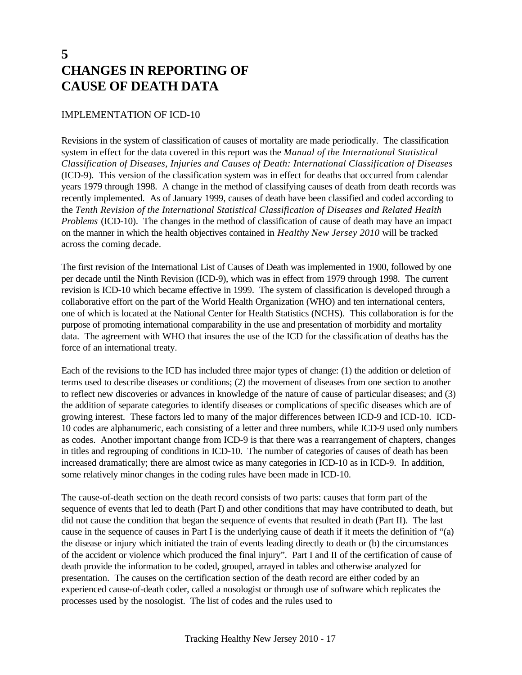## **5 CHANGES IN REPORTING OF CAUSE OF DEATH DATA**

#### IMPLEMENTATION OF ICD-10

Revisions in the system of classification of causes of mortality are made periodically. The classification system in effect for the data covered in this report was the *Manual of the International Statistical Classification of Diseases, Injuries and Causes of Death: International Classification of Diseases* (ICD-9). This version of the classification system was in effect for deaths that occurred from calendar years 1979 through 1998. A change in the method of classifying causes of death from death records was recently implemented. As of January 1999, causes of death have been classified and coded according to the *Tenth Revision of the International Statistical Classification of Diseases and Related Health Problems* (ICD-10). The changes in the method of classification of cause of death may have an impact on the manner in which the health objectives contained in *Healthy New Jersey 2010* will be tracked across the coming decade.

The first revision of the International List of Causes of Death was implemented in 1900, followed by one per decade until the Ninth Revision (ICD-9), which was in effect from 1979 through 1998. The current revision is ICD-10 which became effective in 1999. The system of classification is developed through a collaborative effort on the part of the World Health Organization (WHO) and ten international centers, one of which is located at the National Center for Health Statistics (NCHS). This collaboration is for the purpose of promoting international comparability in the use and presentation of morbidity and mortality data. The agreement with WHO that insures the use of the ICD for the classification of deaths has the force of an international treaty.

Each of the revisions to the ICD has included three major types of change: (1) the addition or deletion of terms used to describe diseases or conditions; (2) the movement of diseases from one section to another to reflect new discoveries or advances in knowledge of the nature of cause of particular diseases; and (3) the addition of separate categories to identify diseases or complications of specific diseases which are of growing interest. These factors led to many of the major differences between ICD-9 and ICD-10. ICD-10 codes are alphanumeric, each consisting of a letter and three numbers, while ICD-9 used only numbers as codes. Another important change from ICD-9 is that there was a rearrangement of chapters, changes in titles and regrouping of conditions in ICD-10. The number of categories of causes of death has been increased dramatically; there are almost twice as many categories in ICD-10 as in ICD-9. In addition, some relatively minor changes in the coding rules have been made in ICD-10.

The cause-of-death section on the death record consists of two parts: causes that form part of the sequence of events that led to death (Part I) and other conditions that may have contributed to death, but did not cause the condition that began the sequence of events that resulted in death (Part II). The last cause in the sequence of causes in Part I is the underlying cause of death if it meets the definition of "(a) the disease or injury which initiated the train of events leading directly to death or (b) the circumstances of the accident or violence which produced the final injury". Part I and II of the certification of cause of death provide the information to be coded, grouped, arrayed in tables and otherwise analyzed for presentation. The causes on the certification section of the death record are either coded by an experienced cause-of-death coder, called a nosologist or through use of software which replicates the processes used by the nosologist. The list of codes and the rules used to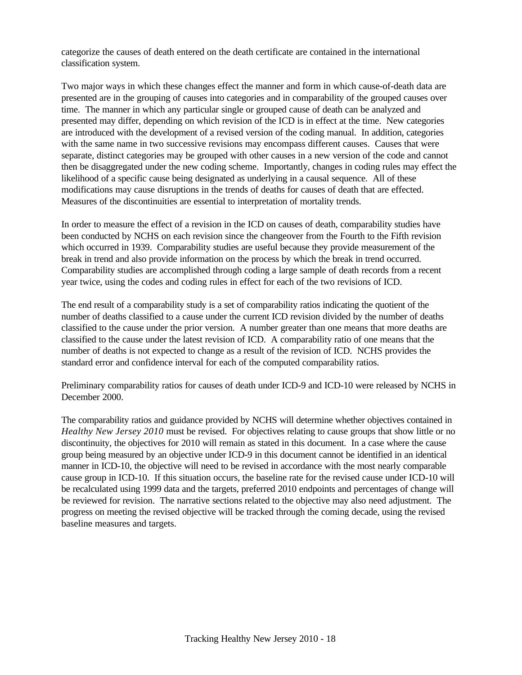categorize the causes of death entered on the death certificate are contained in the international classification system.

Two major ways in which these changes effect the manner and form in which cause-of-death data are presented are in the grouping of causes into categories and in comparability of the grouped causes over time. The manner in which any particular single or grouped cause of death can be analyzed and presented may differ, depending on which revision of the ICD is in effect at the time. New categories are introduced with the development of a revised version of the coding manual. In addition, categories with the same name in two successive revisions may encompass different causes. Causes that were separate, distinct categories may be grouped with other causes in a new version of the code and cannot then be disaggregated under the new coding scheme. Importantly, changes in coding rules may effect the likelihood of a specific cause being designated as underlying in a causal sequence. All of these modifications may cause disruptions in the trends of deaths for causes of death that are effected. Measures of the discontinuities are essential to interpretation of mortality trends.

In order to measure the effect of a revision in the ICD on causes of death, comparability studies have been conducted by NCHS on each revision since the changeover from the Fourth to the Fifth revision which occurred in 1939. Comparability studies are useful because they provide measurement of the break in trend and also provide information on the process by which the break in trend occurred. Comparability studies are accomplished through coding a large sample of death records from a recent year twice, using the codes and coding rules in effect for each of the two revisions of ICD.

The end result of a comparability study is a set of comparability ratios indicating the quotient of the number of deaths classified to a cause under the current ICD revision divided by the number of deaths classified to the cause under the prior version. A number greater than one means that more deaths are classified to the cause under the latest revision of ICD. A comparability ratio of one means that the number of deaths is not expected to change as a result of the revision of ICD. NCHS provides the standard error and confidence interval for each of the computed comparability ratios.

Preliminary comparability ratios for causes of death under ICD-9 and ICD-10 were released by NCHS in December 2000.

The comparability ratios and guidance provided by NCHS will determine whether objectives contained in *Healthy New Jersey 2010* must be revised. For objectives relating to cause groups that show little or no discontinuity, the objectives for 2010 will remain as stated in this document. In a case where the cause group being measured by an objective under ICD-9 in this document cannot be identified in an identical manner in ICD-10, the objective will need to be revised in accordance with the most nearly comparable cause group in ICD-10. If this situation occurs, the baseline rate for the revised cause under ICD-10 will be recalculated using 1999 data and the targets, preferred 2010 endpoints and percentages of change will be reviewed for revision. The narrative sections related to the objective may also need adjustment. The progress on meeting the revised objective will be tracked through the coming decade, using the revised baseline measures and targets.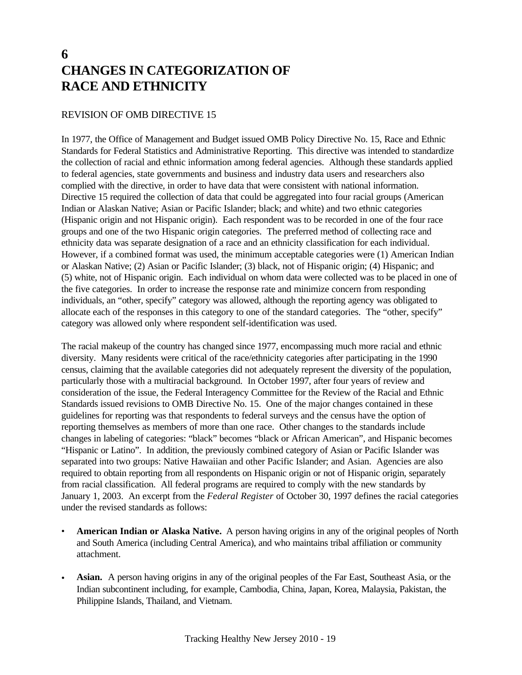## **6 CHANGES IN CATEGORIZATION OF RACE AND ETHNICITY**

#### REVISION OF OMB DIRECTIVE 15

In 1977, the Office of Management and Budget issued OMB Policy Directive No. 15, Race and Ethnic Standards for Federal Statistics and Administrative Reporting. This directive was intended to standardize the collection of racial and ethnic information among federal agencies. Although these standards applied to federal agencies, state governments and business and industry data users and researchers also complied with the directive, in order to have data that were consistent with national information. Directive 15 required the collection of data that could be aggregated into four racial groups (American Indian or Alaskan Native; Asian or Pacific Islander; black; and white) and two ethnic categories (Hispanic origin and not Hispanic origin). Each respondent was to be recorded in one of the four race groups and one of the two Hispanic origin categories. The preferred method of collecting race and ethnicity data was separate designation of a race and an ethnicity classification for each individual. However, if a combined format was used, the minimum acceptable categories were (1) American Indian or Alaskan Native; (2) Asian or Pacific Islander; (3) black, not of Hispanic origin; (4) Hispanic; and (5) white, not of Hispanic origin. Each individual on whom data were collected was to be placed in one of the five categories. In order to increase the response rate and minimize concern from responding individuals, an "other, specify" category was allowed, although the reporting agency was obligated to allocate each of the responses in this category to one of the standard categories. The "other, specify" category was allowed only where respondent self-identification was used.

The racial makeup of the country has changed since 1977, encompassing much more racial and ethnic diversity. Many residents were critical of the race/ethnicity categories after participating in the 1990 census, claiming that the available categories did not adequately represent the diversity of the population, particularly those with a multiracial background. In October 1997, after four years of review and consideration of the issue, the Federal Interagency Committee for the Review of the Racial and Ethnic Standards issued revisions to OMB Directive No. 15. One of the major changes contained in these guidelines for reporting was that respondents to federal surveys and the census have the option of reporting themselves as members of more than one race. Other changes to the standards include changes in labeling of categories: "black" becomes "black or African American", and Hispanic becomes "Hispanic or Latino". In addition, the previously combined category of Asian or Pacific Islander was separated into two groups: Native Hawaiian and other Pacific Islander; and Asian. Agencies are also required to obtain reporting from all respondents on Hispanic origin or not of Hispanic origin, separately from racial classification. All federal programs are required to comply with the new standards by January 1, 2003. An excerpt from the *Federal Register* of October 30, 1997 defines the racial categories under the revised standards as follows:

- **American Indian or Alaska Native.** A person having origins in any of the original peoples of North and South America (including Central America), and who maintains tribal affiliation or community attachment.
- **Asian.** A person having origins in any of the original peoples of the Far East, Southeast Asia, or the Indian subcontinent including, for example, Cambodia, China, Japan, Korea, Malaysia, Pakistan, the Philippine Islands, Thailand, and Vietnam.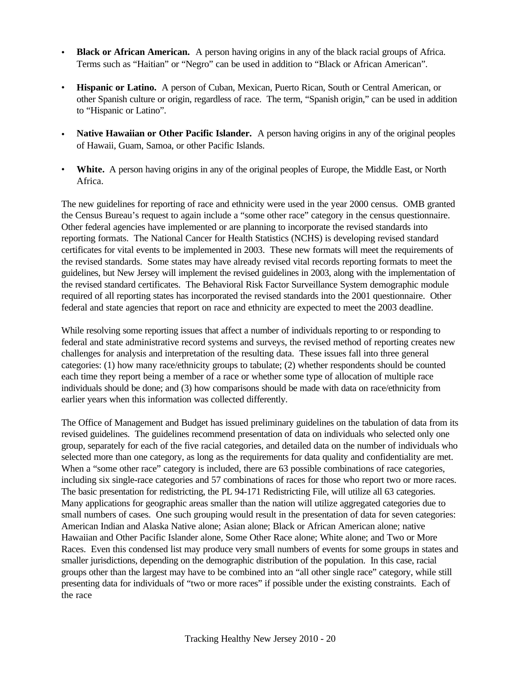- **Black or African American.** A person having origins in any of the black racial groups of Africa. Terms such as "Haitian" or "Negro" can be used in addition to "Black or African American".
- **Hispanic or Latino.** A person of Cuban, Mexican, Puerto Rican, South or Central American, or other Spanish culture or origin, regardless of race. The term, "Spanish origin," can be used in addition to "Hispanic or Latino".
- **Native Hawaiian or Other Pacific Islander.** A person having origins in any of the original peoples of Hawaii, Guam, Samoa, or other Pacific Islands.
- **White.** A person having origins in any of the original peoples of Europe, the Middle East, or North Africa.

The new guidelines for reporting of race and ethnicity were used in the year 2000 census. OMB granted the Census Bureau's request to again include a "some other race" category in the census questionnaire. Other federal agencies have implemented or are planning to incorporate the revised standards into reporting formats. The National Cancer for Health Statistics (NCHS) is developing revised standard certificates for vital events to be implemented in 2003. These new formats will meet the requirements of the revised standards. Some states may have already revised vital records reporting formats to meet the guidelines, but New Jersey will implement the revised guidelines in 2003, along with the implementation of the revised standard certificates. The Behavioral Risk Factor Surveillance System demographic module required of all reporting states has incorporated the revised standards into the 2001 questionnaire. Other federal and state agencies that report on race and ethnicity are expected to meet the 2003 deadline.

While resolving some reporting issues that affect a number of individuals reporting to or responding to federal and state administrative record systems and surveys, the revised method of reporting creates new challenges for analysis and interpretation of the resulting data. These issues fall into three general categories: (1) how many race/ethnicity groups to tabulate; (2) whether respondents should be counted each time they report being a member of a race or whether some type of allocation of multiple race individuals should be done; and (3) how comparisons should be made with data on race/ethnicity from earlier years when this information was collected differently.

The Office of Management and Budget has issued preliminary guidelines on the tabulation of data from its revised guidelines. The guidelines recommend presentation of data on individuals who selected only one group, separately for each of the five racial categories, and detailed data on the number of individuals who selected more than one category, as long as the requirements for data quality and confidentiality are met. When a "some other race" category is included, there are 63 possible combinations of race categories, including six single-race categories and 57 combinations of races for those who report two or more races. The basic presentation for redistricting, the PL 94-171 Redistricting File, will utilize all 63 categories. Many applications for geographic areas smaller than the nation will utilize aggregated categories due to small numbers of cases. One such grouping would result in the presentation of data for seven categories: American Indian and Alaska Native alone; Asian alone; Black or African American alone; native Hawaiian and Other Pacific Islander alone, Some Other Race alone; White alone; and Two or More Races. Even this condensed list may produce very small numbers of events for some groups in states and smaller jurisdictions, depending on the demographic distribution of the population. In this case, racial groups other than the largest may have to be combined into an "all other single race" category, while still presenting data for individuals of "two or more races" if possible under the existing constraints. Each of the race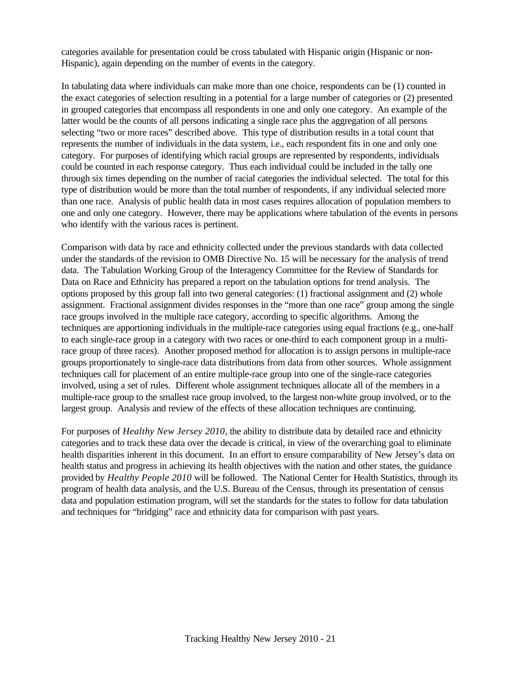categories available for presentation could be cross tabulated with Hispanic origin (Hispanic or non-Hispanic), again depending on the number of events in the category.

In tabulating data where individuals can make more than one choice, respondents can be (1) counted in the exact categories of selection resulting in a potential for a large number of categories or (2) presented in grouped categories that encompass all respondents in one and only one category. An example of the latter would be the counts of all persons indicating a single race plus the aggregation of all persons selecting "two or more races" described above. This type of distribution results in a total count that represents the number of individuals in the data system, i.e., each respondent fits in one and only one category. For purposes of identifying which racial groups are represented by respondents, individuals could be counted in each response category. Thus each individual could be included in the tally one through six times depending on the number of racial categories the individual selected. The total for this type of distribution would be more than the total number of respondents, if any individual selected more than one race. Analysis of public health data in most cases requires allocation of population members to one and only one category. However, there may be applications where tabulation of the events in persons who identify with the various races is pertinent.

Comparison with data by race and ethnicity collected under the previous standards with data collected under the standards of the revision to OMB Directive No. 15 will be necessary for the analysis of trend data. The Tabulation Working Group of the Interagency Committee for the Review of Standards for Data on Race and Ethnicity has prepared a report on the tabulation options for trend analysis. The options proposed by this group fall into two general categories: (1) fractional assignment and (2) whole assignment. Fractional assignment divides responses in the "more than one race" group among the single race groups involved in the multiple race category, according to specific algorithms. Among the techniques are apportioning individuals in the multiple-race categories using equal fractions (e.g., one-half to each single-race group in a category with two races or one-third to each component group in a multirace group of three races). Another proposed method for allocation is to assign persons in multiple-race groups proportionately to single-race data distributions from data from other sources. Whole assignment techniques call for placement of an entire multiple-race group into one of the single-race categories involved, using a set of rules. Different whole assignment techniques allocate all of the members in a multiple-race group to the smallest race group involved, to the largest non-white group involved, or to the largest group. Analysis and review of the effects of these allocation techniques are continuing.

For purposes of *Healthy New Jersey 2010*, the ability to distribute data by detailed race and ethnicity categories and to track these data over the decade is critical, in view of the overarching goal to eliminate health disparities inherent in this document. In an effort to ensure comparability of New Jersey's data on health status and progress in achieving its health objectives with the nation and other states, the guidance provided by *Healthy People 2010* will be followed. The National Center for Health Statistics, through its program of health data analysis, and the U.S. Bureau of the Census, through its presentation of census data and population estimation program, will set the standards for the states to follow for data tabulation and techniques for "bridging" race and ethnicity data for comparison with past years.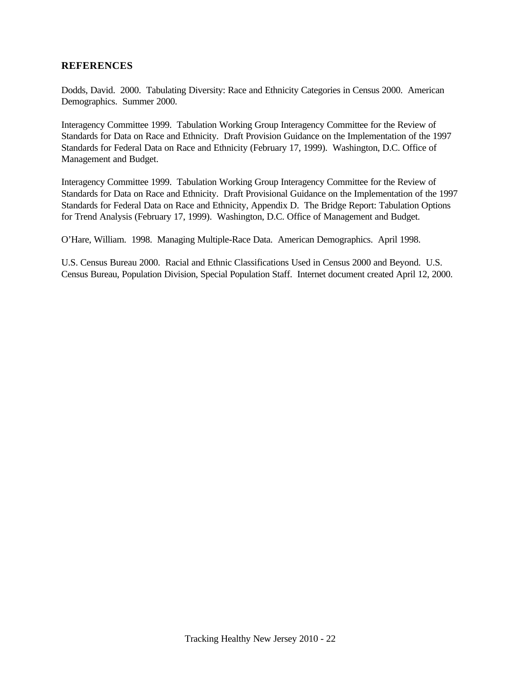#### **REFERENCES**

Dodds, David. 2000. Tabulating Diversity: Race and Ethnicity Categories in Census 2000. American Demographics. Summer 2000.

Interagency Committee 1999. Tabulation Working Group Interagency Committee for the Review of Standards for Data on Race and Ethnicity. Draft Provision Guidance on the Implementation of the 1997 Standards for Federal Data on Race and Ethnicity (February 17, 1999). Washington, D.C. Office of Management and Budget.

Interagency Committee 1999. Tabulation Working Group Interagency Committee for the Review of Standards for Data on Race and Ethnicity. Draft Provisional Guidance on the Implementation of the 1997 Standards for Federal Data on Race and Ethnicity, Appendix D. The Bridge Report: Tabulation Options for Trend Analysis (February 17, 1999). Washington, D.C. Office of Management and Budget.

O'Hare, William. 1998. Managing Multiple-Race Data. American Demographics. April 1998.

U.S. Census Bureau 2000. Racial and Ethnic Classifications Used in Census 2000 and Beyond. U.S. Census Bureau, Population Division, Special Population Staff. Internet document created April 12, 2000.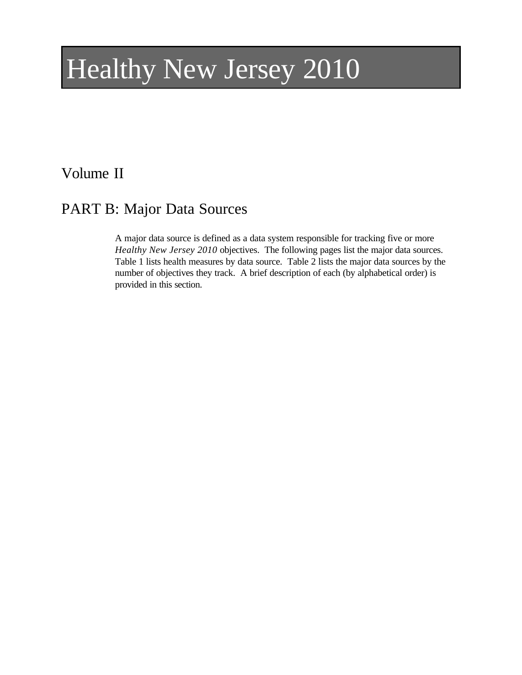# Healthy New Jersey 2010

## Volume II

# PART B: Major Data Sources

A major data source is defined as a data system responsible for tracking five or more *Healthy New Jersey 2010* objectives. The following pages list the major data sources. Table 1 lists health measures by data source. Table 2 lists the major data sources by the number of objectives they track. A brief description of each (by alphabetical order) is provided in this section.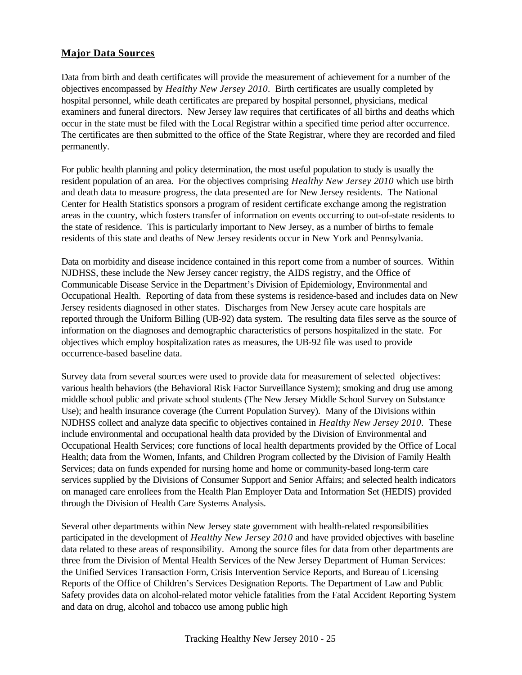#### **Major Data Sources**

Data from birth and death certificates will provide the measurement of achievement for a number of the objectives encompassed by *Healthy New Jersey 2010*. Birth certificates are usually completed by hospital personnel, while death certificates are prepared by hospital personnel, physicians, medical examiners and funeral directors. New Jersey law requires that certificates of all births and deaths which occur in the state must be filed with the Local Registrar within a specified time period after occurrence. The certificates are then submitted to the office of the State Registrar, where they are recorded and filed permanently.

For public health planning and policy determination, the most useful population to study is usually the resident population of an area. For the objectives comprising *Healthy New Jersey 2010* which use birth and death data to measure progress, the data presented are for New Jersey residents. The National Center for Health Statistics sponsors a program of resident certificate exchange among the registration areas in the country, which fosters transfer of information on events occurring to out-of-state residents to the state of residence. This is particularly important to New Jersey, as a number of births to female residents of this state and deaths of New Jersey residents occur in New York and Pennsylvania.

Data on morbidity and disease incidence contained in this report come from a number of sources. Within NJDHSS, these include the New Jersey cancer registry, the AIDS registry, and the Office of Communicable Disease Service in the Department's Division of Epidemiology, Environmental and Occupational Health. Reporting of data from these systems is residence-based and includes data on New Jersey residents diagnosed in other states. Discharges from New Jersey acute care hospitals are reported through the Uniform Billing (UB-92) data system. The resulting data files serve as the source of information on the diagnoses and demographic characteristics of persons hospitalized in the state. For objectives which employ hospitalization rates as measures, the UB-92 file was used to provide occurrence-based baseline data.

Survey data from several sources were used to provide data for measurement of selected objectives: various health behaviors (the Behavioral Risk Factor Surveillance System); smoking and drug use among middle school public and private school students (The New Jersey Middle School Survey on Substance Use); and health insurance coverage (the Current Population Survey). Many of the Divisions within NJDHSS collect and analyze data specific to objectives contained in *Healthy New Jersey 2010*. These include environmental and occupational health data provided by the Division of Environmental and Occupational Health Services; core functions of local health departments provided by the Office of Local Health; data from the Women, Infants, and Children Program collected by the Division of Family Health Services; data on funds expended for nursing home and home or community-based long-term care services supplied by the Divisions of Consumer Support and Senior Affairs; and selected health indicators on managed care enrollees from the Health Plan Employer Data and Information Set (HEDIS) provided through the Division of Health Care Systems Analysis.

Several other departments within New Jersey state government with health-related responsibilities participated in the development of *Healthy New Jersey 2010* and have provided objectives with baseline data related to these areas of responsibility. Among the source files for data from other departments are three from the Division of Mental Health Services of the New Jersey Department of Human Services: the Unified Services Transaction Form, Crisis Intervention Service Reports, and Bureau of Licensing Reports of the Office of Children's Services Designation Reports. The Department of Law and Public Safety provides data on alcohol-related motor vehicle fatalities from the Fatal Accident Reporting System and data on drug, alcohol and tobacco use among public high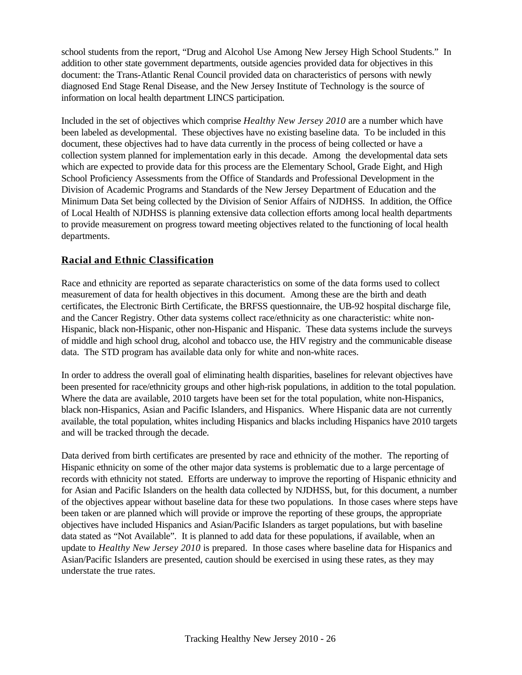school students from the report, "Drug and Alcohol Use Among New Jersey High School Students." In addition to other state government departments, outside agencies provided data for objectives in this document: the Trans-Atlantic Renal Council provided data on characteristics of persons with newly diagnosed End Stage Renal Disease, and the New Jersey Institute of Technology is the source of information on local health department LINCS participation.

Included in the set of objectives which comprise *Healthy New Jersey 2010* are a number which have been labeled as developmental. These objectives have no existing baseline data. To be included in this document, these objectives had to have data currently in the process of being collected or have a collection system planned for implementation early in this decade. Among the developmental data sets which are expected to provide data for this process are the Elementary School, Grade Eight, and High School Proficiency Assessments from the Office of Standards and Professional Development in the Division of Academic Programs and Standards of the New Jersey Department of Education and the Minimum Data Set being collected by the Division of Senior Affairs of NJDHSS. In addition, the Office of Local Health of NJDHSS is planning extensive data collection efforts among local health departments to provide measurement on progress toward meeting objectives related to the functioning of local health departments.

#### **Racial and Ethnic Classification**

Race and ethnicity are reported as separate characteristics on some of the data forms used to collect measurement of data for health objectives in this document. Among these are the birth and death certificates, the Electronic Birth Certificate, the BRFSS questionnaire, the UB-92 hospital discharge file, and the Cancer Registry. Other data systems collect race/ethnicity as one characteristic: white non-Hispanic, black non-Hispanic, other non-Hispanic and Hispanic. These data systems include the surveys of middle and high school drug, alcohol and tobacco use, the HIV registry and the communicable disease data. The STD program has available data only for white and non-white races.

In order to address the overall goal of eliminating health disparities, baselines for relevant objectives have been presented for race/ethnicity groups and other high-risk populations, in addition to the total population. Where the data are available, 2010 targets have been set for the total population, white non-Hispanics, black non-Hispanics, Asian and Pacific Islanders, and Hispanics. Where Hispanic data are not currently available, the total population, whites including Hispanics and blacks including Hispanics have 2010 targets and will be tracked through the decade.

Data derived from birth certificates are presented by race and ethnicity of the mother. The reporting of Hispanic ethnicity on some of the other major data systems is problematic due to a large percentage of records with ethnicity not stated. Efforts are underway to improve the reporting of Hispanic ethnicity and for Asian and Pacific Islanders on the health data collected by NJDHSS, but, for this document, a number of the objectives appear without baseline data for these two populations. In those cases where steps have been taken or are planned which will provide or improve the reporting of these groups, the appropriate objectives have included Hispanics and Asian/Pacific Islanders as target populations, but with baseline data stated as "Not Available". It is planned to add data for these populations, if available, when an update to *Healthy New Jersey 2010* is prepared. In those cases where baseline data for Hispanics and Asian/Pacific Islanders are presented, caution should be exercised in using these rates, as they may understate the true rates.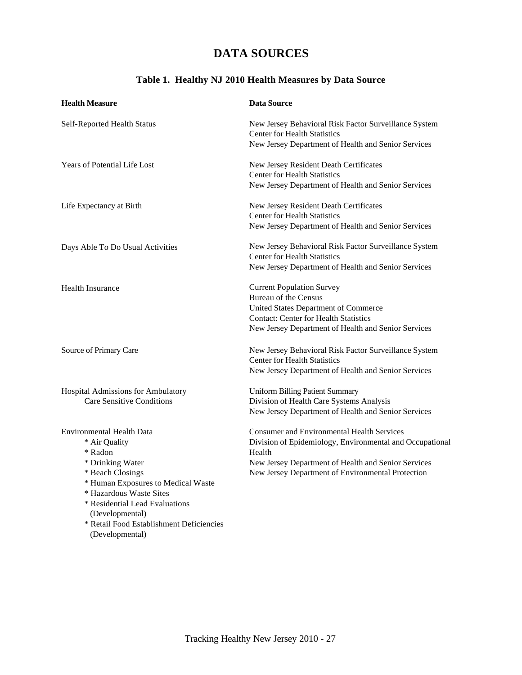## **DATA SOURCES**

### **Table 1. Healthy NJ 2010 Health Measures by Data Source**

| <b>Health Measure</b>                                       | <b>Data Source</b>                                                                           |
|-------------------------------------------------------------|----------------------------------------------------------------------------------------------|
| Self-Reported Health Status                                 | New Jersey Behavioral Risk Factor Surveillance System<br><b>Center for Health Statistics</b> |
|                                                             | New Jersey Department of Health and Senior Services                                          |
| Years of Potential Life Lost                                | New Jersey Resident Death Certificates                                                       |
|                                                             | <b>Center for Health Statistics</b>                                                          |
|                                                             | New Jersey Department of Health and Senior Services                                          |
| Life Expectancy at Birth                                    | New Jersey Resident Death Certificates                                                       |
|                                                             | <b>Center for Health Statistics</b>                                                          |
|                                                             | New Jersey Department of Health and Senior Services                                          |
| Days Able To Do Usual Activities                            | New Jersey Behavioral Risk Factor Surveillance System                                        |
|                                                             | <b>Center for Health Statistics</b>                                                          |
|                                                             | New Jersey Department of Health and Senior Services                                          |
| <b>Health Insurance</b>                                     | <b>Current Population Survey</b>                                                             |
|                                                             | <b>Bureau of the Census</b>                                                                  |
|                                                             | United States Department of Commerce                                                         |
|                                                             | <b>Contact: Center for Health Statistics</b>                                                 |
|                                                             | New Jersey Department of Health and Senior Services                                          |
| Source of Primary Care                                      | New Jersey Behavioral Risk Factor Surveillance System                                        |
|                                                             | <b>Center for Health Statistics</b>                                                          |
|                                                             | New Jersey Department of Health and Senior Services                                          |
| Hospital Admissions for Ambulatory                          | <b>Uniform Billing Patient Summary</b>                                                       |
| <b>Care Sensitive Conditions</b>                            | Division of Health Care Systems Analysis                                                     |
|                                                             | New Jersey Department of Health and Senior Services                                          |
| <b>Environmental Health Data</b>                            | <b>Consumer and Environmental Health Services</b>                                            |
| * Air Quality                                               | Division of Epidemiology, Environmental and Occupational                                     |
| * Radon                                                     | Health                                                                                       |
| * Drinking Water                                            | New Jersey Department of Health and Senior Services                                          |
| * Beach Closings                                            | New Jersey Department of Environmental Protection                                            |
| * Human Exposures to Medical Waste                          |                                                                                              |
| * Hazardous Waste Sites                                     |                                                                                              |
| * Residential Lead Evaluations                              |                                                                                              |
| (Developmental)<br>* Retail Food Establishment Deficiencies |                                                                                              |
| (Developmental)                                             |                                                                                              |
|                                                             |                                                                                              |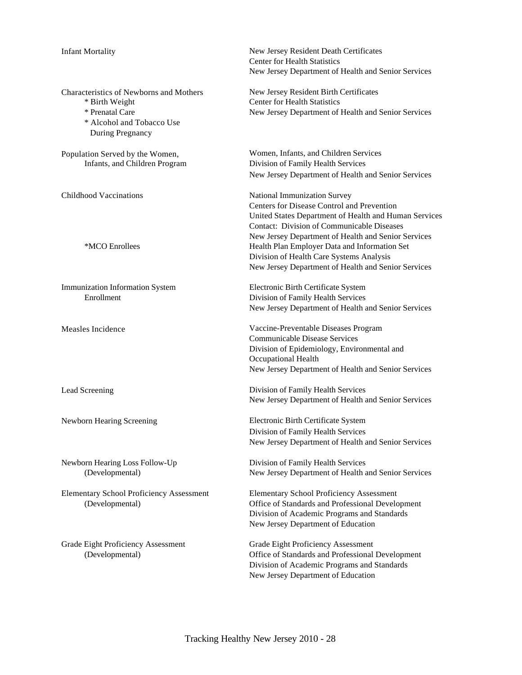| <b>Infant Mortality</b>                                                                                                       | New Jersey Resident Death Certificates<br><b>Center for Health Statistics</b><br>New Jersey Department of Health and Senior Services                                                                                                                                                                                                                                                                |
|-------------------------------------------------------------------------------------------------------------------------------|-----------------------------------------------------------------------------------------------------------------------------------------------------------------------------------------------------------------------------------------------------------------------------------------------------------------------------------------------------------------------------------------------------|
| Characteristics of Newborns and Mothers<br>* Birth Weight<br>* Prenatal Care<br>* Alcohol and Tobacco Use<br>During Pregnancy | New Jersey Resident Birth Certificates<br><b>Center for Health Statistics</b><br>New Jersey Department of Health and Senior Services                                                                                                                                                                                                                                                                |
| Population Served by the Women,<br>Infants, and Children Program                                                              | Women, Infants, and Children Services<br>Division of Family Health Services<br>New Jersey Department of Health and Senior Services                                                                                                                                                                                                                                                                  |
| Childhood Vaccinations<br>*MCO Enrollees                                                                                      | National Immunization Survey<br>Centers for Disease Control and Prevention<br>United States Department of Health and Human Services<br><b>Contact: Division of Communicable Diseases</b><br>New Jersey Department of Health and Senior Services<br>Health Plan Employer Data and Information Set<br>Division of Health Care Systems Analysis<br>New Jersey Department of Health and Senior Services |
| Immunization Information System<br>Enrollment                                                                                 | Electronic Birth Certificate System<br>Division of Family Health Services<br>New Jersey Department of Health and Senior Services                                                                                                                                                                                                                                                                    |
| Measles Incidence                                                                                                             | Vaccine-Preventable Diseases Program<br><b>Communicable Disease Services</b><br>Division of Epidemiology, Environmental and<br>Occupational Health<br>New Jersey Department of Health and Senior Services                                                                                                                                                                                           |
| Lead Screening                                                                                                                | Division of Family Health Services<br>New Jersey Department of Health and Senior Services                                                                                                                                                                                                                                                                                                           |
| Newborn Hearing Screening                                                                                                     | Electronic Birth Certificate System<br>Division of Family Health Services<br>New Jersey Department of Health and Senior Services                                                                                                                                                                                                                                                                    |
| Newborn Hearing Loss Follow-Up<br>(Developmental)                                                                             | Division of Family Health Services<br>New Jersey Department of Health and Senior Services                                                                                                                                                                                                                                                                                                           |
| <b>Elementary School Proficiency Assessment</b><br>(Developmental)                                                            | <b>Elementary School Proficiency Assessment</b><br>Office of Standards and Professional Development<br>Division of Academic Programs and Standards<br>New Jersey Department of Education                                                                                                                                                                                                            |
| Grade Eight Proficiency Assessment<br>(Developmental)                                                                         | Grade Eight Proficiency Assessment<br>Office of Standards and Professional Development<br>Division of Academic Programs and Standards<br>New Jersey Department of Education                                                                                                                                                                                                                         |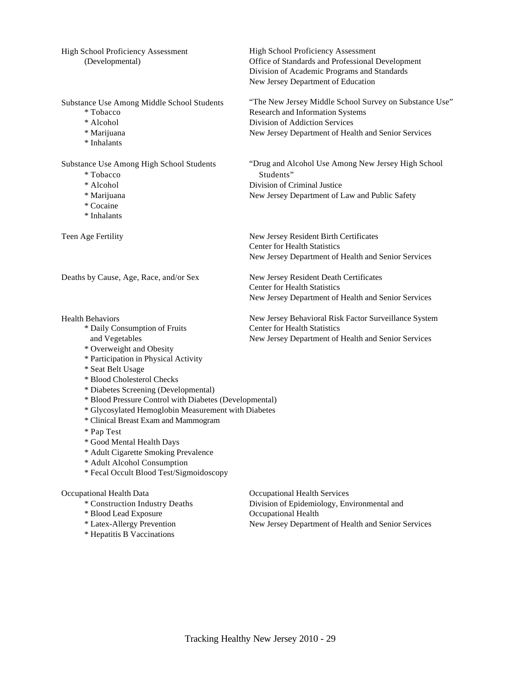High School Proficiency Assessment<br>(Developmental) High School Proficiency Assessment<br>(Developmental) Office of Standards and Professional I

- 
- 
- 
- \* Inhalants

- 
- 
- 
- \* Cocaine
- \* Inhalants

Deaths by Cause, Age, Race, and/or Sex New Jersey Resident Death Certificates

- \* Daily Consumption of Fruits Center for Health Statistics
- \* Overweight and Obesity
- \* Participation in Physical Activity
- \* Seat Belt Usage
- \* Blood Cholesterol Checks
- \* Diabetes Screening (Developmental)
- \* Blood Pressure Control with Diabetes (Developmental)
- \* Glycosylated Hemoglobin Measurement with Diabetes
- \* Clinical Breast Exam and Mammogram
- \* Pap Test
- \* Good Mental Health Days
- \* Adult Cigarette Smoking Prevalence
- \* Adult Alcohol Consumption
- \* Fecal Occult Blood Test/Sigmoidoscopy

#### Occupational Health Data Occupational Health Services

- \* Blood Lead Exposure **Occupational Health** 
	-
	- \* Hepatitis B Vaccinations

Office of Standards and Professional Development Division of Academic Programs and Standards New Jersey Department of Education

Substance Use Among Middle School Students "The New Jersey Middle School Survey on Substance Use" \* Tobacco Research and Information Systems \* Alcohol Division of Addiction Services \* Marijuana New Jersey Department of Health and Senior Services

Substance Use Among High School Students "Drug and Alcohol Use Among New Jersey High School \* Tobacco Students" \* Alcohol Division of Criminal Justice \* Marijuana New Jersey Department of Law and Public Safety

Teen Age Fertility New Jersey Resident Birth Certificates Center for Health Statistics New Jersey Department of Health and Senior Services

> Center for Health Statistics New Jersey Department of Health and Senior Services

Health Behaviors New Jersey Behavioral Risk Factor Surveillance System and Vegetables New Jersey Department of Health and Senior Services

\* Construction Industry Deaths Division of Epidemiology, Environmental and \* Latex-Allergy Prevention New Jersey Department of Health and Senior Services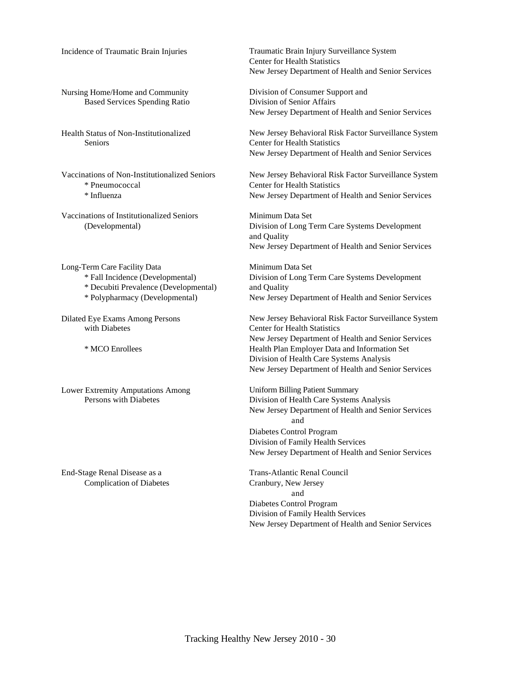Based Services Spending Ratio Division of Senior Affairs

Seniors Center for Health Statistics

\* Pneumococcal Center for Health Statistics

Vaccinations of Institutionalized Seniors Minimum Data Set

Long-Term Care Facility Data Minimum Data Set \* Decubiti Prevalence (Developmental) and Quality

Lower Extremity Amputations Among<br>
Persons with Diabetes<br>
Division of Health Care Systems

Complication of Diabetes Cranbury, New Jersey

Incidence of Traumatic Brain Injuries Traumatic Brain Injury Surveillance System Center for Health Statistics New Jersey Department of Health and Senior Services

Nursing Home/Home and Community Division of Consumer Support and New Jersey Department of Health and Senior Services

Health Status of Non-Institutionalized New Jersey Behavioral Risk Factor Surveillance System New Jersey Department of Health and Senior Services

Vaccinations of Non-Institutionalized Seniors New Jersey Behavioral Risk Factor Surveillance System \* Influenza New Jersey Department of Health and Senior Services

(Developmental) Division of Long Term Care Systems Development and Quality New Jersey Department of Health and Senior Services

\* Fall Incidence (Developmental) Division of Long Term Care Systems Development \* Polypharmacy (Developmental) New Jersey Department of Health and Senior Services

Dilated Eye Exams Among Persons New Jersey Behavioral Risk Factor Surveillance System<br>
Venter for Health Statistics<br>
Center for Health Statistics Center for Health Statistics New Jersey Department of Health and Senior Services \* MCO Enrollees Health Plan Employer Data and Information Set Division of Health Care Systems Analysis New Jersey Department of Health and Senior Services

> Division of Health Care Systems Analysis New Jersey Department of Health and Senior Services and Diabetes Control Program Division of Family Health Services New Jersey Department of Health and Senior Services

End-Stage Renal Disease as a Trans-Atlantic Renal Council and Diabetes Control Program Division of Family Health Services New Jersey Department of Health and Senior Services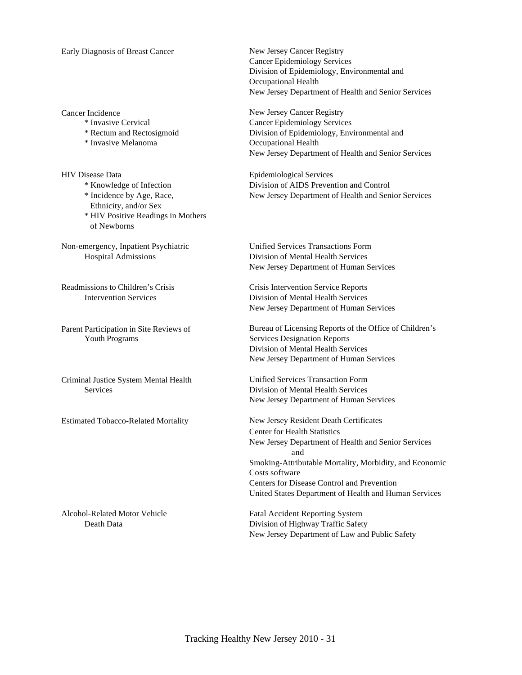#### Early Diagnosis of Breast Cancer New Jersey Cancer Registry

\* Invasive Melanoma Occupational Health

HIV Disease Data Epidemiological Services Ethnicity, and/or Sex \* HIV Positive Readings in Mothers of Newborns

Non-emergency, Inpatient Psychiatric Unified Services Transactions Form

Estimated Tobacco-Related Mortality New Jersey Resident Death Certificates

Cancer Epidemiology Services Division of Epidemiology, Environmental and Occupational Health New Jersey Department of Health and Senior Services

Cancer Incidence<br>
\* Invasive Cervical<br>
Cancer Epidemiology Service \* Invasive Cervical Cancer Epidemiology Services Division of Epidemiology, Environmental and New Jersey Department of Health and Senior Services

\* Knowledge of Infection Division of AIDS Prevention and Control \* Incidence by Age, Race, New Jersey Department of Health and Senior Services

Hospital Admissions Division of Mental Health Services New Jersey Department of Human Services

Readmissions to Children's Crisis Crisis Intervention Service Reports Intervention Services Division of Mental Health Services New Jersey Department of Human Services

Parent Participation in Site Reviews of Bureau of Licensing Reports of the Office of Children's Youth Programs Services Designation Reports Services Designation Reports Division of Mental Health Services New Jersey Department of Human Services

Criminal Justice System Mental Health Unified Services Transaction Form Services Division of Mental Health Services New Jersey Department of Human Services

> Center for Health Statistics New Jersey Department of Health and Senior Services and Smoking-Attributable Mortality, Morbidity, and Economic Costs software Centers for Disease Control and Prevention United States Department of Health and Human Services

Alcohol-Related Motor Vehicle Fatal Accident Reporting System Death Data Division of Highway Traffic Safety New Jersey Department of Law and Public Safety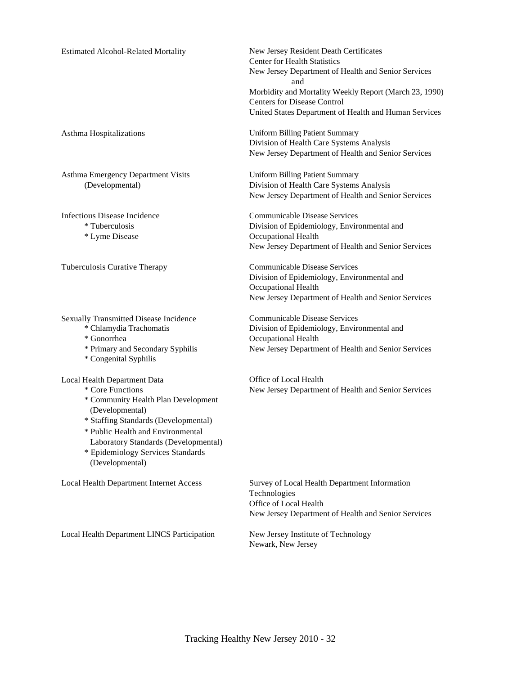| <b>Estimated Alcohol-Related Mortality</b> |  |
|--------------------------------------------|--|

Asthma Emergency Department Visits Uniform Billing Patient Summary

\* Lyme Disease Occupational Health

Sexually Transmitted Disease Incidence<br>
\* Chlamydia Trachomatis<br>
Figure 2013 - Communicable Disease Services<br>
Division of Epidemiology, Environment

- 
- 
- \* Congenital Syphilis

- 
- \* Community Health Plan Development (Developmental)
- \* Staffing Standards (Developmental)
- \* Public Health and Environmental
- Laboratory Standards (Developmental) \* Epidemiology Services Standards
- (Developmental)

Local Health Department LINCS Participation New Jersey Institute of Technology

New Jersey Resident Death Certificates Center for Health Statistics New Jersey Department of Health and Senior Services and Morbidity and Mortality Weekly Report (March 23, 1990) Centers for Disease Control United States Department of Health and Human Services

Asthma Hospitalizations Uniform Billing Patient Summary Division of Health Care Systems Analysis New Jersey Department of Health and Senior Services

(Developmental) Division of Health Care Systems Analysis New Jersey Department of Health and Senior Services

Infectious Disease Incidence Communicable Disease Services \* Tuberculosis Division of Epidemiology, Environmental and New Jersey Department of Health and Senior Services

Tuberculosis Curative Therapy Communicable Disease Services Division of Epidemiology, Environmental and Occupational Health New Jersey Department of Health and Senior Services

Division of Epidemiology, Environmental and \* Gonorrhea Occupational Health \* Primary and Secondary Syphilis New Jersey Department of Health and Senior Services

Local Health Department Data Office of Local Health<br>
\* Core Functions New Jersey Department New Jersey Department of Health and Senior Services

Local Health Department Internet Access Survey of Local Health Department Information Technologies Office of Local Health New Jersey Department of Health and Senior Services

Newark, New Jersey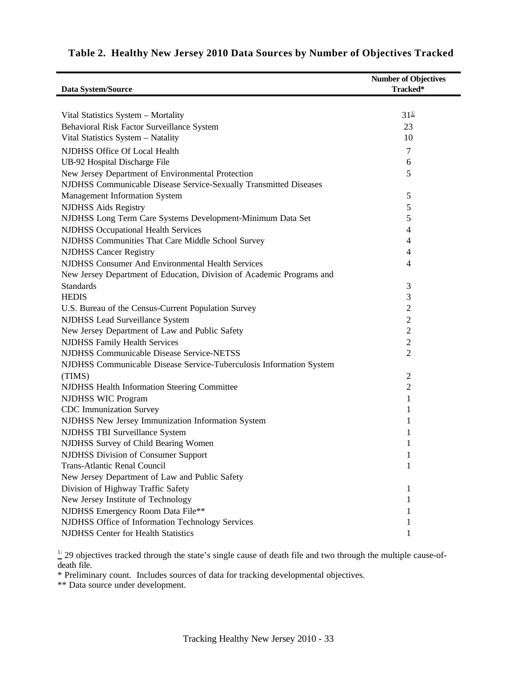| Data System/Source                                                    | <b>Number of Objectives</b><br>Tracked* |
|-----------------------------------------------------------------------|-----------------------------------------|
|                                                                       |                                         |
| Vital Statistics System - Mortality                                   | $31^{1/2}$                              |
| Behavioral Risk Factor Surveillance System                            | 23                                      |
| Vital Statistics System - Natality                                    | 10                                      |
| NJDHSS Office Of Local Health                                         | 7                                       |
| UB-92 Hospital Discharge File                                         | 6                                       |
| New Jersey Department of Environmental Protection                     | 5                                       |
| NJDHSS Communicable Disease Service-Sexually Transmitted Diseases     |                                         |
| <b>Management Information System</b>                                  | 5                                       |
| <b>NJDHSS Aids Registry</b>                                           | 5                                       |
| NJDHSS Long Term Care Systems Development-Minimum Data Set            | 5                                       |
| <b>NJDHSS Occupational Health Services</b>                            | 4                                       |
| NJDHSS Communities That Care Middle School Survey                     | 4                                       |
| <b>NJDHSS Cancer Registry</b>                                         | 4                                       |
| <b>NJDHSS Consumer And Environmental Health Services</b>              | 4                                       |
| New Jersey Department of Education, Division of Academic Programs and |                                         |
| <b>Standards</b>                                                      | 3                                       |
| <b>HEDIS</b>                                                          | 3                                       |
| U.S. Bureau of the Census-Current Population Survey                   | $\mathfrak{2}$                          |
| <b>NJDHSS Lead Surveillance System</b>                                | $\overline{2}$                          |
| New Jersey Department of Law and Public Safety                        | $\sqrt{2}$                              |
| <b>NJDHSS Family Health Services</b>                                  | $\sqrt{2}$                              |
| <b>NJDHSS Communicable Disease Service-NETSS</b>                      | $\overline{2}$                          |
| NJDHSS Communicable Disease Service-Tuberculosis Information System   |                                         |
| (TIMS)                                                                | $\mathfrak{2}$                          |
| <b>NJDHSS Health Information Steering Committee</b>                   | $\sqrt{2}$                              |
| <b>NJDHSS WIC Program</b>                                             | 1                                       |
| <b>CDC</b> Immunization Survey                                        | 1                                       |
| NJDHSS New Jersey Immunization Information System                     | 1                                       |
| NJDHSS TBI Surveillance System                                        | 1                                       |
| NJDHSS Survey of Child Bearing Women                                  | 1                                       |
| <b>NJDHSS Division of Consumer Support</b>                            | $\mathbf{I}$                            |
| Trans-Atlantic Renal Council                                          | 1                                       |
| New Jersey Department of Law and Public Safety                        |                                         |
| Division of Highway Traffic Safety                                    | 1                                       |
| New Jersey Institute of Technology                                    | 1                                       |
| NJDHSS Emergency Room Data File**                                     | 1                                       |
| NJDHSS Office of Information Technology Services                      | 1                                       |
| <b>NJDHSS Center for Health Statistics</b>                            | 1                                       |

## **Table 2. Healthy New Jersey 2010 Data Sources by Number of Objectives Tracked**

 $\frac{1}{2}$  29 objectives tracked through the state's single cause of death file and two through the multiple cause-ofdeath file.

\* Preliminary count. Includes sources of data for tracking developmental objectives.

\*\* Data source under development.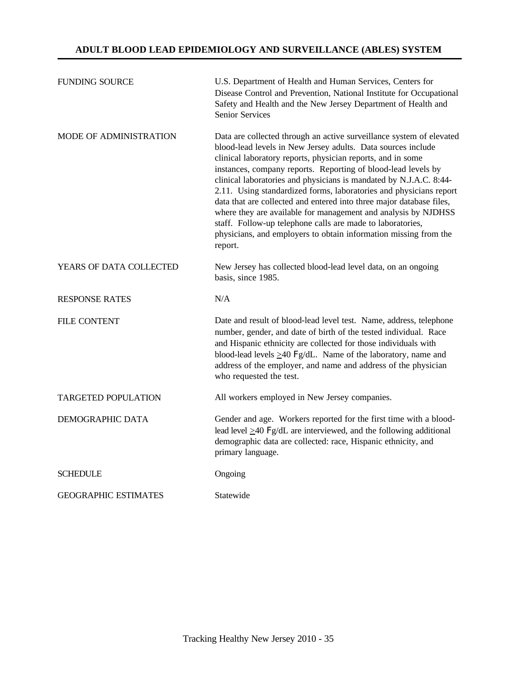#### **ADULT BLOOD LEAD EPIDEMIOLOGY AND SURVEILLANCE (ABLES) SYSTEM**

| <b>FUNDING SOURCE</b>       | U.S. Department of Health and Human Services, Centers for<br>Disease Control and Prevention, National Institute for Occupational<br>Safety and Health and the New Jersey Department of Health and<br>Senior Services                                                                                                                                                                                                                                                                                                                                                                                                                                                                                    |
|-----------------------------|---------------------------------------------------------------------------------------------------------------------------------------------------------------------------------------------------------------------------------------------------------------------------------------------------------------------------------------------------------------------------------------------------------------------------------------------------------------------------------------------------------------------------------------------------------------------------------------------------------------------------------------------------------------------------------------------------------|
| MODE OF ADMINISTRATION      | Data are collected through an active surveillance system of elevated<br>blood-lead levels in New Jersey adults. Data sources include<br>clinical laboratory reports, physician reports, and in some<br>instances, company reports. Reporting of blood-lead levels by<br>clinical laboratories and physicians is mandated by N.J.A.C. 8:44-<br>2.11. Using standardized forms, laboratories and physicians report<br>data that are collected and entered into three major database files,<br>where they are available for management and analysis by NJDHSS<br>staff. Follow-up telephone calls are made to laboratories,<br>physicians, and employers to obtain information missing from the<br>report. |
| YEARS OF DATA COLLECTED     | New Jersey has collected blood-lead level data, on an ongoing<br>basis, since 1985.                                                                                                                                                                                                                                                                                                                                                                                                                                                                                                                                                                                                                     |
| <b>RESPONSE RATES</b>       | N/A                                                                                                                                                                                                                                                                                                                                                                                                                                                                                                                                                                                                                                                                                                     |
| <b>FILE CONTENT</b>         | Date and result of blood-lead level test. Name, address, telephone<br>number, gender, and date of birth of the tested individual. Race<br>and Hispanic ethnicity are collected for those individuals with<br>blood-lead levels $\geq$ 40 Fg/dL. Name of the laboratory, name and<br>address of the employer, and name and address of the physician<br>who requested the test.                                                                                                                                                                                                                                                                                                                           |
| <b>TARGETED POPULATION</b>  | All workers employed in New Jersey companies.                                                                                                                                                                                                                                                                                                                                                                                                                                                                                                                                                                                                                                                           |
| DEMOGRAPHIC DATA            | Gender and age. Workers reported for the first time with a blood-<br>lead level $\geq$ 40 Fg/dL are interviewed, and the following additional<br>demographic data are collected: race, Hispanic ethnicity, and<br>primary language.                                                                                                                                                                                                                                                                                                                                                                                                                                                                     |
| <b>SCHEDULE</b>             | Ongoing                                                                                                                                                                                                                                                                                                                                                                                                                                                                                                                                                                                                                                                                                                 |
| <b>GEOGRAPHIC ESTIMATES</b> | Statewide                                                                                                                                                                                                                                                                                                                                                                                                                                                                                                                                                                                                                                                                                               |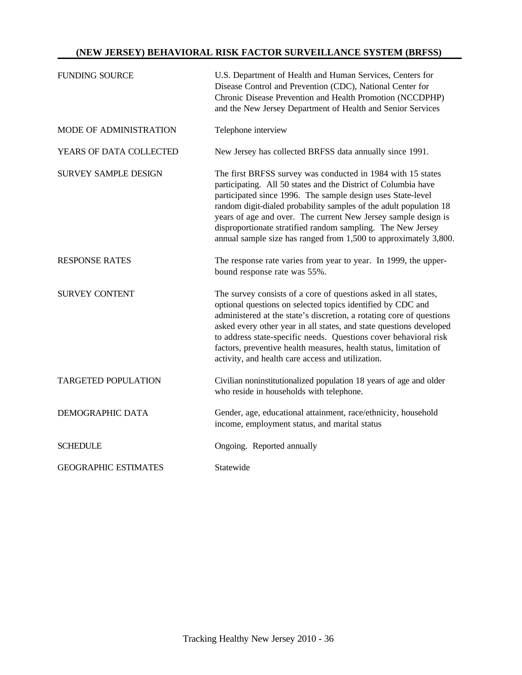#### **(NEW JERSEY) BEHAVIORAL RISK FACTOR SURVEILLANCE SYSTEM (BRFSS)**

| <b>FUNDING SOURCE</b>       | U.S. Department of Health and Human Services, Centers for<br>Disease Control and Prevention (CDC), National Center for<br>Chronic Disease Prevention and Health Promotion (NCCDPHP)<br>and the New Jersey Department of Health and Senior Services                                                                                                                                                                                                                          |
|-----------------------------|-----------------------------------------------------------------------------------------------------------------------------------------------------------------------------------------------------------------------------------------------------------------------------------------------------------------------------------------------------------------------------------------------------------------------------------------------------------------------------|
| MODE OF ADMINISTRATION      | Telephone interview                                                                                                                                                                                                                                                                                                                                                                                                                                                         |
| YEARS OF DATA COLLECTED     | New Jersey has collected BRFSS data annually since 1991.                                                                                                                                                                                                                                                                                                                                                                                                                    |
| <b>SURVEY SAMPLE DESIGN</b> | The first BRFSS survey was conducted in 1984 with 15 states<br>participating. All 50 states and the District of Columbia have<br>participated since 1996. The sample design uses State-level<br>random digit-dialed probability samples of the adult population 18<br>years of age and over. The current New Jersey sample design is<br>disproportionate stratified random sampling. The New Jersey<br>annual sample size has ranged from 1,500 to approximately 3,800.     |
| <b>RESPONSE RATES</b>       | The response rate varies from year to year. In 1999, the upper-<br>bound response rate was 55%.                                                                                                                                                                                                                                                                                                                                                                             |
| <b>SURVEY CONTENT</b>       | The survey consists of a core of questions asked in all states,<br>optional questions on selected topics identified by CDC and<br>administered at the state's discretion, a rotating core of questions<br>asked every other year in all states, and state questions developed<br>to address state-specific needs. Questions cover behavioral risk<br>factors, preventive health measures, health status, limitation of<br>activity, and health care access and utilization. |
| <b>TARGETED POPULATION</b>  | Civilian noninstitutionalized population 18 years of age and older<br>who reside in households with telephone.                                                                                                                                                                                                                                                                                                                                                              |
| DEMOGRAPHIC DATA            | Gender, age, educational attainment, race/ethnicity, household<br>income, employment status, and marital status                                                                                                                                                                                                                                                                                                                                                             |
| <b>SCHEDULE</b>             | Ongoing. Reported annually                                                                                                                                                                                                                                                                                                                                                                                                                                                  |
| <b>GEOGRAPHIC ESTIMATES</b> | Statewide                                                                                                                                                                                                                                                                                                                                                                                                                                                                   |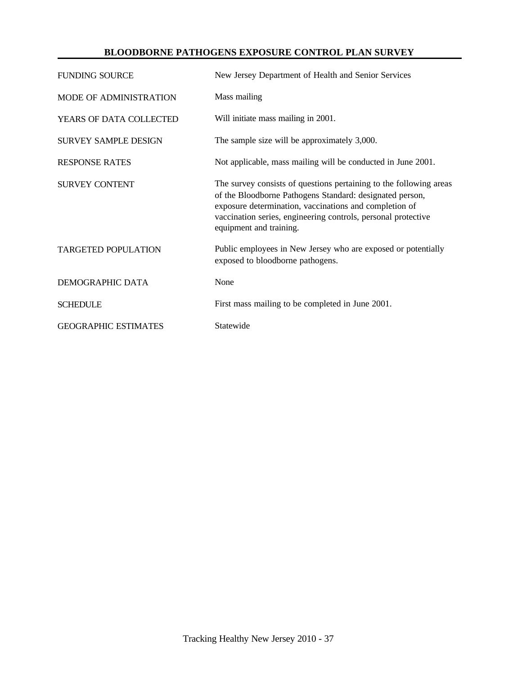#### **BLOODBORNE PATHOGENS EXPOSURE CONTROL PLAN SURVEY**

| <b>FUNDING SOURCE</b>       | New Jersey Department of Health and Senior Services                                                                                                                                                                                                                                  |
|-----------------------------|--------------------------------------------------------------------------------------------------------------------------------------------------------------------------------------------------------------------------------------------------------------------------------------|
| MODE OF ADMINISTRATION      | Mass mailing                                                                                                                                                                                                                                                                         |
| YEARS OF DATA COLLECTED     | Will initiate mass mailing in 2001.                                                                                                                                                                                                                                                  |
| <b>SURVEY SAMPLE DESIGN</b> | The sample size will be approximately 3,000.                                                                                                                                                                                                                                         |
| <b>RESPONSE RATES</b>       | Not applicable, mass mailing will be conducted in June 2001.                                                                                                                                                                                                                         |
| <b>SURVEY CONTENT</b>       | The survey consists of questions pertaining to the following areas<br>of the Bloodborne Pathogens Standard: designated person,<br>exposure determination, vaccinations and completion of<br>vaccination series, engineering controls, personal protective<br>equipment and training. |
| <b>TARGETED POPULATION</b>  | Public employees in New Jersey who are exposed or potentially<br>exposed to bloodborne pathogens.                                                                                                                                                                                    |
| DEMOGRAPHIC DATA            | None                                                                                                                                                                                                                                                                                 |
| <b>SCHEDULE</b>             | First mass mailing to be completed in June 2001.                                                                                                                                                                                                                                     |
| <b>GEOGRAPHIC ESTIMATES</b> | Statewide                                                                                                                                                                                                                                                                            |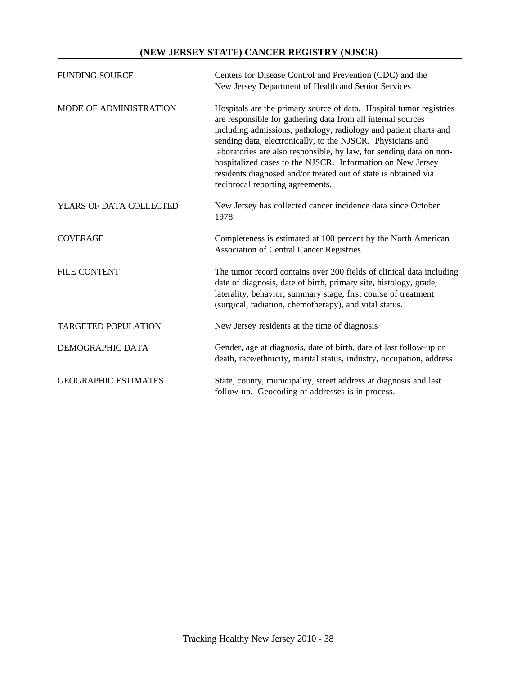#### **(NEW JERSEY STATE) CANCER REGISTRY (NJSCR)**

| <b>FUNDING SOURCE</b>       | Centers for Disease Control and Prevention (CDC) and the<br>New Jersey Department of Health and Senior Services                                                                                                                                                                                                                                                                                                                                                                                                    |
|-----------------------------|--------------------------------------------------------------------------------------------------------------------------------------------------------------------------------------------------------------------------------------------------------------------------------------------------------------------------------------------------------------------------------------------------------------------------------------------------------------------------------------------------------------------|
| MODE OF ADMINISTRATION      | Hospitals are the primary source of data. Hospital tumor registries<br>are responsible for gathering data from all internal sources<br>including admissions, pathology, radiology and patient charts and<br>sending data, electronically, to the NJSCR. Physicians and<br>laboratories are also responsible, by law, for sending data on non-<br>hospitalized cases to the NJSCR. Information on New Jersey<br>residents diagnosed and/or treated out of state is obtained via<br>reciprocal reporting agreements. |
| YEARS OF DATA COLLECTED     | New Jersey has collected cancer incidence data since October<br>1978.                                                                                                                                                                                                                                                                                                                                                                                                                                              |
| <b>COVERAGE</b>             | Completeness is estimated at 100 percent by the North American<br>Association of Central Cancer Registries.                                                                                                                                                                                                                                                                                                                                                                                                        |
| <b>FILE CONTENT</b>         | The tumor record contains over 200 fields of clinical data including<br>date of diagnosis, date of birth, primary site, histology, grade,<br>laterality, behavior, summary stage, first course of treatment<br>(surgical, radiation, chemotherapy), and vital status.                                                                                                                                                                                                                                              |
| <b>TARGETED POPULATION</b>  | New Jersey residents at the time of diagnosis                                                                                                                                                                                                                                                                                                                                                                                                                                                                      |
| DEMOGRAPHIC DATA            | Gender, age at diagnosis, date of birth, date of last follow-up or<br>death, race/ethnicity, marital status, industry, occupation, address                                                                                                                                                                                                                                                                                                                                                                         |
| <b>GEOGRAPHIC ESTIMATES</b> | State, county, municipality, street address at diagnosis and last<br>follow-up. Geocoding of addresses is in process.                                                                                                                                                                                                                                                                                                                                                                                              |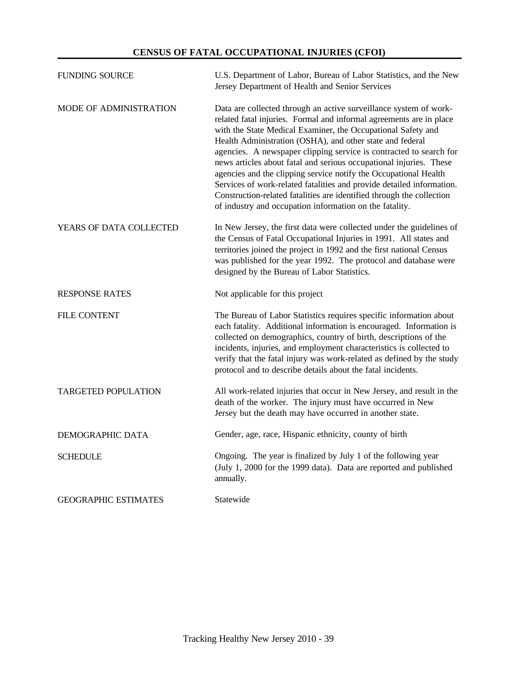#### **CENSUS OF FATAL OCCUPATIONAL INJURIES (CFOI)**

| <b>FUNDING SOURCE</b>      | U.S. Department of Labor, Bureau of Labor Statistics, and the New<br>Jersey Department of Health and Senior Services                                                                                                                                                                                                                                                                                                                                                                                                                                                                                                                                                                               |
|----------------------------|----------------------------------------------------------------------------------------------------------------------------------------------------------------------------------------------------------------------------------------------------------------------------------------------------------------------------------------------------------------------------------------------------------------------------------------------------------------------------------------------------------------------------------------------------------------------------------------------------------------------------------------------------------------------------------------------------|
| MODE OF ADMINISTRATION     | Data are collected through an active surveillance system of work-<br>related fatal injuries. Formal and informal agreements are in place<br>with the State Medical Examiner, the Occupational Safety and<br>Health Administration (OSHA), and other state and federal<br>agencies. A newspaper clipping service is contracted to search for<br>news articles about fatal and serious occupational injuries. These<br>agencies and the clipping service notify the Occupational Health<br>Services of work-related fatalities and provide detailed information.<br>Construction-related fatalities are identified through the collection<br>of industry and occupation information on the fatality. |
| YEARS OF DATA COLLECTED    | In New Jersey, the first data were collected under the guidelines of<br>the Census of Fatal Occupational Injuries in 1991. All states and<br>territories joined the project in 1992 and the first national Census<br>was published for the year 1992. The protocol and database were<br>designed by the Bureau of Labor Statistics.                                                                                                                                                                                                                                                                                                                                                                |
| <b>RESPONSE RATES</b>      | Not applicable for this project                                                                                                                                                                                                                                                                                                                                                                                                                                                                                                                                                                                                                                                                    |
|                            |                                                                                                                                                                                                                                                                                                                                                                                                                                                                                                                                                                                                                                                                                                    |
| <b>FILE CONTENT</b>        | The Bureau of Labor Statistics requires specific information about<br>each fatality. Additional information is encouraged. Information is<br>collected on demographics, country of birth, descriptions of the<br>incidents, injuries, and employment characteristics is collected to<br>verify that the fatal injury was work-related as defined by the study<br>protocol and to describe details about the fatal incidents.                                                                                                                                                                                                                                                                       |
| <b>TARGETED POPULATION</b> | All work-related injuries that occur in New Jersey, and result in the<br>death of the worker. The injury must have occurred in New<br>Jersey but the death may have occurred in another state.                                                                                                                                                                                                                                                                                                                                                                                                                                                                                                     |
| DEMOGRAPHIC DATA           | Gender, age, race, Hispanic ethnicity, county of birth                                                                                                                                                                                                                                                                                                                                                                                                                                                                                                                                                                                                                                             |
| <b>SCHEDULE</b>            | Ongoing. The year is finalized by July 1 of the following year<br>(July 1, 2000 for the 1999 data). Data are reported and published<br>annually.                                                                                                                                                                                                                                                                                                                                                                                                                                                                                                                                                   |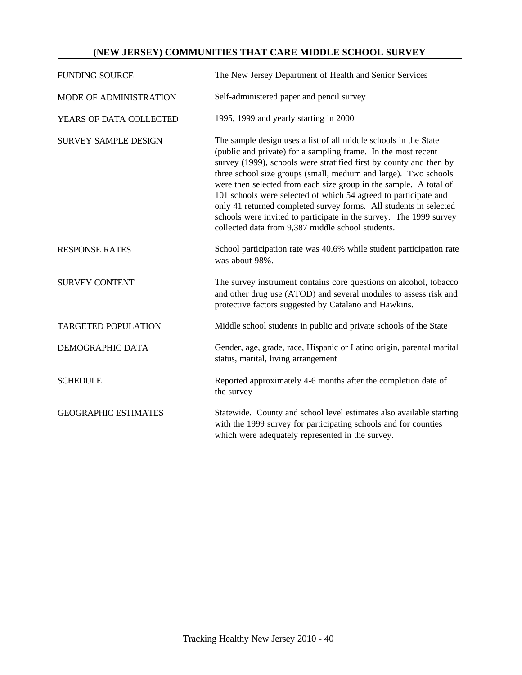#### **(NEW JERSEY) COMMUNITIES THAT CARE MIDDLE SCHOOL SURVEY**

| <b>FUNDING SOURCE</b>       | The New Jersey Department of Health and Senior Services                                                                                                                                                                                                                                                                                                                                                                                                                                                                                                                                                            |
|-----------------------------|--------------------------------------------------------------------------------------------------------------------------------------------------------------------------------------------------------------------------------------------------------------------------------------------------------------------------------------------------------------------------------------------------------------------------------------------------------------------------------------------------------------------------------------------------------------------------------------------------------------------|
| MODE OF ADMINISTRATION      | Self-administered paper and pencil survey                                                                                                                                                                                                                                                                                                                                                                                                                                                                                                                                                                          |
| YEARS OF DATA COLLECTED     | 1995, 1999 and yearly starting in 2000                                                                                                                                                                                                                                                                                                                                                                                                                                                                                                                                                                             |
| <b>SURVEY SAMPLE DESIGN</b> | The sample design uses a list of all middle schools in the State<br>(public and private) for a sampling frame. In the most recent<br>survey (1999), schools were stratified first by county and then by<br>three school size groups (small, medium and large). Two schools<br>were then selected from each size group in the sample. A total of<br>101 schools were selected of which 54 agreed to participate and<br>only 41 returned completed survey forms. All students in selected<br>schools were invited to participate in the survey. The 1999 survey<br>collected data from 9,387 middle school students. |
| <b>RESPONSE RATES</b>       | School participation rate was 40.6% while student participation rate<br>was about 98%.                                                                                                                                                                                                                                                                                                                                                                                                                                                                                                                             |
| <b>SURVEY CONTENT</b>       | The survey instrument contains core questions on alcohol, tobacco<br>and other drug use (ATOD) and several modules to assess risk and<br>protective factors suggested by Catalano and Hawkins.                                                                                                                                                                                                                                                                                                                                                                                                                     |
| <b>TARGETED POPULATION</b>  | Middle school students in public and private schools of the State                                                                                                                                                                                                                                                                                                                                                                                                                                                                                                                                                  |
| DEMOGRAPHIC DATA            | Gender, age, grade, race, Hispanic or Latino origin, parental marital<br>status, marital, living arrangement                                                                                                                                                                                                                                                                                                                                                                                                                                                                                                       |
| <b>SCHEDULE</b>             | Reported approximately 4-6 months after the completion date of<br>the survey                                                                                                                                                                                                                                                                                                                                                                                                                                                                                                                                       |
| <b>GEOGRAPHIC ESTIMATES</b> | Statewide. County and school level estimates also available starting<br>with the 1999 survey for participating schools and for counties<br>which were adequately represented in the survey.                                                                                                                                                                                                                                                                                                                                                                                                                        |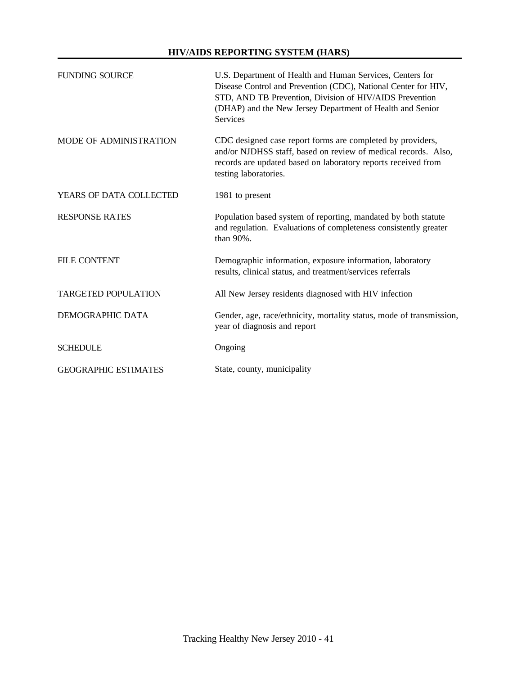#### **HIV/AIDS REPORTING SYSTEM (HARS)**

| <b>FUNDING SOURCE</b>         | U.S. Department of Health and Human Services, Centers for<br>Disease Control and Prevention (CDC), National Center for HIV,<br>STD, AND TB Prevention, Division of HIV/AIDS Prevention<br>(DHAP) and the New Jersey Department of Health and Senior<br><b>Services</b> |
|-------------------------------|------------------------------------------------------------------------------------------------------------------------------------------------------------------------------------------------------------------------------------------------------------------------|
| <b>MODE OF ADMINISTRATION</b> | CDC designed case report forms are completed by providers,<br>and/or NJDHSS staff, based on review of medical records. Also,<br>records are updated based on laboratory reports received from<br>testing laboratories.                                                 |
| YEARS OF DATA COLLECTED       | 1981 to present                                                                                                                                                                                                                                                        |
| <b>RESPONSE RATES</b>         | Population based system of reporting, mandated by both statute<br>and regulation. Evaluations of completeness consistently greater<br>than 90%.                                                                                                                        |
| <b>FILE CONTENT</b>           | Demographic information, exposure information, laboratory<br>results, clinical status, and treatment/services referrals                                                                                                                                                |
| <b>TARGETED POPULATION</b>    | All New Jersey residents diagnosed with HIV infection                                                                                                                                                                                                                  |
| DEMOGRAPHIC DATA              | Gender, age, race/ethnicity, mortality status, mode of transmission,<br>year of diagnosis and report                                                                                                                                                                   |
| <b>SCHEDULE</b>               | Ongoing                                                                                                                                                                                                                                                                |
| <b>GEOGRAPHIC ESTIMATES</b>   | State, county, municipality                                                                                                                                                                                                                                            |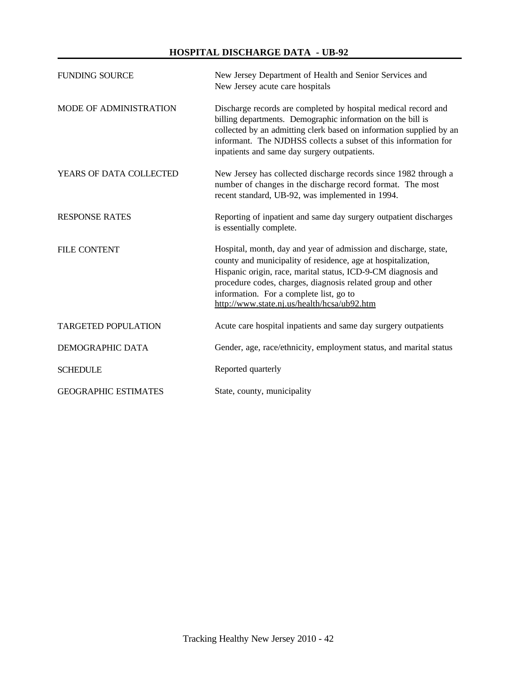#### **HOSPITAL DISCHARGE DATA - UB-92**

| <b>FUNDING SOURCE</b>       | New Jersey Department of Health and Senior Services and<br>New Jersey acute care hospitals                                                                                                                                                                                                                                                                  |
|-----------------------------|-------------------------------------------------------------------------------------------------------------------------------------------------------------------------------------------------------------------------------------------------------------------------------------------------------------------------------------------------------------|
| MODE OF ADMINISTRATION      | Discharge records are completed by hospital medical record and<br>billing departments. Demographic information on the bill is<br>collected by an admitting clerk based on information supplied by an<br>informant. The NJDHSS collects a subset of this information for<br>inpatients and same day surgery outpatients.                                     |
| YEARS OF DATA COLLECTED     | New Jersey has collected discharge records since 1982 through a<br>number of changes in the discharge record format. The most<br>recent standard, UB-92, was implemented in 1994.                                                                                                                                                                           |
| <b>RESPONSE RATES</b>       | Reporting of inpatient and same day surgery outpatient discharges<br>is essentially complete.                                                                                                                                                                                                                                                               |
| <b>FILE CONTENT</b>         | Hospital, month, day and year of admission and discharge, state,<br>county and municipality of residence, age at hospitalization,<br>Hispanic origin, race, marital status, ICD-9-CM diagnosis and<br>procedure codes, charges, diagnosis related group and other<br>information. For a complete list, go to<br>http://www.state.nj.us/health/hcsa/ub92.htm |
| <b>TARGETED POPULATION</b>  | Acute care hospital inpatients and same day surgery outpatients                                                                                                                                                                                                                                                                                             |
| DEMOGRAPHIC DATA            | Gender, age, race/ethnicity, employment status, and marital status                                                                                                                                                                                                                                                                                          |
| <b>SCHEDULE</b>             | Reported quarterly                                                                                                                                                                                                                                                                                                                                          |
| <b>GEOGRAPHIC ESTIMATES</b> | State, county, municipality                                                                                                                                                                                                                                                                                                                                 |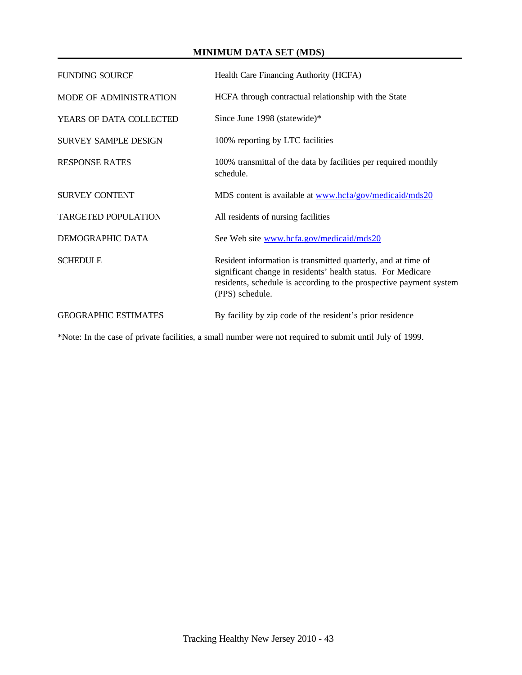# **MINIMUM DATA SET (MDS)**

| <b>FUNDING SOURCE</b>       | Health Care Financing Authority (HCFA)                                                                                                                                                                                 |
|-----------------------------|------------------------------------------------------------------------------------------------------------------------------------------------------------------------------------------------------------------------|
| MODE OF ADMINISTRATION      | HCFA through contractual relationship with the State                                                                                                                                                                   |
| YEARS OF DATA COLLECTED     | Since June 1998 (statewide)*                                                                                                                                                                                           |
| <b>SURVEY SAMPLE DESIGN</b> | 100% reporting by LTC facilities                                                                                                                                                                                       |
| <b>RESPONSE RATES</b>       | 100% transmittal of the data by facilities per required monthly<br>schedule.                                                                                                                                           |
| <b>SURVEY CONTENT</b>       | MDS content is available at www.hcfa/gov/medicaid/mds20                                                                                                                                                                |
| <b>TARGETED POPULATION</b>  | All residents of nursing facilities                                                                                                                                                                                    |
| DEMOGRAPHIC DATA            | See Web site www.hcfa.gov/medicaid/mds20                                                                                                                                                                               |
| <b>SCHEDULE</b>             | Resident information is transmitted quarterly, and at time of<br>significant change in residents' health status. For Medicare<br>residents, schedule is according to the prospective payment system<br>(PPS) schedule. |
| <b>GEOGRAPHIC ESTIMATES</b> | By facility by zip code of the resident's prior residence                                                                                                                                                              |

\*Note: In the case of private facilities, a small number were not required to submit until July of 1999.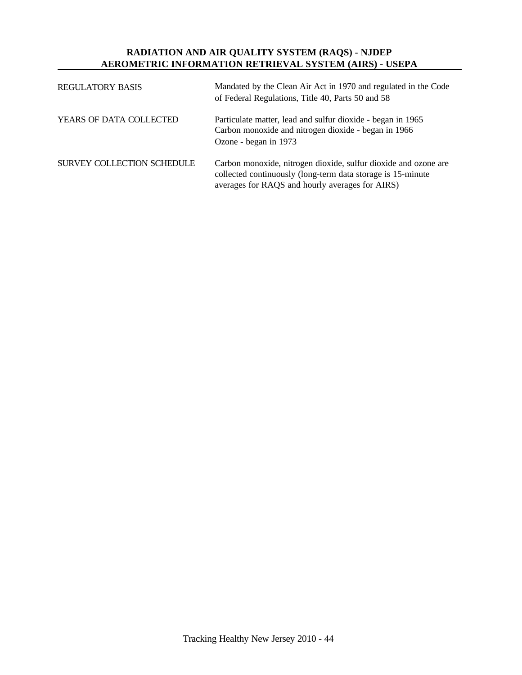# **RADIATION AND AIR QUALITY SYSTEM (RAQS) - NJDEP AEROMETRIC INFORMATION RETRIEVAL SYSTEM (AIRS) - USEPA**

| <b>REGULATORY BASIS</b>    | Mandated by the Clean Air Act in 1970 and regulated in the Code<br>of Federal Regulations, Title 40, Parts 50 and 58                                                               |
|----------------------------|------------------------------------------------------------------------------------------------------------------------------------------------------------------------------------|
| YEARS OF DATA COLLECTED    | Particulate matter, lead and sulfur dioxide - began in 1965<br>Carbon monoxide and nitrogen dioxide - began in 1966<br>Ozone - began in 1973                                       |
| SURVEY COLLECTION SCHEDULE | Carbon monoxide, nitrogen dioxide, sulfur dioxide and ozone are<br>collected continuously (long-term data storage is 15-minute)<br>averages for RAQS and hourly averages for AIRS) |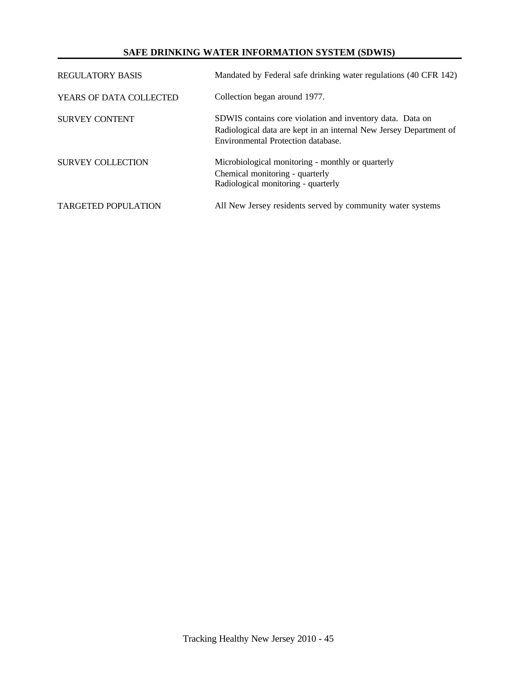### **SAFE DRINKING WATER INFORMATION SYSTEM (SDWIS)**

| REGULATORY BASIS           | Mandated by Federal safe drinking water regulations (40 CFR 142)                                                                                                      |
|----------------------------|-----------------------------------------------------------------------------------------------------------------------------------------------------------------------|
| YEARS OF DATA COLLECTED    | Collection began around 1977.                                                                                                                                         |
| <b>SURVEY CONTENT</b>      | SDWIS contains core violation and inventory data. Data on<br>Radiological data are kept in an internal New Jersey Department of<br>Environmental Protection database. |
| <b>SURVEY COLLECTION</b>   | Microbiological monitoring - monthly or quarterly<br>Chemical monitoring - quarterly<br>Radiological monitoring - quarterly                                           |
| <b>TARGETED POPULATION</b> | All New Jersey residents served by community water systems                                                                                                            |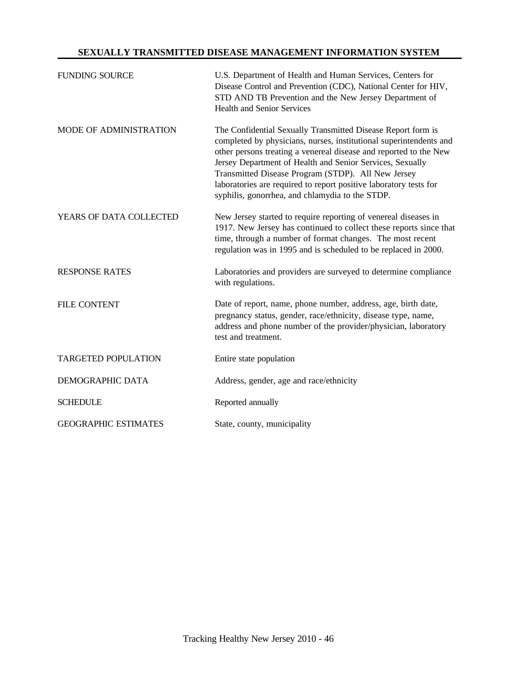## **SEXUALLY TRANSMITTED DISEASE MANAGEMENT INFORMATION SYSTEM**

| <b>FUNDING SOURCE</b>       | U.S. Department of Health and Human Services, Centers for<br>Disease Control and Prevention (CDC), National Center for HIV,<br>STD AND TB Prevention and the New Jersey Department of<br><b>Health and Senior Services</b>                                                                                                                                                                                                                         |
|-----------------------------|----------------------------------------------------------------------------------------------------------------------------------------------------------------------------------------------------------------------------------------------------------------------------------------------------------------------------------------------------------------------------------------------------------------------------------------------------|
| MODE OF ADMINISTRATION      | The Confidential Sexually Transmitted Disease Report form is<br>completed by physicians, nurses, institutional superintendents and<br>other persons treating a venereal disease and reported to the New<br>Jersey Department of Health and Senior Services, Sexually<br>Transmitted Disease Program (STDP). All New Jersey<br>laboratories are required to report positive laboratory tests for<br>syphilis, gonorrhea, and chlamydia to the STDP. |
| YEARS OF DATA COLLECTED     | New Jersey started to require reporting of venereal diseases in<br>1917. New Jersey has continued to collect these reports since that<br>time, through a number of format changes. The most recent<br>regulation was in 1995 and is scheduled to be replaced in 2000.                                                                                                                                                                              |
| <b>RESPONSE RATES</b>       | Laboratories and providers are surveyed to determine compliance<br>with regulations.                                                                                                                                                                                                                                                                                                                                                               |
| <b>FILE CONTENT</b>         | Date of report, name, phone number, address, age, birth date,<br>pregnancy status, gender, race/ethnicity, disease type, name,<br>address and phone number of the provider/physician, laboratory<br>test and treatment.                                                                                                                                                                                                                            |
| <b>TARGETED POPULATION</b>  | Entire state population                                                                                                                                                                                                                                                                                                                                                                                                                            |
| <b>DEMOGRAPHIC DATA</b>     | Address, gender, age and race/ethnicity                                                                                                                                                                                                                                                                                                                                                                                                            |
| <b>SCHEDULE</b>             | Reported annually                                                                                                                                                                                                                                                                                                                                                                                                                                  |
| <b>GEOGRAPHIC ESTIMATES</b> | State, county, municipality                                                                                                                                                                                                                                                                                                                                                                                                                        |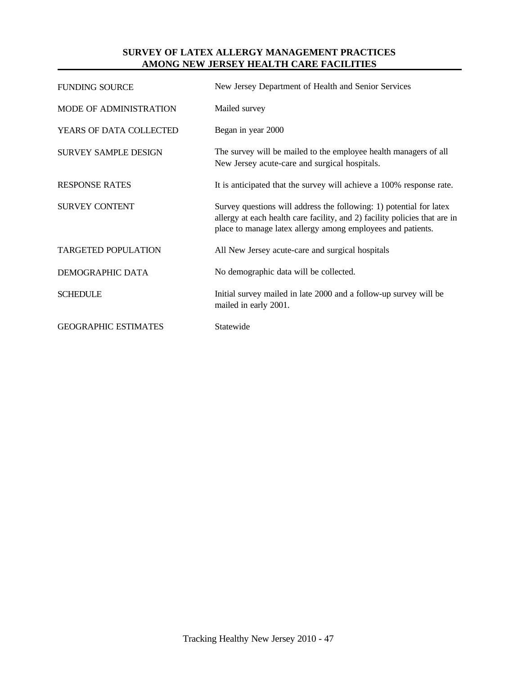# **SURVEY OF LATEX ALLERGY MANAGEMENT PRACTICES AMONG NEW JERSEY HEALTH CARE FACILITIES**

| New Jersey Department of Health and Senior Services                                                                                                                                                              |
|------------------------------------------------------------------------------------------------------------------------------------------------------------------------------------------------------------------|
| Mailed survey                                                                                                                                                                                                    |
| Began in year 2000                                                                                                                                                                                               |
| The survey will be mailed to the employee health managers of all<br>New Jersey acute-care and surgical hospitals.                                                                                                |
| It is anticipated that the survey will achieve a 100% response rate.                                                                                                                                             |
| Survey questions will address the following: 1) potential for latex<br>allergy at each health care facility, and 2) facility policies that are in<br>place to manage latex allergy among employees and patients. |
| All New Jersey acute-care and surgical hospitals                                                                                                                                                                 |
| No demographic data will be collected.                                                                                                                                                                           |
| Initial survey mailed in late 2000 and a follow-up survey will be<br>mailed in early 2001.                                                                                                                       |
| Statewide                                                                                                                                                                                                        |
|                                                                                                                                                                                                                  |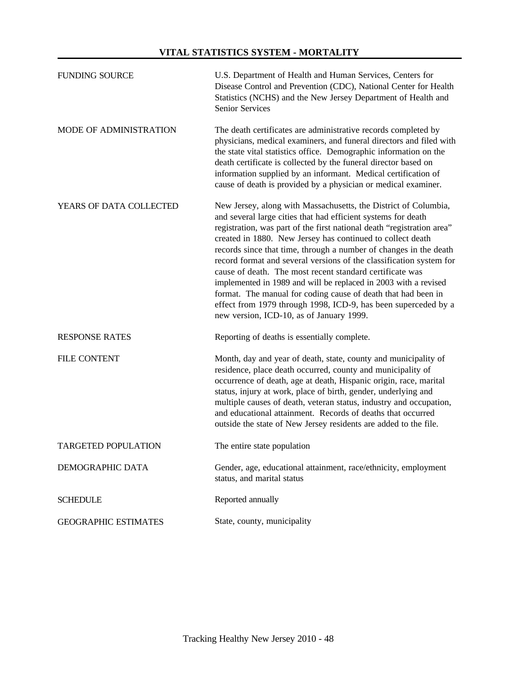### **VITAL STATISTICS SYSTEM - MORTALITY**

| <b>FUNDING SOURCE</b>       | U.S. Department of Health and Human Services, Centers for<br>Disease Control and Prevention (CDC), National Center for Health<br>Statistics (NCHS) and the New Jersey Department of Health and<br>Senior Services                                                                                                                                                                                                                                                                                                                                                                                                                                                                                                                  |
|-----------------------------|------------------------------------------------------------------------------------------------------------------------------------------------------------------------------------------------------------------------------------------------------------------------------------------------------------------------------------------------------------------------------------------------------------------------------------------------------------------------------------------------------------------------------------------------------------------------------------------------------------------------------------------------------------------------------------------------------------------------------------|
| MODE OF ADMINISTRATION      | The death certificates are administrative records completed by<br>physicians, medical examiners, and funeral directors and filed with<br>the state vital statistics office. Demographic information on the<br>death certificate is collected by the funeral director based on<br>information supplied by an informant. Medical certification of<br>cause of death is provided by a physician or medical examiner.                                                                                                                                                                                                                                                                                                                  |
| YEARS OF DATA COLLECTED     | New Jersey, along with Massachusetts, the District of Columbia,<br>and several large cities that had efficient systems for death<br>registration, was part of the first national death "registration area"<br>created in 1880. New Jersey has continued to collect death<br>records since that time, through a number of changes in the death<br>record format and several versions of the classification system for<br>cause of death. The most recent standard certificate was<br>implemented in 1989 and will be replaced in 2003 with a revised<br>format. The manual for coding cause of death that had been in<br>effect from 1979 through 1998, ICD-9, has been superceded by a<br>new version, ICD-10, as of January 1999. |
| <b>RESPONSE RATES</b>       | Reporting of deaths is essentially complete.                                                                                                                                                                                                                                                                                                                                                                                                                                                                                                                                                                                                                                                                                       |
| <b>FILE CONTENT</b>         | Month, day and year of death, state, county and municipality of<br>residence, place death occurred, county and municipality of<br>occurrence of death, age at death, Hispanic origin, race, marital<br>status, injury at work, place of birth, gender, underlying and<br>multiple causes of death, veteran status, industry and occupation,<br>and educational attainment. Records of deaths that occurred<br>outside the state of New Jersey residents are added to the file.                                                                                                                                                                                                                                                     |
| <b>TARGETED POPULATION</b>  | The entire state population                                                                                                                                                                                                                                                                                                                                                                                                                                                                                                                                                                                                                                                                                                        |
| DEMOGRAPHIC DATA            | Gender, age, educational attainment, race/ethnicity, employment<br>status, and marital status                                                                                                                                                                                                                                                                                                                                                                                                                                                                                                                                                                                                                                      |
| <b>SCHEDULE</b>             | Reported annually                                                                                                                                                                                                                                                                                                                                                                                                                                                                                                                                                                                                                                                                                                                  |
| <b>GEOGRAPHIC ESTIMATES</b> | State, county, municipality                                                                                                                                                                                                                                                                                                                                                                                                                                                                                                                                                                                                                                                                                                        |